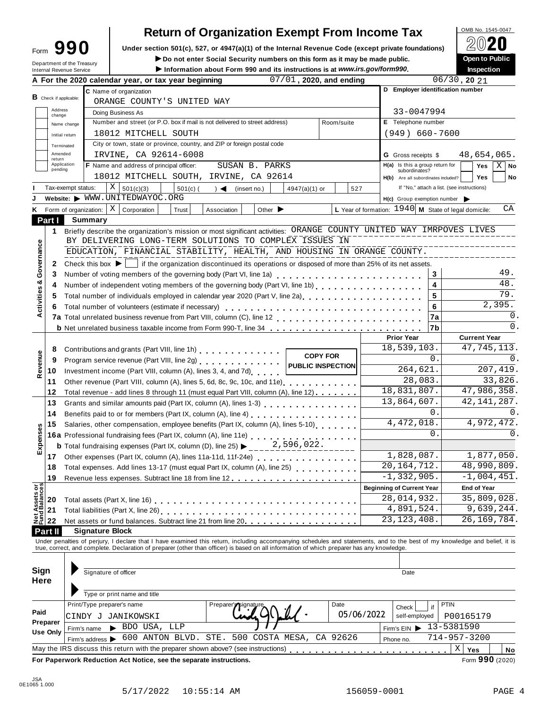# **Return of Organization Exempt From Income Tax**

Form **UPP U** Under section 501(c), 527, or 4947(a)(1) of the Internal Revenue Code (except private foundations) Δ<br> **Department of the Treasury Depart of Public**<br>
Information about Form 990 and its instructions is at *w* Do not enter Social Security numbers on this form as it may be made public.

|                                        |                          | Department of the Treasury<br>Internal Revenue Service |                                                                                                                                                                                                                                   | ► Do not enter Social Security numbers on this form as it may be made public.<br>Information about Form 990 and its instructions is at www.irs.gov/form990. |               |                             |               |                          |            |                                                                                         |                                            |                   | Open to Public<br>Inspection |                |
|----------------------------------------|--------------------------|--------------------------------------------------------|-----------------------------------------------------------------------------------------------------------------------------------------------------------------------------------------------------------------------------------|-------------------------------------------------------------------------------------------------------------------------------------------------------------|---------------|-----------------------------|---------------|--------------------------|------------|-----------------------------------------------------------------------------------------|--------------------------------------------|-------------------|------------------------------|----------------|
|                                        |                          |                                                        | A For the 2020 calendar year, or tax year beginning                                                                                                                                                                               |                                                                                                                                                             |               |                             |               | 07/01, 2020, and ending  |            |                                                                                         |                                            | $06/30$ , 20 $21$ |                              |                |
|                                        |                          |                                                        | C Name of organization                                                                                                                                                                                                            |                                                                                                                                                             |               |                             |               |                          |            | D Employer identification number                                                        |                                            |                   |                              |                |
|                                        | $B$ Check if applicable: |                                                        | ORANGE COUNTY'S UNITED WAY                                                                                                                                                                                                        |                                                                                                                                                             |               |                             |               |                          |            |                                                                                         |                                            |                   |                              |                |
|                                        | Address<br>change        |                                                        | Doing Business As                                                                                                                                                                                                                 |                                                                                                                                                             |               |                             |               |                          |            | 33-0047994                                                                              |                                            |                   |                              |                |
|                                        |                          | Name change                                            | Number and street (or P.O. box if mail is not delivered to street address)                                                                                                                                                        |                                                                                                                                                             |               |                             |               | Room/suite               |            | E Telephone number                                                                      |                                            |                   |                              |                |
|                                        |                          | Initial return                                         | 18012 MITCHELL SOUTH                                                                                                                                                                                                              |                                                                                                                                                             |               |                             |               |                          |            | $(949) 660 - 7600$                                                                      |                                            |                   |                              |                |
|                                        | Terminated               |                                                        | City or town, state or province, country, and ZIP or foreign postal code                                                                                                                                                          |                                                                                                                                                             |               |                             |               |                          |            |                                                                                         |                                            |                   |                              |                |
|                                        | Amended                  |                                                        | IRVINE, CA 92614-6008                                                                                                                                                                                                             |                                                                                                                                                             |               |                             |               |                          |            | <b>G</b> Gross receipts \$                                                              |                                            |                   | 48,654,065.                  |                |
|                                        | return<br>Application    |                                                        | F Name and address of principal officer:                                                                                                                                                                                          |                                                                                                                                                             |               | SUSAN B. PARKS              |               |                          |            | $H(a)$ Is this a group return for                                                       |                                            |                   | Yes                          | $X \mid$ No    |
|                                        | pending                  |                                                        | 18012 MITCHELL SOUTH, IRVINE, CA 92614                                                                                                                                                                                            |                                                                                                                                                             |               |                             |               |                          |            | subordinates?<br>H(b) Are all subordinates included?                                    |                                            |                   | <b>Yes</b>                   | No             |
|                                        |                          | Tax-exempt status:                                     | X<br>501(c)(3)                                                                                                                                                                                                                    | $501(c)$ (                                                                                                                                                  | $\rightarrow$ |                             |               |                          | 527        |                                                                                         | If "No," attach a list. (see instructions) |                   |                              |                |
|                                        |                          |                                                        | Website: WWW.UNITEDWAYOC.ORG                                                                                                                                                                                                      |                                                                                                                                                             |               | (insert no.)                | 4947(a)(1) or |                          |            |                                                                                         |                                            |                   |                              |                |
|                                        |                          |                                                        | $X \vert$ Corporation                                                                                                                                                                                                             |                                                                                                                                                             |               |                             |               |                          |            | $H(c)$ Group exemption number<br>L Year of formation: $1940$ M State of legal domicile: |                                            |                   |                              | СA             |
|                                        |                          | K Form of organization:                                |                                                                                                                                                                                                                                   | Trust                                                                                                                                                       | Association   | Other $\blacktriangleright$ |               |                          |            |                                                                                         |                                            |                   |                              |                |
|                                        | Part I                   | Summary                                                |                                                                                                                                                                                                                                   |                                                                                                                                                             |               |                             |               |                          |            |                                                                                         |                                            |                   |                              |                |
|                                        | 1                        |                                                        | Briefly describe the organization's mission or most significant activities: ORANGE COUNTY UNITED WAY IMRPOVES LIVES                                                                                                               |                                                                                                                                                             |               |                             |               |                          |            |                                                                                         |                                            |                   |                              |                |
|                                        |                          |                                                        | BY DELIVERING LONG-TERM SOLUTIONS TO COMPLEX ISSUES IN                                                                                                                                                                            |                                                                                                                                                             |               |                             |               |                          |            |                                                                                         |                                            |                   |                              |                |
|                                        |                          |                                                        | EDUCATION, FINANCIAL STABILITY, HEALTH, AND HOUSING IN ORANGE COUNTY.                                                                                                                                                             |                                                                                                                                                             |               |                             |               |                          |            |                                                                                         |                                            |                   |                              |                |
| Governance                             | 2                        | Check this box $\blacktriangleright$                   |                                                                                                                                                                                                                                   | If the organization discontinued its operations or disposed of more than 25% of its net assets.                                                             |               |                             |               |                          |            |                                                                                         |                                            |                   |                              |                |
| ೲ                                      | 3                        |                                                        | Number of voting members of the governing body (Part VI, line 1a)                                                                                                                                                                 |                                                                                                                                                             |               |                             |               |                          |            |                                                                                         | 3                                          |                   |                              | 49.            |
|                                        | 4                        |                                                        | Number of independent voting members of the governing body (Part VI, line 1b)                                                                                                                                                     |                                                                                                                                                             |               |                             |               |                          |            |                                                                                         | $\overline{\mathbf{4}}$                    |                   |                              | 48.            |
| Activities                             | 5                        |                                                        | Total number of individuals employed in calendar year 2020 (Part V, line 2a)                                                                                                                                                      |                                                                                                                                                             |               |                             |               |                          |            |                                                                                         | 5                                          |                   |                              | 79.            |
|                                        | 6                        |                                                        | Total number of volunteers (estimate if necessary)                                                                                                                                                                                |                                                                                                                                                             |               |                             |               |                          |            |                                                                                         | 6                                          |                   | 2,395.                       |                |
|                                        |                          |                                                        |                                                                                                                                                                                                                                   |                                                                                                                                                             |               |                             |               |                          |            |                                                                                         | 7a                                         |                   |                              | 0.             |
|                                        |                          |                                                        |                                                                                                                                                                                                                                   |                                                                                                                                                             |               |                             |               |                          |            |                                                                                         | 7b                                         |                   |                              | $\mathbf{0}$ . |
|                                        |                          |                                                        |                                                                                                                                                                                                                                   |                                                                                                                                                             |               |                             |               |                          |            | <b>Prior Year</b>                                                                       |                                            |                   | <b>Current Year</b>          |                |
|                                        | 8                        |                                                        | Contributions and grants (Part VIII, line 1h) Contributions and grants (Part VIII, line 1h)                                                                                                                                       |                                                                                                                                                             |               |                             |               | <b>COPY FOR</b>          |            | 18,539,103.                                                                             |                                            |                   | 47,745,113.                  |                |
|                                        | 9                        |                                                        | Program service revenue (Part VIII, line 2g) [10] Program service revenue (Part VIII, line 2g)                                                                                                                                    |                                                                                                                                                             |               |                             |               | <b>PUBLIC INSPECTION</b> |            |                                                                                         | 0.                                         |                   |                              | 0.             |
| Revenue                                | 10                       |                                                        | Investment income (Part VIII, column (A), lines 3, 4, and 7d)                                                                                                                                                                     |                                                                                                                                                             |               |                             |               |                          |            | 264,621.                                                                                |                                            |                   | 207,419.                     |                |
|                                        | 11                       |                                                        | Other revenue (Part VIII, column (A), lines 5, 6d, 8c, 9c, 10c, and 11e)                                                                                                                                                          |                                                                                                                                                             |               |                             |               |                          |            | 28,083.                                                                                 |                                            |                   |                              | 33,826.        |
|                                        | 12                       |                                                        | Total revenue - add lines 8 through 11 (must equal Part VIII, column (A), line 12)                                                                                                                                                |                                                                                                                                                             |               |                             |               |                          |            | 18,831,807.                                                                             |                                            |                   | 47,986,358.                  |                |
|                                        | 13                       |                                                        |                                                                                                                                                                                                                                   |                                                                                                                                                             |               |                             |               |                          |            | 13,864,607.                                                                             |                                            |                   | 42, 141, 287.                |                |
|                                        | 14                       |                                                        |                                                                                                                                                                                                                                   |                                                                                                                                                             |               |                             |               |                          |            |                                                                                         | 0.                                         |                   |                              | 0.             |
|                                        | 15                       |                                                        | Salaries, other compensation, employee benefits (Part IX, column (A), lines 5-10)                                                                                                                                                 |                                                                                                                                                             |               |                             |               |                          | 4,472,018. |                                                                                         | 4,972,472.                                 |                   |                              |                |
| Expenses                               |                          |                                                        | 16a Professional fundraising fees (Part IX, column (A), line 11e)                                                                                                                                                                 |                                                                                                                                                             |               |                             |               |                          |            |                                                                                         | $\Omega$ .                                 |                   |                              | 0.             |
|                                        |                          |                                                        | <b>b</b> Total fundraising expenses (Part IX, column (D), line 25) $\blacktriangleright$                                                                                                                                          |                                                                                                                                                             |               |                             | 2,596,022.    |                          |            |                                                                                         |                                            |                   |                              |                |
|                                        | 17                       |                                                        | Other expenses (Part IX, column (A), lines 11a-11d, 11f-24e)                                                                                                                                                                      |                                                                                                                                                             | 1,828,087.    |                             | 1,877,050.    |                          |            |                                                                                         |                                            |                   |                              |                |
|                                        | 18                       |                                                        | Total expenses. Add lines 13-17 (must equal Part IX, column (A), line 25)                                                                                                                                                         |                                                                                                                                                             |               |                             |               |                          |            | 20, 164, 712.                                                                           |                                            |                   | 48,990,809.                  |                |
|                                        | 19                       |                                                        | Revenue less expenses. Subtract line 18 from line 12.                                                                                                                                                                             |                                                                                                                                                             |               |                             |               |                          |            | $-1, 332, 905.$                                                                         |                                            |                   | $-1,004,451.$                |                |
|                                        |                          |                                                        |                                                                                                                                                                                                                                   |                                                                                                                                                             |               |                             |               |                          |            | <b>Beginning of Current Year</b>                                                        |                                            |                   | <b>End of Year</b>           |                |
| <b>Net Assets or<br/>Fund Balances</b> | 20                       |                                                        |                                                                                                                                                                                                                                   |                                                                                                                                                             |               |                             |               |                          |            | 28,014,932.                                                                             |                                            |                   | 35,809,028.                  |                |
|                                        | 21                       |                                                        |                                                                                                                                                                                                                                   |                                                                                                                                                             |               |                             |               |                          |            | 4,891,524.                                                                              |                                            |                   | 9,639,244.                   |                |
|                                        | 22                       |                                                        | Net assets or fund balances. Subtract line 21 from line 20 <b></b>                                                                                                                                                                |                                                                                                                                                             |               |                             |               |                          |            | 23, 123, 408.                                                                           |                                            |                   | 26, 169, 784.                |                |
|                                        | Part II                  |                                                        | <b>Signature Block</b>                                                                                                                                                                                                            |                                                                                                                                                             |               |                             |               |                          |            |                                                                                         |                                            |                   |                              |                |
|                                        |                          |                                                        | Under penalties of perjury, I declare that I have examined this return, including accompanying schedules and statements, and to the best of my knowledge and belief, it is<br>true, correct, and complete. Declaration of prepare |                                                                                                                                                             |               |                             |               |                          |            |                                                                                         |                                            |                   |                              |                |
|                                        |                          |                                                        |                                                                                                                                                                                                                                   |                                                                                                                                                             |               |                             |               |                          |            |                                                                                         |                                            |                   |                              |                |
|                                        |                          |                                                        |                                                                                                                                                                                                                                   |                                                                                                                                                             |               |                             |               |                          |            |                                                                                         |                                            |                   |                              |                |
| Sign                                   |                          |                                                        | Signature of officer                                                                                                                                                                                                              |                                                                                                                                                             |               |                             |               |                          |            | Date                                                                                    |                                            |                   |                              |                |
| Here                                   |                          |                                                        |                                                                                                                                                                                                                                   |                                                                                                                                                             |               |                             |               |                          |            |                                                                                         |                                            |                   |                              |                |
|                                        |                          |                                                        | Type or print name and title                                                                                                                                                                                                      |                                                                                                                                                             |               |                             |               |                          |            |                                                                                         |                                            |                   |                              |                |
|                                        |                          |                                                        | Print/Type preparer's name                                                                                                                                                                                                        |                                                                                                                                                             | Preparer'     |                             |               | Date                     |            | Check                                                                                   | PTIN<br>if                                 |                   |                              |                |
| Paid                                   |                          |                                                        | CINDY J JANIKOWSKI                                                                                                                                                                                                                |                                                                                                                                                             |               |                             |               |                          | 05/06/2022 | self-employed                                                                           |                                            |                   | P00165179                    |                |
|                                        | Preparer                 |                                                        | BDO USA, LLP                                                                                                                                                                                                                      |                                                                                                                                                             |               |                             |               |                          |            | Firm's EIN $\triangleright$ 13-5381590                                                  |                                            |                   |                              |                |
|                                        | <b>Use Only</b>          | Firm's name                                            | Firm's address $\triangleright$ 600 ANTON BLVD. STE.                                                                                                                                                                              |                                                                                                                                                             |               | 500 COSTA MESA,             |               | CA 92626                 |            |                                                                                         | $714 - 957 - 3200$                         |                   |                              |                |
|                                        |                          |                                                        |                                                                                                                                                                                                                                   |                                                                                                                                                             |               |                             |               |                          |            | Phone no.                                                                               |                                            |                   |                              |                |
|                                        |                          |                                                        | May the IRS discuss this return with the preparer shown above? (see instructions)                                                                                                                                                 |                                                                                                                                                             |               |                             |               |                          |            |                                                                                         |                                            | X                 | Yes                          | No             |
|                                        |                          |                                                        | For Paperwork Reduction Act Notice, see the separate instructions.                                                                                                                                                                |                                                                                                                                                             |               |                             |               |                          |            |                                                                                         |                                            |                   | Form 990 (2020)              |                |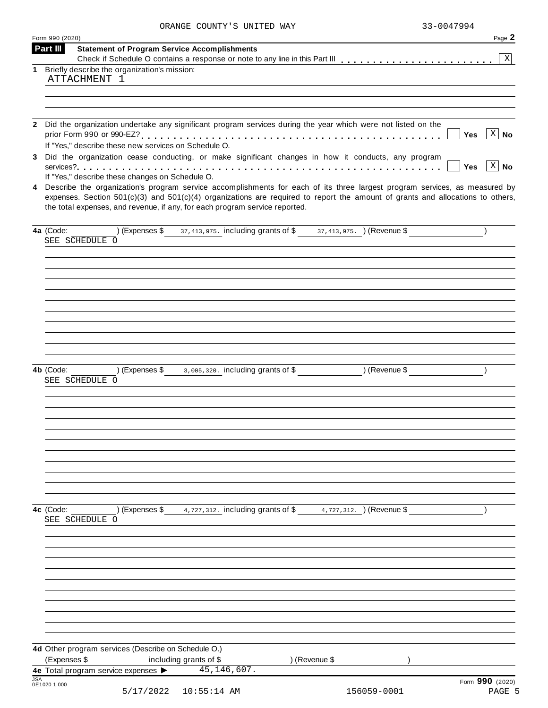| ORANGE COUNTY'S UNITED WAY | 33-0047994 |
|----------------------------|------------|

|            | Form 990 (2020) |                |                                                     |                                                                                                                                                                                                                                                                                                                                                 |               | Page 2                          |
|------------|-----------------|----------------|-----------------------------------------------------|-------------------------------------------------------------------------------------------------------------------------------------------------------------------------------------------------------------------------------------------------------------------------------------------------------------------------------------------------|---------------|---------------------------------|
|            | Part III        |                |                                                     | <b>Statement of Program Service Accomplishments</b>                                                                                                                                                                                                                                                                                             |               | $\vert X \vert$                 |
| 1          |                 |                | Briefly describe the organization's mission:        |                                                                                                                                                                                                                                                                                                                                                 |               |                                 |
|            |                 | ATTACHMENT 1   |                                                     |                                                                                                                                                                                                                                                                                                                                                 |               |                                 |
|            |                 |                |                                                     |                                                                                                                                                                                                                                                                                                                                                 |               |                                 |
|            |                 |                |                                                     |                                                                                                                                                                                                                                                                                                                                                 |               |                                 |
|            |                 |                |                                                     | 2 Did the organization undertake any significant program services during the year which were not listed on the                                                                                                                                                                                                                                  |               | $X \mid No$<br>Yes              |
|            |                 |                |                                                     | If "Yes," describe these new services on Schedule O.<br>Did the organization cease conducting, or make significant changes in how it conducts, any program                                                                                                                                                                                      |               |                                 |
|            |                 |                |                                                     |                                                                                                                                                                                                                                                                                                                                                 |               | $\overline{X}$ No<br><b>Yes</b> |
|            |                 |                | If "Yes," describe these changes on Schedule O.     |                                                                                                                                                                                                                                                                                                                                                 |               |                                 |
| 4          |                 |                |                                                     | Describe the organization's program service accomplishments for each of its three largest program services, as measured by<br>expenses. Section $501(c)(3)$ and $501(c)(4)$ organizations are required to report the amount of grants and allocations to others,<br>the total expenses, and revenue, if any, for each program service reported. |               |                                 |
|            | 4a (Code:       | SEE SCHEDULE O |                                                     | (Expenses \$37,413,975. including grants of \$37,413,975. ) (Revenue \$                                                                                                                                                                                                                                                                         |               |                                 |
|            |                 |                |                                                     |                                                                                                                                                                                                                                                                                                                                                 |               |                                 |
|            |                 |                |                                                     |                                                                                                                                                                                                                                                                                                                                                 |               |                                 |
|            |                 |                |                                                     |                                                                                                                                                                                                                                                                                                                                                 |               |                                 |
|            |                 |                |                                                     |                                                                                                                                                                                                                                                                                                                                                 |               |                                 |
|            |                 |                |                                                     |                                                                                                                                                                                                                                                                                                                                                 |               |                                 |
|            |                 |                |                                                     |                                                                                                                                                                                                                                                                                                                                                 |               |                                 |
|            |                 |                |                                                     |                                                                                                                                                                                                                                                                                                                                                 |               |                                 |
|            |                 |                |                                                     |                                                                                                                                                                                                                                                                                                                                                 |               |                                 |
|            | 4b (Code:       | SEE SCHEDULE O |                                                     | $(1)$ (Expenses \$ 3,005,320. including grants of \$ ) (Revenue \$                                                                                                                                                                                                                                                                              |               |                                 |
|            |                 |                |                                                     |                                                                                                                                                                                                                                                                                                                                                 |               |                                 |
|            |                 |                |                                                     |                                                                                                                                                                                                                                                                                                                                                 |               |                                 |
|            |                 |                |                                                     |                                                                                                                                                                                                                                                                                                                                                 |               |                                 |
|            |                 |                |                                                     |                                                                                                                                                                                                                                                                                                                                                 |               |                                 |
|            |                 |                |                                                     |                                                                                                                                                                                                                                                                                                                                                 |               |                                 |
|            |                 |                |                                                     |                                                                                                                                                                                                                                                                                                                                                 |               |                                 |
|            |                 |                |                                                     |                                                                                                                                                                                                                                                                                                                                                 |               |                                 |
|            |                 |                |                                                     |                                                                                                                                                                                                                                                                                                                                                 |               |                                 |
|            |                 |                |                                                     |                                                                                                                                                                                                                                                                                                                                                 |               |                                 |
|            | 4c (Code:       |                | $\sqrt{2}$ (Expenses \$                             | 4,727,312. including grants of \$4,727,312. ) (Revenue \$                                                                                                                                                                                                                                                                                       |               |                                 |
|            |                 | SEE SCHEDULE O |                                                     |                                                                                                                                                                                                                                                                                                                                                 |               |                                 |
|            |                 |                |                                                     |                                                                                                                                                                                                                                                                                                                                                 |               |                                 |
|            |                 |                |                                                     |                                                                                                                                                                                                                                                                                                                                                 |               |                                 |
|            |                 |                |                                                     |                                                                                                                                                                                                                                                                                                                                                 |               |                                 |
|            |                 |                |                                                     |                                                                                                                                                                                                                                                                                                                                                 |               |                                 |
|            |                 |                |                                                     |                                                                                                                                                                                                                                                                                                                                                 |               |                                 |
|            |                 |                |                                                     |                                                                                                                                                                                                                                                                                                                                                 |               |                                 |
|            |                 |                |                                                     |                                                                                                                                                                                                                                                                                                                                                 |               |                                 |
|            |                 |                |                                                     |                                                                                                                                                                                                                                                                                                                                                 |               |                                 |
|            |                 |                | 4d Other program services (Describe on Schedule O.) |                                                                                                                                                                                                                                                                                                                                                 |               |                                 |
|            | (Expenses \$    |                |                                                     | including grants of \$                                                                                                                                                                                                                                                                                                                          | ) (Revenue \$ |                                 |
| <b>JSA</b> |                 |                |                                                     | 4e Total program service expenses > 45, 146, 607.                                                                                                                                                                                                                                                                                               |               |                                 |
|            | 0E1020 1.000    |                | 5/17/2022                                           | $10:55:14$ AM                                                                                                                                                                                                                                                                                                                                   | 156059-0001   | Form 990 (2020)<br>PAGE 5       |
|            |                 |                |                                                     |                                                                                                                                                                                                                                                                                                                                                 |               |                                 |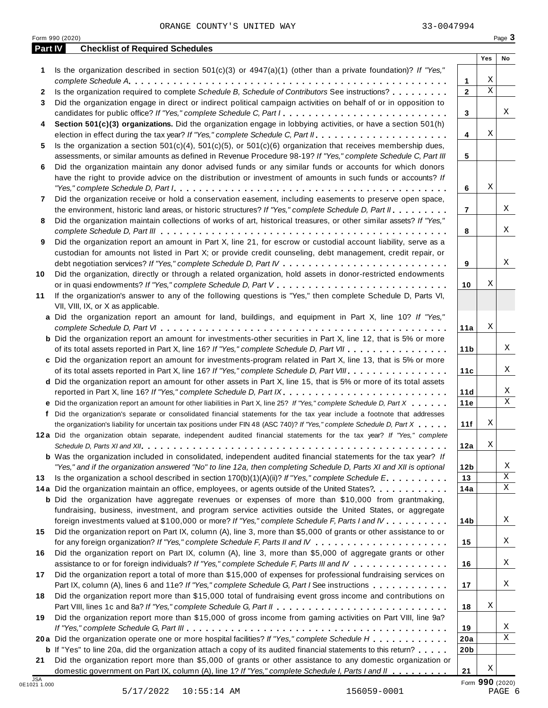Form <sup>990</sup> (2020) Page **3**

|                            |                                                                                                                                                                                                                                        |                 | Yes                          | No                  |
|----------------------------|----------------------------------------------------------------------------------------------------------------------------------------------------------------------------------------------------------------------------------------|-----------------|------------------------------|---------------------|
| 1                          | Is the organization described in section $501(c)(3)$ or $4947(a)(1)$ (other than a private foundation)? If "Yes,"                                                                                                                      |                 |                              |                     |
|                            |                                                                                                                                                                                                                                        | 1               | X<br>$\overline{\mathbf{x}}$ |                     |
| $\mathbf{2}$               | Is the organization required to complete Schedule B, Schedule of Contributors See instructions?                                                                                                                                        | $\mathbf{2}$    |                              |                     |
| 3                          | Did the organization engage in direct or indirect political campaign activities on behalf of or in opposition to                                                                                                                       |                 |                              | Χ                   |
|                            | candidates for public office? If "Yes," complete Schedule C, Part I.                                                                                                                                                                   | 3               |                              |                     |
| 4                          | Section 501(c)(3) organizations. Did the organization engage in lobbying activities, or have a section 501(h)                                                                                                                          |                 | X                            |                     |
|                            |                                                                                                                                                                                                                                        | 4               |                              |                     |
| 5                          | Is the organization a section $501(c)(4)$ , $501(c)(5)$ , or $501(c)(6)$ organization that receives membership dues,<br>assessments, or similar amounts as defined in Revenue Procedure 98-19? If "Yes," complete Schedule C, Part III |                 |                              |                     |
|                            |                                                                                                                                                                                                                                        | 5               |                              |                     |
| 6                          | Did the organization maintain any donor advised funds or any similar funds or accounts for which donors<br>have the right to provide advice on the distribution or investment of amounts in such funds or accounts? If                 |                 |                              |                     |
|                            |                                                                                                                                                                                                                                        | 6               | Χ                            |                     |
|                            | Did the organization receive or hold a conservation easement, including easements to preserve open space,                                                                                                                              |                 |                              |                     |
| 7                          |                                                                                                                                                                                                                                        |                 |                              | Χ                   |
|                            | the environment, historic land areas, or historic structures? If "Yes," complete Schedule D, Part II.                                                                                                                                  | $\overline{7}$  |                              |                     |
| 8                          | Did the organization maintain collections of works of art, historical treasures, or other similar assets? If "Yes,"                                                                                                                    |                 |                              |                     |
|                            |                                                                                                                                                                                                                                        | 8               |                              | X                   |
| 9                          | Did the organization report an amount in Part X, line 21, for escrow or custodial account liability, serve as a                                                                                                                        |                 |                              |                     |
|                            | custodian for amounts not listed in Part X; or provide credit counseling, debt management, credit repair, or                                                                                                                           |                 |                              |                     |
|                            |                                                                                                                                                                                                                                        | 9               |                              | Χ                   |
| 10                         | Did the organization, directly or through a related organization, hold assets in donor-restricted endowments                                                                                                                           |                 | Χ                            |                     |
|                            |                                                                                                                                                                                                                                        | 10              |                              |                     |
| 11                         | If the organization's answer to any of the following questions is "Yes," then complete Schedule D, Parts VI,                                                                                                                           |                 |                              |                     |
|                            | VII, VIII, IX, or X as applicable.                                                                                                                                                                                                     |                 |                              |                     |
|                            | a Did the organization report an amount for land, buildings, and equipment in Part X, line 10? If "Yes,"                                                                                                                               |                 | Χ                            |                     |
|                            |                                                                                                                                                                                                                                        | ∣11a            |                              |                     |
|                            | <b>b</b> Did the organization report an amount for investments-other securities in Part X, line 12, that is 5% or more                                                                                                                 |                 |                              |                     |
|                            | of its total assets reported in Part X, line 16? If "Yes," complete Schedule D, Part VII                                                                                                                                               | 11 <sub>b</sub> |                              | X                   |
|                            | c Did the organization report an amount for investments-program related in Part X, line 13, that is 5% or more                                                                                                                         |                 |                              |                     |
|                            | of its total assets reported in Part X, line 16? If "Yes," complete Schedule D, Part VIII.                                                                                                                                             | 11c             |                              | X                   |
|                            | d Did the organization report an amount for other assets in Part X, line 15, that is 5% or more of its total assets                                                                                                                    |                 |                              |                     |
|                            | reported in Part X, line 16? If "Yes," complete Schedule D, Part IX.                                                                                                                                                                   | 11d             |                              | Χ<br>$\overline{X}$ |
|                            | e Did the organization report an amount for other liabilities in Part X, line 25? If "Yes," complete Schedule D, Part X                                                                                                                | 11e             |                              |                     |
|                            | f Did the organization's separate or consolidated financial statements for the tax year include a footnote that addresses                                                                                                              |                 |                              |                     |
|                            | the organization's liability for uncertain tax positions under FIN 48 (ASC 740)? If "Yes," complete Schedule D, Part X                                                                                                                 | 11f             | Χ                            |                     |
|                            | 12a Did the organization obtain separate, independent audited financial statements for the tax year? If "Yes," complete                                                                                                                |                 |                              |                     |
|                            |                                                                                                                                                                                                                                        | 12a             | Χ                            |                     |
|                            | <b>b</b> Was the organization included in consolidated, independent audited financial statements for the tax year? If                                                                                                                  |                 |                              |                     |
|                            | "Yes," and if the organization answered "No" to line 12a, then completing Schedule D, Parts XI and XII is optional                                                                                                                     | 12 <sub>b</sub> |                              | Χ                   |
| 13                         | Is the organization a school described in section $170(b)(1)(A)(ii)$ ? If "Yes," complete Schedule E                                                                                                                                   | 13              |                              | $\mathbf X$         |
|                            | 14a Did the organization maintain an office, employees, or agents outside of the United States?.                                                                                                                                       | 14a             |                              | X                   |
|                            | <b>b</b> Did the organization have aggregate revenues or expenses of more than \$10,000 from grantmaking,                                                                                                                              |                 |                              |                     |
|                            | fundraising, business, investment, and program service activities outside the United States, or aggregate                                                                                                                              |                 |                              |                     |
|                            | foreign investments valued at \$100,000 or more? If "Yes," complete Schedule F, Parts I and IV                                                                                                                                         | 14b             |                              | Χ                   |
| 15                         | Did the organization report on Part IX, column (A), line 3, more than \$5,000 of grants or other assistance to or                                                                                                                      |                 |                              |                     |
|                            |                                                                                                                                                                                                                                        | 15              |                              | Χ                   |
| 16                         | Did the organization report on Part IX, column (A), line 3, more than \$5,000 of aggregate grants or other                                                                                                                             |                 |                              |                     |
|                            | assistance to or for foreign individuals? If "Yes," complete Schedule F, Parts III and IV                                                                                                                                              | 16              |                              | Χ                   |
| 17                         | Did the organization report a total of more than \$15,000 of expenses for professional fundraising services on                                                                                                                         |                 |                              |                     |
|                            | Part IX, column (A), lines 6 and 11e? If "Yes," complete Schedule G, Part I See instructions                                                                                                                                           | 17              |                              | Χ                   |
| 18                         | Did the organization report more than \$15,000 total of fundraising event gross income and contributions on                                                                                                                            |                 |                              |                     |
|                            |                                                                                                                                                                                                                                        | 18              | Χ                            |                     |
| 19                         | Did the organization report more than \$15,000 of gross income from gaming activities on Part VIII, line 9a?                                                                                                                           |                 |                              |                     |
|                            |                                                                                                                                                                                                                                        | 19              |                              | Χ                   |
|                            | 20a Did the organization operate one or more hospital facilities? If "Yes," complete Schedule H                                                                                                                                        | 20a             |                              | $\mathbf X$         |
|                            | <b>b</b> If "Yes" to line 20a, did the organization attach a copy of its audited financial statements to this return?                                                                                                                  | 20 <sub>b</sub> |                              |                     |
| 21                         | Did the organization report more than \$5,000 of grants or other assistance to any domestic organization or                                                                                                                            |                 |                              |                     |
|                            | domestic government on Part IX, column (A), line 1? If "Yes," complete Schedule I, Parts I and II                                                                                                                                      | 21              | Χ                            |                     |
| <b>JSA</b><br>0E1021 1.000 |                                                                                                                                                                                                                                        |                 | Form 990 (2020)              |                     |
|                            | 5/17/2022<br>$10:55:14$ AM<br>156059-0001                                                                                                                                                                                              |                 | PAGE 6                       |                     |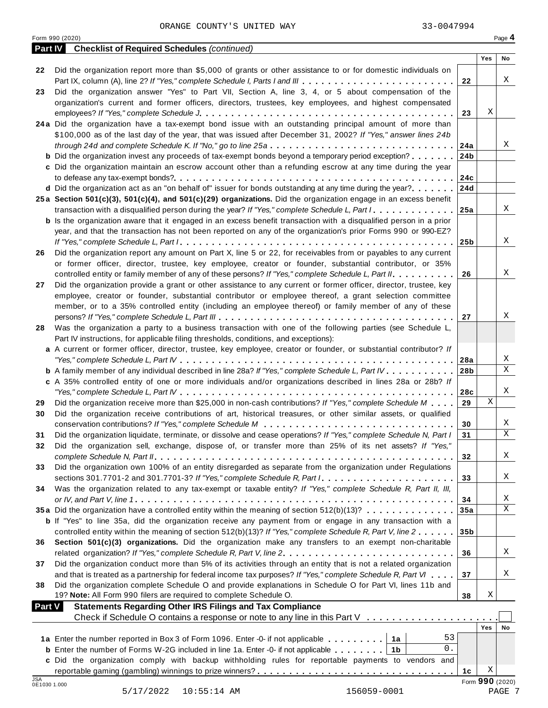| <b>Part IV</b><br>Yes<br>No<br>Did the organization report more than \$5,000 of grants or other assistance to or for domestic individuals on<br>22<br>Χ<br>Part IX, column (A), line 2? If "Yes," complete Schedule I, Parts I and III<br>22<br>Did the organization answer "Yes" to Part VII, Section A, line 3, 4, or 5 about compensation of the<br>23<br>organization's current and former officers, directors, trustees, key employees, and highest compensated<br>Χ<br>23<br>24a Did the organization have a tax-exempt bond issue with an outstanding principal amount of more than<br>\$100,000 as of the last day of the year, that was issued after December 31, 2002? If "Yes," answer lines 24b<br>Χ<br>24a<br><b>b</b> Did the organization invest any proceeds of tax-exempt bonds beyond a temporary period exception?<br>24 <sub>b</sub><br>c Did the organization maintain an escrow account other than a refunding escrow at any time during the year<br>24c<br>d Did the organization act as an "on behalf of" issuer for bonds outstanding at any time during the year?<br>24d<br>25a Section 501(c)(3), 501(c)(4), and 501(c)(29) organizations. Did the organization engage in an excess benefit<br>Χ<br>transaction with a disqualified person during the year? If "Yes," complete Schedule L, Part I<br>25a<br><b>b</b> Is the organization aware that it engaged in an excess benefit transaction with a disqualified person in a prior<br>year, and that the transaction has not been reported on any of the organization's prior Forms 990 or 990-EZ?<br>Χ<br>25 <sub>b</sub><br>Did the organization report any amount on Part X, line 5 or 22, for receivables from or payables to any current<br>26<br>or former officer, director, trustee, key employee, creator or founder, substantial contributor, or 35%<br>X<br>controlled entity or family member of any of these persons? If "Yes," complete Schedule L, Part II.<br>26<br>Did the organization provide a grant or other assistance to any current or former officer, director, trustee, key<br>27<br>employee, creator or founder, substantial contributor or employee thereof, a grant selection committee<br>member, or to a 35% controlled entity (including an employee thereof) or family member of any of these<br>Χ<br>27<br>Was the organization a party to a business transaction with one of the following parties (see Schedule L,<br>28<br>Part IV instructions, for applicable filing thresholds, conditions, and exceptions):<br>a A current or former officer, director, trustee, key employee, creator or founder, or substantial contributor? If<br>Χ<br>Χ<br><b>b</b> A family member of any individual described in line 28a? If "Yes," complete Schedule L, Part IV.<br>28 <sub>b</sub><br>c A 35% controlled entity of one or more individuals and/or organizations described in lines 28a or 28b? If<br>Χ<br>28c<br>X<br>Did the organization receive more than \$25,000 in non-cash contributions? If "Yes," complete Schedule M<br>29<br>29<br>Did the organization receive contributions of art, historical treasures, or other similar assets, or qualified<br>30<br>Χ<br>30<br>31<br>Χ<br>Did the organization liquidate, terminate, or dissolve and cease operations? If "Yes," complete Schedule N, Part I<br>31<br>Did the organization sell, exchange, dispose of, or transfer more than 25% of its net assets? If "Yes,"<br>32<br>Χ<br>32<br>Did the organization own 100% of an entity disregarded as separate from the organization under Regulations<br>33<br>Χ<br>33<br>Was the organization related to any tax-exempt or taxable entity? If "Yes," complete Schedule R, Part II, III,<br>34<br>Χ<br>34<br>X<br>35a Did the organization have a controlled entity within the meaning of section 512(b)(13)?<br>35a<br><b>b</b> If "Yes" to line 35a, did the organization receive any payment from or engage in any transaction with a<br>controlled entity within the meaning of section 512(b)(13)? If "Yes," complete Schedule R, Part V, line 2<br>35 <sub>b</sub><br>Section 501(c)(3) organizations. Did the organization make any transfers to an exempt non-charitable<br>36<br>Χ<br>related organization? If "Yes," complete Schedule R, Part V, line 2.<br>36<br>Did the organization conduct more than 5% of its activities through an entity that is not a related organization<br>37<br>Χ<br>and that is treated as a partnership for federal income tax purposes? If "Yes," complete Schedule R, Part VI<br>37<br>Did the organization complete Schedule O and provide explanations in Schedule O for Part VI, lines 11b and<br>38<br>19? Note: All Form 990 filers are required to complete Schedule O.<br>Χ<br>38<br><b>Statements Regarding Other IRS Filings and Tax Compliance</b><br><b>Part V</b><br>Check if Schedule O contains a response or note to any line in this Part V<br>Yes<br>No<br>53<br>1a Enter the number reported in Box 3 of Form 1096. Enter -0- if not applicable<br>1a<br>0.<br><b>b</b> Enter the number of Forms W-2G included in line 1a. Enter -0- if not applicable $\ldots \ldots \ldots$<br>1b<br>c Did the organization comply with backup withholding rules for reportable payments to vendors and<br>Χ<br>1с<br>JSA<br>Form 990 (2020)<br>0E1030 1.000<br>5/17/2022  10:55:14 AM<br>156059-0001<br>PAGE 7 | Form 990 (2020)                                    |  | Page 4 |
|-------------------------------------------------------------------------------------------------------------------------------------------------------------------------------------------------------------------------------------------------------------------------------------------------------------------------------------------------------------------------------------------------------------------------------------------------------------------------------------------------------------------------------------------------------------------------------------------------------------------------------------------------------------------------------------------------------------------------------------------------------------------------------------------------------------------------------------------------------------------------------------------------------------------------------------------------------------------------------------------------------------------------------------------------------------------------------------------------------------------------------------------------------------------------------------------------------------------------------------------------------------------------------------------------------------------------------------------------------------------------------------------------------------------------------------------------------------------------------------------------------------------------------------------------------------------------------------------------------------------------------------------------------------------------------------------------------------------------------------------------------------------------------------------------------------------------------------------------------------------------------------------------------------------------------------------------------------------------------------------------------------------------------------------------------------------------------------------------------------------------------------------------------------------------------------------------------------------------------------------------------------------------------------------------------------------------------------------------------------------------------------------------------------------------------------------------------------------------------------------------------------------------------------------------------------------------------------------------------------------------------------------------------------------------------------------------------------------------------------------------------------------------------------------------------------------------------------------------------------------------------------------------------------------------------------------------------------------------------------------------------------------------------------------------------------------------------------------------------------------------------------------------------------------------------------------------------------------------------------------------------------------------------------------------------------------------------------------------------------------------------------------------------------------------------------------------------------------------------------------------------------------------------------------------------------------------------------------------------------------------------------------------------------------------------------------------------------------------------------------------------------------------------------------------------------------------------------------------------------------------------------------------------------------------------------------------------------------------------------------------------------------------------------------------------------------------------------------------------------------------------------------------------------------------------------------------------------------------------------------------------------------------------------------------------------------------------------------------------------------------------------------------------------------------------------------------------------------------------------------------------------------------------------------------------------------------------------------------------------------------------------------------------------------------------------------------------------------------------------------------------------------------------------------------------------------------------------------------------------------------------------------------------------------------------------------------------------------------------------------------------------------------------------------------------------------------------------------------------------------------------------------------------------------------------------------------------------------------------------------------------------------------------------------------------------------------------------------------------------------------------------------|----------------------------------------------------|--|--------|
|                                                                                                                                                                                                                                                                                                                                                                                                                                                                                                                                                                                                                                                                                                                                                                                                                                                                                                                                                                                                                                                                                                                                                                                                                                                                                                                                                                                                                                                                                                                                                                                                                                                                                                                                                                                                                                                                                                                                                                                                                                                                                                                                                                                                                                                                                                                                                                                                                                                                                                                                                                                                                                                                                                                                                                                                                                                                                                                                                                                                                                                                                                                                                                                                                                                                                                                                                                                                                                                                                                                                                                                                                                                                                                                                                                                                                                                                                                                                                                                                                                                                                                                                                                                                                                                                                                                                                                                                                                                                                                                                                                                                                                                                                                                                                                                                                                                                                                                                                                                                                                                                                                                                                                                                                                                                                                                                                                                           | <b>Checklist of Required Schedules (continued)</b> |  |        |
|                                                                                                                                                                                                                                                                                                                                                                                                                                                                                                                                                                                                                                                                                                                                                                                                                                                                                                                                                                                                                                                                                                                                                                                                                                                                                                                                                                                                                                                                                                                                                                                                                                                                                                                                                                                                                                                                                                                                                                                                                                                                                                                                                                                                                                                                                                                                                                                                                                                                                                                                                                                                                                                                                                                                                                                                                                                                                                                                                                                                                                                                                                                                                                                                                                                                                                                                                                                                                                                                                                                                                                                                                                                                                                                                                                                                                                                                                                                                                                                                                                                                                                                                                                                                                                                                                                                                                                                                                                                                                                                                                                                                                                                                                                                                                                                                                                                                                                                                                                                                                                                                                                                                                                                                                                                                                                                                                                                           |                                                    |  |        |
|                                                                                                                                                                                                                                                                                                                                                                                                                                                                                                                                                                                                                                                                                                                                                                                                                                                                                                                                                                                                                                                                                                                                                                                                                                                                                                                                                                                                                                                                                                                                                                                                                                                                                                                                                                                                                                                                                                                                                                                                                                                                                                                                                                                                                                                                                                                                                                                                                                                                                                                                                                                                                                                                                                                                                                                                                                                                                                                                                                                                                                                                                                                                                                                                                                                                                                                                                                                                                                                                                                                                                                                                                                                                                                                                                                                                                                                                                                                                                                                                                                                                                                                                                                                                                                                                                                                                                                                                                                                                                                                                                                                                                                                                                                                                                                                                                                                                                                                                                                                                                                                                                                                                                                                                                                                                                                                                                                                           |                                                    |  |        |
|                                                                                                                                                                                                                                                                                                                                                                                                                                                                                                                                                                                                                                                                                                                                                                                                                                                                                                                                                                                                                                                                                                                                                                                                                                                                                                                                                                                                                                                                                                                                                                                                                                                                                                                                                                                                                                                                                                                                                                                                                                                                                                                                                                                                                                                                                                                                                                                                                                                                                                                                                                                                                                                                                                                                                                                                                                                                                                                                                                                                                                                                                                                                                                                                                                                                                                                                                                                                                                                                                                                                                                                                                                                                                                                                                                                                                                                                                                                                                                                                                                                                                                                                                                                                                                                                                                                                                                                                                                                                                                                                                                                                                                                                                                                                                                                                                                                                                                                                                                                                                                                                                                                                                                                                                                                                                                                                                                                           |                                                    |  |        |
|                                                                                                                                                                                                                                                                                                                                                                                                                                                                                                                                                                                                                                                                                                                                                                                                                                                                                                                                                                                                                                                                                                                                                                                                                                                                                                                                                                                                                                                                                                                                                                                                                                                                                                                                                                                                                                                                                                                                                                                                                                                                                                                                                                                                                                                                                                                                                                                                                                                                                                                                                                                                                                                                                                                                                                                                                                                                                                                                                                                                                                                                                                                                                                                                                                                                                                                                                                                                                                                                                                                                                                                                                                                                                                                                                                                                                                                                                                                                                                                                                                                                                                                                                                                                                                                                                                                                                                                                                                                                                                                                                                                                                                                                                                                                                                                                                                                                                                                                                                                                                                                                                                                                                                                                                                                                                                                                                                                           |                                                    |  |        |
|                                                                                                                                                                                                                                                                                                                                                                                                                                                                                                                                                                                                                                                                                                                                                                                                                                                                                                                                                                                                                                                                                                                                                                                                                                                                                                                                                                                                                                                                                                                                                                                                                                                                                                                                                                                                                                                                                                                                                                                                                                                                                                                                                                                                                                                                                                                                                                                                                                                                                                                                                                                                                                                                                                                                                                                                                                                                                                                                                                                                                                                                                                                                                                                                                                                                                                                                                                                                                                                                                                                                                                                                                                                                                                                                                                                                                                                                                                                                                                                                                                                                                                                                                                                                                                                                                                                                                                                                                                                                                                                                                                                                                                                                                                                                                                                                                                                                                                                                                                                                                                                                                                                                                                                                                                                                                                                                                                                           |                                                    |  |        |
|                                                                                                                                                                                                                                                                                                                                                                                                                                                                                                                                                                                                                                                                                                                                                                                                                                                                                                                                                                                                                                                                                                                                                                                                                                                                                                                                                                                                                                                                                                                                                                                                                                                                                                                                                                                                                                                                                                                                                                                                                                                                                                                                                                                                                                                                                                                                                                                                                                                                                                                                                                                                                                                                                                                                                                                                                                                                                                                                                                                                                                                                                                                                                                                                                                                                                                                                                                                                                                                                                                                                                                                                                                                                                                                                                                                                                                                                                                                                                                                                                                                                                                                                                                                                                                                                                                                                                                                                                                                                                                                                                                                                                                                                                                                                                                                                                                                                                                                                                                                                                                                                                                                                                                                                                                                                                                                                                                                           |                                                    |  |        |
|                                                                                                                                                                                                                                                                                                                                                                                                                                                                                                                                                                                                                                                                                                                                                                                                                                                                                                                                                                                                                                                                                                                                                                                                                                                                                                                                                                                                                                                                                                                                                                                                                                                                                                                                                                                                                                                                                                                                                                                                                                                                                                                                                                                                                                                                                                                                                                                                                                                                                                                                                                                                                                                                                                                                                                                                                                                                                                                                                                                                                                                                                                                                                                                                                                                                                                                                                                                                                                                                                                                                                                                                                                                                                                                                                                                                                                                                                                                                                                                                                                                                                                                                                                                                                                                                                                                                                                                                                                                                                                                                                                                                                                                                                                                                                                                                                                                                                                                                                                                                                                                                                                                                                                                                                                                                                                                                                                                           |                                                    |  |        |
|                                                                                                                                                                                                                                                                                                                                                                                                                                                                                                                                                                                                                                                                                                                                                                                                                                                                                                                                                                                                                                                                                                                                                                                                                                                                                                                                                                                                                                                                                                                                                                                                                                                                                                                                                                                                                                                                                                                                                                                                                                                                                                                                                                                                                                                                                                                                                                                                                                                                                                                                                                                                                                                                                                                                                                                                                                                                                                                                                                                                                                                                                                                                                                                                                                                                                                                                                                                                                                                                                                                                                                                                                                                                                                                                                                                                                                                                                                                                                                                                                                                                                                                                                                                                                                                                                                                                                                                                                                                                                                                                                                                                                                                                                                                                                                                                                                                                                                                                                                                                                                                                                                                                                                                                                                                                                                                                                                                           |                                                    |  |        |
|                                                                                                                                                                                                                                                                                                                                                                                                                                                                                                                                                                                                                                                                                                                                                                                                                                                                                                                                                                                                                                                                                                                                                                                                                                                                                                                                                                                                                                                                                                                                                                                                                                                                                                                                                                                                                                                                                                                                                                                                                                                                                                                                                                                                                                                                                                                                                                                                                                                                                                                                                                                                                                                                                                                                                                                                                                                                                                                                                                                                                                                                                                                                                                                                                                                                                                                                                                                                                                                                                                                                                                                                                                                                                                                                                                                                                                                                                                                                                                                                                                                                                                                                                                                                                                                                                                                                                                                                                                                                                                                                                                                                                                                                                                                                                                                                                                                                                                                                                                                                                                                                                                                                                                                                                                                                                                                                                                                           |                                                    |  |        |
|                                                                                                                                                                                                                                                                                                                                                                                                                                                                                                                                                                                                                                                                                                                                                                                                                                                                                                                                                                                                                                                                                                                                                                                                                                                                                                                                                                                                                                                                                                                                                                                                                                                                                                                                                                                                                                                                                                                                                                                                                                                                                                                                                                                                                                                                                                                                                                                                                                                                                                                                                                                                                                                                                                                                                                                                                                                                                                                                                                                                                                                                                                                                                                                                                                                                                                                                                                                                                                                                                                                                                                                                                                                                                                                                                                                                                                                                                                                                                                                                                                                                                                                                                                                                                                                                                                                                                                                                                                                                                                                                                                                                                                                                                                                                                                                                                                                                                                                                                                                                                                                                                                                                                                                                                                                                                                                                                                                           |                                                    |  |        |
|                                                                                                                                                                                                                                                                                                                                                                                                                                                                                                                                                                                                                                                                                                                                                                                                                                                                                                                                                                                                                                                                                                                                                                                                                                                                                                                                                                                                                                                                                                                                                                                                                                                                                                                                                                                                                                                                                                                                                                                                                                                                                                                                                                                                                                                                                                                                                                                                                                                                                                                                                                                                                                                                                                                                                                                                                                                                                                                                                                                                                                                                                                                                                                                                                                                                                                                                                                                                                                                                                                                                                                                                                                                                                                                                                                                                                                                                                                                                                                                                                                                                                                                                                                                                                                                                                                                                                                                                                                                                                                                                                                                                                                                                                                                                                                                                                                                                                                                                                                                                                                                                                                                                                                                                                                                                                                                                                                                           |                                                    |  |        |
|                                                                                                                                                                                                                                                                                                                                                                                                                                                                                                                                                                                                                                                                                                                                                                                                                                                                                                                                                                                                                                                                                                                                                                                                                                                                                                                                                                                                                                                                                                                                                                                                                                                                                                                                                                                                                                                                                                                                                                                                                                                                                                                                                                                                                                                                                                                                                                                                                                                                                                                                                                                                                                                                                                                                                                                                                                                                                                                                                                                                                                                                                                                                                                                                                                                                                                                                                                                                                                                                                                                                                                                                                                                                                                                                                                                                                                                                                                                                                                                                                                                                                                                                                                                                                                                                                                                                                                                                                                                                                                                                                                                                                                                                                                                                                                                                                                                                                                                                                                                                                                                                                                                                                                                                                                                                                                                                                                                           |                                                    |  |        |
|                                                                                                                                                                                                                                                                                                                                                                                                                                                                                                                                                                                                                                                                                                                                                                                                                                                                                                                                                                                                                                                                                                                                                                                                                                                                                                                                                                                                                                                                                                                                                                                                                                                                                                                                                                                                                                                                                                                                                                                                                                                                                                                                                                                                                                                                                                                                                                                                                                                                                                                                                                                                                                                                                                                                                                                                                                                                                                                                                                                                                                                                                                                                                                                                                                                                                                                                                                                                                                                                                                                                                                                                                                                                                                                                                                                                                                                                                                                                                                                                                                                                                                                                                                                                                                                                                                                                                                                                                                                                                                                                                                                                                                                                                                                                                                                                                                                                                                                                                                                                                                                                                                                                                                                                                                                                                                                                                                                           |                                                    |  |        |
|                                                                                                                                                                                                                                                                                                                                                                                                                                                                                                                                                                                                                                                                                                                                                                                                                                                                                                                                                                                                                                                                                                                                                                                                                                                                                                                                                                                                                                                                                                                                                                                                                                                                                                                                                                                                                                                                                                                                                                                                                                                                                                                                                                                                                                                                                                                                                                                                                                                                                                                                                                                                                                                                                                                                                                                                                                                                                                                                                                                                                                                                                                                                                                                                                                                                                                                                                                                                                                                                                                                                                                                                                                                                                                                                                                                                                                                                                                                                                                                                                                                                                                                                                                                                                                                                                                                                                                                                                                                                                                                                                                                                                                                                                                                                                                                                                                                                                                                                                                                                                                                                                                                                                                                                                                                                                                                                                                                           |                                                    |  |        |
|                                                                                                                                                                                                                                                                                                                                                                                                                                                                                                                                                                                                                                                                                                                                                                                                                                                                                                                                                                                                                                                                                                                                                                                                                                                                                                                                                                                                                                                                                                                                                                                                                                                                                                                                                                                                                                                                                                                                                                                                                                                                                                                                                                                                                                                                                                                                                                                                                                                                                                                                                                                                                                                                                                                                                                                                                                                                                                                                                                                                                                                                                                                                                                                                                                                                                                                                                                                                                                                                                                                                                                                                                                                                                                                                                                                                                                                                                                                                                                                                                                                                                                                                                                                                                                                                                                                                                                                                                                                                                                                                                                                                                                                                                                                                                                                                                                                                                                                                                                                                                                                                                                                                                                                                                                                                                                                                                                                           |                                                    |  |        |
|                                                                                                                                                                                                                                                                                                                                                                                                                                                                                                                                                                                                                                                                                                                                                                                                                                                                                                                                                                                                                                                                                                                                                                                                                                                                                                                                                                                                                                                                                                                                                                                                                                                                                                                                                                                                                                                                                                                                                                                                                                                                                                                                                                                                                                                                                                                                                                                                                                                                                                                                                                                                                                                                                                                                                                                                                                                                                                                                                                                                                                                                                                                                                                                                                                                                                                                                                                                                                                                                                                                                                                                                                                                                                                                                                                                                                                                                                                                                                                                                                                                                                                                                                                                                                                                                                                                                                                                                                                                                                                                                                                                                                                                                                                                                                                                                                                                                                                                                                                                                                                                                                                                                                                                                                                                                                                                                                                                           |                                                    |  |        |
|                                                                                                                                                                                                                                                                                                                                                                                                                                                                                                                                                                                                                                                                                                                                                                                                                                                                                                                                                                                                                                                                                                                                                                                                                                                                                                                                                                                                                                                                                                                                                                                                                                                                                                                                                                                                                                                                                                                                                                                                                                                                                                                                                                                                                                                                                                                                                                                                                                                                                                                                                                                                                                                                                                                                                                                                                                                                                                                                                                                                                                                                                                                                                                                                                                                                                                                                                                                                                                                                                                                                                                                                                                                                                                                                                                                                                                                                                                                                                                                                                                                                                                                                                                                                                                                                                                                                                                                                                                                                                                                                                                                                                                                                                                                                                                                                                                                                                                                                                                                                                                                                                                                                                                                                                                                                                                                                                                                           |                                                    |  |        |
|                                                                                                                                                                                                                                                                                                                                                                                                                                                                                                                                                                                                                                                                                                                                                                                                                                                                                                                                                                                                                                                                                                                                                                                                                                                                                                                                                                                                                                                                                                                                                                                                                                                                                                                                                                                                                                                                                                                                                                                                                                                                                                                                                                                                                                                                                                                                                                                                                                                                                                                                                                                                                                                                                                                                                                                                                                                                                                                                                                                                                                                                                                                                                                                                                                                                                                                                                                                                                                                                                                                                                                                                                                                                                                                                                                                                                                                                                                                                                                                                                                                                                                                                                                                                                                                                                                                                                                                                                                                                                                                                                                                                                                                                                                                                                                                                                                                                                                                                                                                                                                                                                                                                                                                                                                                                                                                                                                                           |                                                    |  |        |
|                                                                                                                                                                                                                                                                                                                                                                                                                                                                                                                                                                                                                                                                                                                                                                                                                                                                                                                                                                                                                                                                                                                                                                                                                                                                                                                                                                                                                                                                                                                                                                                                                                                                                                                                                                                                                                                                                                                                                                                                                                                                                                                                                                                                                                                                                                                                                                                                                                                                                                                                                                                                                                                                                                                                                                                                                                                                                                                                                                                                                                                                                                                                                                                                                                                                                                                                                                                                                                                                                                                                                                                                                                                                                                                                                                                                                                                                                                                                                                                                                                                                                                                                                                                                                                                                                                                                                                                                                                                                                                                                                                                                                                                                                                                                                                                                                                                                                                                                                                                                                                                                                                                                                                                                                                                                                                                                                                                           |                                                    |  |        |
|                                                                                                                                                                                                                                                                                                                                                                                                                                                                                                                                                                                                                                                                                                                                                                                                                                                                                                                                                                                                                                                                                                                                                                                                                                                                                                                                                                                                                                                                                                                                                                                                                                                                                                                                                                                                                                                                                                                                                                                                                                                                                                                                                                                                                                                                                                                                                                                                                                                                                                                                                                                                                                                                                                                                                                                                                                                                                                                                                                                                                                                                                                                                                                                                                                                                                                                                                                                                                                                                                                                                                                                                                                                                                                                                                                                                                                                                                                                                                                                                                                                                                                                                                                                                                                                                                                                                                                                                                                                                                                                                                                                                                                                                                                                                                                                                                                                                                                                                                                                                                                                                                                                                                                                                                                                                                                                                                                                           |                                                    |  |        |
|                                                                                                                                                                                                                                                                                                                                                                                                                                                                                                                                                                                                                                                                                                                                                                                                                                                                                                                                                                                                                                                                                                                                                                                                                                                                                                                                                                                                                                                                                                                                                                                                                                                                                                                                                                                                                                                                                                                                                                                                                                                                                                                                                                                                                                                                                                                                                                                                                                                                                                                                                                                                                                                                                                                                                                                                                                                                                                                                                                                                                                                                                                                                                                                                                                                                                                                                                                                                                                                                                                                                                                                                                                                                                                                                                                                                                                                                                                                                                                                                                                                                                                                                                                                                                                                                                                                                                                                                                                                                                                                                                                                                                                                                                                                                                                                                                                                                                                                                                                                                                                                                                                                                                                                                                                                                                                                                                                                           |                                                    |  |        |
|                                                                                                                                                                                                                                                                                                                                                                                                                                                                                                                                                                                                                                                                                                                                                                                                                                                                                                                                                                                                                                                                                                                                                                                                                                                                                                                                                                                                                                                                                                                                                                                                                                                                                                                                                                                                                                                                                                                                                                                                                                                                                                                                                                                                                                                                                                                                                                                                                                                                                                                                                                                                                                                                                                                                                                                                                                                                                                                                                                                                                                                                                                                                                                                                                                                                                                                                                                                                                                                                                                                                                                                                                                                                                                                                                                                                                                                                                                                                                                                                                                                                                                                                                                                                                                                                                                                                                                                                                                                                                                                                                                                                                                                                                                                                                                                                                                                                                                                                                                                                                                                                                                                                                                                                                                                                                                                                                                                           |                                                    |  |        |
|                                                                                                                                                                                                                                                                                                                                                                                                                                                                                                                                                                                                                                                                                                                                                                                                                                                                                                                                                                                                                                                                                                                                                                                                                                                                                                                                                                                                                                                                                                                                                                                                                                                                                                                                                                                                                                                                                                                                                                                                                                                                                                                                                                                                                                                                                                                                                                                                                                                                                                                                                                                                                                                                                                                                                                                                                                                                                                                                                                                                                                                                                                                                                                                                                                                                                                                                                                                                                                                                                                                                                                                                                                                                                                                                                                                                                                                                                                                                                                                                                                                                                                                                                                                                                                                                                                                                                                                                                                                                                                                                                                                                                                                                                                                                                                                                                                                                                                                                                                                                                                                                                                                                                                                                                                                                                                                                                                                           |                                                    |  |        |
|                                                                                                                                                                                                                                                                                                                                                                                                                                                                                                                                                                                                                                                                                                                                                                                                                                                                                                                                                                                                                                                                                                                                                                                                                                                                                                                                                                                                                                                                                                                                                                                                                                                                                                                                                                                                                                                                                                                                                                                                                                                                                                                                                                                                                                                                                                                                                                                                                                                                                                                                                                                                                                                                                                                                                                                                                                                                                                                                                                                                                                                                                                                                                                                                                                                                                                                                                                                                                                                                                                                                                                                                                                                                                                                                                                                                                                                                                                                                                                                                                                                                                                                                                                                                                                                                                                                                                                                                                                                                                                                                                                                                                                                                                                                                                                                                                                                                                                                                                                                                                                                                                                                                                                                                                                                                                                                                                                                           |                                                    |  |        |
|                                                                                                                                                                                                                                                                                                                                                                                                                                                                                                                                                                                                                                                                                                                                                                                                                                                                                                                                                                                                                                                                                                                                                                                                                                                                                                                                                                                                                                                                                                                                                                                                                                                                                                                                                                                                                                                                                                                                                                                                                                                                                                                                                                                                                                                                                                                                                                                                                                                                                                                                                                                                                                                                                                                                                                                                                                                                                                                                                                                                                                                                                                                                                                                                                                                                                                                                                                                                                                                                                                                                                                                                                                                                                                                                                                                                                                                                                                                                                                                                                                                                                                                                                                                                                                                                                                                                                                                                                                                                                                                                                                                                                                                                                                                                                                                                                                                                                                                                                                                                                                                                                                                                                                                                                                                                                                                                                                                           |                                                    |  |        |
|                                                                                                                                                                                                                                                                                                                                                                                                                                                                                                                                                                                                                                                                                                                                                                                                                                                                                                                                                                                                                                                                                                                                                                                                                                                                                                                                                                                                                                                                                                                                                                                                                                                                                                                                                                                                                                                                                                                                                                                                                                                                                                                                                                                                                                                                                                                                                                                                                                                                                                                                                                                                                                                                                                                                                                                                                                                                                                                                                                                                                                                                                                                                                                                                                                                                                                                                                                                                                                                                                                                                                                                                                                                                                                                                                                                                                                                                                                                                                                                                                                                                                                                                                                                                                                                                                                                                                                                                                                                                                                                                                                                                                                                                                                                                                                                                                                                                                                                                                                                                                                                                                                                                                                                                                                                                                                                                                                                           |                                                    |  |        |
|                                                                                                                                                                                                                                                                                                                                                                                                                                                                                                                                                                                                                                                                                                                                                                                                                                                                                                                                                                                                                                                                                                                                                                                                                                                                                                                                                                                                                                                                                                                                                                                                                                                                                                                                                                                                                                                                                                                                                                                                                                                                                                                                                                                                                                                                                                                                                                                                                                                                                                                                                                                                                                                                                                                                                                                                                                                                                                                                                                                                                                                                                                                                                                                                                                                                                                                                                                                                                                                                                                                                                                                                                                                                                                                                                                                                                                                                                                                                                                                                                                                                                                                                                                                                                                                                                                                                                                                                                                                                                                                                                                                                                                                                                                                                                                                                                                                                                                                                                                                                                                                                                                                                                                                                                                                                                                                                                                                           |                                                    |  |        |
|                                                                                                                                                                                                                                                                                                                                                                                                                                                                                                                                                                                                                                                                                                                                                                                                                                                                                                                                                                                                                                                                                                                                                                                                                                                                                                                                                                                                                                                                                                                                                                                                                                                                                                                                                                                                                                                                                                                                                                                                                                                                                                                                                                                                                                                                                                                                                                                                                                                                                                                                                                                                                                                                                                                                                                                                                                                                                                                                                                                                                                                                                                                                                                                                                                                                                                                                                                                                                                                                                                                                                                                                                                                                                                                                                                                                                                                                                                                                                                                                                                                                                                                                                                                                                                                                                                                                                                                                                                                                                                                                                                                                                                                                                                                                                                                                                                                                                                                                                                                                                                                                                                                                                                                                                                                                                                                                                                                           |                                                    |  |        |
|                                                                                                                                                                                                                                                                                                                                                                                                                                                                                                                                                                                                                                                                                                                                                                                                                                                                                                                                                                                                                                                                                                                                                                                                                                                                                                                                                                                                                                                                                                                                                                                                                                                                                                                                                                                                                                                                                                                                                                                                                                                                                                                                                                                                                                                                                                                                                                                                                                                                                                                                                                                                                                                                                                                                                                                                                                                                                                                                                                                                                                                                                                                                                                                                                                                                                                                                                                                                                                                                                                                                                                                                                                                                                                                                                                                                                                                                                                                                                                                                                                                                                                                                                                                                                                                                                                                                                                                                                                                                                                                                                                                                                                                                                                                                                                                                                                                                                                                                                                                                                                                                                                                                                                                                                                                                                                                                                                                           |                                                    |  |        |
|                                                                                                                                                                                                                                                                                                                                                                                                                                                                                                                                                                                                                                                                                                                                                                                                                                                                                                                                                                                                                                                                                                                                                                                                                                                                                                                                                                                                                                                                                                                                                                                                                                                                                                                                                                                                                                                                                                                                                                                                                                                                                                                                                                                                                                                                                                                                                                                                                                                                                                                                                                                                                                                                                                                                                                                                                                                                                                                                                                                                                                                                                                                                                                                                                                                                                                                                                                                                                                                                                                                                                                                                                                                                                                                                                                                                                                                                                                                                                                                                                                                                                                                                                                                                                                                                                                                                                                                                                                                                                                                                                                                                                                                                                                                                                                                                                                                                                                                                                                                                                                                                                                                                                                                                                                                                                                                                                                                           |                                                    |  |        |
|                                                                                                                                                                                                                                                                                                                                                                                                                                                                                                                                                                                                                                                                                                                                                                                                                                                                                                                                                                                                                                                                                                                                                                                                                                                                                                                                                                                                                                                                                                                                                                                                                                                                                                                                                                                                                                                                                                                                                                                                                                                                                                                                                                                                                                                                                                                                                                                                                                                                                                                                                                                                                                                                                                                                                                                                                                                                                                                                                                                                                                                                                                                                                                                                                                                                                                                                                                                                                                                                                                                                                                                                                                                                                                                                                                                                                                                                                                                                                                                                                                                                                                                                                                                                                                                                                                                                                                                                                                                                                                                                                                                                                                                                                                                                                                                                                                                                                                                                                                                                                                                                                                                                                                                                                                                                                                                                                                                           |                                                    |  |        |
|                                                                                                                                                                                                                                                                                                                                                                                                                                                                                                                                                                                                                                                                                                                                                                                                                                                                                                                                                                                                                                                                                                                                                                                                                                                                                                                                                                                                                                                                                                                                                                                                                                                                                                                                                                                                                                                                                                                                                                                                                                                                                                                                                                                                                                                                                                                                                                                                                                                                                                                                                                                                                                                                                                                                                                                                                                                                                                                                                                                                                                                                                                                                                                                                                                                                                                                                                                                                                                                                                                                                                                                                                                                                                                                                                                                                                                                                                                                                                                                                                                                                                                                                                                                                                                                                                                                                                                                                                                                                                                                                                                                                                                                                                                                                                                                                                                                                                                                                                                                                                                                                                                                                                                                                                                                                                                                                                                                           |                                                    |  |        |
|                                                                                                                                                                                                                                                                                                                                                                                                                                                                                                                                                                                                                                                                                                                                                                                                                                                                                                                                                                                                                                                                                                                                                                                                                                                                                                                                                                                                                                                                                                                                                                                                                                                                                                                                                                                                                                                                                                                                                                                                                                                                                                                                                                                                                                                                                                                                                                                                                                                                                                                                                                                                                                                                                                                                                                                                                                                                                                                                                                                                                                                                                                                                                                                                                                                                                                                                                                                                                                                                                                                                                                                                                                                                                                                                                                                                                                                                                                                                                                                                                                                                                                                                                                                                                                                                                                                                                                                                                                                                                                                                                                                                                                                                                                                                                                                                                                                                                                                                                                                                                                                                                                                                                                                                                                                                                                                                                                                           |                                                    |  |        |
|                                                                                                                                                                                                                                                                                                                                                                                                                                                                                                                                                                                                                                                                                                                                                                                                                                                                                                                                                                                                                                                                                                                                                                                                                                                                                                                                                                                                                                                                                                                                                                                                                                                                                                                                                                                                                                                                                                                                                                                                                                                                                                                                                                                                                                                                                                                                                                                                                                                                                                                                                                                                                                                                                                                                                                                                                                                                                                                                                                                                                                                                                                                                                                                                                                                                                                                                                                                                                                                                                                                                                                                                                                                                                                                                                                                                                                                                                                                                                                                                                                                                                                                                                                                                                                                                                                                                                                                                                                                                                                                                                                                                                                                                                                                                                                                                                                                                                                                                                                                                                                                                                                                                                                                                                                                                                                                                                                                           |                                                    |  |        |
|                                                                                                                                                                                                                                                                                                                                                                                                                                                                                                                                                                                                                                                                                                                                                                                                                                                                                                                                                                                                                                                                                                                                                                                                                                                                                                                                                                                                                                                                                                                                                                                                                                                                                                                                                                                                                                                                                                                                                                                                                                                                                                                                                                                                                                                                                                                                                                                                                                                                                                                                                                                                                                                                                                                                                                                                                                                                                                                                                                                                                                                                                                                                                                                                                                                                                                                                                                                                                                                                                                                                                                                                                                                                                                                                                                                                                                                                                                                                                                                                                                                                                                                                                                                                                                                                                                                                                                                                                                                                                                                                                                                                                                                                                                                                                                                                                                                                                                                                                                                                                                                                                                                                                                                                                                                                                                                                                                                           |                                                    |  |        |
|                                                                                                                                                                                                                                                                                                                                                                                                                                                                                                                                                                                                                                                                                                                                                                                                                                                                                                                                                                                                                                                                                                                                                                                                                                                                                                                                                                                                                                                                                                                                                                                                                                                                                                                                                                                                                                                                                                                                                                                                                                                                                                                                                                                                                                                                                                                                                                                                                                                                                                                                                                                                                                                                                                                                                                                                                                                                                                                                                                                                                                                                                                                                                                                                                                                                                                                                                                                                                                                                                                                                                                                                                                                                                                                                                                                                                                                                                                                                                                                                                                                                                                                                                                                                                                                                                                                                                                                                                                                                                                                                                                                                                                                                                                                                                                                                                                                                                                                                                                                                                                                                                                                                                                                                                                                                                                                                                                                           |                                                    |  |        |
|                                                                                                                                                                                                                                                                                                                                                                                                                                                                                                                                                                                                                                                                                                                                                                                                                                                                                                                                                                                                                                                                                                                                                                                                                                                                                                                                                                                                                                                                                                                                                                                                                                                                                                                                                                                                                                                                                                                                                                                                                                                                                                                                                                                                                                                                                                                                                                                                                                                                                                                                                                                                                                                                                                                                                                                                                                                                                                                                                                                                                                                                                                                                                                                                                                                                                                                                                                                                                                                                                                                                                                                                                                                                                                                                                                                                                                                                                                                                                                                                                                                                                                                                                                                                                                                                                                                                                                                                                                                                                                                                                                                                                                                                                                                                                                                                                                                                                                                                                                                                                                                                                                                                                                                                                                                                                                                                                                                           |                                                    |  |        |
|                                                                                                                                                                                                                                                                                                                                                                                                                                                                                                                                                                                                                                                                                                                                                                                                                                                                                                                                                                                                                                                                                                                                                                                                                                                                                                                                                                                                                                                                                                                                                                                                                                                                                                                                                                                                                                                                                                                                                                                                                                                                                                                                                                                                                                                                                                                                                                                                                                                                                                                                                                                                                                                                                                                                                                                                                                                                                                                                                                                                                                                                                                                                                                                                                                                                                                                                                                                                                                                                                                                                                                                                                                                                                                                                                                                                                                                                                                                                                                                                                                                                                                                                                                                                                                                                                                                                                                                                                                                                                                                                                                                                                                                                                                                                                                                                                                                                                                                                                                                                                                                                                                                                                                                                                                                                                                                                                                                           |                                                    |  |        |
|                                                                                                                                                                                                                                                                                                                                                                                                                                                                                                                                                                                                                                                                                                                                                                                                                                                                                                                                                                                                                                                                                                                                                                                                                                                                                                                                                                                                                                                                                                                                                                                                                                                                                                                                                                                                                                                                                                                                                                                                                                                                                                                                                                                                                                                                                                                                                                                                                                                                                                                                                                                                                                                                                                                                                                                                                                                                                                                                                                                                                                                                                                                                                                                                                                                                                                                                                                                                                                                                                                                                                                                                                                                                                                                                                                                                                                                                                                                                                                                                                                                                                                                                                                                                                                                                                                                                                                                                                                                                                                                                                                                                                                                                                                                                                                                                                                                                                                                                                                                                                                                                                                                                                                                                                                                                                                                                                                                           |                                                    |  |        |
|                                                                                                                                                                                                                                                                                                                                                                                                                                                                                                                                                                                                                                                                                                                                                                                                                                                                                                                                                                                                                                                                                                                                                                                                                                                                                                                                                                                                                                                                                                                                                                                                                                                                                                                                                                                                                                                                                                                                                                                                                                                                                                                                                                                                                                                                                                                                                                                                                                                                                                                                                                                                                                                                                                                                                                                                                                                                                                                                                                                                                                                                                                                                                                                                                                                                                                                                                                                                                                                                                                                                                                                                                                                                                                                                                                                                                                                                                                                                                                                                                                                                                                                                                                                                                                                                                                                                                                                                                                                                                                                                                                                                                                                                                                                                                                                                                                                                                                                                                                                                                                                                                                                                                                                                                                                                                                                                                                                           |                                                    |  |        |
|                                                                                                                                                                                                                                                                                                                                                                                                                                                                                                                                                                                                                                                                                                                                                                                                                                                                                                                                                                                                                                                                                                                                                                                                                                                                                                                                                                                                                                                                                                                                                                                                                                                                                                                                                                                                                                                                                                                                                                                                                                                                                                                                                                                                                                                                                                                                                                                                                                                                                                                                                                                                                                                                                                                                                                                                                                                                                                                                                                                                                                                                                                                                                                                                                                                                                                                                                                                                                                                                                                                                                                                                                                                                                                                                                                                                                                                                                                                                                                                                                                                                                                                                                                                                                                                                                                                                                                                                                                                                                                                                                                                                                                                                                                                                                                                                                                                                                                                                                                                                                                                                                                                                                                                                                                                                                                                                                                                           |                                                    |  |        |
|                                                                                                                                                                                                                                                                                                                                                                                                                                                                                                                                                                                                                                                                                                                                                                                                                                                                                                                                                                                                                                                                                                                                                                                                                                                                                                                                                                                                                                                                                                                                                                                                                                                                                                                                                                                                                                                                                                                                                                                                                                                                                                                                                                                                                                                                                                                                                                                                                                                                                                                                                                                                                                                                                                                                                                                                                                                                                                                                                                                                                                                                                                                                                                                                                                                                                                                                                                                                                                                                                                                                                                                                                                                                                                                                                                                                                                                                                                                                                                                                                                                                                                                                                                                                                                                                                                                                                                                                                                                                                                                                                                                                                                                                                                                                                                                                                                                                                                                                                                                                                                                                                                                                                                                                                                                                                                                                                                                           |                                                    |  |        |
|                                                                                                                                                                                                                                                                                                                                                                                                                                                                                                                                                                                                                                                                                                                                                                                                                                                                                                                                                                                                                                                                                                                                                                                                                                                                                                                                                                                                                                                                                                                                                                                                                                                                                                                                                                                                                                                                                                                                                                                                                                                                                                                                                                                                                                                                                                                                                                                                                                                                                                                                                                                                                                                                                                                                                                                                                                                                                                                                                                                                                                                                                                                                                                                                                                                                                                                                                                                                                                                                                                                                                                                                                                                                                                                                                                                                                                                                                                                                                                                                                                                                                                                                                                                                                                                                                                                                                                                                                                                                                                                                                                                                                                                                                                                                                                                                                                                                                                                                                                                                                                                                                                                                                                                                                                                                                                                                                                                           |                                                    |  |        |
|                                                                                                                                                                                                                                                                                                                                                                                                                                                                                                                                                                                                                                                                                                                                                                                                                                                                                                                                                                                                                                                                                                                                                                                                                                                                                                                                                                                                                                                                                                                                                                                                                                                                                                                                                                                                                                                                                                                                                                                                                                                                                                                                                                                                                                                                                                                                                                                                                                                                                                                                                                                                                                                                                                                                                                                                                                                                                                                                                                                                                                                                                                                                                                                                                                                                                                                                                                                                                                                                                                                                                                                                                                                                                                                                                                                                                                                                                                                                                                                                                                                                                                                                                                                                                                                                                                                                                                                                                                                                                                                                                                                                                                                                                                                                                                                                                                                                                                                                                                                                                                                                                                                                                                                                                                                                                                                                                                                           |                                                    |  |        |
|                                                                                                                                                                                                                                                                                                                                                                                                                                                                                                                                                                                                                                                                                                                                                                                                                                                                                                                                                                                                                                                                                                                                                                                                                                                                                                                                                                                                                                                                                                                                                                                                                                                                                                                                                                                                                                                                                                                                                                                                                                                                                                                                                                                                                                                                                                                                                                                                                                                                                                                                                                                                                                                                                                                                                                                                                                                                                                                                                                                                                                                                                                                                                                                                                                                                                                                                                                                                                                                                                                                                                                                                                                                                                                                                                                                                                                                                                                                                                                                                                                                                                                                                                                                                                                                                                                                                                                                                                                                                                                                                                                                                                                                                                                                                                                                                                                                                                                                                                                                                                                                                                                                                                                                                                                                                                                                                                                                           |                                                    |  |        |
|                                                                                                                                                                                                                                                                                                                                                                                                                                                                                                                                                                                                                                                                                                                                                                                                                                                                                                                                                                                                                                                                                                                                                                                                                                                                                                                                                                                                                                                                                                                                                                                                                                                                                                                                                                                                                                                                                                                                                                                                                                                                                                                                                                                                                                                                                                                                                                                                                                                                                                                                                                                                                                                                                                                                                                                                                                                                                                                                                                                                                                                                                                                                                                                                                                                                                                                                                                                                                                                                                                                                                                                                                                                                                                                                                                                                                                                                                                                                                                                                                                                                                                                                                                                                                                                                                                                                                                                                                                                                                                                                                                                                                                                                                                                                                                                                                                                                                                                                                                                                                                                                                                                                                                                                                                                                                                                                                                                           |                                                    |  |        |
|                                                                                                                                                                                                                                                                                                                                                                                                                                                                                                                                                                                                                                                                                                                                                                                                                                                                                                                                                                                                                                                                                                                                                                                                                                                                                                                                                                                                                                                                                                                                                                                                                                                                                                                                                                                                                                                                                                                                                                                                                                                                                                                                                                                                                                                                                                                                                                                                                                                                                                                                                                                                                                                                                                                                                                                                                                                                                                                                                                                                                                                                                                                                                                                                                                                                                                                                                                                                                                                                                                                                                                                                                                                                                                                                                                                                                                                                                                                                                                                                                                                                                                                                                                                                                                                                                                                                                                                                                                                                                                                                                                                                                                                                                                                                                                                                                                                                                                                                                                                                                                                                                                                                                                                                                                                                                                                                                                                           |                                                    |  |        |
|                                                                                                                                                                                                                                                                                                                                                                                                                                                                                                                                                                                                                                                                                                                                                                                                                                                                                                                                                                                                                                                                                                                                                                                                                                                                                                                                                                                                                                                                                                                                                                                                                                                                                                                                                                                                                                                                                                                                                                                                                                                                                                                                                                                                                                                                                                                                                                                                                                                                                                                                                                                                                                                                                                                                                                                                                                                                                                                                                                                                                                                                                                                                                                                                                                                                                                                                                                                                                                                                                                                                                                                                                                                                                                                                                                                                                                                                                                                                                                                                                                                                                                                                                                                                                                                                                                                                                                                                                                                                                                                                                                                                                                                                                                                                                                                                                                                                                                                                                                                                                                                                                                                                                                                                                                                                                                                                                                                           |                                                    |  |        |
|                                                                                                                                                                                                                                                                                                                                                                                                                                                                                                                                                                                                                                                                                                                                                                                                                                                                                                                                                                                                                                                                                                                                                                                                                                                                                                                                                                                                                                                                                                                                                                                                                                                                                                                                                                                                                                                                                                                                                                                                                                                                                                                                                                                                                                                                                                                                                                                                                                                                                                                                                                                                                                                                                                                                                                                                                                                                                                                                                                                                                                                                                                                                                                                                                                                                                                                                                                                                                                                                                                                                                                                                                                                                                                                                                                                                                                                                                                                                                                                                                                                                                                                                                                                                                                                                                                                                                                                                                                                                                                                                                                                                                                                                                                                                                                                                                                                                                                                                                                                                                                                                                                                                                                                                                                                                                                                                                                                           |                                                    |  |        |
|                                                                                                                                                                                                                                                                                                                                                                                                                                                                                                                                                                                                                                                                                                                                                                                                                                                                                                                                                                                                                                                                                                                                                                                                                                                                                                                                                                                                                                                                                                                                                                                                                                                                                                                                                                                                                                                                                                                                                                                                                                                                                                                                                                                                                                                                                                                                                                                                                                                                                                                                                                                                                                                                                                                                                                                                                                                                                                                                                                                                                                                                                                                                                                                                                                                                                                                                                                                                                                                                                                                                                                                                                                                                                                                                                                                                                                                                                                                                                                                                                                                                                                                                                                                                                                                                                                                                                                                                                                                                                                                                                                                                                                                                                                                                                                                                                                                                                                                                                                                                                                                                                                                                                                                                                                                                                                                                                                                           |                                                    |  |        |
|                                                                                                                                                                                                                                                                                                                                                                                                                                                                                                                                                                                                                                                                                                                                                                                                                                                                                                                                                                                                                                                                                                                                                                                                                                                                                                                                                                                                                                                                                                                                                                                                                                                                                                                                                                                                                                                                                                                                                                                                                                                                                                                                                                                                                                                                                                                                                                                                                                                                                                                                                                                                                                                                                                                                                                                                                                                                                                                                                                                                                                                                                                                                                                                                                                                                                                                                                                                                                                                                                                                                                                                                                                                                                                                                                                                                                                                                                                                                                                                                                                                                                                                                                                                                                                                                                                                                                                                                                                                                                                                                                                                                                                                                                                                                                                                                                                                                                                                                                                                                                                                                                                                                                                                                                                                                                                                                                                                           |                                                    |  |        |
|                                                                                                                                                                                                                                                                                                                                                                                                                                                                                                                                                                                                                                                                                                                                                                                                                                                                                                                                                                                                                                                                                                                                                                                                                                                                                                                                                                                                                                                                                                                                                                                                                                                                                                                                                                                                                                                                                                                                                                                                                                                                                                                                                                                                                                                                                                                                                                                                                                                                                                                                                                                                                                                                                                                                                                                                                                                                                                                                                                                                                                                                                                                                                                                                                                                                                                                                                                                                                                                                                                                                                                                                                                                                                                                                                                                                                                                                                                                                                                                                                                                                                                                                                                                                                                                                                                                                                                                                                                                                                                                                                                                                                                                                                                                                                                                                                                                                                                                                                                                                                                                                                                                                                                                                                                                                                                                                                                                           |                                                    |  |        |
|                                                                                                                                                                                                                                                                                                                                                                                                                                                                                                                                                                                                                                                                                                                                                                                                                                                                                                                                                                                                                                                                                                                                                                                                                                                                                                                                                                                                                                                                                                                                                                                                                                                                                                                                                                                                                                                                                                                                                                                                                                                                                                                                                                                                                                                                                                                                                                                                                                                                                                                                                                                                                                                                                                                                                                                                                                                                                                                                                                                                                                                                                                                                                                                                                                                                                                                                                                                                                                                                                                                                                                                                                                                                                                                                                                                                                                                                                                                                                                                                                                                                                                                                                                                                                                                                                                                                                                                                                                                                                                                                                                                                                                                                                                                                                                                                                                                                                                                                                                                                                                                                                                                                                                                                                                                                                                                                                                                           |                                                    |  |        |
|                                                                                                                                                                                                                                                                                                                                                                                                                                                                                                                                                                                                                                                                                                                                                                                                                                                                                                                                                                                                                                                                                                                                                                                                                                                                                                                                                                                                                                                                                                                                                                                                                                                                                                                                                                                                                                                                                                                                                                                                                                                                                                                                                                                                                                                                                                                                                                                                                                                                                                                                                                                                                                                                                                                                                                                                                                                                                                                                                                                                                                                                                                                                                                                                                                                                                                                                                                                                                                                                                                                                                                                                                                                                                                                                                                                                                                                                                                                                                                                                                                                                                                                                                                                                                                                                                                                                                                                                                                                                                                                                                                                                                                                                                                                                                                                                                                                                                                                                                                                                                                                                                                                                                                                                                                                                                                                                                                                           |                                                    |  |        |
|                                                                                                                                                                                                                                                                                                                                                                                                                                                                                                                                                                                                                                                                                                                                                                                                                                                                                                                                                                                                                                                                                                                                                                                                                                                                                                                                                                                                                                                                                                                                                                                                                                                                                                                                                                                                                                                                                                                                                                                                                                                                                                                                                                                                                                                                                                                                                                                                                                                                                                                                                                                                                                                                                                                                                                                                                                                                                                                                                                                                                                                                                                                                                                                                                                                                                                                                                                                                                                                                                                                                                                                                                                                                                                                                                                                                                                                                                                                                                                                                                                                                                                                                                                                                                                                                                                                                                                                                                                                                                                                                                                                                                                                                                                                                                                                                                                                                                                                                                                                                                                                                                                                                                                                                                                                                                                                                                                                           |                                                    |  |        |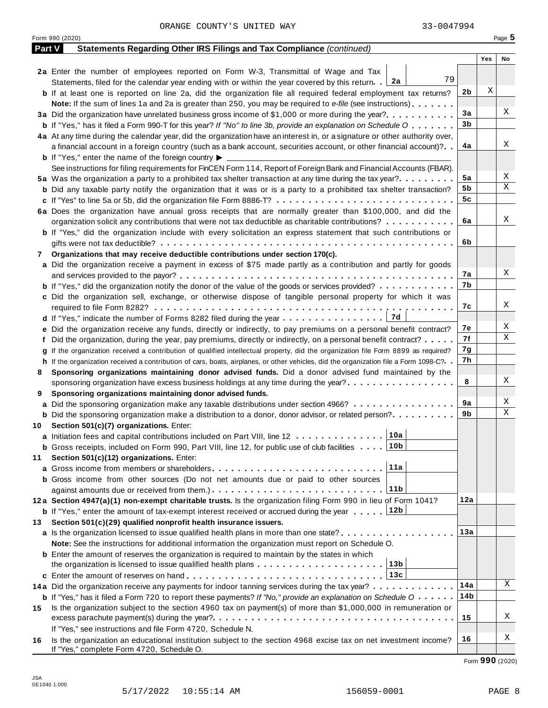Form <sup>990</sup> (2020) Page **5**

| <b>Part V</b> | Statements Regarding Other IRS Filings and Tax Compliance (continued)                                                                        |                 |     |    |
|---------------|----------------------------------------------------------------------------------------------------------------------------------------------|-----------------|-----|----|
|               |                                                                                                                                              |                 | Yes | No |
|               | 2a Enter the number of employees reported on Form W-3, Transmittal of Wage and Tax                                                           |                 |     |    |
|               | 79<br>2a<br>Statements, filed for the calendar year ending with or within the year covered by this return.                                   |                 |     |    |
|               | <b>b</b> If at least one is reported on line 2a, did the organization file all required federal employment tax returns?                      | 2b              | Χ   |    |
|               | Note: If the sum of lines 1a and 2a is greater than 250, you may be required to e-file (see instructions)                                    |                 |     |    |
|               |                                                                                                                                              | 3a              |     | Χ  |
|               | <b>b</b> If "Yes," has it filed a Form 990-T for this year? If "No" to line 3b, provide an explanation on Schedule O                         | 3 <sub>b</sub>  |     |    |
|               | 4a At any time during the calendar year, did the organization have an interest in, or a signature or other authority over,                   |                 |     |    |
|               | a financial account in a foreign country (such as a bank account, securities account, or other financial account)?                           | 4a              |     | Χ  |
|               | <b>b</b> If "Yes," enter the name of the foreign country $\blacktriangleright$                                                               |                 |     |    |
|               | See instructions for filing requirements for FinCEN Form 114, Report of Foreign Bank and Financial Accounts (FBAR).                          |                 |     |    |
|               | 5a Was the organization a party to a prohibited tax shelter transaction at any time during the tax year?                                     | 5a              |     | Χ  |
|               | <b>b</b> Did any taxable party notify the organization that it was or is a party to a prohibited tax shelter transaction?                    | 5b              |     | X  |
|               | c If "Yes" to line 5a or 5b, did the organization file Form 8886-T?                                                                          | 5c              |     |    |
|               | 6a Does the organization have annual gross receipts that are normally greater than \$100,000, and did the                                    |                 |     |    |
|               | organization solicit any contributions that were not tax deductible as charitable contributions?                                             | 6a              |     | Χ  |
|               | <b>b</b> If "Yes," did the organization include with every solicitation an express statement that such contributions or                      |                 |     |    |
|               |                                                                                                                                              | 6b              |     |    |
| 7             | Organizations that may receive deductible contributions under section 170(c).                                                                |                 |     |    |
|               | a Did the organization receive a payment in excess of \$75 made partly as a contribution and partly for goods                                |                 |     |    |
|               |                                                                                                                                              | 7a              |     | Χ  |
|               | <b>b</b> If "Yes," did the organization notify the donor of the value of the goods or services provided?                                     | 7b              |     |    |
|               | c Did the organization sell, exchange, or otherwise dispose of tangible personal property for which it was                                   |                 |     |    |
|               |                                                                                                                                              | 7c              |     | Χ  |
|               |                                                                                                                                              |                 |     |    |
|               | e Did the organization receive any funds, directly or indirectly, to pay premiums on a personal benefit contract?                            | 7e              |     | Χ  |
|               | f Did the organization, during the year, pay premiums, directly or indirectly, on a personal benefit contract?                               | 7f              |     | X  |
|               | g If the organization received a contribution of qualified intellectual property, did the organization file Form 8899 as required?           | 7g              |     |    |
|               | h If the organization received a contribution of cars, boats, airplanes, or other vehicles, did the organization file a Form 1098-C?. .      | 7h              |     |    |
| 8             | Sponsoring organizations maintaining donor advised funds. Did a donor advised fund maintained by the                                         |                 |     |    |
|               | sponsoring organization have excess business holdings at any time during the year?                                                           | 8               |     | Χ  |
| 9             | Sponsoring organizations maintaining donor advised funds.                                                                                    |                 |     |    |
|               | a Did the sponsoring organization make any taxable distributions under section 4966?                                                         | 9a              |     | Χ  |
|               | <b>b</b> Did the sponsoring organization make a distribution to a donor, donor advisor, or related person?                                   | 9b              |     | X  |
| 10            | Section 501(c)(7) organizations. Enter:                                                                                                      |                 |     |    |
|               | 10a<br>a Initiation fees and capital contributions included on Part VIII, line 12                                                            |                 |     |    |
|               | <b>b</b> Gross receipts, included on Form 990, Part VIII, line 12, for public use of club facilities  10b                                    |                 |     |    |
| 11            | Section 501(c)(12) organizations. Enter:                                                                                                     |                 |     |    |
|               | 11a<br><b>a</b> Gross income from members or shareholders                                                                                    |                 |     |    |
|               | <b>b</b> Gross income from other sources (Do not net amounts due or paid to other sources                                                    |                 |     |    |
|               | 11 <sub>b</sub>                                                                                                                              |                 |     |    |
|               | 12a Section 4947(a)(1) non-exempt charitable trusts. Is the organization filing Form 990 in lieu of Form 1041?                               | 12a             |     |    |
|               | 12b<br><b>b</b> If "Yes," enter the amount of tax-exempt interest received or accrued during the year                                        |                 |     |    |
| 13            | Section 501(c)(29) qualified nonprofit health insurance issuers.                                                                             |                 |     |    |
|               | a Is the organization licensed to issue qualified health plans in more than one state?                                                       | 13a             |     |    |
|               | Note: See the instructions for additional information the organization must report on Schedule O.                                            |                 |     |    |
|               | <b>b</b> Enter the amount of reserves the organization is required to maintain by the states in which                                        |                 |     |    |
|               | 13 <sub>b</sub>                                                                                                                              |                 |     |    |
|               | 13c                                                                                                                                          |                 |     |    |
|               | 14a Did the organization receive any payments for indoor tanning services during the tax year?                                               | 14a             |     | Χ  |
|               | <b>b</b> If "Yes," has it filed a Form 720 to report these payments? If "No," provide an explanation on Schedule $0 \cdot \cdot \cdot \cdot$ | 14 <sub>b</sub> |     |    |
| 15            | Is the organization subject to the section 4960 tax on payment(s) of more than \$1,000,000 in remuneration or                                |                 |     |    |
|               |                                                                                                                                              | 15              |     | Χ  |
|               | If "Yes," see instructions and file Form 4720, Schedule N.                                                                                   |                 |     |    |
| 16            | Is the organization an educational institution subject to the section 4968 excise tax on net investment income?                              | 16              |     | Χ  |
|               | If "Yes," complete Form 4720, Schedule O.                                                                                                    |                 |     |    |

Form **990** (2020)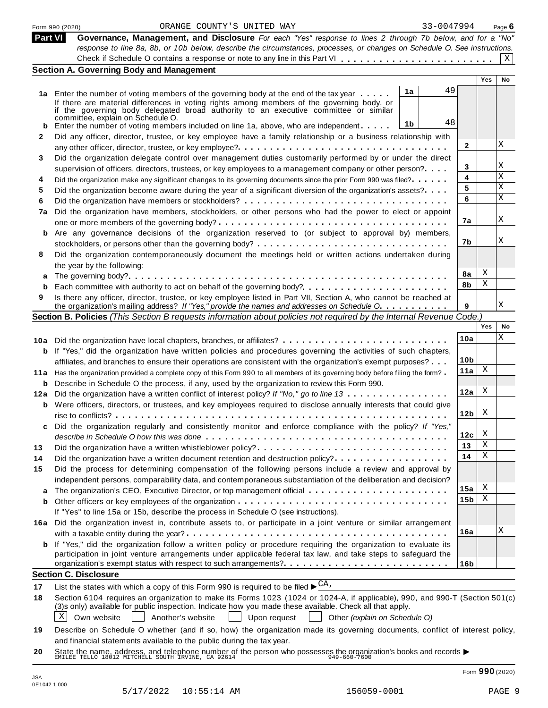|         | 33-0047994<br>ORANGE COUNTY'S UNITED WAY<br>Form 990 (2020)                                                                                                                                                                 |                 |            | Page $6$ |
|---------|-----------------------------------------------------------------------------------------------------------------------------------------------------------------------------------------------------------------------------|-----------------|------------|----------|
| Part VI | Governance, Management, and Disclosure For each "Yes" response to lines 2 through 7b below, and for a "No"                                                                                                                  |                 |            |          |
|         | response to line 8a, 8b, or 10b below, describe the circumstances, processes, or changes on Schedule O. See instructions.                                                                                                   |                 |            |          |
|         |                                                                                                                                                                                                                             |                 |            | X        |
|         | <b>Section A. Governing Body and Management</b>                                                                                                                                                                             |                 | <b>Yes</b> | No       |
|         | 49                                                                                                                                                                                                                          |                 |            |          |
|         | 1a<br>1a Enter the number of voting members of the governing body at the end of the tax year                                                                                                                                |                 |            |          |
|         | If there are material differences in voting rights among members of the governing body, or<br>if the governing body delegated broad authority to an executive committee or similar                                          |                 |            |          |
|         | committée, explain on Schedule O.<br>48                                                                                                                                                                                     |                 |            |          |
|         | 1b<br>Enter the number of voting members included on line 1a, above, who are independent                                                                                                                                    |                 |            |          |
| 2       | Did any officer, director, trustee, or key employee have a family relationship or a business relationship with                                                                                                              | 2               |            | Χ        |
|         |                                                                                                                                                                                                                             |                 |            |          |
| 3       | Did the organization delegate control over management duties customarily performed by or under the direct                                                                                                                   | 3               |            | Χ        |
| 4       | supervision of officers, directors, trustees, or key employees to a management company or other person?<br>Did the organization make any significant changes to its governing documents since the prior Form 990 was filed? | 4               |            | X        |
| 5       | Did the organization become aware during the year of a significant diversion of the organization's assets?                                                                                                                  | 5               |            | Χ        |
| 6       |                                                                                                                                                                                                                             | 6               |            | X        |
| 7a      | Did the organization have members, stockholders, or other persons who had the power to elect or appoint                                                                                                                     |                 |            |          |
|         |                                                                                                                                                                                                                             | 7a              |            | Χ        |
|         | Are any governance decisions of the organization reserved to (or subject to approval by) members,                                                                                                                           |                 |            |          |
|         |                                                                                                                                                                                                                             | 7b              |            | Χ        |
| 8       | Did the organization contemporaneously document the meetings held or written actions undertaken during                                                                                                                      |                 |            |          |
|         | the year by the following:                                                                                                                                                                                                  |                 |            |          |
|         |                                                                                                                                                                                                                             | 8a              | X          |          |
| b       |                                                                                                                                                                                                                             | 8b              | X          |          |
| 9       | Is there any officer, director, trustee, or key employee listed in Part VII, Section A, who cannot be reached at                                                                                                            |                 |            |          |
|         | the organization's mailing address? If "Yes," provide the names and addresses on Schedule O.                                                                                                                                | 9               |            | Χ        |
|         | Section B. Policies (This Section B requests information about policies not required by the Internal Revenue Code.)                                                                                                         |                 |            |          |
|         |                                                                                                                                                                                                                             |                 | Yes        | No       |
|         | 10a Did the organization have local chapters, branches, or affiliates?                                                                                                                                                      | 10a             |            | Χ        |
| b       | If "Yes," did the organization have written policies and procedures governing the activities of such chapters,                                                                                                              |                 |            |          |
|         | affiliates, and branches to ensure their operations are consistent with the organization's exempt purposes?                                                                                                                 | 10 <sub>b</sub> |            |          |
|         | 11a Has the organization provided a complete copy of this Form 990 to all members of its governing body before filing the form?                                                                                             | 11a             | Χ          |          |
|         | <b>b</b> Describe in Schedule O the process, if any, used by the organization to review this Form 990.                                                                                                                      |                 | X          |          |
| 12a     | Did the organization have a written conflict of interest policy? If "No," go to line 13                                                                                                                                     | 12a             |            |          |
|         | <b>b</b> Were officers, directors, or trustees, and key employees required to disclose annually interests that could give                                                                                                   |                 | X          |          |
|         |                                                                                                                                                                                                                             | 12 <sub>b</sub> |            |          |
|         | Did the organization regularly and consistently monitor and enforce compliance with the policy? If "Yes,"                                                                                                                   |                 | X          |          |
|         |                                                                                                                                                                                                                             | 12c<br>13       | X          |          |
| 13      | Did the organization have a written whistleblower policy?                                                                                                                                                                   | 14              | Χ          |          |
| 14      | Did the organization have a written document retention and destruction policy?                                                                                                                                              |                 |            |          |
| 15      | Did the process for determining compensation of the following persons include a review and approval by<br>independent persons, comparability data, and contemporaneous substantiation of the deliberation and decision?     |                 |            |          |
|         | The organization's CEO, Executive Director, or top management official                                                                                                                                                      | 15a             | X          |          |
| b       |                                                                                                                                                                                                                             | 15 <sub>b</sub> | Χ          |          |
|         | If "Yes" to line 15a or 15b, describe the process in Schedule O (see instructions).                                                                                                                                         |                 |            |          |
| 16а     | Did the organization invest in, contribute assets to, or participate in a joint venture or similar arrangement                                                                                                              |                 |            |          |
|         |                                                                                                                                                                                                                             | 16a             |            | Χ        |
|         | <b>b</b> If "Yes," did the organization follow a written policy or procedure requiring the organization to evaluate its                                                                                                     |                 |            |          |
|         | participation in joint venture arrangements under applicable federal tax law, and take steps to safeguard the                                                                                                               |                 |            |          |
|         |                                                                                                                                                                                                                             | 16 <sub>b</sub> |            |          |
|         | <b>Section C. Disclosure</b>                                                                                                                                                                                                |                 |            |          |
| 17      | List the states with which a copy of this Form 990 is required to be filed $\blacktriangleright^{\text{CA}}$ .                                                                                                              |                 |            |          |
| 18      | Section 6104 requires an organization to make its Forms 1023 (1024 or 1024-A, if applicable), 990, and 990-T (Section 501(c)                                                                                                |                 |            |          |
|         | (3)s only) available for public inspection. Indicate how you made these available. Check all that apply.                                                                                                                    |                 |            |          |
|         | Χ<br>Own website<br>Another's website<br>Upon request<br>Other (explain on Schedule O)                                                                                                                                      |                 |            |          |
| 19      | Describe on Schedule O whether (and if so, how) the organization made its governing documents, conflict of interest policy,                                                                                                 |                 |            |          |
|         | and financial statements available to the public during the tax year.                                                                                                                                                       |                 |            |          |
| 20      | State the name, address, and telephone number of the person who possesses the organization's books and records<br>EMILEE TELLO 18012 MITCHELL SOUTH IRVINE, CA 92614                                                        |                 |            |          |

0E1042 1.000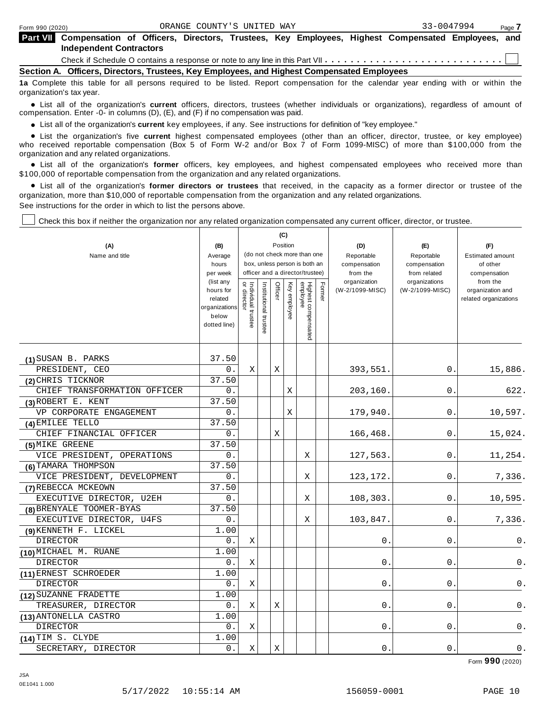| <b>Part VII</b> Compensation of Officers, Directors, Trustees, Key Employees, Highest Compensated Employees, and<br><b>Independent Contractors</b> |  |  |  |  |  |
|----------------------------------------------------------------------------------------------------------------------------------------------------|--|--|--|--|--|
|                                                                                                                                                    |  |  |  |  |  |
| Section A. Officers, Directors, Trustees, Key Employees, and Highest Compensated Employees                                                         |  |  |  |  |  |
| 12 Complete this table for all nersons required to be listed. Report compensation for the calendar year ending with or within the                  |  |  |  |  |  |

table for all persons required to be listed. Report compensation for the calendar year ending with or within the organization's tax year.

anization's lax year.<br>● List all of the organization's **current** officers, directors, trustees (whether individuals or organizations), regardless of amount of<br>nnensation Enter -0- in columns (D) (E) and (E) if no compensa compensation. Enter -0- in columns (D), (E), and (F) if no compensation was paid.

• List all of the organization's current key employees, if any. See instructions for definition of "key employee."

■ List all of the organization's current key employees, if any. See instructions for definition of "key employee."<br>■ List the organization's five current highest compensated employees (other than an officer, director, tru who received reportable compensation (Box 5 of Form W-2 and/or Box 7 of Form 1099-MISC) of more than \$100,000 from the organization and any related organizations. %

List all of the organization's **former** officers, key employees, and highest compensated employees who received more than \$100,000 of reportable compensation from the organization and any related organizations.

% List all of the organization's **former directors or trustees** that received, in the capacity as a former director or trustee of the organization, more than \$10,000 of reportable compensation from the organization and any related organizations. See instructions for the order in which to list the persons above.

Check this box if neither the organization nor any related organization compensated any current officer, director, or trustee.

|                              |                                                                             |                                   |                       |         | (C)          |                                 |        |                                 |                                  |                                                       |
|------------------------------|-----------------------------------------------------------------------------|-----------------------------------|-----------------------|---------|--------------|---------------------------------|--------|---------------------------------|----------------------------------|-------------------------------------------------------|
| (A)                          | (B)                                                                         |                                   |                       |         | Position     | (do not check more than one     |        | (D)                             | (E)                              | (F)                                                   |
| Name and title               | Average<br>hours                                                            |                                   |                       |         |              | box, unless person is both an   |        | Reportable<br>compensation      | Reportable<br>compensation       | <b>Estimated amount</b><br>of other                   |
|                              | per week                                                                    |                                   |                       |         |              | officer and a director/trustee) |        | from the                        | from related                     | compensation                                          |
|                              | (list any<br>hours for<br>related<br>organizations<br>below<br>dotted line) | Individual trustee<br>or director | Institutional trustee | Officer | Key employee | Highest compensated<br>employee | Former | organization<br>(W-2/1099-MISC) | organizations<br>(W-2/1099-MISC) | from the<br>organization and<br>related organizations |
|                              |                                                                             |                                   |                       |         |              |                                 |        |                                 |                                  |                                                       |
| (1) SUSAN B. PARKS           | 37.50                                                                       |                                   |                       |         |              |                                 |        |                                 |                                  |                                                       |
| PRESIDENT, CEO               | 0.                                                                          | X                                 |                       | Χ       |              |                                 |        | 393,551.                        | 0.                               | 15,886.                                               |
| (2) CHRIS TICKNOR            | 37.50                                                                       |                                   |                       |         |              |                                 |        |                                 |                                  |                                                       |
| CHIEF TRANSFORMATION OFFICER | 0.                                                                          |                                   |                       |         | Χ            |                                 |        | 203,160                         | 0.                               | 622.                                                  |
| (3) ROBERT E. KENT           | 37.50                                                                       |                                   |                       |         |              |                                 |        |                                 |                                  |                                                       |
| VP CORPORATE ENGAGEMENT      | 0.                                                                          |                                   |                       |         | X            |                                 |        | 179,940                         | 0.                               | 10,597.                                               |
| (4) EMILEE TELLO             | 37.50                                                                       |                                   |                       |         |              |                                 |        |                                 |                                  |                                                       |
| CHIEF FINANCIAL OFFICER      | 0.                                                                          |                                   |                       | Χ       |              |                                 |        | 166,468                         | 0.                               | 15,024.                                               |
| (5) MIKE GREENE              | 37.50                                                                       |                                   |                       |         |              |                                 |        |                                 |                                  |                                                       |
| VICE PRESIDENT, OPERATIONS   | 0.                                                                          |                                   |                       |         |              | X                               |        | 127,563.                        | 0.                               | 11,254.                                               |
| (6) TAMARA THOMPSON          | 37.50                                                                       |                                   |                       |         |              |                                 |        |                                 |                                  |                                                       |
| VICE PRESIDENT, DEVELOPMENT  | 0.                                                                          |                                   |                       |         |              | Χ                               |        | 123,172                         | 0.                               | 7,336.                                                |
| (7) REBECCA MCKEOWN          | 37.50                                                                       |                                   |                       |         |              |                                 |        |                                 |                                  |                                                       |
| EXECUTIVE DIRECTOR, U2EH     | 0.                                                                          |                                   |                       |         |              | Χ                               |        | 108,303.                        | 0.                               | 10,595.                                               |
| (8) BRENYALE TOOMER-BYAS     | 37.50                                                                       |                                   |                       |         |              |                                 |        |                                 |                                  |                                                       |
| EXECUTIVE DIRECTOR, U4FS     | 0.                                                                          |                                   |                       |         |              | Χ                               |        | 103,847.                        | 0.                               | 7,336.                                                |
| (9) KENNETH F. LICKEL        | 1.00                                                                        |                                   |                       |         |              |                                 |        |                                 |                                  |                                                       |
| DIRECTOR                     | 0.                                                                          | Χ                                 |                       |         |              |                                 |        | 0                               | 0                                | 0.                                                    |
| (10) MICHAEL M. RUANE        | 1.00                                                                        |                                   |                       |         |              |                                 |        |                                 |                                  |                                                       |
| <b>DIRECTOR</b>              | 0.                                                                          | $\mathbf X$                       |                       |         |              |                                 |        | 0                               | $\mathbf 0$                      | 0.                                                    |
| (11) ERNEST SCHROEDER        | 1.00                                                                        |                                   |                       |         |              |                                 |        |                                 |                                  |                                                       |
| <b>DIRECTOR</b>              | 0.                                                                          | Χ                                 |                       |         |              |                                 |        | 0                               | 0.                               | 0.                                                    |
| (12) SUZANNE FRADETTE        | 1.00                                                                        |                                   |                       |         |              |                                 |        |                                 |                                  |                                                       |
| TREASURER, DIRECTOR          | 0.                                                                          | X                                 |                       | Χ       |              |                                 |        | 0                               | 0.                               | 0.                                                    |
| (13) ANTONELLA CASTRO        | 1.00                                                                        |                                   |                       |         |              |                                 |        |                                 |                                  |                                                       |
| <b>DIRECTOR</b>              | 0.                                                                          | X                                 |                       |         |              |                                 |        | 0                               | $\mathsf{O}$ .                   | 0.                                                    |
| (14) TIM S. CLYDE            | 1.00                                                                        |                                   |                       |         |              |                                 |        |                                 |                                  |                                                       |
| SECRETARY, DIRECTOR          | 0.                                                                          | X                                 |                       | X       |              |                                 |        | 0.                              | 0.                               | 0.                                                    |

Form **990** (2020)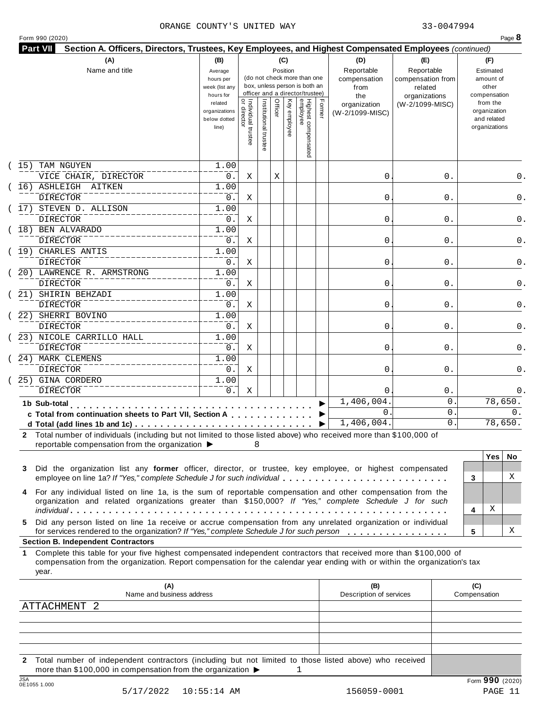| Form 990 (2020) |  |
|-----------------|--|
|-----------------|--|

|      | (A)<br>Name and title                                                                                                                                                                                                                                                                                  | (B)<br>Average<br>hours per<br>week (list any<br>hours for |                                           |                       |         | (C)<br>Position | (do not check more than one<br>box, unless person is both an<br>officer and a director/trustee) |        | (D)<br>Reportable<br>compensation<br>from<br>the | (E)<br>Reportable<br>compensation from<br>related<br>organizations |                     | (F)<br>Estimated<br>amount of<br>other<br>compensation   |     |
|------|--------------------------------------------------------------------------------------------------------------------------------------------------------------------------------------------------------------------------------------------------------------------------------------------------------|------------------------------------------------------------|-------------------------------------------|-----------------------|---------|-----------------|-------------------------------------------------------------------------------------------------|--------|--------------------------------------------------|--------------------------------------------------------------------|---------------------|----------------------------------------------------------|-----|
|      |                                                                                                                                                                                                                                                                                                        | related<br>organizations<br>below dotted<br>line)          | <br>  Individual trustee<br>  or director | Institutional trustee | Officer | Key employee    | Highest compensated<br>employee                                                                 | Former | organization<br>(W-2/1099-MISC)                  | (W-2/1099-MISC)                                                    |                     | from the<br>organization<br>and related<br>organizations |     |
| (15) | TAM NGUYEN                                                                                                                                                                                                                                                                                             | 1.00                                                       |                                           |                       |         |                 |                                                                                                 |        |                                                  |                                                                    |                     |                                                          |     |
|      | VICE CHAIR, DIRECTOR                                                                                                                                                                                                                                                                                   | 0.                                                         | Χ                                         |                       | Χ       |                 |                                                                                                 |        | 0                                                | 0.                                                                 |                     |                                                          | 0.  |
|      | 16) ASHLEIGH AITKEN                                                                                                                                                                                                                                                                                    | 1.00                                                       |                                           |                       |         |                 |                                                                                                 |        |                                                  |                                                                    |                     |                                                          |     |
|      | <b>DIRECTOR</b>                                                                                                                                                                                                                                                                                        | 0.                                                         | Χ                                         |                       |         |                 |                                                                                                 |        | 0                                                | 0.                                                                 |                     |                                                          | 0.  |
|      | 17) STEVEN D. ALLISON                                                                                                                                                                                                                                                                                  | 1.00                                                       |                                           |                       |         |                 |                                                                                                 |        |                                                  |                                                                    |                     |                                                          |     |
|      | <b>DIRECTOR</b>                                                                                                                                                                                                                                                                                        | 0.                                                         | Χ                                         |                       |         |                 |                                                                                                 |        | 0                                                | 0.                                                                 |                     |                                                          | 0.  |
|      | 18) BEN ALVARADO                                                                                                                                                                                                                                                                                       | 1.00                                                       |                                           |                       |         |                 |                                                                                                 |        |                                                  |                                                                    |                     |                                                          |     |
|      | <b>DIRECTOR</b><br>(19) CHARLES ANTIS                                                                                                                                                                                                                                                                  | 0.<br>1.00                                                 | Χ                                         |                       |         |                 |                                                                                                 |        | 0                                                | 0.                                                                 |                     |                                                          | 0.  |
|      | DIRECTOR                                                                                                                                                                                                                                                                                               | 0.                                                         |                                           |                       |         |                 |                                                                                                 |        |                                                  | 0.                                                                 |                     |                                                          | 0.  |
|      | 20) LAWRENCE R. ARMSTRONG                                                                                                                                                                                                                                                                              | 1.00                                                       | Χ                                         |                       |         |                 |                                                                                                 |        | 0                                                |                                                                    |                     |                                                          |     |
|      | DIRECTOR                                                                                                                                                                                                                                                                                               | 0.                                                         |                                           |                       |         |                 |                                                                                                 |        | 0                                                | 0.                                                                 |                     |                                                          |     |
|      | 21) SHIRIN BEHZADI                                                                                                                                                                                                                                                                                     | 1.00                                                       | Χ                                         |                       |         |                 |                                                                                                 |        |                                                  |                                                                    |                     |                                                          | 0.  |
|      | <b>DIRECTOR</b>                                                                                                                                                                                                                                                                                        | 0.                                                         | Χ                                         |                       |         |                 |                                                                                                 |        | 0                                                | 0.                                                                 |                     |                                                          | 0.  |
|      | 22) SHERRI BOVINO                                                                                                                                                                                                                                                                                      | 1.00                                                       |                                           |                       |         |                 |                                                                                                 |        |                                                  |                                                                    |                     |                                                          |     |
|      | DIRECTOR                                                                                                                                                                                                                                                                                               | 0.                                                         | Χ                                         |                       |         |                 |                                                                                                 |        | 0                                                | 0.                                                                 |                     |                                                          |     |
|      | 23) NICOLE CARRILLO HALL                                                                                                                                                                                                                                                                               | 1.00                                                       |                                           |                       |         |                 |                                                                                                 |        |                                                  |                                                                    |                     |                                                          |     |
|      | DIRECTOR                                                                                                                                                                                                                                                                                               | 0.                                                         | Χ                                         |                       |         |                 |                                                                                                 |        | 0                                                | 0.                                                                 |                     |                                                          | 0.  |
|      | 24) MARK CLEMENS                                                                                                                                                                                                                                                                                       | 1.00                                                       |                                           |                       |         |                 |                                                                                                 |        |                                                  |                                                                    |                     |                                                          |     |
|      | <b>DIRECTOR</b>                                                                                                                                                                                                                                                                                        | $0$ .                                                      | Χ                                         |                       |         |                 |                                                                                                 |        | 0                                                | 0.                                                                 |                     |                                                          |     |
|      | 25) GINA CORDERO                                                                                                                                                                                                                                                                                       | 1.00                                                       |                                           |                       |         |                 |                                                                                                 |        |                                                  |                                                                    |                     |                                                          |     |
|      | <b>DIRECTOR</b>                                                                                                                                                                                                                                                                                        | 0.                                                         | Χ                                         |                       |         |                 |                                                                                                 |        | $\Omega$                                         | $0$ .                                                              |                     |                                                          |     |
|      | 1b Sub-total                                                                                                                                                                                                                                                                                           |                                                            |                                           |                       |         |                 |                                                                                                 |        | 1,406,004                                        |                                                                    | 0                   | 78,650.                                                  |     |
|      | .<br>c Total from continuation sheets to Part VII, Section A                                                                                                                                                                                                                                           |                                                            |                                           |                       |         |                 |                                                                                                 |        | $\mathbf{0}$                                     |                                                                    | 0                   |                                                          | 0.  |
|      |                                                                                                                                                                                                                                                                                                        |                                                            |                                           |                       |         |                 |                                                                                                 |        | 1,406,004.                                       |                                                                    | 0                   | 78,650.                                                  |     |
|      | 2 Total number of individuals (including but not limited to those listed above) who received more than \$100,000 of<br>reportable compensation from the organization ▶                                                                                                                                 |                                                            |                                           | 8                     |         |                 |                                                                                                 |        |                                                  |                                                                    |                     | <b>Yes</b>                                               | No. |
| 3    | Did the organization list any former officer, director, or trustee, key employee, or highest compensated<br>employee on line 1a? If "Yes," complete Schedule J for such individual                                                                                                                     |                                                            |                                           |                       |         |                 |                                                                                                 |        |                                                  |                                                                    | 3                   |                                                          | X   |
| 4    | For any individual listed on line 1a, is the sum of reportable compensation and other compensation from the<br>organization and related organizations greater than \$150,000? If "Yes," complete Schedule J for such                                                                                   |                                                            |                                           |                       |         |                 |                                                                                                 |        |                                                  |                                                                    | 4                   | Χ                                                        |     |
| 5.   | Did any person listed on line 1a receive or accrue compensation from any unrelated organization or individual<br>for services rendered to the organization? If "Yes," complete Schedule J for such person                                                                                              |                                                            |                                           |                       |         |                 |                                                                                                 |        |                                                  |                                                                    | 5                   |                                                          | X   |
| 1.   | <b>Section B. Independent Contractors</b><br>Complete this table for your five highest compensated independent contractors that received more than \$100,000 of<br>compensation from the organization. Report compensation for the calendar year ending with or within the organization's tax<br>year. |                                                            |                                           |                       |         |                 |                                                                                                 |        |                                                  |                                                                    |                     |                                                          |     |
|      | (A)<br>Name and business address                                                                                                                                                                                                                                                                       |                                                            |                                           |                       |         |                 |                                                                                                 |        | (B)<br>Description of services                   |                                                                    | (C)<br>Compensation |                                                          |     |
|      | ATTACHMENT 2                                                                                                                                                                                                                                                                                           |                                                            |                                           |                       |         |                 |                                                                                                 |        |                                                  |                                                                    |                     |                                                          |     |
|      |                                                                                                                                                                                                                                                                                                        |                                                            |                                           |                       |         |                 |                                                                                                 |        |                                                  |                                                                    |                     |                                                          |     |
|      |                                                                                                                                                                                                                                                                                                        |                                                            |                                           |                       |         |                 |                                                                                                 |        |                                                  |                                                                    |                     |                                                          |     |

**2** Total number of independent contractors (including but not limited to those listed above) who received more than \$100,000 in compensation from the organization  $\blacktriangleright$  1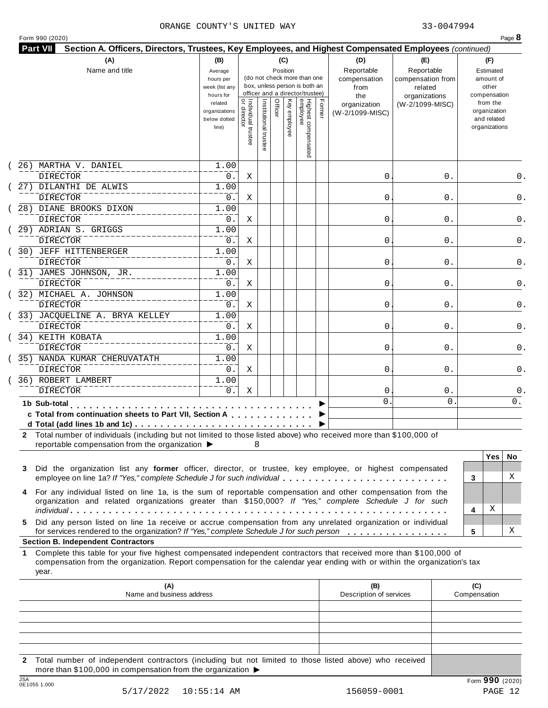| Form 990 (2020) |  |
|-----------------|--|
|-----------------|--|

| (A)                                                      | Name and title                                                                                                                                                                                                                                                                                    | (B)<br>Average<br>hours per<br>week (list any<br>hours for |                                           |                       | (C)     | Position     | (do not check more than one<br>box, unless person is both an<br>officer and a director/trustee) |        | (D)<br>Reportable<br>compensation<br>from<br>the | (E)<br>Reportable<br>compensation from<br>related<br>organizations | (F)<br>Estimated<br>amount of<br>other<br>compensation   |
|----------------------------------------------------------|---------------------------------------------------------------------------------------------------------------------------------------------------------------------------------------------------------------------------------------------------------------------------------------------------|------------------------------------------------------------|-------------------------------------------|-----------------------|---------|--------------|-------------------------------------------------------------------------------------------------|--------|--------------------------------------------------|--------------------------------------------------------------------|----------------------------------------------------------|
|                                                          |                                                                                                                                                                                                                                                                                                   | related<br>organizations<br>below dotted<br>line)          | <br>  Individual trustee<br>  or director | Institutional trustee | Officer | Key employee | Highest compensated<br>employee                                                                 | Former | organization<br>(W-2/1099-MISC)                  | (W-2/1099-MISC)                                                    | from the<br>organization<br>and related<br>organizations |
| 26) MARTHA V. DANIEL                                     |                                                                                                                                                                                                                                                                                                   | 1.00                                                       |                                           |                       |         |              |                                                                                                 |        |                                                  |                                                                    |                                                          |
| DIRECTOR<br>27) DILANTHI DE ALWIS                        |                                                                                                                                                                                                                                                                                                   | 0.<br>1.00                                                 | Χ                                         |                       |         |              |                                                                                                 |        | 0                                                | 0.                                                                 | 0.                                                       |
| <b>DIRECTOR</b>                                          |                                                                                                                                                                                                                                                                                                   | 0.                                                         | Χ                                         |                       |         |              |                                                                                                 |        | 0                                                | 0.                                                                 | 0.                                                       |
| 28) DIANE BROOKS DIXON                                   |                                                                                                                                                                                                                                                                                                   | 1.00                                                       |                                           |                       |         |              |                                                                                                 |        |                                                  |                                                                    |                                                          |
| <b>DIRECTOR</b>                                          |                                                                                                                                                                                                                                                                                                   | 0.                                                         | Χ                                         |                       |         |              |                                                                                                 |        | 0                                                | 0.                                                                 | 0.                                                       |
| 29) ADRIAN S. GRIGGS                                     |                                                                                                                                                                                                                                                                                                   | 1.00                                                       |                                           |                       |         |              |                                                                                                 |        |                                                  |                                                                    |                                                          |
| <b>DIRECTOR</b>                                          |                                                                                                                                                                                                                                                                                                   | 0.                                                         | Χ                                         |                       |         |              |                                                                                                 |        | 0                                                | 0.                                                                 |                                                          |
| 30) JEFF HITTENBERGER                                    |                                                                                                                                                                                                                                                                                                   | 1.00                                                       |                                           |                       |         |              |                                                                                                 |        |                                                  |                                                                    |                                                          |
| <b>DIRECTOR</b>                                          |                                                                                                                                                                                                                                                                                                   | 0.                                                         | Χ                                         |                       |         |              |                                                                                                 |        | 0                                                | 0.                                                                 |                                                          |
| (31) JAMES JOHNSON, JR.                                  |                                                                                                                                                                                                                                                                                                   | 1.00                                                       |                                           |                       |         |              |                                                                                                 |        |                                                  |                                                                    |                                                          |
| <b>DIRECTOR</b>                                          |                                                                                                                                                                                                                                                                                                   | 0.                                                         | Χ                                         |                       |         |              |                                                                                                 |        | 0                                                | 0.                                                                 |                                                          |
| 32) MICHAEL A. JOHNSON                                   |                                                                                                                                                                                                                                                                                                   | 1.00                                                       |                                           |                       |         |              |                                                                                                 |        |                                                  |                                                                    |                                                          |
| <b>DIRECTOR</b>                                          |                                                                                                                                                                                                                                                                                                   | 0.                                                         | X                                         |                       |         |              |                                                                                                 |        | 0                                                | 0.                                                                 |                                                          |
| (33) JACQUELINE A. BRYA KELLEY                           |                                                                                                                                                                                                                                                                                                   | 1.00                                                       |                                           |                       |         |              |                                                                                                 |        |                                                  |                                                                    |                                                          |
| <b>DIRECTOR</b>                                          |                                                                                                                                                                                                                                                                                                   | 0.                                                         | Χ                                         |                       |         |              |                                                                                                 |        | 0                                                | 0.                                                                 |                                                          |
| 34) KEITH KOBATA                                         |                                                                                                                                                                                                                                                                                                   | 1.00                                                       |                                           |                       |         |              |                                                                                                 |        |                                                  |                                                                    |                                                          |
| DIRECTOR<br>35) NANDA KUMAR CHERUVATATH                  |                                                                                                                                                                                                                                                                                                   | 0.<br>1.00                                                 | Χ                                         |                       |         |              |                                                                                                 |        | 0                                                | 0.                                                                 |                                                          |
| <b>DIRECTOR</b>                                          |                                                                                                                                                                                                                                                                                                   | $0$ .                                                      | Χ                                         |                       |         |              |                                                                                                 |        | 0                                                | 0.                                                                 |                                                          |
| 36) ROBERT LAMBERT                                       |                                                                                                                                                                                                                                                                                                   | 1.00                                                       |                                           |                       |         |              |                                                                                                 |        |                                                  |                                                                    |                                                          |
| <b>DIRECTOR</b>                                          |                                                                                                                                                                                                                                                                                                   | $0$ .                                                      | Χ                                         |                       |         |              |                                                                                                 |        | 0                                                | $0$ .                                                              |                                                          |
| 1b Sub-total                                             |                                                                                                                                                                                                                                                                                                   |                                                            |                                           |                       |         |              |                                                                                                 |        | 0                                                | $\mathbf{0}$                                                       | 0.                                                       |
|                                                          | and a series and a<br>c Total from continuation sheets to Part VII, Section A<br>2 Total number of individuals (including but not limited to those listed above) who received more than \$100,000 of                                                                                              |                                                            |                                           |                       |         |              |                                                                                                 |        |                                                  |                                                                    |                                                          |
|                                                          | reportable compensation from the organization ▶                                                                                                                                                                                                                                                   |                                                            | 8                                         |                       |         |              |                                                                                                 |        |                                                  |                                                                    | <b>Yes</b><br>No.                                        |
| 3                                                        | Did the organization list any former officer, director, or trustee, key employee, or highest compensated<br>employee on line 1a? If "Yes," complete Schedule J for such individual<br>For any individual listed on line 1a, is the sum of reportable compensation and other compensation from the |                                                            |                                           |                       |         |              |                                                                                                 |        |                                                  |                                                                    | X<br>3                                                   |
| 4                                                        | organization and related organizations greater than \$150,000? If "Yes," complete Schedule J for such                                                                                                                                                                                             |                                                            |                                           |                       |         |              |                                                                                                 |        |                                                  |                                                                    | Χ<br>4                                                   |
| 5.                                                       | Did any person listed on line 1a receive or accrue compensation from any unrelated organization or individual<br>for services rendered to the organization? If "Yes," complete Schedule J for such person                                                                                         |                                                            |                                           |                       |         |              |                                                                                                 |        |                                                  |                                                                    | х<br>5                                                   |
| <b>Section B. Independent Contractors</b><br>1.<br>year. | Complete this table for your five highest compensated independent contractors that received more than \$100,000 of<br>compensation from the organization. Report compensation for the calendar year ending with or within the organization's tax                                                  |                                                            |                                           |                       |         |              |                                                                                                 |        |                                                  |                                                                    |                                                          |
|                                                          | (A)<br>Name and business address                                                                                                                                                                                                                                                                  |                                                            |                                           |                       |         |              |                                                                                                 |        | (B)<br>Description of services                   |                                                                    | (C)<br>Compensation                                      |
|                                                          |                                                                                                                                                                                                                                                                                                   |                                                            |                                           |                       |         |              |                                                                                                 |        |                                                  |                                                                    |                                                          |
|                                                          |                                                                                                                                                                                                                                                                                                   |                                                            |                                           |                       |         |              |                                                                                                 |        |                                                  |                                                                    |                                                          |

**2** Total number of independent contractors (including but not limited to those listed above) who received more than \$100,000 in compensation from the organization  $\blacktriangleright$ <br>  $\frac{\text{JSA}}{0.61055 1.000}$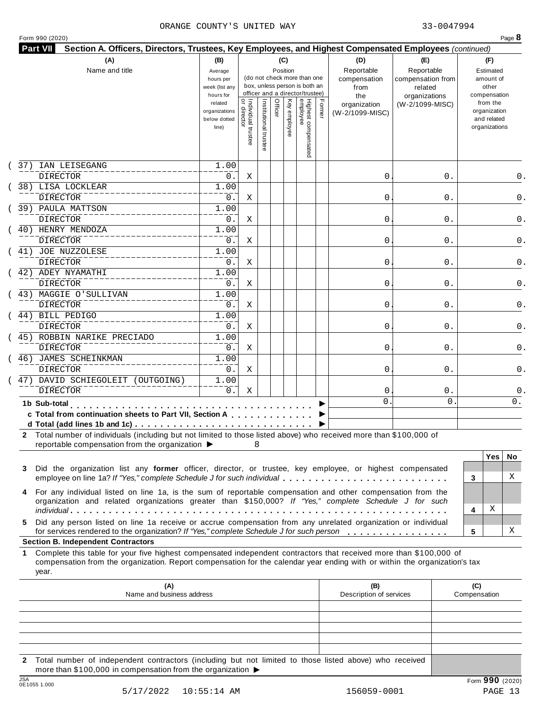| organizations<br>the<br>  Individual trustee<br>  or director<br>Highest compensated<br>employee<br>Institutional trustee<br>Officer<br>Key employee<br>Former<br>from the<br>related<br>(W-2/1099-MISC)<br>organization<br>organization<br>organizations<br>(W-2/1099-MISC)<br>and related<br>below dotted<br>organizations<br>line)<br>IAN LEISEGANG<br>1.00<br><b>DIRECTOR</b><br>0.<br>0<br>0.<br>Χ<br>38) LISA LOCKLEAR<br>1.00<br><b>DIRECTOR</b><br>0.<br>Χ<br>0<br>0.<br>39) PAULA MATTSON<br>1.00<br><b>DIRECTOR</b><br>0.<br>Χ<br>0<br>0.<br>40) HENRY MENDOZA<br>1.00<br><b>DIRECTOR</b><br>0.<br>0<br>Χ<br>0.<br>41) JOE NUZZOLESE<br>1.00<br><b>DIRECTOR</b><br>0.<br>0<br>Χ<br>0.<br>42) ADEY NYAMATHI<br>1.00<br><b>DIRECTOR</b><br>0.<br>Χ<br>0<br>0.<br>43) MAGGIE O'SULLIVAN<br>1.00<br><b>DIRECTOR</b><br>0.<br>Χ<br>0<br>0.<br>44) BILL PEDIGO<br>1.00<br><b>DIRECTOR</b><br>0.<br>0<br>Χ<br>0.<br>45) ROBBIN NARIKE PRECIADO<br>1.00<br>DIRECTOR<br>0.<br>0<br>Χ<br>0.<br>46) JAMES SCHEINKMAN<br>1.00<br><b>DIRECTOR</b><br>0.<br>X<br>0<br>0.<br>47) DAVID SCHIEGOLEIT (OUTGOING)<br>1.00<br><b>DIRECTOR</b><br>0.<br>Χ<br>0<br>$0$ .<br>0<br>$\mathbf{0}$<br>1b Sub-total<br>.<br>c Total from continuation sheets to Part VII, Section A<br>2 Total number of individuals (including but not limited to those listed above) who received more than \$100,000 of<br>reportable compensation from the organization ▶<br>8<br><b>Yes</b><br>Did the organization list any former officer, director, or trustee, key employee, or highest compensated<br>3<br>employee on line 1a? If "Yes," complete Schedule J for such individual<br>3<br>For any individual listed on line 1a, is the sum of reportable compensation and other compensation from the<br>4<br>organization and related organizations greater than \$150,000? If "Yes," complete Schedule J for such<br>Χ<br>4<br>Did any person listed on line 1a receive or accrue compensation from any unrelated organization or individual<br>5.<br>for services rendered to the organization? If "Yes," complete Schedule J for such person<br>5<br><b>Section B. Independent Contractors</b><br>Complete this table for your five highest compensated independent contractors that received more than \$100,000 of<br>1.<br>compensation from the organization. Report compensation for the calendar year ending with or within the organization's tax<br>year.<br>(A)<br>(B)<br>(C)<br>Name and business address<br>Description of services<br>Compensation | 37) |  |  |  |  |  |     |
|--------------------------------------------------------------------------------------------------------------------------------------------------------------------------------------------------------------------------------------------------------------------------------------------------------------------------------------------------------------------------------------------------------------------------------------------------------------------------------------------------------------------------------------------------------------------------------------------------------------------------------------------------------------------------------------------------------------------------------------------------------------------------------------------------------------------------------------------------------------------------------------------------------------------------------------------------------------------------------------------------------------------------------------------------------------------------------------------------------------------------------------------------------------------------------------------------------------------------------------------------------------------------------------------------------------------------------------------------------------------------------------------------------------------------------------------------------------------------------------------------------------------------------------------------------------------------------------------------------------------------------------------------------------------------------------------------------------------------------------------------------------------------------------------------------------------------------------------------------------------------------------------------------------------------------------------------------------------------------------------------------------------------------------------------------------------------------------------------------------------------------------------------------------------------------------------------------------------------------------------------------------------------------------------------------------------------------------------------------------------------------------------------------------------------------------------------------------------------------------------------------------------------------------------|-----|--|--|--|--|--|-----|
|                                                                                                                                                                                                                                                                                                                                                                                                                                                                                                                                                                                                                                                                                                                                                                                                                                                                                                                                                                                                                                                                                                                                                                                                                                                                                                                                                                                                                                                                                                                                                                                                                                                                                                                                                                                                                                                                                                                                                                                                                                                                                                                                                                                                                                                                                                                                                                                                                                                                                                                                            |     |  |  |  |  |  |     |
|                                                                                                                                                                                                                                                                                                                                                                                                                                                                                                                                                                                                                                                                                                                                                                                                                                                                                                                                                                                                                                                                                                                                                                                                                                                                                                                                                                                                                                                                                                                                                                                                                                                                                                                                                                                                                                                                                                                                                                                                                                                                                                                                                                                                                                                                                                                                                                                                                                                                                                                                            |     |  |  |  |  |  |     |
|                                                                                                                                                                                                                                                                                                                                                                                                                                                                                                                                                                                                                                                                                                                                                                                                                                                                                                                                                                                                                                                                                                                                                                                                                                                                                                                                                                                                                                                                                                                                                                                                                                                                                                                                                                                                                                                                                                                                                                                                                                                                                                                                                                                                                                                                                                                                                                                                                                                                                                                                            |     |  |  |  |  |  | 0.  |
|                                                                                                                                                                                                                                                                                                                                                                                                                                                                                                                                                                                                                                                                                                                                                                                                                                                                                                                                                                                                                                                                                                                                                                                                                                                                                                                                                                                                                                                                                                                                                                                                                                                                                                                                                                                                                                                                                                                                                                                                                                                                                                                                                                                                                                                                                                                                                                                                                                                                                                                                            |     |  |  |  |  |  | 0.  |
|                                                                                                                                                                                                                                                                                                                                                                                                                                                                                                                                                                                                                                                                                                                                                                                                                                                                                                                                                                                                                                                                                                                                                                                                                                                                                                                                                                                                                                                                                                                                                                                                                                                                                                                                                                                                                                                                                                                                                                                                                                                                                                                                                                                                                                                                                                                                                                                                                                                                                                                                            |     |  |  |  |  |  |     |
|                                                                                                                                                                                                                                                                                                                                                                                                                                                                                                                                                                                                                                                                                                                                                                                                                                                                                                                                                                                                                                                                                                                                                                                                                                                                                                                                                                                                                                                                                                                                                                                                                                                                                                                                                                                                                                                                                                                                                                                                                                                                                                                                                                                                                                                                                                                                                                                                                                                                                                                                            |     |  |  |  |  |  | 0.  |
|                                                                                                                                                                                                                                                                                                                                                                                                                                                                                                                                                                                                                                                                                                                                                                                                                                                                                                                                                                                                                                                                                                                                                                                                                                                                                                                                                                                                                                                                                                                                                                                                                                                                                                                                                                                                                                                                                                                                                                                                                                                                                                                                                                                                                                                                                                                                                                                                                                                                                                                                            |     |  |  |  |  |  |     |
|                                                                                                                                                                                                                                                                                                                                                                                                                                                                                                                                                                                                                                                                                                                                                                                                                                                                                                                                                                                                                                                                                                                                                                                                                                                                                                                                                                                                                                                                                                                                                                                                                                                                                                                                                                                                                                                                                                                                                                                                                                                                                                                                                                                                                                                                                                                                                                                                                                                                                                                                            |     |  |  |  |  |  | 0.  |
|                                                                                                                                                                                                                                                                                                                                                                                                                                                                                                                                                                                                                                                                                                                                                                                                                                                                                                                                                                                                                                                                                                                                                                                                                                                                                                                                                                                                                                                                                                                                                                                                                                                                                                                                                                                                                                                                                                                                                                                                                                                                                                                                                                                                                                                                                                                                                                                                                                                                                                                                            |     |  |  |  |  |  |     |
|                                                                                                                                                                                                                                                                                                                                                                                                                                                                                                                                                                                                                                                                                                                                                                                                                                                                                                                                                                                                                                                                                                                                                                                                                                                                                                                                                                                                                                                                                                                                                                                                                                                                                                                                                                                                                                                                                                                                                                                                                                                                                                                                                                                                                                                                                                                                                                                                                                                                                                                                            |     |  |  |  |  |  |     |
|                                                                                                                                                                                                                                                                                                                                                                                                                                                                                                                                                                                                                                                                                                                                                                                                                                                                                                                                                                                                                                                                                                                                                                                                                                                                                                                                                                                                                                                                                                                                                                                                                                                                                                                                                                                                                                                                                                                                                                                                                                                                                                                                                                                                                                                                                                                                                                                                                                                                                                                                            |     |  |  |  |  |  |     |
|                                                                                                                                                                                                                                                                                                                                                                                                                                                                                                                                                                                                                                                                                                                                                                                                                                                                                                                                                                                                                                                                                                                                                                                                                                                                                                                                                                                                                                                                                                                                                                                                                                                                                                                                                                                                                                                                                                                                                                                                                                                                                                                                                                                                                                                                                                                                                                                                                                                                                                                                            |     |  |  |  |  |  |     |
|                                                                                                                                                                                                                                                                                                                                                                                                                                                                                                                                                                                                                                                                                                                                                                                                                                                                                                                                                                                                                                                                                                                                                                                                                                                                                                                                                                                                                                                                                                                                                                                                                                                                                                                                                                                                                                                                                                                                                                                                                                                                                                                                                                                                                                                                                                                                                                                                                                                                                                                                            |     |  |  |  |  |  |     |
|                                                                                                                                                                                                                                                                                                                                                                                                                                                                                                                                                                                                                                                                                                                                                                                                                                                                                                                                                                                                                                                                                                                                                                                                                                                                                                                                                                                                                                                                                                                                                                                                                                                                                                                                                                                                                                                                                                                                                                                                                                                                                                                                                                                                                                                                                                                                                                                                                                                                                                                                            |     |  |  |  |  |  |     |
|                                                                                                                                                                                                                                                                                                                                                                                                                                                                                                                                                                                                                                                                                                                                                                                                                                                                                                                                                                                                                                                                                                                                                                                                                                                                                                                                                                                                                                                                                                                                                                                                                                                                                                                                                                                                                                                                                                                                                                                                                                                                                                                                                                                                                                                                                                                                                                                                                                                                                                                                            |     |  |  |  |  |  |     |
|                                                                                                                                                                                                                                                                                                                                                                                                                                                                                                                                                                                                                                                                                                                                                                                                                                                                                                                                                                                                                                                                                                                                                                                                                                                                                                                                                                                                                                                                                                                                                                                                                                                                                                                                                                                                                                                                                                                                                                                                                                                                                                                                                                                                                                                                                                                                                                                                                                                                                                                                            |     |  |  |  |  |  |     |
|                                                                                                                                                                                                                                                                                                                                                                                                                                                                                                                                                                                                                                                                                                                                                                                                                                                                                                                                                                                                                                                                                                                                                                                                                                                                                                                                                                                                                                                                                                                                                                                                                                                                                                                                                                                                                                                                                                                                                                                                                                                                                                                                                                                                                                                                                                                                                                                                                                                                                                                                            |     |  |  |  |  |  |     |
|                                                                                                                                                                                                                                                                                                                                                                                                                                                                                                                                                                                                                                                                                                                                                                                                                                                                                                                                                                                                                                                                                                                                                                                                                                                                                                                                                                                                                                                                                                                                                                                                                                                                                                                                                                                                                                                                                                                                                                                                                                                                                                                                                                                                                                                                                                                                                                                                                                                                                                                                            |     |  |  |  |  |  |     |
|                                                                                                                                                                                                                                                                                                                                                                                                                                                                                                                                                                                                                                                                                                                                                                                                                                                                                                                                                                                                                                                                                                                                                                                                                                                                                                                                                                                                                                                                                                                                                                                                                                                                                                                                                                                                                                                                                                                                                                                                                                                                                                                                                                                                                                                                                                                                                                                                                                                                                                                                            |     |  |  |  |  |  |     |
|                                                                                                                                                                                                                                                                                                                                                                                                                                                                                                                                                                                                                                                                                                                                                                                                                                                                                                                                                                                                                                                                                                                                                                                                                                                                                                                                                                                                                                                                                                                                                                                                                                                                                                                                                                                                                                                                                                                                                                                                                                                                                                                                                                                                                                                                                                                                                                                                                                                                                                                                            |     |  |  |  |  |  |     |
|                                                                                                                                                                                                                                                                                                                                                                                                                                                                                                                                                                                                                                                                                                                                                                                                                                                                                                                                                                                                                                                                                                                                                                                                                                                                                                                                                                                                                                                                                                                                                                                                                                                                                                                                                                                                                                                                                                                                                                                                                                                                                                                                                                                                                                                                                                                                                                                                                                                                                                                                            |     |  |  |  |  |  |     |
|                                                                                                                                                                                                                                                                                                                                                                                                                                                                                                                                                                                                                                                                                                                                                                                                                                                                                                                                                                                                                                                                                                                                                                                                                                                                                                                                                                                                                                                                                                                                                                                                                                                                                                                                                                                                                                                                                                                                                                                                                                                                                                                                                                                                                                                                                                                                                                                                                                                                                                                                            |     |  |  |  |  |  | 0.  |
|                                                                                                                                                                                                                                                                                                                                                                                                                                                                                                                                                                                                                                                                                                                                                                                                                                                                                                                                                                                                                                                                                                                                                                                                                                                                                                                                                                                                                                                                                                                                                                                                                                                                                                                                                                                                                                                                                                                                                                                                                                                                                                                                                                                                                                                                                                                                                                                                                                                                                                                                            |     |  |  |  |  |  |     |
|                                                                                                                                                                                                                                                                                                                                                                                                                                                                                                                                                                                                                                                                                                                                                                                                                                                                                                                                                                                                                                                                                                                                                                                                                                                                                                                                                                                                                                                                                                                                                                                                                                                                                                                                                                                                                                                                                                                                                                                                                                                                                                                                                                                                                                                                                                                                                                                                                                                                                                                                            |     |  |  |  |  |  |     |
|                                                                                                                                                                                                                                                                                                                                                                                                                                                                                                                                                                                                                                                                                                                                                                                                                                                                                                                                                                                                                                                                                                                                                                                                                                                                                                                                                                                                                                                                                                                                                                                                                                                                                                                                                                                                                                                                                                                                                                                                                                                                                                                                                                                                                                                                                                                                                                                                                                                                                                                                            |     |  |  |  |  |  |     |
|                                                                                                                                                                                                                                                                                                                                                                                                                                                                                                                                                                                                                                                                                                                                                                                                                                                                                                                                                                                                                                                                                                                                                                                                                                                                                                                                                                                                                                                                                                                                                                                                                                                                                                                                                                                                                                                                                                                                                                                                                                                                                                                                                                                                                                                                                                                                                                                                                                                                                                                                            |     |  |  |  |  |  | No. |
|                                                                                                                                                                                                                                                                                                                                                                                                                                                                                                                                                                                                                                                                                                                                                                                                                                                                                                                                                                                                                                                                                                                                                                                                                                                                                                                                                                                                                                                                                                                                                                                                                                                                                                                                                                                                                                                                                                                                                                                                                                                                                                                                                                                                                                                                                                                                                                                                                                                                                                                                            |     |  |  |  |  |  | X   |
|                                                                                                                                                                                                                                                                                                                                                                                                                                                                                                                                                                                                                                                                                                                                                                                                                                                                                                                                                                                                                                                                                                                                                                                                                                                                                                                                                                                                                                                                                                                                                                                                                                                                                                                                                                                                                                                                                                                                                                                                                                                                                                                                                                                                                                                                                                                                                                                                                                                                                                                                            |     |  |  |  |  |  |     |
|                                                                                                                                                                                                                                                                                                                                                                                                                                                                                                                                                                                                                                                                                                                                                                                                                                                                                                                                                                                                                                                                                                                                                                                                                                                                                                                                                                                                                                                                                                                                                                                                                                                                                                                                                                                                                                                                                                                                                                                                                                                                                                                                                                                                                                                                                                                                                                                                                                                                                                                                            |     |  |  |  |  |  | X   |
|                                                                                                                                                                                                                                                                                                                                                                                                                                                                                                                                                                                                                                                                                                                                                                                                                                                                                                                                                                                                                                                                                                                                                                                                                                                                                                                                                                                                                                                                                                                                                                                                                                                                                                                                                                                                                                                                                                                                                                                                                                                                                                                                                                                                                                                                                                                                                                                                                                                                                                                                            |     |  |  |  |  |  |     |
|                                                                                                                                                                                                                                                                                                                                                                                                                                                                                                                                                                                                                                                                                                                                                                                                                                                                                                                                                                                                                                                                                                                                                                                                                                                                                                                                                                                                                                                                                                                                                                                                                                                                                                                                                                                                                                                                                                                                                                                                                                                                                                                                                                                                                                                                                                                                                                                                                                                                                                                                            |     |  |  |  |  |  |     |
|                                                                                                                                                                                                                                                                                                                                                                                                                                                                                                                                                                                                                                                                                                                                                                                                                                                                                                                                                                                                                                                                                                                                                                                                                                                                                                                                                                                                                                                                                                                                                                                                                                                                                                                                                                                                                                                                                                                                                                                                                                                                                                                                                                                                                                                                                                                                                                                                                                                                                                                                            |     |  |  |  |  |  |     |
|                                                                                                                                                                                                                                                                                                                                                                                                                                                                                                                                                                                                                                                                                                                                                                                                                                                                                                                                                                                                                                                                                                                                                                                                                                                                                                                                                                                                                                                                                                                                                                                                                                                                                                                                                                                                                                                                                                                                                                                                                                                                                                                                                                                                                                                                                                                                                                                                                                                                                                                                            |     |  |  |  |  |  |     |
|                                                                                                                                                                                                                                                                                                                                                                                                                                                                                                                                                                                                                                                                                                                                                                                                                                                                                                                                                                                                                                                                                                                                                                                                                                                                                                                                                                                                                                                                                                                                                                                                                                                                                                                                                                                                                                                                                                                                                                                                                                                                                                                                                                                                                                                                                                                                                                                                                                                                                                                                            |     |  |  |  |  |  |     |

**2** Total number of independent contractors (including but not limited to those listed above) who received more than \$100,000 in compensation from the organization  $\blacktriangleright$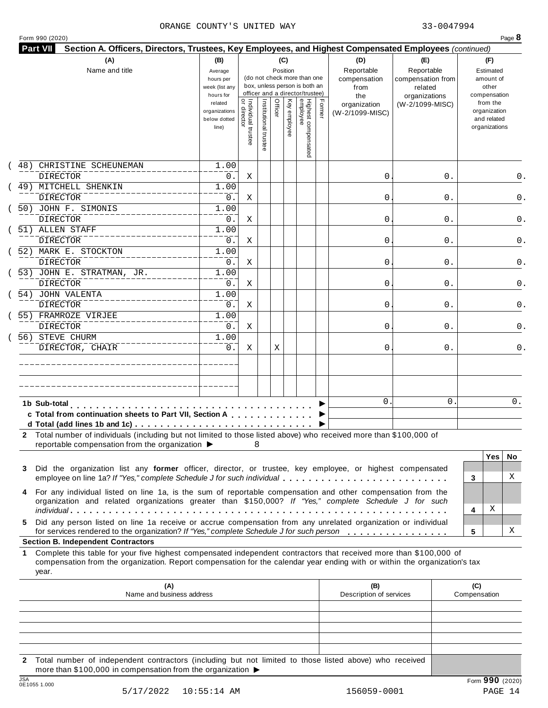|  | Form 990 (2020) |
|--|-----------------|
|  |                 |

| 48)         | CHRISTINE SCHEUNEMAN<br>DIRECTOR                                                                                                                                                                                                                 | related<br>organizations<br>below dotted<br>line) | <br>  Individual trustee<br>  or director | Institutional trustee | Officer |              |                                 |        | the                             | organizations   |                     |                                                          | compensation |
|-------------|--------------------------------------------------------------------------------------------------------------------------------------------------------------------------------------------------------------------------------------------------|---------------------------------------------------|-------------------------------------------|-----------------------|---------|--------------|---------------------------------|--------|---------------------------------|-----------------|---------------------|----------------------------------------------------------|--------------|
|             |                                                                                                                                                                                                                                                  |                                                   |                                           |                       |         | Key employee | Highest compensated<br>employee | Former | organization<br>(W-2/1099-MISC) | (W-2/1099-MISC) |                     | from the<br>organization<br>and related<br>organizations |              |
|             |                                                                                                                                                                                                                                                  | 1.00                                              |                                           |                       |         |              |                                 |        |                                 |                 |                     |                                                          |              |
|             |                                                                                                                                                                                                                                                  | 0.                                                | Χ                                         |                       |         |              |                                 |        | 0                               | 0.              |                     |                                                          | 0.           |
|             | 49) MITCHELL SHENKIN                                                                                                                                                                                                                             | 1.00                                              |                                           |                       |         |              |                                 |        |                                 |                 |                     |                                                          |              |
|             | DIRECTOR                                                                                                                                                                                                                                         | 0.                                                | Χ                                         |                       |         |              |                                 |        | 0                               | 0.              |                     |                                                          | 0.           |
|             | 50) JOHN F. SIMONIS<br><b>DIRECTOR</b>                                                                                                                                                                                                           | 1.00<br>0.                                        |                                           |                       |         |              |                                 |        | 0                               |                 |                     |                                                          |              |
|             | 51) ALLEN STAFF                                                                                                                                                                                                                                  | 1.00                                              | Χ                                         |                       |         |              |                                 |        |                                 | 0.              |                     |                                                          | 0.           |
|             | <b>DIRECTOR</b>                                                                                                                                                                                                                                  | 0.                                                | Χ                                         |                       |         |              |                                 |        | 0                               | 0.              |                     |                                                          | 0.           |
|             | 52) MARK E. STOCKTON                                                                                                                                                                                                                             | 1.00                                              |                                           |                       |         |              |                                 |        |                                 |                 |                     |                                                          |              |
|             | <b>DIRECTOR</b>                                                                                                                                                                                                                                  | 0.                                                | Χ                                         |                       |         |              |                                 |        | 0                               | 0.              |                     |                                                          | 0.           |
|             | 53) JOHN E. STRATMAN, JR.                                                                                                                                                                                                                        | 1.00                                              |                                           |                       |         |              |                                 |        |                                 |                 |                     |                                                          |              |
|             | <b>DIRECTOR</b>                                                                                                                                                                                                                                  | 0.                                                | Χ                                         |                       |         |              |                                 |        | 0                               | 0.              |                     |                                                          | 0.           |
|             | 54) JOHN VALENTA                                                                                                                                                                                                                                 | 1.00                                              |                                           |                       |         |              |                                 |        |                                 |                 |                     |                                                          |              |
|             | <b>DIRECTOR</b>                                                                                                                                                                                                                                  | 0.                                                | Χ                                         |                       |         |              |                                 |        | 0                               | 0.              |                     |                                                          | 0.           |
|             | 55) FRAMROZE VIRJEE                                                                                                                                                                                                                              | 1.00                                              |                                           |                       |         |              |                                 |        |                                 |                 |                     |                                                          |              |
|             | DIRECTOR                                                                                                                                                                                                                                         | 0.                                                | Χ                                         |                       |         |              |                                 |        | 0                               | 0.              |                     |                                                          | 0.           |
|             | 56) STEVE CHURM                                                                                                                                                                                                                                  | 1.00                                              |                                           |                       |         |              |                                 |        |                                 |                 |                     |                                                          |              |
|             | DIRECTOR, CHAIR                                                                                                                                                                                                                                  | $0$ .                                             | Χ                                         |                       | Χ       |              |                                 |        | 0                               | 0.              |                     |                                                          | 0.           |
|             |                                                                                                                                                                                                                                                  |                                                   |                                           |                       |         |              |                                 |        |                                 |                 |                     |                                                          |              |
|             |                                                                                                                                                                                                                                                  |                                                   |                                           |                       |         |              |                                 |        |                                 |                 |                     |                                                          |              |
|             |                                                                                                                                                                                                                                                  |                                                   |                                           |                       |         |              |                                 |        | $\mathbf{0}$                    | 0               |                     |                                                          | 0.           |
|             | 1b Sub-total                                                                                                                                                                                                                                     |                                                   |                                           |                       |         |              |                                 |        |                                 |                 |                     |                                                          |              |
|             | c Total from continuation sheets to Part VII, Section A                                                                                                                                                                                          |                                                   |                                           |                       |         |              |                                 |        |                                 |                 |                     |                                                          |              |
|             | 2 Total number of individuals (including but not limited to those listed above) who received more than \$100,000 of<br>reportable compensation from the organization ▶                                                                           |                                                   |                                           | 8                     |         |              |                                 |        |                                 |                 |                     | <b>Yes</b>                                               | No.          |
| 3           | Did the organization list any former officer, director, or trustee, key employee, or highest compensated<br>employee on line 1a? If "Yes," complete Schedule J for such individual                                                               |                                                   |                                           |                       |         |              |                                 |        |                                 |                 | 3                   |                                                          | X            |
| 4           | For any individual listed on line 1a, is the sum of reportable compensation and other compensation from the<br>organization and related organizations greater than \$150,000? If "Yes," complete Schedule J for such                             |                                                   |                                           |                       |         |              |                                 |        |                                 |                 | 4                   | Χ                                                        |              |
| 5.          | Did any person listed on line 1a receive or accrue compensation from any unrelated organization or individual<br>for services rendered to the organization? If "Yes," complete Schedule J for such person                                        |                                                   |                                           |                       |         |              |                                 |        |                                 |                 | 5                   |                                                          | X            |
|             | <b>Section B. Independent Contractors</b>                                                                                                                                                                                                        |                                                   |                                           |                       |         |              |                                 |        |                                 |                 |                     |                                                          |              |
| 1.<br>year. | Complete this table for your five highest compensated independent contractors that received more than \$100,000 of<br>compensation from the organization. Report compensation for the calendar year ending with or within the organization's tax |                                                   |                                           |                       |         |              |                                 |        |                                 |                 |                     |                                                          |              |
|             | (A)<br>Name and business address                                                                                                                                                                                                                 |                                                   |                                           |                       |         |              |                                 |        | (B)<br>Description of services  |                 | (C)<br>Compensation |                                                          |              |
|             |                                                                                                                                                                                                                                                  |                                                   |                                           |                       |         |              |                                 |        |                                 |                 |                     |                                                          |              |
|             |                                                                                                                                                                                                                                                  |                                                   |                                           |                       |         |              |                                 |        |                                 |                 |                     |                                                          |              |

**2** Total number of independent contractors (including but not limited to those listed above) who received more than \$100,000 in compensation from the organization  $\blacktriangleright$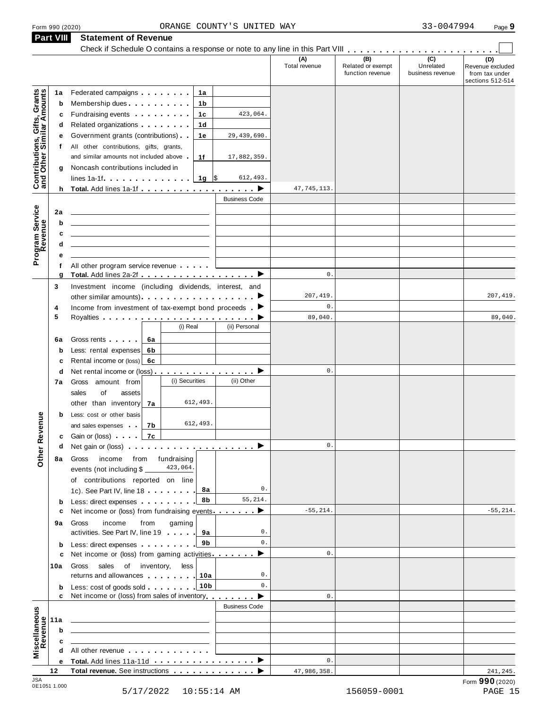# Form <sup>990</sup> (2020) Page **9** ORANGE COUNTY'S UNITED WAY 33-0047994 **Part VIII Statement of Revenue**

|                                                           | Part VIII | Statement of Revenue                                                                                                                                                                                                                       |                      |                      |                                              |                                      |                                                               |
|-----------------------------------------------------------|-----------|--------------------------------------------------------------------------------------------------------------------------------------------------------------------------------------------------------------------------------------------|----------------------|----------------------|----------------------------------------------|--------------------------------------|---------------------------------------------------------------|
|                                                           |           |                                                                                                                                                                                                                                            |                      | (A)<br>Total revenue | (B)<br>Related or exempt<br>function revenue | (C)<br>Unrelated<br>business revenue | (D)<br>Revenue excluded<br>from tax under<br>sections 512-514 |
|                                                           | 1a        | Federated campaigns <b>Federated</b><br>1a                                                                                                                                                                                                 |                      |                      |                                              |                                      |                                                               |
| Contributions, Gifts, Grants<br>and Other Similar Amounts | b         | Membership dues<br>1 b                                                                                                                                                                                                                     |                      |                      |                                              |                                      |                                                               |
|                                                           | с         | Fundraising events [19]<br>1c                                                                                                                                                                                                              | 423,064.             |                      |                                              |                                      |                                                               |
|                                                           | d         | Related organizations <b>and the set of the set of the set of the set of the set of the set of the set of the set of the set of the set of the set of the set of the set of the set of the set of the set of the set of the set </b><br>1d |                      |                      |                                              |                                      |                                                               |
|                                                           | е         | Government grants (contributions)<br>1е                                                                                                                                                                                                    | 29, 439, 690.        |                      |                                              |                                      |                                                               |
|                                                           | f         | All other contributions, gifts, grants,                                                                                                                                                                                                    |                      |                      |                                              |                                      |                                                               |
|                                                           |           | and similar amounts not included above<br>1f                                                                                                                                                                                               | 17,882,359.          |                      |                                              |                                      |                                                               |
|                                                           | g         | Noncash contributions included in                                                                                                                                                                                                          |                      |                      |                                              |                                      |                                                               |
|                                                           |           | lines 1a-1f. $\ldots$ $\ldots$ $\ldots$ $\frac{1}{9}$ \$                                                                                                                                                                                   | 612,493.             |                      |                                              |                                      |                                                               |
|                                                           |           | h Total. Add lines 1a-1f                                                                                                                                                                                                                   | ▸                    | 47,745,113.          |                                              |                                      |                                                               |
|                                                           |           |                                                                                                                                                                                                                                            | <b>Business Code</b> |                      |                                              |                                      |                                                               |
|                                                           | 2a        |                                                                                                                                                                                                                                            |                      |                      |                                              |                                      |                                                               |
| Program Service                                           | b         |                                                                                                                                                                                                                                            |                      |                      |                                              |                                      |                                                               |
|                                                           | c         |                                                                                                                                                                                                                                            |                      |                      |                                              |                                      |                                                               |
|                                                           | d         |                                                                                                                                                                                                                                            |                      |                      |                                              |                                      |                                                               |
|                                                           | е         |                                                                                                                                                                                                                                            |                      |                      |                                              |                                      |                                                               |
|                                                           | f         | All other program service revenue                                                                                                                                                                                                          |                      |                      |                                              |                                      |                                                               |
|                                                           | g         | Total. Add lines 2a-2f ▶                                                                                                                                                                                                                   |                      | $\mathbf 0$ .        |                                              |                                      |                                                               |
|                                                           | 3         | Investment income (including dividends, interest, and                                                                                                                                                                                      |                      | 207,419.             |                                              |                                      | 207,419.                                                      |
|                                                           |           |                                                                                                                                                                                                                                            |                      | $\mathbb O$ .        |                                              |                                      |                                                               |
|                                                           | 4<br>5    | Income from investment of tax-exempt bond proceeds $\blacktriangleright$                                                                                                                                                                   |                      | 89,040.              |                                              |                                      | 89,040.                                                       |
|                                                           |           | (i) Real                                                                                                                                                                                                                                   | (ii) Personal        |                      |                                              |                                      |                                                               |
|                                                           |           |                                                                                                                                                                                                                                            |                      |                      |                                              |                                      |                                                               |
|                                                           | 6a        | Gross rents<br>6a                                                                                                                                                                                                                          |                      |                      |                                              |                                      |                                                               |
|                                                           | b         | Less: rental expenses<br>6b                                                                                                                                                                                                                |                      |                      |                                              |                                      |                                                               |
|                                                           | c         | Rental income or (loss)<br>6c                                                                                                                                                                                                              |                      | $\mathbf 0$ .        |                                              |                                      |                                                               |
|                                                           | d<br>7а   | Net rental income or (loss) $\cdots$ $\cdots$ $\cdots$ $\cdots$ $\cdots$<br>(i) Securities<br>Gross amount from                                                                                                                            | (ii) Other           |                      |                                              |                                      |                                                               |
|                                                           |           | of<br>sales<br>assets                                                                                                                                                                                                                      |                      |                      |                                              |                                      |                                                               |
|                                                           |           | 612,493.<br>other than inventory<br>7a                                                                                                                                                                                                     |                      |                      |                                              |                                      |                                                               |
|                                                           | b         | Less: cost or other basis                                                                                                                                                                                                                  |                      |                      |                                              |                                      |                                                               |
| evenue                                                    |           | 612,493.<br>and sales expenses<br>7b                                                                                                                                                                                                       |                      |                      |                                              |                                      |                                                               |
|                                                           |           | 7c<br><b>c</b> Gain or (loss)                                                                                                                                                                                                              |                      |                      |                                              |                                      |                                                               |
|                                                           | d         |                                                                                                                                                                                                                                            | ▸                    | $\mathsf{0}$ .       |                                              |                                      |                                                               |
| Other <sub>R</sub>                                        | 8а        | fundraising<br>Gross<br>income<br>from                                                                                                                                                                                                     |                      |                      |                                              |                                      |                                                               |
|                                                           |           | 423,064.<br>events (not including \$ _                                                                                                                                                                                                     |                      |                      |                                              |                                      |                                                               |
|                                                           |           | of contributions reported on line                                                                                                                                                                                                          |                      |                      |                                              |                                      |                                                               |
|                                                           |           | 8а<br>1c). See Part IV, line 18                                                                                                                                                                                                            | 0.                   |                      |                                              |                                      |                                                               |
|                                                           | b         | 8b<br>Less: direct expenses extending the set of the set of the set of the set of the set of the set of the set of the set of the set of the set of the set of the set of the set of the set of the set of the set of the set of the       | 55,214.              |                      |                                              |                                      |                                                               |
|                                                           | с         | Net income or (loss) from fundraising events $\ldots$                                                                                                                                                                                      |                      | $-55, 214.$          |                                              |                                      | $-55, 214.$                                                   |
|                                                           | 9а        | income<br>from<br>gaming<br>Gross                                                                                                                                                                                                          |                      |                      |                                              |                                      |                                                               |
|                                                           |           | activities. See Part IV, line 19<br>9а                                                                                                                                                                                                     | 0.                   |                      |                                              |                                      |                                                               |
|                                                           | b         | 9b<br>Less: direct expenses                                                                                                                                                                                                                | $0$ .                |                      |                                              |                                      |                                                               |
|                                                           | c         | Net income or (loss) from gaming activities                                                                                                                                                                                                | ▶                    | $\mathbf{0}$ .       |                                              |                                      |                                                               |
|                                                           | 10a       | less<br>Gross sales of inventory,                                                                                                                                                                                                          |                      |                      |                                              |                                      |                                                               |
|                                                           |           | returns and allowances   10a                                                                                                                                                                                                               | 0.                   |                      |                                              |                                      |                                                               |
|                                                           | b         | 10 <sub>b</sub><br>Less: cost of goods sold                                                                                                                                                                                                | 0.                   |                      |                                              |                                      |                                                               |
|                                                           | c         | Net income or (loss) from sales of inventory                                                                                                                                                                                               | ▸                    | $\mathbb O$ .        |                                              |                                      |                                                               |
|                                                           |           |                                                                                                                                                                                                                                            | <b>Business Code</b> |                      |                                              |                                      |                                                               |
|                                                           | 11a       | <u> 1989 - Johann Stein, mars an deutscher Stein und der Stein und der Stein und der Stein und der Stein und der</u>                                                                                                                       |                      |                      |                                              |                                      |                                                               |
|                                                           | b         | <u> 1989 - Johann Stein, mars an deus Amerikaansk kommunister (</u>                                                                                                                                                                        |                      |                      |                                              |                                      |                                                               |
| Revenue                                                   | c         |                                                                                                                                                                                                                                            |                      |                      |                                              |                                      |                                                               |
| Miscellaneous                                             | d         | All other revenue experience and the state of the state of the state of the state of the state of the state of                                                                                                                             |                      |                      |                                              |                                      |                                                               |
|                                                           | е         |                                                                                                                                                                                                                                            |                      | $\mathbb O$ .        |                                              |                                      |                                                               |
| 10A                                                       | 12        | Total revenue. See instructions                                                                                                                                                                                                            |                      | 47,986,358.          |                                              |                                      | 241,245.                                                      |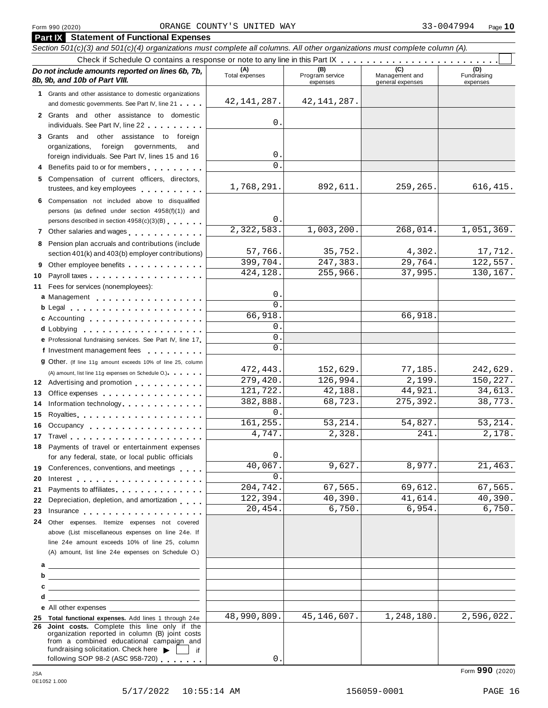### Form <sup>990</sup> (2020) Page **10** ORANGE COUNTY'S UNITED WAY 33-0047994 **Part IX Statement of Functional Expenses**

|          | <b>Painty</b> Statement of Functional Expenses<br>Section 501(c)(3) and 501(c)(4) organizations must complete all columns. All other organizations must complete column (A).                                                                                                                |                       |                                    |                                           |                                |
|----------|---------------------------------------------------------------------------------------------------------------------------------------------------------------------------------------------------------------------------------------------------------------------------------------------|-----------------------|------------------------------------|-------------------------------------------|--------------------------------|
|          |                                                                                                                                                                                                                                                                                             |                       |                                    |                                           |                                |
|          | Do not include amounts reported on lines 6b, 7b,<br>8b, 9b, and 10b of Part VIII.                                                                                                                                                                                                           | (A)<br>Total expenses | (B)<br>Program service<br>expenses | (C)<br>Management and<br>general expenses | (D)<br>Fundraising<br>expenses |
|          | 1 Grants and other assistance to domestic organizations<br>and domestic governments. See Part IV, line 21                                                                                                                                                                                   | 42, 141, 287.         | 42, 141, 287.                      |                                           |                                |
|          | 2 Grants and other assistance to domestic<br>individuals. See Part IV, line 22                                                                                                                                                                                                              | 0                     |                                    |                                           |                                |
|          | 3 Grants and other assistance to foreign<br>foreign<br>organizations,<br>governments,<br>and                                                                                                                                                                                                |                       |                                    |                                           |                                |
|          | foreign individuals. See Part IV, lines 15 and 16<br>4 Benefits paid to or for members                                                                                                                                                                                                      | 0<br>$\Omega$         |                                    |                                           |                                |
|          | 5 Compensation of current officers, directors,<br>trustees, and key employees                                                                                                                                                                                                               | 1,768,291.            | 892,611.                           | 259,265.                                  | 616,415.                       |
|          | 6 Compensation not included above to disqualified<br>persons (as defined under section 4958(f)(1)) and<br>persons described in section 4958(c)(3)(B)                                                                                                                                        | 0                     |                                    |                                           |                                |
|          | 7 Other salaries and wages                                                                                                                                                                                                                                                                  | 2,322,583.            | 1,003,200.                         | 268,014.                                  | 1,051,369.                     |
|          | 8 Pension plan accruals and contributions (include<br>section 401(k) and 403(b) employer contributions)                                                                                                                                                                                     | 57,766.               | 35,752.                            | 4,302.                                    | 17,712.                        |
| 9        | Other employee benefits                                                                                                                                                                                                                                                                     | 399,704.<br>424,128.  | 247,383.<br>255,966.               | 29,764.<br>37,995.                        | 122,557.<br>130,167.           |
| 10       | 11 Fees for services (nonemployees):<br>a Management experience a management                                                                                                                                                                                                                | 0                     |                                    |                                           |                                |
|          | b Legal entering the service of the service of the service of the service of the service of the service of the                                                                                                                                                                              | $\Omega$              |                                    |                                           |                                |
|          | c Accounting experience and the control of the control of the control of the control of the control of the control of the control of the control of the control of the control of the control of the control of the control of                                                              | 66,918<br>0           |                                    | 66,918.                                   |                                |
|          | d Lobbying entering the service of the local contract of the local contract of the local contract of the local contract of the local contract of the local contract of the local contract of the local contract of the local c<br>e Professional fundraising services. See Part IV, line 17 | 0                     |                                    |                                           |                                |
|          | f Investment management fees                                                                                                                                                                                                                                                                | $\Omega$              |                                    |                                           |                                |
|          | <b>g</b> Other. (If line 11g amount exceeds 10% of line 25, column                                                                                                                                                                                                                          | 472,443.              | 152,629.                           | 77,185.                                   | 242,629.                       |
|          | (A) amount, list line 11g expenses on Schedule O.) expenses                                                                                                                                                                                                                                 | 279,420.              | 126,994.                           | 2,199.                                    | 150,227.                       |
| 13       | Office expenses example and the set of the set of the set of the set of the set of the set of the set of the set of the set of the set of the set of the set of the set of the set of the set of the set of the set of the set                                                              | 121,722.              | 42,188.                            | 44,921.                                   | 34,613.                        |
| 14       | Information technology.                                                                                                                                                                                                                                                                     | 382,888.              | 68,723.                            | 275,392.                                  | 38,773.                        |
| 15       | Royalties <b>Royalties Royalties Royalties Royalties Royalties Royalties Royalties Royalties Royalties Royalties Royalties Royalties Royalties Royalties Royalties Royalties Royalties Royalti</b>                                                                                          | $\Omega$<br>161,255.  | 53, 214.                           | 54,827.                                   | 53, 214.                       |
| 16       | Occupancy entertainment and the contract of the contract of the contract of the contract of the contract of the                                                                                                                                                                             | 4,747.                | 2,328.                             | 241.                                      | 2,178.                         |
|          | 17 Travel<br>.<br>18 Payments of travel or entertainment expenses<br>for any federal, state, or local public officials                                                                                                                                                                      | 0                     |                                    |                                           |                                |
|          | 19 Conferences, conventions, and meetings                                                                                                                                                                                                                                                   | 40,067.               | 9,627.                             | 8,977.                                    | 21,463.                        |
| 20       | Interest experience and the contract of the contract of the contract of the contract of the contract of the contract of the contract of the contract of the contract of the contract of the contract of the contract of the co                                                              | $\Omega$              |                                    |                                           |                                |
| 21       | Payments to affiliates experience and the payments to affiliate such a set of the set of the set of the set of the set of the set of the set of the set of the set of the set of the set of the set of the set of the set of t                                                              | 204,742.<br>122, 394. | 67,565.<br>40,390.                 | 69,612.<br>41,614.                        | 67,565.                        |
| 22       | Depreciation, depletion, and amortization                                                                                                                                                                                                                                                   | 20,454.               | 6,750.                             | 6,954.                                    | 40,390.<br>6,750.              |
| 23<br>24 | Insurance <b>All According to the Contract of the Contract of the Contract of the Contract of the Contract of the Contract of the Contract of the Contract of the Contract of the Contract of the Contract of the Contract of th</b><br>Other expenses. Itemize expenses not covered        |                       |                                    |                                           |                                |
|          | above (List miscellaneous expenses on line 24e. If                                                                                                                                                                                                                                          |                       |                                    |                                           |                                |
|          | line 24e amount exceeds 10% of line 25, column<br>(A) amount, list line 24e expenses on Schedule O.)                                                                                                                                                                                        |                       |                                    |                                           |                                |
|          |                                                                                                                                                                                                                                                                                             |                       |                                    |                                           |                                |
|          |                                                                                                                                                                                                                                                                                             |                       |                                    |                                           |                                |
| d        | <u> 1989 - Johann Stein, mars an de Brazilia (b. 1989)</u>                                                                                                                                                                                                                                  |                       |                                    |                                           |                                |
|          | e All other expenses expenses                                                                                                                                                                                                                                                               |                       |                                    |                                           |                                |
|          | 25 Total functional expenses. Add lines 1 through 24e                                                                                                                                                                                                                                       | 48,990,809.           | 45, 146, 607.                      | 1,248,180.                                | 2,596,022.                     |
|          | 26 Joint costs. Complete this line only if the<br>organization reported in column (B) joint costs<br>from a combined educational campaign and<br>fundraising solicitation. Check here $\blacktriangleright$<br>if                                                                           |                       |                                    |                                           |                                |
|          | following SOP 98-2 (ASC 958-720)                                                                                                                                                                                                                                                            | 0.                    |                                    |                                           |                                |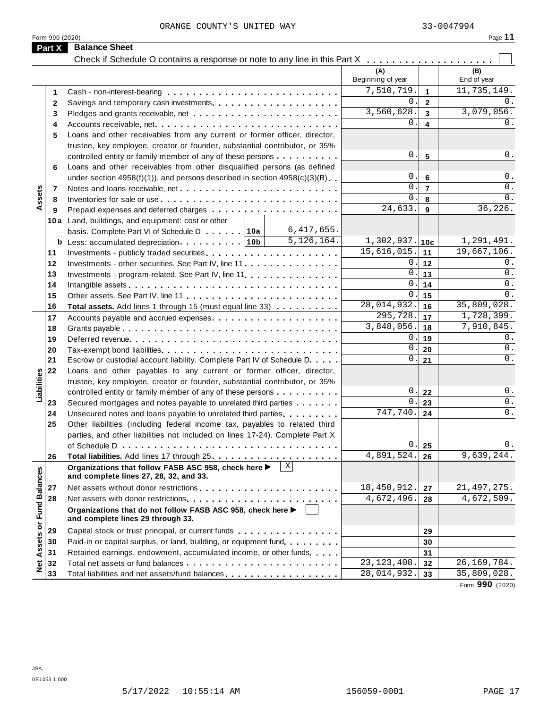| Form 990 (2020)      |                                                                                                      |                            |                         | Page 11             |
|----------------------|------------------------------------------------------------------------------------------------------|----------------------------|-------------------------|---------------------|
| Part X               | <b>Balance Sheet</b>                                                                                 |                            |                         |                     |
|                      | Check if Schedule O contains a response or note to any line in this Part X                           |                            |                         |                     |
|                      |                                                                                                      | (A)<br>Beginning of year   |                         | (B)<br>End of year  |
| 1                    |                                                                                                      | 7,510,719.                 | $\blacktriangleleft$    | 11,735,149.         |
| $\mathbf{2}$         |                                                                                                      | 0.                         | $\overline{2}$          | 0.                  |
| 3                    |                                                                                                      | 3,560,628.                 | $\mathbf{3}$            | 3,079,056.          |
| 4                    |                                                                                                      | 0.                         | $\overline{\mathbf{4}}$ | 0.                  |
| 5                    | Loans and other receivables from any current or former officer, director,                            |                            |                         |                     |
|                      | trustee, key employee, creator or founder, substantial contributor, or 35%                           |                            |                         |                     |
|                      | controlled entity or family member of any of these persons                                           | 0.                         | $5\phantom{1}$          | 0.                  |
| 6                    | Loans and other receivables from other disqualified persons (as defined                              |                            |                         |                     |
|                      | under section $4958(f)(1)$ , and persons described in section $4958(c)(3)(B)$                        | 0.                         | $6\phantom{1}6$         | 0.                  |
| 7                    |                                                                                                      | 0.                         | $\overline{7}$          | 0.                  |
| Assets<br>8          |                                                                                                      | 0.                         | 8                       | 0.                  |
| 9                    |                                                                                                      | 24,633.                    | 9                       | 36,226.             |
|                      | 10a Land, buildings, and equipment: cost or other                                                    |                            |                         |                     |
|                      | 6,417,655.<br>basis. Complete Part VI of Schedule D 10a                                              |                            |                         |                     |
|                      | 5,126,164.                                                                                           | $1,302,937.$ 10c           |                         | 1,291,491.          |
| 11                   |                                                                                                      | 15,616,015.                | 11                      | 19,667,106.         |
| 12                   |                                                                                                      | 0.1                        | $12$                    | 0.                  |
|                      | Investments - other securities. See Part IV, line 11.                                                | $0$ .                      |                         | 0.                  |
| 13                   | Investments - program-related. See Part IV, line 11.                                                 | 0.                         | 13                      | 0.                  |
| 14                   |                                                                                                      | $0$ .                      | 14                      | $0$ .               |
| 15                   |                                                                                                      | 28,014,932.                | 15                      | 35,809,028.         |
| 16                   | Total assets. Add lines 1 through 15 (must equal line 33)                                            | 295,728.                   | 16                      | 1,728,399.          |
| 17                   |                                                                                                      | 3,848,056.                 | 17                      | 7,910,845.          |
| 18                   |                                                                                                      |                            | 18                      |                     |
| 19                   |                                                                                                      | 0.<br>0.                   | 19                      | 0.                  |
| 20                   |                                                                                                      |                            | 20                      | 0.                  |
| 21                   | Escrow or custodial account liability. Complete Part IV of Schedule D.                               | 0.1                        | 21                      | $0$ .               |
| 22                   | Loans and other payables to any current or former officer, director,                                 |                            |                         |                     |
| Liabilities          | trustee, key employee, creator or founder, substantial contributor, or 35%                           |                            |                         |                     |
|                      | controlled entity or family member of any of these persons                                           | $\boldsymbol{0}$ .         | 22                      | $0$ .               |
| 23                   | Secured mortgages and notes payable to unrelated third parties                                       | 0.                         | 23                      | $0$ .               |
| 24                   | Unsecured notes and loans payable to unrelated third parties                                         | 747,740.                   | 24                      | 0.                  |
| 25                   | Other liabilities (including federal income tax, payables to related third                           |                            |                         |                     |
|                      | parties, and other liabilities not included on lines 17-24). Complete Part X                         |                            |                         |                     |
|                      |                                                                                                      | 0.                         | 25                      | $0$ .               |
| 26                   |                                                                                                      | 4,891,524.                 | 26                      | 9,639,244.          |
|                      | X <br>Organizations that follow FASB ASC 958, check here ><br>and complete lines 27, 28, 32, and 33. |                            |                         |                     |
| 27                   |                                                                                                      | 18,450,912.                | 27                      | 21, 497, 275.       |
| 28                   |                                                                                                      | 4,672,496.                 | 28                      | 4,672,509.          |
| <b>Fund Balances</b> | Organizations that do not follow FASB ASC 958, check here ▶<br>and complete lines 29 through 33.     |                            |                         |                     |
|                      |                                                                                                      |                            |                         |                     |
| 29                   | Capital stock or trust principal, or current funds                                                   |                            | 29                      |                     |
| Assets or<br>30      | Paid-in or capital surplus, or land, building, or equipment fund.                                    |                            | 30                      |                     |
| 31                   | Retained earnings, endowment, accumulated income, or other funds                                     |                            | 31                      |                     |
| <b>Det</b><br>32     |                                                                                                      | $\overline{23,123}$ , 408. | 32                      | 26, 169, 784.       |
| 33                   | Total liabilities and net assets/fund balances                                                       | 28,014,932.                | 33                      | 35,809,028.<br>0.00 |

Form **990** (2020)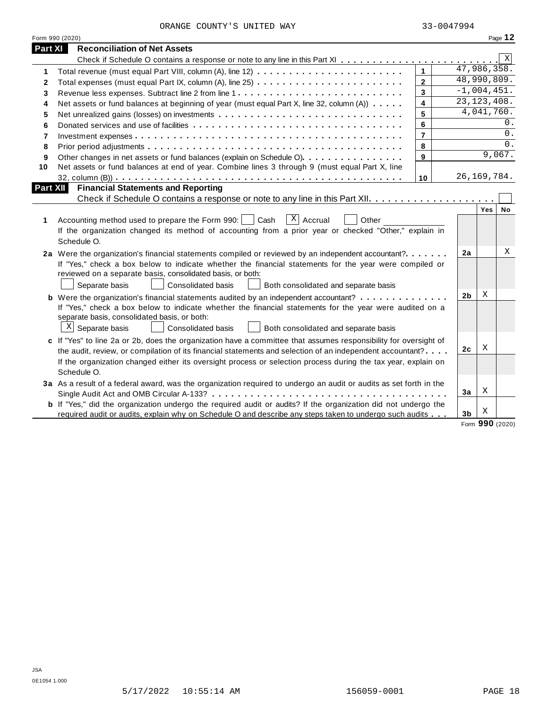|  | ORANGE COUNTY'S UNITED WAY |  |
|--|----------------------------|--|
|  |                            |  |

|          | Form 990 (2020)                                                                                                                                                                                                                                                                                                                                                   |                |                |               | Page 12 |
|----------|-------------------------------------------------------------------------------------------------------------------------------------------------------------------------------------------------------------------------------------------------------------------------------------------------------------------------------------------------------------------|----------------|----------------|---------------|---------|
| Part XI  | <b>Reconciliation of Net Assets</b>                                                                                                                                                                                                                                                                                                                               |                |                |               |         |
|          |                                                                                                                                                                                                                                                                                                                                                                   |                |                |               | Χ       |
| 1        |                                                                                                                                                                                                                                                                                                                                                                   | $\mathbf{1}$   |                | 47,986,358.   |         |
| 2        |                                                                                                                                                                                                                                                                                                                                                                   | $\overline{2}$ |                | 48,990,809.   |         |
| 3        |                                                                                                                                                                                                                                                                                                                                                                   | $\mathbf{3}$   |                | $-1,004,451.$ |         |
| 4        | Net assets or fund balances at beginning of year (must equal Part X, line 32, column (A))                                                                                                                                                                                                                                                                         | $\overline{4}$ |                | 23, 123, 408. |         |
| 5        |                                                                                                                                                                                                                                                                                                                                                                   | 5              |                | 4,041,760.    |         |
| 6        |                                                                                                                                                                                                                                                                                                                                                                   | 6              |                |               | 0.      |
| 7        |                                                                                                                                                                                                                                                                                                                                                                   | $\overline{7}$ |                |               | $0$ .   |
| 8        |                                                                                                                                                                                                                                                                                                                                                                   | 8              |                |               | $0$ .   |
| 9        | Other changes in net assets or fund balances (explain on Schedule O).                                                                                                                                                                                                                                                                                             | 9              |                |               | 9,067.  |
| 10       | Net assets or fund balances at end of year. Combine lines 3 through 9 (must equal Part X, line                                                                                                                                                                                                                                                                    |                |                |               |         |
|          |                                                                                                                                                                                                                                                                                                                                                                   | 10             |                | 26, 169, 784. |         |
| Part XII | <b>Financial Statements and Reporting</b>                                                                                                                                                                                                                                                                                                                         |                |                |               |         |
|          |                                                                                                                                                                                                                                                                                                                                                                   |                |                |               |         |
| 1        | $X$ Accrual<br>Accounting method used to prepare the Form 990:     Cash<br>Other<br>If the organization changed its method of accounting from a prior year or checked "Other," explain in<br>Schedule O.                                                                                                                                                          |                |                | Yes           | No      |
|          | 2a Were the organization's financial statements compiled or reviewed by an independent accountant?<br>If "Yes," check a box below to indicate whether the financial statements for the year were compiled or<br>reviewed on a separate basis, consolidated basis, or both:<br>Separate basis<br><b>Consolidated basis</b><br>Both consolidated and separate basis |                | 2a             |               | Χ       |
|          | <b>b</b> Were the organization's financial statements audited by an independent accountant?                                                                                                                                                                                                                                                                       |                | 2b             | Χ             |         |
|          | If "Yes," check a box below to indicate whether the financial statements for the year were audited on a<br>separate basis, consolidated basis, or both:<br>$\mathbb{X}$ Separate basis<br>Consolidated basis<br>Both consolidated and separate basis                                                                                                              |                |                |               |         |
|          | c If "Yes" to line 2a or 2b, does the organization have a committee that assumes responsibility for oversight of                                                                                                                                                                                                                                                  |                |                |               |         |
|          | the audit, review, or compilation of its financial statements and selection of an independent accountant?                                                                                                                                                                                                                                                         |                | 2c             | Χ             |         |
|          | If the organization changed either its oversight process or selection process during the tax year, explain on<br>Schedule O.                                                                                                                                                                                                                                      |                |                |               |         |
|          | 3a As a result of a federal award, was the organization required to undergo an audit or audits as set forth in the                                                                                                                                                                                                                                                |                |                |               |         |
|          |                                                                                                                                                                                                                                                                                                                                                                   |                | 3a             | Χ             |         |
|          | <b>b</b> If "Yes," did the organization undergo the required audit or audits? If the organization did not undergo the<br>required audit or audits, explain why on Schedule O and describe any steps taken to undergo such audits                                                                                                                                  |                | 3 <sub>b</sub> | Χ             |         |
|          |                                                                                                                                                                                                                                                                                                                                                                   |                |                |               |         |

Form **990** (2020)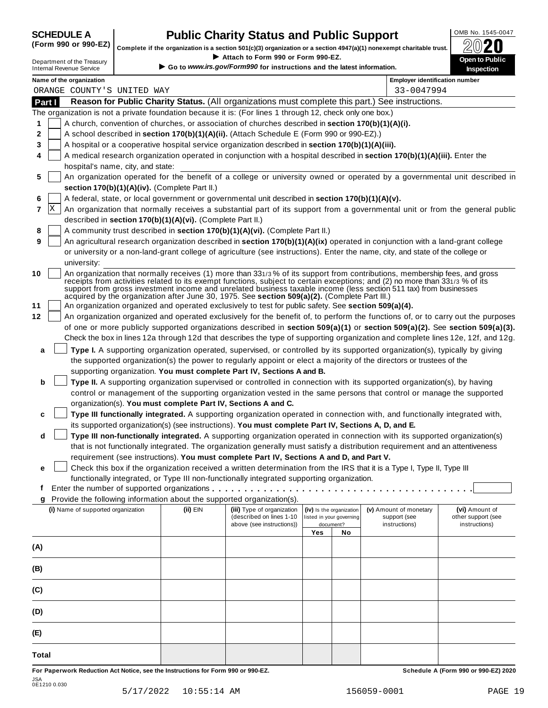# **CHEDULE A Public Charity Status and Public Support**  $\frac{100\text{dB No. }1545-0047}{000\text{dB No.}}$

(Form 990 or 990-EZ) complete if the organization is a section 501(c)(3) organization or a section 4947(a)(1) nonexempt charitable trust.  $2020$ 

|        |   |                                                               |                                                            | Attach to Form 990 or Form 990-EZ.                                                                        |     |                                       | Complete if the organization is a section 501(c)(3) organization or a section $4947(a)(1)$ nonexempt charitable trust.                                                                                                                                                                                                                                                         | BWŁU                                                                                                                             |
|--------|---|---------------------------------------------------------------|------------------------------------------------------------|-----------------------------------------------------------------------------------------------------------|-----|---------------------------------------|--------------------------------------------------------------------------------------------------------------------------------------------------------------------------------------------------------------------------------------------------------------------------------------------------------------------------------------------------------------------------------|----------------------------------------------------------------------------------------------------------------------------------|
|        |   | Department of the Treasury<br><b>Internal Revenue Service</b> |                                                            | Go to www.irs.gov/Form990 for instructions and the latest information.                                    |     |                                       |                                                                                                                                                                                                                                                                                                                                                                                | Open to Public<br>Inspection                                                                                                     |
|        |   | Name of the organization                                      |                                                            |                                                                                                           |     |                                       | <b>Employer identification number</b>                                                                                                                                                                                                                                                                                                                                          |                                                                                                                                  |
|        |   | ORANGE COUNTY'S UNITED WAY                                    |                                                            |                                                                                                           |     |                                       | 33-0047994                                                                                                                                                                                                                                                                                                                                                                     |                                                                                                                                  |
| Part I |   |                                                               |                                                            |                                                                                                           |     |                                       | Reason for Public Charity Status. (All organizations must complete this part.) See instructions.                                                                                                                                                                                                                                                                               |                                                                                                                                  |
|        |   |                                                               |                                                            | The organization is not a private foundation because it is: (For lines 1 through 12, check only one box.) |     |                                       |                                                                                                                                                                                                                                                                                                                                                                                |                                                                                                                                  |
| 1      |   |                                                               |                                                            | A church, convention of churches, or association of churches described in section 170(b)(1)(A)(i).        |     |                                       |                                                                                                                                                                                                                                                                                                                                                                                |                                                                                                                                  |
| 2      |   |                                                               |                                                            | A school described in section 170(b)(1)(A)(ii). (Attach Schedule E (Form 990 or 990-EZ).)                 |     |                                       |                                                                                                                                                                                                                                                                                                                                                                                |                                                                                                                                  |
| 3      |   |                                                               |                                                            | A hospital or a cooperative hospital service organization described in section 170(b)(1)(A)(iii).         |     |                                       |                                                                                                                                                                                                                                                                                                                                                                                |                                                                                                                                  |
| 4      |   |                                                               |                                                            |                                                                                                           |     |                                       | A medical research organization operated in conjunction with a hospital described in section 170(b)(1)(A)(iii). Enter the                                                                                                                                                                                                                                                      |                                                                                                                                  |
|        |   | hospital's name, city, and state:                             |                                                            |                                                                                                           |     |                                       |                                                                                                                                                                                                                                                                                                                                                                                |                                                                                                                                  |
| 5      |   |                                                               |                                                            |                                                                                                           |     |                                       |                                                                                                                                                                                                                                                                                                                                                                                | An organization operated for the benefit of a college or university owned or operated by a governmental unit described in        |
|        |   |                                                               | section 170(b)(1)(A)(iv). (Complete Part II.)              |                                                                                                           |     |                                       |                                                                                                                                                                                                                                                                                                                                                                                |                                                                                                                                  |
| 6      |   |                                                               |                                                            | A federal, state, or local government or governmental unit described in section 170(b)(1)(A)(v).          |     |                                       |                                                                                                                                                                                                                                                                                                                                                                                |                                                                                                                                  |
| 7      | X |                                                               |                                                            |                                                                                                           |     |                                       |                                                                                                                                                                                                                                                                                                                                                                                | An organization that normally receives a substantial part of its support from a governmental unit or from the general public     |
|        |   |                                                               | described in section 170(b)(1)(A)(vi). (Complete Part II.) |                                                                                                           |     |                                       |                                                                                                                                                                                                                                                                                                                                                                                |                                                                                                                                  |
| 8      |   |                                                               |                                                            | A community trust described in section 170(b)(1)(A)(vi). (Complete Part II.)                              |     |                                       |                                                                                                                                                                                                                                                                                                                                                                                |                                                                                                                                  |
| 9      |   |                                                               |                                                            |                                                                                                           |     |                                       | An agricultural research organization described in section 170(b)(1)(A)(ix) operated in conjunction with a land-grant college                                                                                                                                                                                                                                                  |                                                                                                                                  |
|        |   |                                                               |                                                            |                                                                                                           |     |                                       | or university or a non-land-grant college of agriculture (see instructions). Enter the name, city, and state of the college or                                                                                                                                                                                                                                                 |                                                                                                                                  |
|        |   | university:                                                   |                                                            |                                                                                                           |     |                                       |                                                                                                                                                                                                                                                                                                                                                                                |                                                                                                                                  |
| 10     |   |                                                               |                                                            | acquired by the organization after June 30, 1975. See section 509(a)(2). (Complete Part III.)             |     |                                       | An organization that normally receives (1) more than 331/3% of its support from contributions, membership fees, and gross<br>receipts from activities related to its exempt functions, subject to certain exceptions; and (2) no more than 331/3 % of its<br>support from gross investment income and unrelated business taxable income (less section 511 tax) from businesses |                                                                                                                                  |
| 11     |   |                                                               |                                                            | An organization organized and operated exclusively to test for public safety. See section 509(a)(4).      |     |                                       |                                                                                                                                                                                                                                                                                                                                                                                |                                                                                                                                  |
| 12     |   |                                                               |                                                            |                                                                                                           |     |                                       |                                                                                                                                                                                                                                                                                                                                                                                | An organization organized and operated exclusively for the benefit of, to perform the functions of, or to carry out the purposes |
|        |   |                                                               |                                                            |                                                                                                           |     |                                       |                                                                                                                                                                                                                                                                                                                                                                                | of one or more publicly supported organizations described in section 509(a)(1) or section 509(a)(2). See section 509(a)(3).      |
|        |   |                                                               |                                                            |                                                                                                           |     |                                       |                                                                                                                                                                                                                                                                                                                                                                                | Check the box in lines 12a through 12d that describes the type of supporting organization and complete lines 12e, 12f, and 12g.  |
| a      |   |                                                               |                                                            |                                                                                                           |     |                                       | Type I. A supporting organization operated, supervised, or controlled by its supported organization(s), typically by giving                                                                                                                                                                                                                                                    |                                                                                                                                  |
|        |   |                                                               |                                                            |                                                                                                           |     |                                       | the supported organization(s) the power to regularly appoint or elect a majority of the directors or trustees of the                                                                                                                                                                                                                                                           |                                                                                                                                  |
|        |   |                                                               |                                                            | supporting organization. You must complete Part IV, Sections A and B.                                     |     |                                       |                                                                                                                                                                                                                                                                                                                                                                                |                                                                                                                                  |
| b      |   |                                                               |                                                            |                                                                                                           |     |                                       | Type II. A supporting organization supervised or controlled in connection with its supported organization(s), by having                                                                                                                                                                                                                                                        |                                                                                                                                  |
|        |   |                                                               |                                                            |                                                                                                           |     |                                       | control or management of the supporting organization vested in the same persons that control or manage the supported                                                                                                                                                                                                                                                           |                                                                                                                                  |
|        |   |                                                               |                                                            | organization(s). You must complete Part IV, Sections A and C.                                             |     |                                       |                                                                                                                                                                                                                                                                                                                                                                                |                                                                                                                                  |
| c      |   |                                                               |                                                            |                                                                                                           |     |                                       | Type III functionally integrated. A supporting organization operated in connection with, and functionally integrated with,                                                                                                                                                                                                                                                     |                                                                                                                                  |
|        |   |                                                               |                                                            | its supported organization(s) (see instructions). You must complete Part IV, Sections A, D, and E.        |     |                                       |                                                                                                                                                                                                                                                                                                                                                                                |                                                                                                                                  |
| d      |   |                                                               |                                                            |                                                                                                           |     |                                       | Type III non-functionally integrated. A supporting organization operated in connection with its supported organization(s)                                                                                                                                                                                                                                                      |                                                                                                                                  |
|        |   |                                                               |                                                            |                                                                                                           |     |                                       | that is not functionally integrated. The organization generally must satisfy a distribution requirement and an attentiveness                                                                                                                                                                                                                                                   |                                                                                                                                  |
|        |   |                                                               |                                                            | requirement (see instructions). You must complete Part IV, Sections A and D, and Part V.                  |     |                                       |                                                                                                                                                                                                                                                                                                                                                                                |                                                                                                                                  |
| е      |   |                                                               |                                                            |                                                                                                           |     |                                       | Check this box if the organization received a written determination from the IRS that it is a Type I, Type II, Type III                                                                                                                                                                                                                                                        |                                                                                                                                  |
|        |   |                                                               |                                                            | functionally integrated, or Type III non-functionally integrated supporting organization.                 |     |                                       |                                                                                                                                                                                                                                                                                                                                                                                |                                                                                                                                  |
| t      |   |                                                               |                                                            |                                                                                                           |     |                                       |                                                                                                                                                                                                                                                                                                                                                                                |                                                                                                                                  |
| g      |   |                                                               |                                                            | Provide the following information about the supported organization(s).                                    |     |                                       |                                                                                                                                                                                                                                                                                                                                                                                |                                                                                                                                  |
|        |   | (i) Name of supported organization                            | (ii) EIN                                                   | (iii) Type of organization                                                                                |     | (iv) Is the organization              | (v) Amount of monetary                                                                                                                                                                                                                                                                                                                                                         | (vi) Amount of                                                                                                                   |
|        |   |                                                               |                                                            | (described on lines 1-10<br>above (see instructions))                                                     |     | listed in your governing<br>document? | support (see<br>instructions)                                                                                                                                                                                                                                                                                                                                                  | other support (see<br>instructions)                                                                                              |
|        |   |                                                               |                                                            |                                                                                                           | Yes | No                                    |                                                                                                                                                                                                                                                                                                                                                                                |                                                                                                                                  |
| (A)    |   |                                                               |                                                            |                                                                                                           |     |                                       |                                                                                                                                                                                                                                                                                                                                                                                |                                                                                                                                  |
|        |   |                                                               |                                                            |                                                                                                           |     |                                       |                                                                                                                                                                                                                                                                                                                                                                                |                                                                                                                                  |
| (B)    |   |                                                               |                                                            |                                                                                                           |     |                                       |                                                                                                                                                                                                                                                                                                                                                                                |                                                                                                                                  |
| (C)    |   |                                                               |                                                            |                                                                                                           |     |                                       |                                                                                                                                                                                                                                                                                                                                                                                |                                                                                                                                  |
| (D)    |   |                                                               |                                                            |                                                                                                           |     |                                       |                                                                                                                                                                                                                                                                                                                                                                                |                                                                                                                                  |
|        |   |                                                               |                                                            |                                                                                                           |     |                                       |                                                                                                                                                                                                                                                                                                                                                                                |                                                                                                                                  |
| (E)    |   |                                                               |                                                            |                                                                                                           |     |                                       |                                                                                                                                                                                                                                                                                                                                                                                |                                                                                                                                  |
| Total  |   |                                                               |                                                            |                                                                                                           |     |                                       |                                                                                                                                                                                                                                                                                                                                                                                |                                                                                                                                  |

For Paperwork Reduction Act Notice, see the Instructions for Form 990 or 990-EZ. Schedule A (Form 990 or 990-EZ) 2020 JSA 0E1210 0.030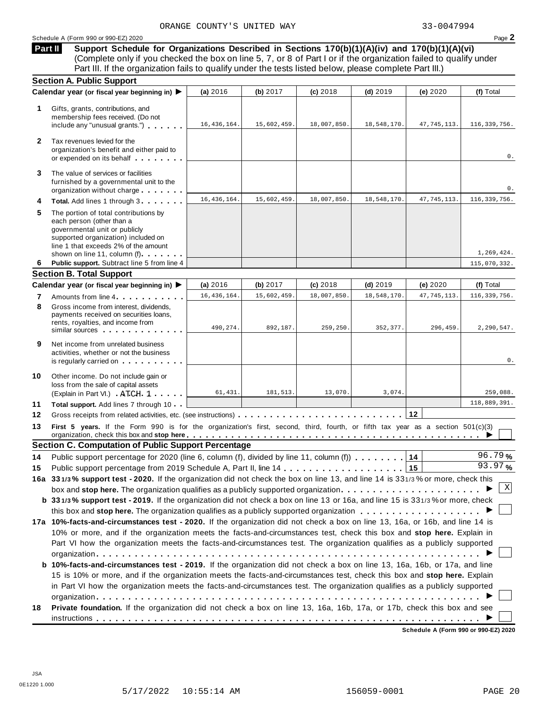# Schedule <sup>A</sup> (Form <sup>990</sup> or 990-EZ) <sup>2020</sup> Page **2**

**Support Schedule for Organizations Described in Sections 170(b)(1)(A)(iv) and 170(b)(1)(A)(vi)** (Complete only if you checked the box on line 5, 7, or 8 of Part I or if the organization failed to qualify under Part III. If the organization fails to qualify under the tests listed below, please complete Part III.) **Part II**

|              | <b>Section A. Public Support</b>                                                                                                                                                                                   |               |             |             |             |               |                |
|--------------|--------------------------------------------------------------------------------------------------------------------------------------------------------------------------------------------------------------------|---------------|-------------|-------------|-------------|---------------|----------------|
|              | Calendar year (or fiscal year beginning in) ▶                                                                                                                                                                      | (a) 2016      | (b) $2017$  | (c) 2018    | $(d)$ 2019  | (e) $2020$    | (f) Total      |
| 1            | Gifts, grants, contributions, and<br>membership fees received. (Do not<br>include any "unusual grants.")                                                                                                           | 16, 436, 164. | 15,602,459. | 18,007,850. | 18,548,170. | 47, 745, 113. | 116,339,756.   |
| $\mathbf{2}$ | Tax revenues levied for the<br>organization's benefit and either paid to<br>or expended on its behalf                                                                                                              |               |             |             |             |               | 0.             |
| 3            | The value of services or facilities<br>furnished by a governmental unit to the<br>organization without charge                                                                                                      |               |             |             |             |               | 0.             |
| 4            | Total. Add lines 1 through 3                                                                                                                                                                                       | 16, 436, 164. | 15,602,459. | 18,007,850  | 18,548,170. | 47, 745, 113. | 116, 339, 756. |
| 5            | The portion of total contributions by<br>each person (other than a<br>governmental unit or publicly<br>supported organization) included on<br>line 1 that exceeds 2% of the amount<br>shown on line 11, column (f) |               |             |             |             |               | 1,269,424.     |
| 6            | Public support. Subtract line 5 from line 4                                                                                                                                                                        |               |             |             |             |               | 115,070,332.   |
|              | <b>Section B. Total Support</b>                                                                                                                                                                                    |               |             |             |             |               |                |
|              | Calendar year (or fiscal year beginning in) ▶                                                                                                                                                                      | (a) 2016      | (b) $2017$  | (c) 2018    | $(d)$ 2019  | (e) $2020$    | (f) Total      |
| 7            | Amounts from line 4                                                                                                                                                                                                | 16, 436, 164. | 15,602,459  | 18,007,850  | 18,548,170  | 47, 745, 113. | 116, 339, 756. |
| 8            | Gross income from interest, dividends,<br>payments received on securities loans,<br>rents, royalties, and income from<br>similar sources experiences                                                               | 490,274.      | 892,187.    | 259,250.    | 352, 377.   | 296,459.      | 2,290,547.     |
| 9            | Net income from unrelated business<br>activities, whether or not the business<br>is regularly carried on the control of the set of the set of the set of the set of the set of the set of the s                    |               |             |             |             |               | 0.             |
| 10           | Other income. Do not include gain or<br>loss from the sale of capital assets<br>(Explain in Part VI.) ATCH 1                                                                                                       | 61,431.       | 181,513.    | 13,070.     | 3,074.      |               | 259,088.       |
| 11           | Total support. Add lines 7 through 10                                                                                                                                                                              |               |             |             |             |               | 118,889,391.   |
| 12           | Gross receipts from related activities, etc. (see instructions)                                                                                                                                                    |               |             |             |             | 12            |                |
| 13           | First 5 years. If the Form 990 is for the organization's first, second, third, fourth, or fifth tax year as a section 501(c)(3)                                                                                    |               |             |             |             |               |                |
|              | <b>Section C. Computation of Public Support Percentage</b>                                                                                                                                                         |               |             |             |             |               |                |
| 14           | Public support percentage for 2020 (line 6, column (f), divided by line 11, column (f)                                                                                                                             |               |             |             |             | 14            | 96.79%         |
| 15           |                                                                                                                                                                                                                    |               |             |             |             |               | 93.97%         |
|              | 16a 331/3% support test - 2020. If the organization did not check the box on line 13, and line 14 is 331/3% or more, check this                                                                                    |               |             |             |             |               |                |
|              |                                                                                                                                                                                                                    |               |             |             |             |               | Χ              |
|              | box and stop here. The organization qualifies as a publicly supported organization                                                                                                                                 |               |             |             |             |               |                |
|              | b 331/3% support test - 2019. If the organization did not check a box on line 13 or 16a, and line 15 is 331/3% or more, check                                                                                      |               |             |             |             |               |                |
|              |                                                                                                                                                                                                                    |               |             |             |             |               |                |
|              | 17a 10%-facts-and-circumstances test - 2020. If the organization did not check a box on line 13, 16a, or 16b, and line 14 is                                                                                       |               |             |             |             |               |                |
|              | 10% or more, and if the organization meets the facts-and-circumstances test, check this box and stop here. Explain in                                                                                              |               |             |             |             |               |                |
|              | Part VI how the organization meets the facts-and-circumstances test. The organization qualifies as a publicly supported                                                                                            |               |             |             |             |               |                |
|              |                                                                                                                                                                                                                    |               |             |             |             |               |                |
|              | <b>b 10%-facts-and-circumstances test - 2019.</b> If the organization did not check a box on line 13, 16a, 16b, or 17a, and line                                                                                   |               |             |             |             |               |                |
|              | 15 is 10% or more, and if the organization meets the facts-and-circumstances test, check this box and stop here. Explain                                                                                           |               |             |             |             |               |                |
|              | in Part VI how the organization meets the facts-and-circumstances test. The organization qualifies as a publicly supported                                                                                         |               |             |             |             |               |                |
| 18           | Private foundation. If the organization did not check a box on line 13, 16a, 16b, 17a, or 17b, check this box and see                                                                                              |               |             |             |             |               |                |

**Schedule A (Form 990 or 990-EZ) 2020**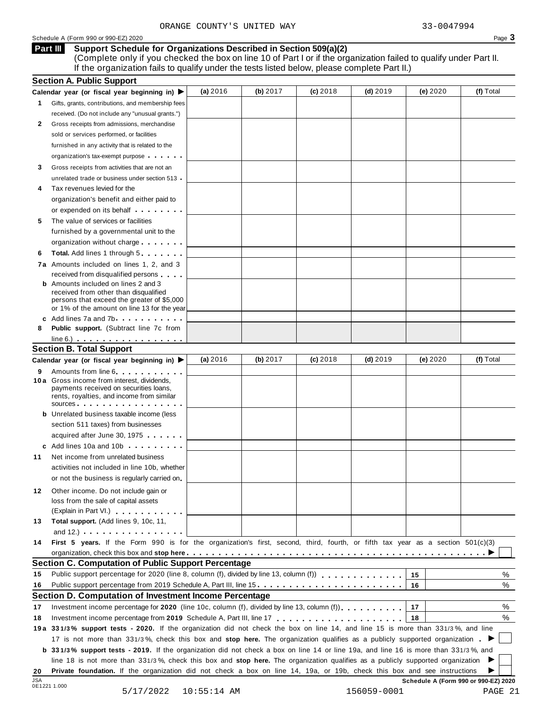### **Support Schedule for Organizations Described in Section 509(a)(2) Part III**

(Complete only if you checked the box on line 10 of Part I or if the organization failed to qualify under Part II. If the organization fails to qualify under the tests listed below, please complete Part II.)

|    | <b>Section A. Public Support</b>                                                                                                                                                                                                     |          |          |            |            |          |           |
|----|--------------------------------------------------------------------------------------------------------------------------------------------------------------------------------------------------------------------------------------|----------|----------|------------|------------|----------|-----------|
|    | Calendar year (or fiscal year beginning in) $\blacktriangleright$                                                                                                                                                                    | (a) 2016 | (b) 2017 | $(c)$ 2018 | $(d)$ 2019 | (e) 2020 | (f) Total |
| 1. | Gifts, grants, contributions, and membership fees                                                                                                                                                                                    |          |          |            |            |          |           |
|    | received. (Do not include any "unusual grants.")                                                                                                                                                                                     |          |          |            |            |          |           |
| 2  | Gross receipts from admissions, merchandise                                                                                                                                                                                          |          |          |            |            |          |           |
|    | sold or services performed, or facilities                                                                                                                                                                                            |          |          |            |            |          |           |
|    | furnished in any activity that is related to the                                                                                                                                                                                     |          |          |            |            |          |           |
|    | organization's tax-exempt purpose                                                                                                                                                                                                    |          |          |            |            |          |           |
| 3  | Gross receipts from activities that are not an                                                                                                                                                                                       |          |          |            |            |          |           |
|    | unrelated trade or business under section 513 .                                                                                                                                                                                      |          |          |            |            |          |           |
| 4  | Tax revenues levied for the                                                                                                                                                                                                          |          |          |            |            |          |           |
|    | organization's benefit and either paid to                                                                                                                                                                                            |          |          |            |            |          |           |
|    | or expended on its behalf <b>contains the set of the set of the set of the set of the set of the set of the set of the set of the set of the set of the set of the set of the set of the set of the set of the set of the set of</b> |          |          |            |            |          |           |
| 5  | The value of services or facilities                                                                                                                                                                                                  |          |          |            |            |          |           |
|    | furnished by a governmental unit to the                                                                                                                                                                                              |          |          |            |            |          |           |
|    | organization without charge                                                                                                                                                                                                          |          |          |            |            |          |           |
| 6  | Total. Add lines 1 through 5                                                                                                                                                                                                         |          |          |            |            |          |           |
|    | 7a Amounts included on lines 1, 2, and 3                                                                                                                                                                                             |          |          |            |            |          |           |
|    | received from disqualified persons                                                                                                                                                                                                   |          |          |            |            |          |           |
|    | <b>b</b> Amounts included on lines 2 and 3                                                                                                                                                                                           |          |          |            |            |          |           |
|    | received from other than disqualified<br>persons that exceed the greater of \$5,000                                                                                                                                                  |          |          |            |            |          |           |
|    | or 1% of the amount on line 13 for the year                                                                                                                                                                                          |          |          |            |            |          |           |
|    | c Add lines 7a and 7b                                                                                                                                                                                                                |          |          |            |            |          |           |
| 8  | <b>Public support.</b> (Subtract line 7c from                                                                                                                                                                                        |          |          |            |            |          |           |
|    | $line 6.)$                                                                                                                                                                                                                           |          |          |            |            |          |           |
|    | <b>Section B. Total Support</b>                                                                                                                                                                                                      |          |          |            |            |          |           |
|    | Calendar year (or fiscal year beginning in) ▶                                                                                                                                                                                        | (a) 2016 | (b) 2017 | $(c)$ 2018 | $(d)$ 2019 | (e) 2020 | (f) Total |
| 9  | Amounts from line 6 <b>Amounts</b> from line 6                                                                                                                                                                                       |          |          |            |            |          |           |
|    | 10 a Gross income from interest, dividends,                                                                                                                                                                                          |          |          |            |            |          |           |
|    | payments received on securities loans,<br>rents, royalties, and income from similar                                                                                                                                                  |          |          |            |            |          |           |
|    | $sources$                                                                                                                                                                                                                            |          |          |            |            |          |           |
|    | <b>b</b> Unrelated business taxable income (less                                                                                                                                                                                     |          |          |            |            |          |           |
|    | section 511 taxes) from businesses                                                                                                                                                                                                   |          |          |            |            |          |           |
|    | acquired after June 30, 1975                                                                                                                                                                                                         |          |          |            |            |          |           |
|    | c Add lines 10a and 10b                                                                                                                                                                                                              |          |          |            |            |          |           |
| 11 | Net income from unrelated business                                                                                                                                                                                                   |          |          |            |            |          |           |
|    | activities not included in line 10b, whether                                                                                                                                                                                         |          |          |            |            |          |           |
|    | or not the business is regularly carried on                                                                                                                                                                                          |          |          |            |            |          |           |
| 12 | Other income. Do not include gain or                                                                                                                                                                                                 |          |          |            |            |          |           |
|    | loss from the sale of capital assets                                                                                                                                                                                                 |          |          |            |            |          |           |
|    | (Explain in Part VI.) <b>All Accords</b>                                                                                                                                                                                             |          |          |            |            |          |           |
| 13 | Total support. (Add lines 9, 10c, 11,                                                                                                                                                                                                |          |          |            |            |          |           |
|    | and $12.$ ) $\ldots$ $\ldots$ $\ldots$ $\ldots$ $\ldots$ $\ldots$                                                                                                                                                                    |          |          |            |            |          |           |
| 14 | First 5 years. If the Form 990 is for the organization's first, second, third, fourth, or fifth tax year as a section 501(c)(3)                                                                                                      |          |          |            |            |          |           |
|    |                                                                                                                                                                                                                                      |          |          |            |            |          |           |
|    | <b>Section C. Computation of Public Support Percentage</b>                                                                                                                                                                           |          |          |            |            |          |           |
| 15 | Public support percentage for 2020 (line 8, column (f), divided by line 13, column (f)) $\ldots$ ,,,,,,,,,,,,,                                                                                                                       |          |          |            |            | 15       | ℅         |
| 16 | Public support percentage from 2019 Schedule A, Part III, line 15                                                                                                                                                                    |          |          |            |            | 16       | %         |
|    | Section D. Computation of Investment Income Percentage                                                                                                                                                                               |          |          |            |            |          |           |
| 17 | Investment income percentage for 2020 (line 10c, column (f), divided by line 13, column (f)).                                                                                                                                        |          |          |            |            | 17       | %         |
| 18 |                                                                                                                                                                                                                                      |          |          |            |            | 18       | %         |
|    | 19a 331/3% support tests - 2020. If the organization did not check the box on line 14, and line 15 is more than 331/3%, and line                                                                                                     |          |          |            |            |          |           |
|    | 17 is not more than 331/3%, check this box and stop here. The organization qualifies as a publicly supported organization.                                                                                                           |          |          |            |            |          |           |
|    | b 331/3% support tests - 2019. If the organization did not check a box on line 14 or line 19a, and line 16 is more than 331/3%, and                                                                                                  |          |          |            |            |          |           |
|    | line 18 is not more than 331/3%, check this box and stop here. The organization qualifies as a publicly supported organization                                                                                                       |          |          |            |            |          |           |
| 20 | Private foundation. If the organization did not check a box on line 14, 19a, or 19b, check this box and see instructions                                                                                                             |          |          |            |            |          |           |
|    |                                                                                                                                                                                                                                      |          |          |            |            |          |           |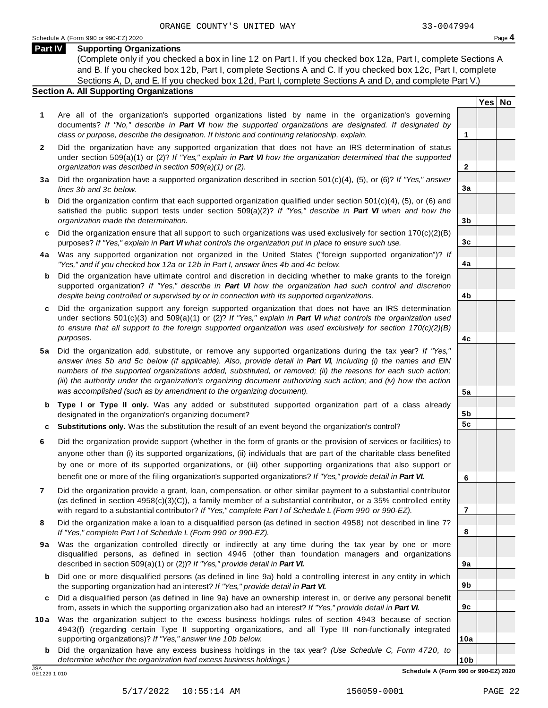**Yes No**

**2**

**3a**

**3b**

**3c**

**4a**

**4b**

**4c**

**5a**

**5b 5c**

**6**

**7**

**8**

**9a**

**9b**

**9c**

**10a**

# **Part IV Supporting Organizations**

(Complete only if you checked a box in line 12 on Part I. If you checked box 12a, Part I, complete Sections A and B. If you checked box 12b, Part I, complete Sections A and C. If you checked box 12c, Part I, complete Sections A, D, and E. If you checked box 12d, Part I, complete Sections A and D, and complete Part V.)

# **Section A. All Supporting Organizations**

- **1** Are all of the organization's supported organizations listed by name in the organization's governing documents? *If "No," describe in Part VI how the supported organizations are designated. If designated by class or purpose, describe the designation. If historic and continuing relationship, explain.* **1**
- **2** Did the organization have any supported organization that does not have an IRS determination of status under section 509(a)(1) or (2)? *If"Yes," explain in Part VI how the organization determined that the supported organization was described in section 509(a)(1) or (2).*
- **3 a** Did the organization have a supported organization described in section 501(c)(4), (5), or (6)? *If "Yes," answer lines 3b and 3c below.*
- **b** Did the organization confirm that each supported organization qualified under section 501(c)(4), (5), or (6) and | satisfied the public support tests under section 509(a)(2)? *If "Yes," describe in Part VI when and how the organization made the determination.*
- **c** Did the organization ensure that all support to such organizations was used exclusively for section 170(c)(2)(B) purposes? *If"Yes," explain in Part VI what controls the organization put in place to ensure such use.*
- **4 a** Was any supported organization not organized in the United States ("foreign supported organization")? *If "Yes," and if you checked box 12a or 12b in Part I, answer lines 4b and 4c below.*
- **b** Did the organization have ultimate control and discretion in deciding whether to make grants to the foreign | supported organization? *If "Yes," describe in Part VI how the organization had such control and discretion despite being controlled or supervised by or in connection with its supported organizations.*
- **c** Did the organization support any foreign supported organization that does not have an IRS determination | under sections 501(c)(3) and 509(a)(1) or (2)? *If "Yes," explain in Part VI what controls the organization used to ensure that all support to the foreign supported organization was used exclusively for section 170(c)(2)(B) purposes.*
- **5 a** Did the organization add, substitute, or remove any supported organizations during the tax year? *If "Yes,"* answer lines 5b and 5c below (if applicable). Also, provide detail in Part VI, including (i) the names and EIN *numbers of the supported organizations added, substituted, or removed; (ii) the reasons for each such action;* (iii) the authority under the organization's organizing document authorizing such action; and (iv) how the action *was accomplished (such as by amendment to the organizing document).*
- **b Type I or Type II only.** Was any added or substituted supported organization part of a class already designated in the organization's organizing document?
- **c Substitutions only.** Was the substitution the result of an event beyond the organization's control?
- **6** Did the organization provide support (whether in the form of grants or the provision of services or facilities) to anyone other than (i) its supported organizations, (ii) individuals that are part of the charitable class benefited by one or more of its supported organizations, or (iii) other supporting organizations that also support or benefit one or more of the filing organization's supported organizations? *If"Yes," provide detail in Part VI.*
- **7** Did the organization provide a grant, loan, compensation, or other similar payment to a substantial contributor (as defined in section 4958(c)(3)(C)), a family member of a substantial contributor, or a 35% controlled entity with regard to a substantial contributor? *If"Yes," complete Part I of Schedule L (Form 990 or 990-EZ).*
- **8** Did the organization make a loan to a disqualified person (as defined in section 4958) not described in line 7? *If "Yes," complete Part I of Schedule L (Form 990 or 990-EZ).*
- **9a** Was the organization controlled directly or indirectly at any time during the tax year by one or more | disqualified persons, as defined in section 4946 (other than foundation managers and organizations described in section 509(a)(1) or (2))? *If"Yes," provide detail in Part VI.*
- **b** Did one or more disqualified persons (as defined in line 9a) hold a controlling interest in any entity in which | the supporting organization had an interest? *If"Yes," provide detail in Part VI.*
- **c** Did a disqualified person (as defined in line 9a) have an ownership interest in, or derive any personal benefit from, assets in which the supporting organization also had an interest? *If"Yes," provide detail in Part VI.*
- **10a** Was the organization subject to the excess business holdings rules of section 4943 because of section | 4943(f) (regarding certain Type II supporting organizations, and all Type III non-functionally integrated supporting organizations)? *If"Yes," answer line 10b below.*
	- **b** Did the organization have any excess business holdings in the tax year? *(Use Schedule C, Form 4720, to determine whether the organization had excess business holdings.)*

0E1229 1.010

**10b** JSA **Schedule A (Form 990 or 990-EZ) 2020**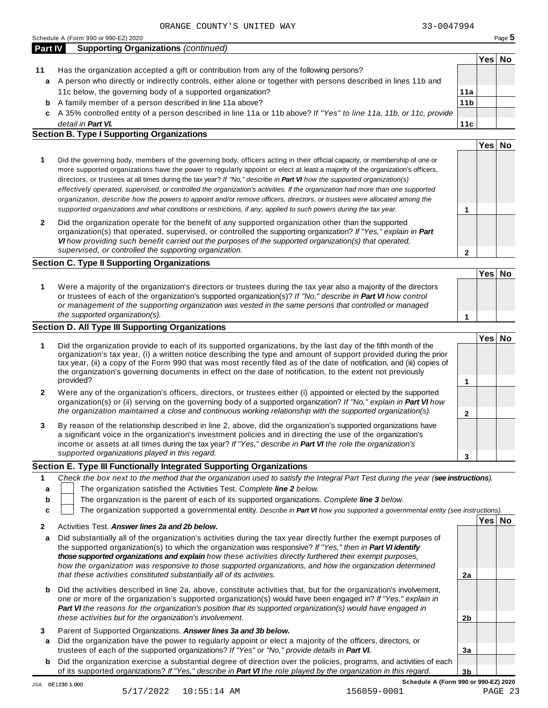| Schedule A (Form 990 or 990-EZ) 2020 | $P$ aqe $\sigma$ |
|--------------------------------------|------------------|

| <b>Part IV</b> | <b>Supporting Organizations (continued)</b>                                                                          |                 |     |    |
|----------------|----------------------------------------------------------------------------------------------------------------------|-----------------|-----|----|
|                |                                                                                                                      |                 | res | Nο |
| 11             | Has the organization accepted a gift or contribution from any of the following persons?                              |                 |     |    |
| a              | A person who directly or indirectly controls, either alone or together with persons described in lines 11b and       |                 |     |    |
|                | 11c below, the governing body of a supported organization?                                                           | 11a             |     |    |
| b              | A family member of a person described in line 11a above?                                                             | 11 <sub>b</sub> |     |    |
|                | c A 35% controlled entity of a person described in line 11a or 11b above? If "Yes" to line 11a, 11b, or 11c, provide |                 |     |    |
|                | detail in Part VI.                                                                                                   | 11c             |     |    |

# **Section B. Type I Supporting Organizations**

|                                                                                                                                                                                                                                                                                                                                                                                                                                                                                                                                                                                                                                                                                                                                                                                 |   | 'es |  |
|---------------------------------------------------------------------------------------------------------------------------------------------------------------------------------------------------------------------------------------------------------------------------------------------------------------------------------------------------------------------------------------------------------------------------------------------------------------------------------------------------------------------------------------------------------------------------------------------------------------------------------------------------------------------------------------------------------------------------------------------------------------------------------|---|-----|--|
| Did the governing body, members of the governing body, officers acting in their official capacity, or membership of one or<br>more supported organizations have the power to regularly appoint or elect at least a majority of the organization's officers,<br>directors, or trustees at all times during the tax year? If "No," describe in <b>Part VI</b> how the supported organization(s)<br>effectively operated, supervised, or controlled the organization's activities. If the organization had more than one supported<br>organization, describe how the powers to appoint and/or remove officers, directors, or trustees were allocated among the<br>supported organizations and what conditions or restrictions, if any, applied to such powers during the tax year. |   |     |  |
| Did the organization operate for the benefit of any supported organization other than the supported<br>organization(s) that operated, supervised, or controlled the supporting organization? If "Yes," explain in Part<br>VI how providing such benefit carried out the purposes of the supported organization(s) that operated,<br>supervised, or controlled the supporting organization.                                                                                                                                                                                                                                                                                                                                                                                      | າ |     |  |

# **Section C. Type II Supporting Organizations**

|                                                                                                                                                                                                                                                                                                                                                                               | Yes <sup> </sup> | <b>No</b> |
|-------------------------------------------------------------------------------------------------------------------------------------------------------------------------------------------------------------------------------------------------------------------------------------------------------------------------------------------------------------------------------|------------------|-----------|
| Were a majority of the organization's directors or trustees during the tax year also a majority of the directors<br>or trustees of each of the organization's supported organization(s)? If "No," describe in Part VI how control<br>or management of the supporting organization was vested in the same persons that controlled or managed<br>the supported organization(s). |                  |           |

# **Section D. All Type III Supporting Organizations**

|              |                                                                                                                                                                                                                                                                                                                                                                                                                                                                                          | Yes⊺ |  |
|--------------|------------------------------------------------------------------------------------------------------------------------------------------------------------------------------------------------------------------------------------------------------------------------------------------------------------------------------------------------------------------------------------------------------------------------------------------------------------------------------------------|------|--|
|              | Did the organization provide to each of its supported organizations, by the last day of the fifth month of the<br>organization's tax year, (i) a written notice describing the type and amount of support provided during the prior<br>tax year, (ii) a copy of the Form 990 that was most recently filed as of the date of notification, and (iii) copies of<br>the organization's governing documents in effect on the date of notification, to the extent not previously<br>provided? |      |  |
| $\mathbf{2}$ | Were any of the organization's officers, directors, or trustees either (i) appointed or elected by the supported<br>organization(s) or (ii) serving on the governing body of a supported organization? If "No," explain in <b>Part VI</b> how<br>the organization maintained a close and continuous working relationship with the supported organization(s).                                                                                                                             |      |  |
| 3            | By reason of the relationship described in line 2, above, did the organization's supported organizations have<br>a significant voice in the organization's investment policies and in directing the use of the organization's<br>income or assets at all times during the tax year? If "Yes," describe in Part VI the role the organization's                                                                                                                                            |      |  |
|              | supported organizations played in this regard.                                                                                                                                                                                                                                                                                                                                                                                                                                           |      |  |

# **Section E. Type III Functionally Integrated Supporting Organizations**

|                                                | Check the box next to the method that the organization used to satisfy the Integral Part Test during the year (see instructions). |  |     |    |  |  |  |
|------------------------------------------------|-----------------------------------------------------------------------------------------------------------------------------------|--|-----|----|--|--|--|
|                                                | The organization satisfied the Activities Test. Complete line 2 below.                                                            |  |     |    |  |  |  |
| b                                              | The organization is the parent of each of its supported organizations. Complete line 3 below.                                     |  |     |    |  |  |  |
|                                                | The organization supported a governmental entity. Describe in Part VI how you supported a governmental entity (see instructions). |  |     |    |  |  |  |
|                                                |                                                                                                                                   |  | Yes | No |  |  |  |
| Activities Test. Answer lines 2a and 2b below. |                                                                                                                                   |  |     |    |  |  |  |

| a                 | Did substantially all of the organization's activities during the tax year directly further the exempt purposes of<br>the supported organization(s) to which the organization was responsive? If "Yes," then in Part VI identify<br>those supported organizations and explain how these activities directly furthered their exempt purposes,<br>how the organization was responsive to those supported organizations, and how the organization determined<br>that these activities constituted substantially all of its activities. | 2a |  |
|-------------------|-------------------------------------------------------------------------------------------------------------------------------------------------------------------------------------------------------------------------------------------------------------------------------------------------------------------------------------------------------------------------------------------------------------------------------------------------------------------------------------------------------------------------------------|----|--|
| b                 | Did the activities described in line 2a, above, constitute activities that, but for the organization's involvement,<br>one or more of the organization's supported organization(s) would have been engaged in? If "Yes," explain in<br>Part VI the reasons for the organization's position that its supported organization(s) would have engaged in<br>these activities but for the organization's involvement.                                                                                                                     | 2b |  |
| 3<br>$\mathbf{a}$ | Parent of Supported Organizations. Answer lines 3a and 3b below.<br>Did the organization have the power to regularly appoint or elect a majority of the officers, directors, or<br>trustees of each of the supported organizations? If "Yes" or "No," provide details in Part VI.                                                                                                                                                                                                                                                   | За |  |
| b                 | Did the organization exercise a substantial degree of direction over the policies, programs, and activities of each<br>of its supported organizations? If "Yes," describe in Part VI the role played by the organization in this regard.                                                                                                                                                                                                                                                                                            | 3b |  |

**Schedule A (Form 990 or 990-EZ) 2020**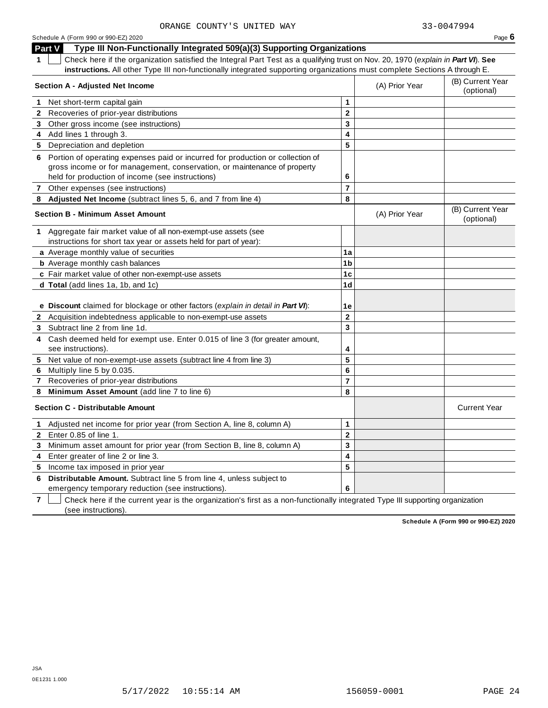| COUNII O UNIIED WAI                                                                                                                   |                |                | <u> JJ TUU TIJJ TI</u>         |
|---------------------------------------------------------------------------------------------------------------------------------------|----------------|----------------|--------------------------------|
| Schedule A (Form 990 or 990-EZ) 2020                                                                                                  |                |                | Page $6$                       |
| Type III Non-Functionally Integrated 509(a)(3) Supporting Organizations<br><b>Part V</b>                                              |                |                |                                |
| Check here if the organization satisfied the Integral Part Test as a qualifying trust on Nov. 20, 1970 (explain in Part VI). See<br>1 |                |                |                                |
| instructions. All other Type III non-functionally integrated supporting organizations must complete Sections A through E.             |                |                |                                |
| Section A - Adjusted Net Income                                                                                                       |                | (A) Prior Year | (B) Current Year<br>(optional) |
| Net short-term capital gain<br>1                                                                                                      | 1              |                |                                |
| 2 Recoveries of prior-year distributions                                                                                              | $\overline{2}$ |                |                                |
| 3 Other gross income (see instructions)                                                                                               | 3              |                |                                |
| 4 Add lines 1 through 3.                                                                                                              | 4              |                |                                |
| 5 Depreciation and depletion                                                                                                          | 5              |                |                                |
| Portion of operating expenses paid or incurred for production or collection of<br>6                                                   |                |                |                                |
| gross income or for management, conservation, or maintenance of property                                                              |                |                |                                |
| held for production of income (see instructions)                                                                                      | 6              |                |                                |
| 7 Other expenses (see instructions)                                                                                                   | $\overline{7}$ |                |                                |
| 8 Adjusted Net Income (subtract lines 5, 6, and 7 from line 4)                                                                        | 8              |                |                                |
| <b>Section B - Minimum Asset Amount</b>                                                                                               |                | (A) Prior Year | (B) Current Year<br>(optional) |
| 1 Aggregate fair market value of all non-exempt-use assets (see                                                                       |                |                |                                |
| instructions for short tax year or assets held for part of year):                                                                     |                |                |                                |
| a Average monthly value of securities                                                                                                 | 1a             |                |                                |
| <b>b</b> Average monthly cash balances                                                                                                | 1 <sub>b</sub> |                |                                |
| c Fair market value of other non-exempt-use assets                                                                                    | 1 <sub>c</sub> |                |                                |
| d Total (add lines 1a, 1b, and 1c)                                                                                                    | 1 <sub>d</sub> |                |                                |
|                                                                                                                                       |                |                |                                |
| e Discount claimed for blockage or other factors (explain in detail in Part VI):                                                      | 1е             |                |                                |
| 2 Acquisition indebtedness applicable to non-exempt-use assets                                                                        | $\overline{2}$ |                |                                |
| 3 Subtract line 2 from line 1d.                                                                                                       | 3              |                |                                |
| Cash deemed held for exempt use. Enter 0.015 of line 3 (for greater amount,<br>4                                                      |                |                |                                |
| see instructions).                                                                                                                    | 4              |                |                                |
| 5 Net value of non-exempt-use assets (subtract line 4 from line 3)                                                                    | 5              |                |                                |
| Multiply line 5 by 0.035.<br>6                                                                                                        | 6              |                |                                |
| Recoveries of prior-year distributions<br>7                                                                                           | $\overline{7}$ |                |                                |
| Minimum Asset Amount (add line 7 to line 6)<br>8                                                                                      | 8              |                |                                |
| <b>Section C - Distributable Amount</b>                                                                                               |                |                | <b>Current Year</b>            |
| Adjusted net income for prior year (from Section A, line 8, column A)                                                                 | 1              |                |                                |
| Enter 0.85 of line 1.<br>$\mathbf{2}$                                                                                                 | $\overline{2}$ |                |                                |

**4** Enter greater of line 2 or line 3. **5** Income tax imposed in prior year

**6 Distributable Amount.** Subtract line 5 from line 4, unless subject to emergency temporary reduction (see instructions).

**3** Minimum asset amount for prior year (from Section B, line 8, column A)

**7** Check here if the current year is the organization's first as a non-functionally integrated Type III supporting organization (see instructions).

**Schedule A (Form 990 or 990-EZ) 2020**

JSA 0E1231 1.000 **3 4 5**

**6**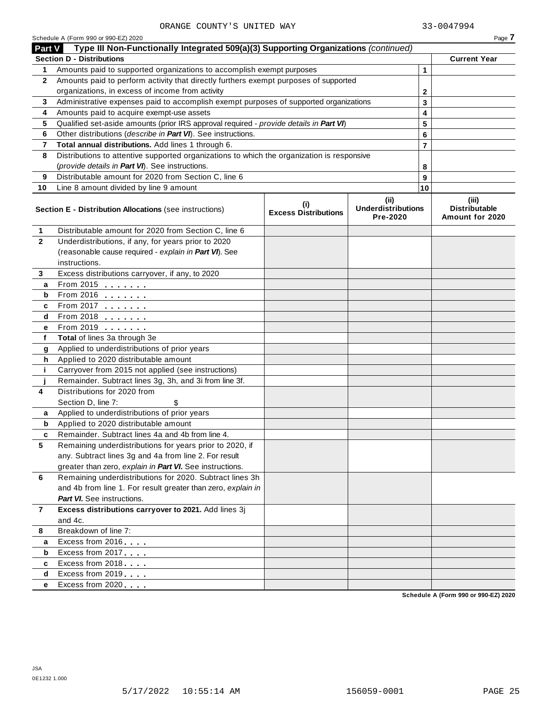|                | Schedule A (Form 990 or 990-EZ) 2020                                                                                                |                                    |                                               |        | Page 7                                           |
|----------------|-------------------------------------------------------------------------------------------------------------------------------------|------------------------------------|-----------------------------------------------|--------|--------------------------------------------------|
| <b>Part V</b>  | Type III Non-Functionally Integrated 509(a)(3) Supporting Organizations (continued)                                                 |                                    |                                               |        |                                                  |
|                | <b>Section D - Distributions</b>                                                                                                    |                                    |                                               |        | <b>Current Year</b>                              |
| 1              | Amounts paid to supported organizations to accomplish exempt purposes                                                               |                                    |                                               | 1      |                                                  |
| $\mathbf{2}$   | Amounts paid to perform activity that directly furthers exempt purposes of supported                                                |                                    |                                               |        |                                                  |
|                | organizations, in excess of income from activity                                                                                    |                                    | 2                                             |        |                                                  |
| 3              | Administrative expenses paid to accomplish exempt purposes of supported organizations                                               |                                    |                                               | 3      |                                                  |
| 4              | Amounts paid to acquire exempt-use assets<br>Qualified set-aside amounts (prior IRS approval required - provide details in Part VI) |                                    |                                               | 4      |                                                  |
| 5<br>6         | Other distributions (describe in Part VI). See instructions.                                                                        |                                    |                                               | 5      |                                                  |
| 7              | Total annual distributions. Add lines 1 through 6.                                                                                  |                                    |                                               | 6<br>7 |                                                  |
| 8              | Distributions to attentive supported organizations to which the organization is responsive                                          |                                    |                                               |        |                                                  |
|                | (provide details in Part VI). See instructions.                                                                                     |                                    |                                               |        |                                                  |
| 9              | Distributable amount for 2020 from Section C, line 6                                                                                |                                    |                                               | 8<br>9 |                                                  |
| 10             | Line 8 amount divided by line 9 amount                                                                                              |                                    |                                               | 10     |                                                  |
|                |                                                                                                                                     |                                    |                                               |        |                                                  |
|                | Section E - Distribution Allocations (see instructions)                                                                             | (i)<br><b>Excess Distributions</b> | (ii)<br><b>Underdistributions</b><br>Pre-2020 |        | (iii)<br><b>Distributable</b><br>Amount for 2020 |
| 1              | Distributable amount for 2020 from Section C, line 6                                                                                |                                    |                                               |        |                                                  |
| $\mathbf{2}$   | Underdistributions, if any, for years prior to 2020                                                                                 |                                    |                                               |        |                                                  |
|                | (reasonable cause required - explain in Part VI). See                                                                               |                                    |                                               |        |                                                  |
|                | instructions.                                                                                                                       |                                    |                                               |        |                                                  |
| 3              | Excess distributions carryover, if any, to 2020                                                                                     |                                    |                                               |        |                                                  |
| а              | From 2015 $\frac{1}{2}$                                                                                                             |                                    |                                               |        |                                                  |
| b              | From 2016 $\frac{2016}{200}$                                                                                                        |                                    |                                               |        |                                                  |
| c              | From 2017 $\frac{1}{2}$                                                                                                             |                                    |                                               |        |                                                  |
| d              | From 2018 $\frac{2018}{200}$                                                                                                        |                                    |                                               |        |                                                  |
| е              | From 2019 <b>Figure 1.1</b>                                                                                                         |                                    |                                               |        |                                                  |
| f              | Total of lines 3a through 3e                                                                                                        |                                    |                                               |        |                                                  |
| g              | Applied to underdistributions of prior years                                                                                        |                                    |                                               |        |                                                  |
| h              | Applied to 2020 distributable amount                                                                                                |                                    |                                               |        |                                                  |
| j.             | Carryover from 2015 not applied (see instructions)                                                                                  |                                    |                                               |        |                                                  |
|                | Remainder. Subtract lines 3g, 3h, and 3i from line 3f.                                                                              |                                    |                                               |        |                                                  |
| 4              | Distributions for 2020 from                                                                                                         |                                    |                                               |        |                                                  |
|                | Section D, line 7:<br>\$                                                                                                            |                                    |                                               |        |                                                  |
| a              | Applied to underdistributions of prior years                                                                                        |                                    |                                               |        |                                                  |
| b              | Applied to 2020 distributable amount<br>Remainder. Subtract lines 4a and 4b from line 4.                                            |                                    |                                               |        |                                                  |
| c<br>5         |                                                                                                                                     |                                    |                                               |        |                                                  |
|                | Remaining underdistributions for years prior to 2020, if<br>any. Subtract lines 3g and 4a from line 2. For result                   |                                    |                                               |        |                                                  |
|                | greater than zero, explain in Part VI. See instructions.                                                                            |                                    |                                               |        |                                                  |
| 6              | Remaining underdistributions for 2020. Subtract lines 3h                                                                            |                                    |                                               |        |                                                  |
|                | and 4b from line 1. For result greater than zero, explain in                                                                        |                                    |                                               |        |                                                  |
|                | <b>Part VI.</b> See instructions.                                                                                                   |                                    |                                               |        |                                                  |
| $\overline{7}$ | Excess distributions carryover to 2021. Add lines 3j                                                                                |                                    |                                               |        |                                                  |
|                | and 4c.                                                                                                                             |                                    |                                               |        |                                                  |
| 8              | Breakdown of line 7:                                                                                                                |                                    |                                               |        |                                                  |
| а              | Excess from 2016                                                                                                                    |                                    |                                               |        |                                                  |
| b              | Excess from 2017                                                                                                                    |                                    |                                               |        |                                                  |
| c              | Excess from 2018                                                                                                                    |                                    |                                               |        |                                                  |
| d              | Excess from 2019                                                                                                                    |                                    |                                               |        |                                                  |
| е              | Excess from 2020                                                                                                                    |                                    |                                               |        |                                                  |
|                |                                                                                                                                     |                                    |                                               |        | Schedule A (Form 990 or 990-F7) 2020             |

**Schedule A (Form 990 or 990-EZ) 2020**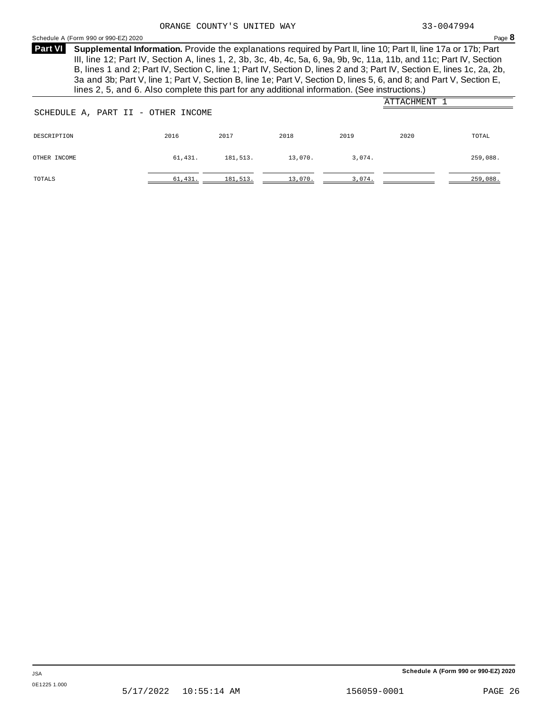# Schedule <sup>A</sup> (Form <sup>990</sup> or 990-EZ) <sup>2020</sup> Page **8**

**Supplemental Information.** Provide the explanations required by Part II, line 10; Part II, line 17a or 17b; Part **Part VI** III, line 12; Part IV, Section A, lines 1, 2, 3b, 3c, 4b, 4c, 5a, 6, 9a, 9b, 9c, 11a, 11b, and 11c; Part IV, Section B, lines 1 and 2; Part IV, Section C, line 1; Part IV, Section D, lines 2 and 3; Part IV, Section E, lines 1c, 2a, 2b, 3a and 3b; Part V, line 1; Part V, Section B, line 1e; Part V, Section D, lines 5, 6, and 8; and Part V, Section E, lines 2, 5, and 6. Also complete this part for any additional information. (See instructions.)

| SCHEDULE A, PART II - OTHER INCOME |         |          |         |        | ATTACHMENT 1 |          |
|------------------------------------|---------|----------|---------|--------|--------------|----------|
| DESCRIPTION                        | 2016    | 2017     | 2018    | 2019   | 2020         | TOTAL    |
| OTHER INCOME                       | 61,431. | 181,513. | 13,070. | 3,074. |              | 259,088. |
| TOTALS                             | 61,431. | 181,513. | 13,070. | 3,074. |              | 259,088. |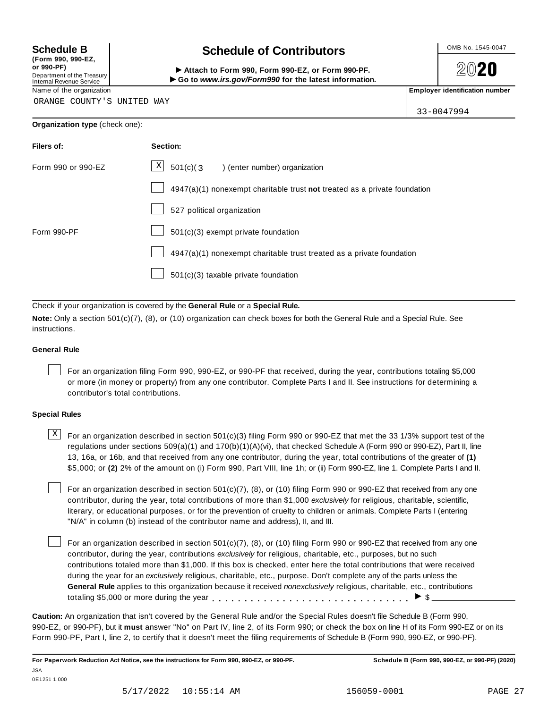**(Form 990, 990-EZ, or 990-PF)** Department of the Treasury<br>Internal Revenue Service

# **Schedule B chedule of Contributors**

(Form 990, 990-EZ,<br>
or 990-PF,<br>
Department of the Treasury **COLOCY**<br>
Internal Revenue Service **COLOCY**<br>
Name of the organization<br>
Name of the organization

**2020** 

33-0047994

ORANGE COUNTY'S UNITED WAY

| Organization type (check one): |  |
|--------------------------------|--|
|--------------------------------|--|

| Filers of:         | Section:                                                                  |  |  |  |
|--------------------|---------------------------------------------------------------------------|--|--|--|
| Form 990 or 990-EZ | $\mathbf{X}$<br>$501(c)$ (3<br>) (enter number) organization              |  |  |  |
|                    | 4947(a)(1) nonexempt charitable trust not treated as a private foundation |  |  |  |
|                    | 527 political organization                                                |  |  |  |
| Form 990-PF        | 501(c)(3) exempt private foundation                                       |  |  |  |
|                    | 4947(a)(1) nonexempt charitable trust treated as a private foundation     |  |  |  |
|                    | 501(c)(3) taxable private foundation                                      |  |  |  |

Check if your organization is covered by the **General Rule** or a **Special Rule.**

**Note:** Only a section 501(c)(7), (8), or (10) organization can check boxes for both the General Rule and a Special Rule. See instructions.

# **General Rule**

For an organization filing Form 990, 990-EZ, or 990-PF that received, during the year, contributions totaling \$5,000 or more (in money or property) from any one contributor. Complete Parts I and II. See instructions for determining a contributor's total contributions.

# **Special Rules**

 $\text{X}$  For an organization described in section 501(c)(3) filing Form 990 or 990-EZ that met the 33 1/3% support test of the regulations under sections 509(a)(1) and 170(b)(1)(A)(vi), that checked Schedule A (Form 990 or 990-EZ), Part II, line 13, 16a, or 16b, and that received from any one contributor, during the year, total contributions of the greater of **(1)** \$5,000; or **(2)** 2% of the amount on (i) Form 990, Part VIII, line 1h; or (ii) Form 990-EZ, line 1. Complete Parts I and II.

For an organization described in section 501(c)(7), (8), or (10) filing Form 990 or 990-EZ that received from any one contributor, during the year, total contributions of more than \$1,000 *exclusively* for religious, charitable, scientific, literary, or educational purposes, or for the prevention of cruelty to children or animals. Complete Parts I (entering "N/A" in column (b) instead of the contributor name and address), II, and III.

For an organization described in section  $501(c)(7)$ , (8), or (10) filing Form 990 or 990-EZ that received from any one contributor, during the year, contributions *exclusively* for religious, charitable, etc., purposes, but no such contributions totaled more than \$1,000. If this box is checked, enter here the total contributions that were received during the year for an *exclusively* religious, charitable, etc., purpose. Don't complete any of the parts unless the **General Rule** applies to this organization because it received *nonexclusively* religious, charitable, etc., contributions totaling \$5,000 or more during the year  $\ldots \ldots \ldots \ldots \ldots \ldots \ldots \ldots \ldots \vdots$ 

**Caution:** An organization that isn't covered by the General Rule and/or the Special Rules doesn't file Schedule B (Form 990, 990-EZ, or 990-PF), but it **must** answer "No" on Part IV, line 2, of its Form 990; or check the box on line H of its Form 990-EZ or on its Form 990-PF, Part I, line 2, to certify that it doesn't meet the filing requirements of Schedule B (Form 990, 990-EZ, or 990-PF).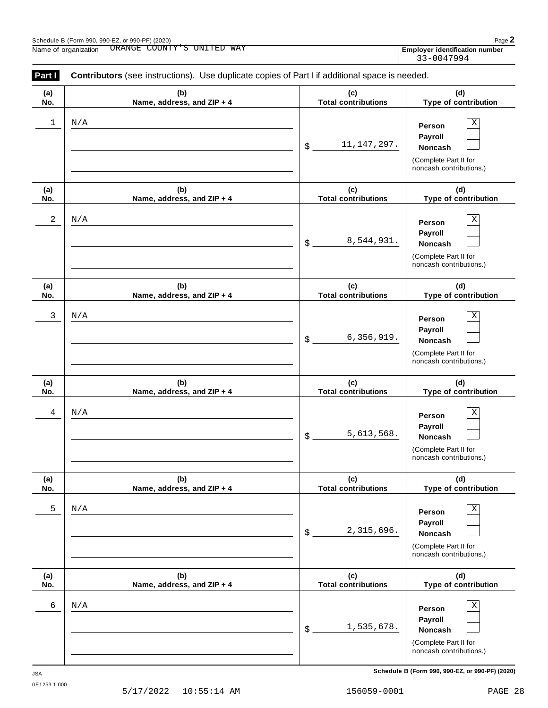|            | noncash contributions.)                         |
|------------|-------------------------------------------------|
|            | Schedule B (Form 990, 990-EZ, or 990-PF) (2020) |
| $9 - 0001$ | PAGE                                            |

| (a)<br>No.          | (b)<br>Name, address, and ZIP + 4 | (c)<br>(d)<br><b>Total contributions</b><br>Type of contribution |                                                                                              |
|---------------------|-----------------------------------|------------------------------------------------------------------|----------------------------------------------------------------------------------------------|
| $\mathbf{2}$        | N/A                               | 8,544,931.<br>$\mathfrak{S}$                                     | Χ<br>Person<br>Payroll<br>Noncash<br>(Complete Part II for<br>noncash contributions.)        |
| (a)<br>No.          | (b)<br>Name, address, and ZIP + 4 | (c)<br><b>Total contributions</b>                                | (d)<br>Type of contribution                                                                  |
| 3                   | N/A                               | 6,356,919.<br>\$                                                 | Χ<br>Person<br>Payroll<br>Noncash<br>(Complete Part II for<br>noncash contributions.)        |
| (a)<br>No.          | (b)<br>Name, address, and ZIP + 4 | (c)<br><b>Total contributions</b>                                | (d)<br>Type of contribution                                                                  |
| 4                   | N/A                               | 5,613,568.<br>\$                                                 | Χ<br>Person<br>Payroll<br>Noncash<br>(Complete Part II for<br>noncash contributions.)        |
| (a)<br>No.          | (b)<br>Name, address, and ZIP + 4 | (c)<br><b>Total contributions</b>                                | (d)<br>Type of contribution                                                                  |
| 5                   | N/A                               | 2,315,696.<br>\$                                                 | Χ<br>Person<br>Payroll<br><b>Noncash</b><br>(Complete Part II for<br>noncash contributions.) |
| (a)<br>No.          | (b)<br>Name, address, and ZIP + 4 | (c)<br><b>Total contributions</b>                                | (d)<br>Type of contribution                                                                  |
| 6                   | N/A                               | 1,535,678.<br>\$                                                 | Χ<br>Person<br>Payroll<br>Noncash<br>(Complete Part II for<br>noncash contributions.)        |
| JSA<br>0E1253 1.000 |                                   |                                                                  | Schedule B (Form 990, 990-EZ, or 990-PF) (2020)                                              |
|                     | 5/17/2022<br>$10:55:14$ AM        | 156059-0001                                                      | PAGE 28                                                                                      |

| Part I | Contributors (see instructions). Use duplicate copies of Part I if additional space is needed. |                                |                                                                                              |  |  |  |
|--------|------------------------------------------------------------------------------------------------|--------------------------------|----------------------------------------------------------------------------------------------|--|--|--|
| (a)    | (b)                                                                                            | (c)                            | (d)                                                                                          |  |  |  |
| No.    | Name, address, and ZIP + 4                                                                     | <b>Total contributions</b>     | Type of contribution                                                                         |  |  |  |
| 1      | N/A                                                                                            | 11, 147, 297.<br>$\mathsf{\$}$ | Χ<br>Person<br>Payroll<br><b>Noncash</b><br>(Complete Part II for<br>noncash contributions.) |  |  |  |
| (a)    | (b)                                                                                            | (c)                            | (d)                                                                                          |  |  |  |
| No.    | Name, address, and ZIP + 4                                                                     | <b>Total contributions</b>     | Type of contribution                                                                         |  |  |  |
| 2      | N/A                                                                                            | 8,544,931.<br>$\frac{1}{2}$    | Χ<br>Person<br>Payroll<br>Noncash<br>(Complete Part II for<br>noncash contributions.)        |  |  |  |
| (a)    | (b)                                                                                            | (c)                            | (d)                                                                                          |  |  |  |
| No.    | Name, address, and ZIP + 4                                                                     | <b>Total contributions</b>     | Type of contribution                                                                         |  |  |  |
| 3      | N/A                                                                                            | 6, 356, 919.<br>\$             | Χ<br>Person<br>Payroll<br><b>Noncash</b><br>(Complete Part II for<br>noncash contributions.) |  |  |  |
| (a)    | (b)                                                                                            | (c)                            | (d)                                                                                          |  |  |  |
| No.    | Name, address, and ZIP + 4                                                                     | <b>Total contributions</b>     | Type of contribution                                                                         |  |  |  |
| 4      | N/A                                                                                            | 5,613,568.<br>\$               | Χ<br>Person<br>Payroll<br><b>Noncash</b><br>(Complete Part II for<br>noncash contributions.) |  |  |  |
| (a)    | (b)                                                                                            | (c)                            | (d)                                                                                          |  |  |  |
| No.    | Name, address, and ZIP + 4                                                                     | <b>Total contributions</b>     | Type of contribution                                                                         |  |  |  |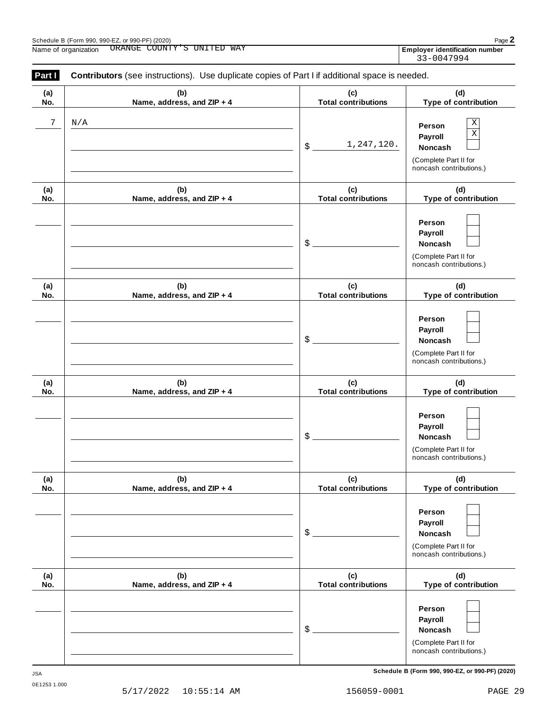| Part I     | Contributors (see instructions). Use duplicate copies of Part I if additional space is needed. |                                   |                                                                                                            |
|------------|------------------------------------------------------------------------------------------------|-----------------------------------|------------------------------------------------------------------------------------------------------------|
| (a)<br>No. | (b)<br>Name, address, and ZIP + 4                                                              | (c)<br><b>Total contributions</b> | (d)<br>Type of contribution                                                                                |
| 7          | N/A                                                                                            | 1,247,120.<br>$\frac{1}{2}$       | $\mathbf X$<br>Person<br>$\rm X$<br>Payroll<br>Noncash<br>(Complete Part II for<br>noncash contributions.) |
| (a)<br>No. | (b)<br>Name, address, and ZIP + 4                                                              | (c)<br><b>Total contributions</b> | (d)<br>Type of contribution                                                                                |
|            |                                                                                                | \$                                | Person<br>Payroll<br>Noncash<br>(Complete Part II for<br>noncash contributions.)                           |
| (a)<br>No. | (b)<br>Name, address, and ZIP + 4                                                              | (c)<br><b>Total contributions</b> | (d)<br>Type of contribution                                                                                |
|            |                                                                                                | \$                                | Person<br>Payroll<br>Noncash<br>(Complete Part II for<br>noncash contributions.)                           |
| (a)<br>No. | (b)<br>Name, address, and ZIP + 4                                                              | (c)<br><b>Total contributions</b> | (d)<br>Type of contribution                                                                                |
|            |                                                                                                | \$                                | Person<br>Payroll<br>Noncash<br>(Complete Part II for<br>noncash contributions.)                           |
| (a)<br>No. | (b)<br>Name, address, and ZIP + 4                                                              | (c)<br><b>Total contributions</b> | (d)<br>Type of contribution                                                                                |
|            |                                                                                                | \$                                | Person<br>Payroll<br>Noncash<br>(Complete Part II for<br>noncash contributions.)                           |
| (a)<br>No. | (b)<br>Name, address, and ZIP + 4                                                              | (c)<br><b>Total contributions</b> | (d)<br>Type of contribution                                                                                |
|            |                                                                                                | \$                                | Person<br>Payroll<br>Noncash<br>(Complete Part II for<br>noncash contributions.)                           |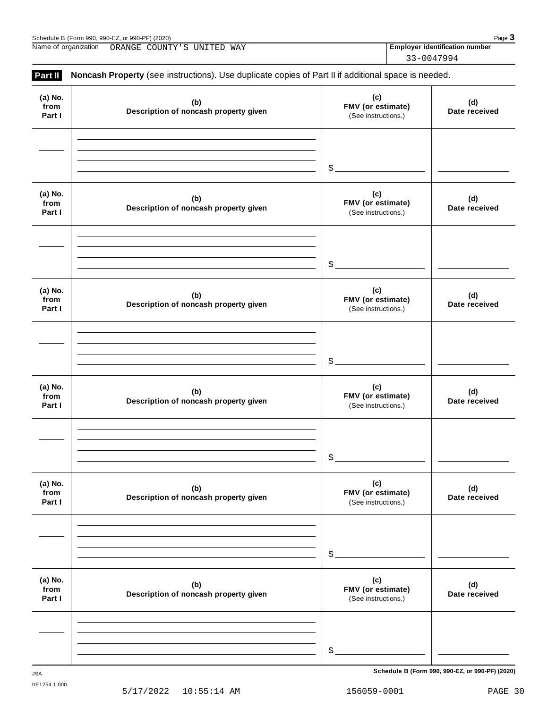Name of organization ORANGE COUNTY'S UNITED WAY **Employer identification number** 

33-0047994

| (a) No.<br>from<br>Part I | (b)<br>Description of noncash property given | (c)<br>FMV (or estimate)<br>(See instructions.) | (d)<br>Date received |
|---------------------------|----------------------------------------------|-------------------------------------------------|----------------------|
|                           |                                              | $\mathcal{L}_{-}$                               |                      |
| (a) No.<br>from<br>Part I | (b)<br>Description of noncash property given | (c)<br>FMV (or estimate)<br>(See instructions.) | (d)<br>Date received |
|                           |                                              | $\mathcal{L}$                                   |                      |
| (a) No.<br>from<br>Part I | (b)<br>Description of noncash property given | (c)<br>FMV (or estimate)<br>(See instructions.) | (d)<br>Date received |
|                           |                                              | $$$ .                                           |                      |
| (a) No.<br>from<br>Part I | (b)<br>Description of noncash property given | (c)<br>FMV (or estimate)<br>(See instructions.) | (d)<br>Date received |
|                           |                                              | \$                                              |                      |
| (a) No.<br>from<br>Part I | (b)<br>Description of noncash property given | (c)<br>FMV (or estimate)<br>(See instructions.) | (d)<br>Date received |
|                           |                                              | \$                                              |                      |
| (a) No.<br>from<br>Part I | (b)<br>Description of noncash property given | (c)<br>FMV (or estimate)<br>(See instructions.) | (d)<br>Date received |
|                           |                                              | \$                                              |                      |

**Schedule B (Form 990, 990-EZ, or 990-PF) (2020)** JSA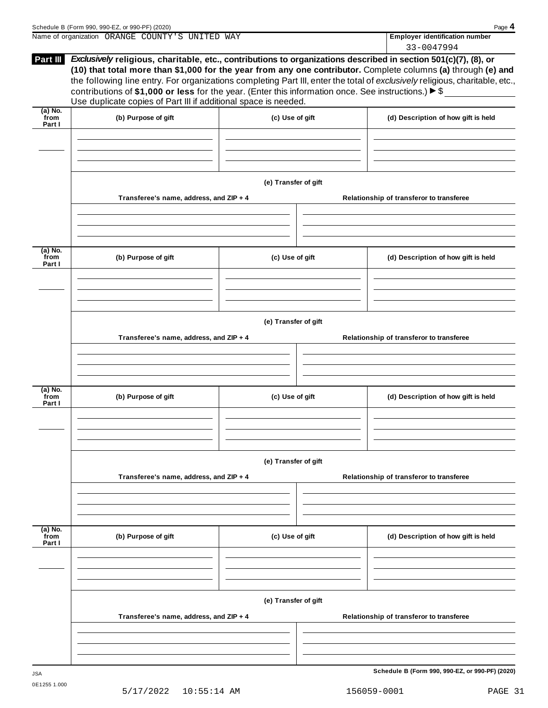|                             | Schedule B (Form 990, 990-EZ, or 990-PF) (2020)                                                                                                                                                                                                                                                                    |                      | Page 4                                                                                                                                                                                                                                        |
|-----------------------------|--------------------------------------------------------------------------------------------------------------------------------------------------------------------------------------------------------------------------------------------------------------------------------------------------------------------|----------------------|-----------------------------------------------------------------------------------------------------------------------------------------------------------------------------------------------------------------------------------------------|
|                             | Name of organization ORANGE COUNTY'S UNITED WAY                                                                                                                                                                                                                                                                    |                      | <b>Employer identification number</b><br>33-0047994                                                                                                                                                                                           |
|                             | Part III Exclusively religious, charitable, etc., contributions to organizations described in section 501(c)(7), (8), or<br>contributions of \$1,000 or less for the year. (Enter this information once. See instructions.) $\triangleright$ \$<br>Use duplicate copies of Part III if additional space is needed. |                      | (10) that total more than \$1,000 for the year from any one contributor. Complete columns (a) through (e) and<br>the following line entry. For organizations completing Part III, enter the total of exclusively religious, charitable, etc., |
| $(a)$ No.<br>from<br>Part I | (b) Purpose of gift                                                                                                                                                                                                                                                                                                | (c) Use of gift      | (d) Description of how gift is held                                                                                                                                                                                                           |
|                             |                                                                                                                                                                                                                                                                                                                    |                      |                                                                                                                                                                                                                                               |
|                             | Transferee's name, address, and ZIP + 4                                                                                                                                                                                                                                                                            | (e) Transfer of gift | Relationship of transferor to transferee                                                                                                                                                                                                      |
|                             |                                                                                                                                                                                                                                                                                                                    |                      |                                                                                                                                                                                                                                               |
| (a) No.<br>from<br>Part I   | (b) Purpose of gift                                                                                                                                                                                                                                                                                                | (c) Use of gift      | (d) Description of how gift is held                                                                                                                                                                                                           |
|                             |                                                                                                                                                                                                                                                                                                                    |                      |                                                                                                                                                                                                                                               |
|                             | Transferee's name, address, and ZIP + 4                                                                                                                                                                                                                                                                            | (e) Transfer of gift | Relationship of transferor to transferee                                                                                                                                                                                                      |
| (a) No.<br>from<br>Part I   | (b) Purpose of gift                                                                                                                                                                                                                                                                                                | (c) Use of gift      | (d) Description of how gift is held                                                                                                                                                                                                           |
|                             | Transferee's name, address, and ZIP + 4                                                                                                                                                                                                                                                                            | (e) Transfer of gift | Relationship of transferor to transferee                                                                                                                                                                                                      |
|                             |                                                                                                                                                                                                                                                                                                                    |                      |                                                                                                                                                                                                                                               |
| $(a)$ No.<br>from<br>Part I | (b) Purpose of gift                                                                                                                                                                                                                                                                                                | (c) Use of gift      | (d) Description of how gift is held                                                                                                                                                                                                           |
|                             |                                                                                                                                                                                                                                                                                                                    |                      |                                                                                                                                                                                                                                               |
|                             | Transferee's name, address, and ZIP + 4                                                                                                                                                                                                                                                                            | (e) Transfer of gift | Relationship of transferor to transferee                                                                                                                                                                                                      |
|                             |                                                                                                                                                                                                                                                                                                                    |                      |                                                                                                                                                                                                                                               |
|                             |                                                                                                                                                                                                                                                                                                                    |                      | Schedule B (Form 990, 990-EZ, or 990-PF) (2020)                                                                                                                                                                                               |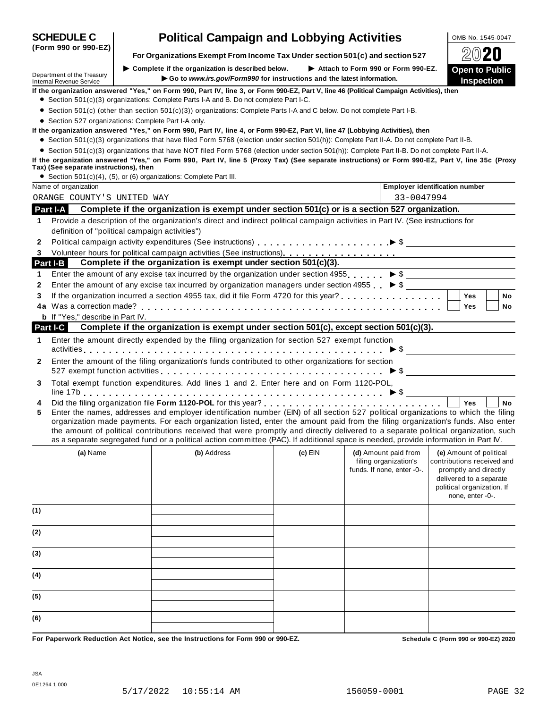|                                                               |                                                                                                                                                                                                                                                                                                                                                                                                                                                                                                                                                      |           |                                                     | ▱◡▰◡                                                                                                                             |  |  |
|---------------------------------------------------------------|------------------------------------------------------------------------------------------------------------------------------------------------------------------------------------------------------------------------------------------------------------------------------------------------------------------------------------------------------------------------------------------------------------------------------------------------------------------------------------------------------------------------------------------------------|-----------|-----------------------------------------------------|----------------------------------------------------------------------------------------------------------------------------------|--|--|
| Department of the Treasury<br><b>Internal Revenue Service</b> | $\blacktriangleright$ Complete if the organization is described below.<br>Go to www.irs.gov/Form990 for instructions and the latest information.                                                                                                                                                                                                                                                                                                                                                                                                     |           | Attach to Form 990 or Form 990-EZ.                  | <b>Open to Public</b><br><b>Inspection</b>                                                                                       |  |  |
|                                                               | If the organization answered "Yes," on Form 990, Part IV, line 3, or Form 990-EZ, Part V, line 46 (Political Campaign Activities), then                                                                                                                                                                                                                                                                                                                                                                                                              |           |                                                     |                                                                                                                                  |  |  |
|                                                               | • Section 501(c)(3) organizations: Complete Parts I-A and B. Do not complete Part I-C.                                                                                                                                                                                                                                                                                                                                                                                                                                                               |           |                                                     |                                                                                                                                  |  |  |
|                                                               | • Section 501(c) (other than section 501(c)(3)) organizations: Complete Parts I-A and C below. Do not complete Part I-B.                                                                                                                                                                                                                                                                                                                                                                                                                             |           |                                                     |                                                                                                                                  |  |  |
|                                                               | • Section 527 organizations: Complete Part I-A only.                                                                                                                                                                                                                                                                                                                                                                                                                                                                                                 |           |                                                     |                                                                                                                                  |  |  |
|                                                               | If the organization answered "Yes," on Form 990, Part IV, line 4, or Form 990-EZ, Part VI, line 47 (Lobbying Activities), then                                                                                                                                                                                                                                                                                                                                                                                                                       |           |                                                     |                                                                                                                                  |  |  |
|                                                               | • Section 501(c)(3) organizations that have filed Form 5768 (election under section 501(h)): Complete Part II-A. Do not complete Part II-B.                                                                                                                                                                                                                                                                                                                                                                                                          |           |                                                     |                                                                                                                                  |  |  |
| Tax) (See separate instructions), then                        | • Section 501(c)(3) organizations that have NOT filed Form 5768 (election under section 501(h)): Complete Part II-B. Do not complete Part II-A.<br>If the organization answered "Yes," on Form 990, Part IV, line 5 (Proxy Tax) (See separate instructions) or Form 990-EZ, Part V, line 35c (Proxy                                                                                                                                                                                                                                                  |           |                                                     |                                                                                                                                  |  |  |
|                                                               | • Section 501(c)(4), (5), or (6) organizations: Complete Part III.                                                                                                                                                                                                                                                                                                                                                                                                                                                                                   |           |                                                     |                                                                                                                                  |  |  |
| Name of organization                                          |                                                                                                                                                                                                                                                                                                                                                                                                                                                                                                                                                      |           |                                                     | <b>Employer identification number</b>                                                                                            |  |  |
| ORANGE COUNTY'S UNITED WAY                                    |                                                                                                                                                                                                                                                                                                                                                                                                                                                                                                                                                      |           | 33-0047994                                          |                                                                                                                                  |  |  |
| Part I-A                                                      | Complete if the organization is exempt under section 501(c) or is a section 527 organization.                                                                                                                                                                                                                                                                                                                                                                                                                                                        |           |                                                     |                                                                                                                                  |  |  |
| 1                                                             | Provide a description of the organization's direct and indirect political campaign activities in Part IV. (See instructions for                                                                                                                                                                                                                                                                                                                                                                                                                      |           |                                                     |                                                                                                                                  |  |  |
|                                                               | definition of "political campaign activities")                                                                                                                                                                                                                                                                                                                                                                                                                                                                                                       |           |                                                     |                                                                                                                                  |  |  |
| 2                                                             |                                                                                                                                                                                                                                                                                                                                                                                                                                                                                                                                                      |           |                                                     |                                                                                                                                  |  |  |
| 3                                                             |                                                                                                                                                                                                                                                                                                                                                                                                                                                                                                                                                      |           |                                                     |                                                                                                                                  |  |  |
| Part I-B                                                      | Complete if the organization is exempt under section 501(c)(3).                                                                                                                                                                                                                                                                                                                                                                                                                                                                                      |           |                                                     |                                                                                                                                  |  |  |
| 1                                                             | Enter the amount of any excise tax incurred by the organization under section 4955 $\triangleright$ \$                                                                                                                                                                                                                                                                                                                                                                                                                                               |           |                                                     |                                                                                                                                  |  |  |
| 2                                                             | Enter the amount of any excise tax incurred by organization managers under section 4955 $\triangleright$ \$                                                                                                                                                                                                                                                                                                                                                                                                                                          |           |                                                     |                                                                                                                                  |  |  |
| 3                                                             |                                                                                                                                                                                                                                                                                                                                                                                                                                                                                                                                                      |           |                                                     | <b>Yes</b><br><b>No</b>                                                                                                          |  |  |
|                                                               |                                                                                                                                                                                                                                                                                                                                                                                                                                                                                                                                                      |           |                                                     | Yes                                                                                                                              |  |  |
| <b>b</b> If "Yes," describe in Part IV.                       |                                                                                                                                                                                                                                                                                                                                                                                                                                                                                                                                                      |           |                                                     | No                                                                                                                               |  |  |
| Part I-C                                                      | Complete if the organization is exempt under section 501(c), except section 501(c)(3).                                                                                                                                                                                                                                                                                                                                                                                                                                                               |           |                                                     |                                                                                                                                  |  |  |
|                                                               |                                                                                                                                                                                                                                                                                                                                                                                                                                                                                                                                                      |           |                                                     |                                                                                                                                  |  |  |
| 1                                                             | Enter the amount directly expended by the filing organization for section 527 exempt function                                                                                                                                                                                                                                                                                                                                                                                                                                                        |           |                                                     |                                                                                                                                  |  |  |
| 2                                                             | Enter the amount of the filing organization's funds contributed to other organizations for section                                                                                                                                                                                                                                                                                                                                                                                                                                                   |           |                                                     | $\triangleright$ \$                                                                                                              |  |  |
| 3                                                             | Total exempt function expenditures. Add lines 1 and 2. Enter here and on Form 1120-POL,                                                                                                                                                                                                                                                                                                                                                                                                                                                              |           |                                                     |                                                                                                                                  |  |  |
| 4                                                             |                                                                                                                                                                                                                                                                                                                                                                                                                                                                                                                                                      |           |                                                     | <b>Yes</b><br><b>No</b>                                                                                                          |  |  |
| 5                                                             | Enter the names, addresses and employer identification number (EIN) of all section 527 political organizations to which the filing<br>organization made payments. For each organization listed, enter the amount paid from the filing organization's funds. Also enter<br>the amount of political contributions received that were promptly and directly delivered to a separate political organization, such<br>as a separate segregated fund or a political action committee (PAC). If additional space is needed, provide information in Part IV. |           |                                                     |                                                                                                                                  |  |  |
| (a) Name                                                      | (b) Address                                                                                                                                                                                                                                                                                                                                                                                                                                                                                                                                          | $(c)$ EIN | (d) Amount paid from                                | (e) Amount of political                                                                                                          |  |  |
|                                                               |                                                                                                                                                                                                                                                                                                                                                                                                                                                                                                                                                      |           | filing organization's<br>funds. If none, enter -0-. | contributions received and<br>promptly and directly<br>delivered to a separate<br>political organization. If<br>none, enter -0-. |  |  |
| (1)                                                           |                                                                                                                                                                                                                                                                                                                                                                                                                                                                                                                                                      |           |                                                     |                                                                                                                                  |  |  |
| (2)                                                           |                                                                                                                                                                                                                                                                                                                                                                                                                                                                                                                                                      |           |                                                     |                                                                                                                                  |  |  |
| (3)                                                           |                                                                                                                                                                                                                                                                                                                                                                                                                                                                                                                                                      |           |                                                     |                                                                                                                                  |  |  |
| (4)                                                           |                                                                                                                                                                                                                                                                                                                                                                                                                                                                                                                                                      |           |                                                     |                                                                                                                                  |  |  |
| (5)                                                           |                                                                                                                                                                                                                                                                                                                                                                                                                                                                                                                                                      |           |                                                     |                                                                                                                                  |  |  |
| (6)                                                           |                                                                                                                                                                                                                                                                                                                                                                                                                                                                                                                                                      |           |                                                     |                                                                                                                                  |  |  |
|                                                               | For Paperwork Reduction Act Notice, see the Instructions for Form 990 or 990-EZ.                                                                                                                                                                                                                                                                                                                                                                                                                                                                     |           |                                                     | Schedule C (Form 990 or 990-EZ) 2020                                                                                             |  |  |
|                                                               |                                                                                                                                                                                                                                                                                                                                                                                                                                                                                                                                                      |           |                                                     |                                                                                                                                  |  |  |

**(Form 990 or 990-EZ)**

**SCHEDULE C Political Campaign and Lobbying Activities**  $\frac{1 \text{ OMB NO. } 1545-0047}{2 \text{ OMB} }$ 

**For Organizations Exempt From Income Tax Under section 501(c) and section <sup>527</sup>** À¾¶´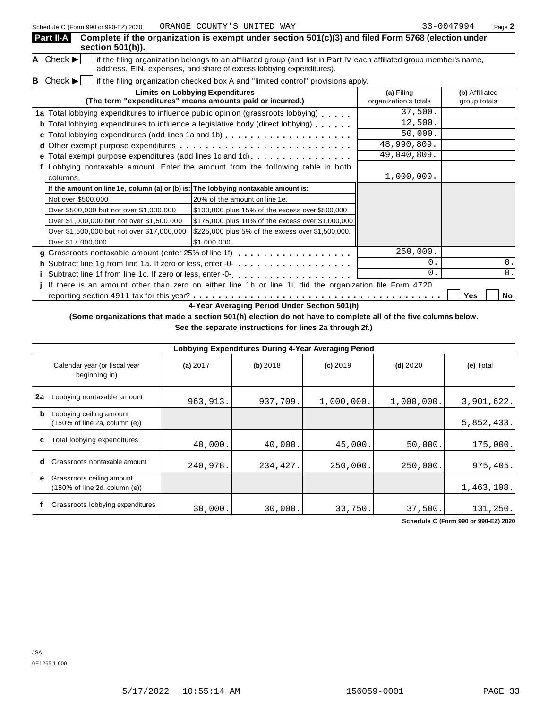|   | Part II-A<br>section $501(h)$ ).                                                   | Complete if the organization is exempt under section 501(c)(3) and filed Form 5768 (election under                                                                                         |                                     |                                |
|---|------------------------------------------------------------------------------------|--------------------------------------------------------------------------------------------------------------------------------------------------------------------------------------------|-------------------------------------|--------------------------------|
|   | A Check $\blacktriangleright$                                                      | if the filing organization belongs to an affiliated group (and list in Part IV each affiliated group member's name,<br>address, EIN, expenses, and share of excess lobbying expenditures). |                                     |                                |
| B | Check $\blacktriangleright$                                                        | if the filing organization checked box A and "limited control" provisions apply.                                                                                                           |                                     |                                |
|   |                                                                                    | <b>Limits on Lobbying Expenditures</b><br>(The term "expenditures" means amounts paid or incurred.)                                                                                        | (a) Filing<br>organization's totals | (b) Affiliated<br>group totals |
|   |                                                                                    | 1a Total lobbying expenditures to influence public opinion (grassroots lobbying)                                                                                                           | 37,500.                             |                                |
|   |                                                                                    | <b>b</b> Total lobbying expenditures to influence a legislative body (direct lobbying)                                                                                                     | 12,500.                             |                                |
| c |                                                                                    | Total lobbying expenditures (add lines 1a and 1b)                                                                                                                                          | 50,000.                             |                                |
|   |                                                                                    |                                                                                                                                                                                            | 48,990,809.                         |                                |
| е |                                                                                    | Total exempt purpose expenditures (add lines 1c and 1d)                                                                                                                                    | 49,040,809.                         |                                |
|   |                                                                                    | Lobbying nontaxable amount. Enter the amount from the following table in both                                                                                                              |                                     |                                |
|   | columns.                                                                           |                                                                                                                                                                                            | 1,000,000.                          |                                |
|   | If the amount on line 1e, column (a) or (b) is: The lobbying nontaxable amount is: |                                                                                                                                                                                            |                                     |                                |
|   | Not over \$500,000                                                                 | 20% of the amount on line 1e.                                                                                                                                                              |                                     |                                |
|   | Over \$500,000 but not over \$1,000,000                                            | \$100,000 plus 15% of the excess over \$500,000.                                                                                                                                           |                                     |                                |
|   | Over \$1,000,000 but not over \$1,500,000                                          | \$175,000 plus 10% of the excess over \$1,000,000.                                                                                                                                         |                                     |                                |
|   | Over \$1,500,000 but not over \$17,000,000                                         | \$225,000 plus 5% of the excess over \$1,500,000.                                                                                                                                          |                                     |                                |
|   | Over \$17,000,000                                                                  | \$1.000.000.                                                                                                                                                                               |                                     |                                |
|   |                                                                                    |                                                                                                                                                                                            | 250,000.                            |                                |
|   |                                                                                    | h Subtract line 1g from line 1a. If zero or less, enter -0-                                                                                                                                | 0.                                  | 0.                             |
|   |                                                                                    |                                                                                                                                                                                            | 0.                                  | $0$ .                          |
|   |                                                                                    | If there is an amount other than zero on either line 1h or line 1i, did the organization file Form 4720                                                                                    |                                     |                                |
|   |                                                                                    |                                                                                                                                                                                            |                                     | Yes<br>No                      |

**4-Year Averaging Period Under Section 501(h)**

(Some organizations that made a section 501(h) election do not have to complete all of the five columns below.

**See the separate instructions for lines 2a through 2f.)**

|    | Lobbying Expenditures During 4-Year Averaging Period                            |           |          |            |            |            |  |
|----|---------------------------------------------------------------------------------|-----------|----------|------------|------------|------------|--|
|    | Calendar year (or fiscal year<br>beginning in)                                  | (a) 2017  | (b) 2018 | (c) 2019   | $(d)$ 2020 | (e) Total  |  |
| 2a | Lobbying nontaxable amount                                                      | 963, 913. | 937,709. | 1,000,000. | 1,000,000. | 3,901,622. |  |
| b  | Lobbying ceiling amount<br>(150% of line 2a, column (e))                        |           |          |            |            | 5,852,433. |  |
| с  | Total lobbying expenditures                                                     | 40,000.   | 40,000.  | 45,000.    | 50,000.    | 175,000.   |  |
| d  | Grassroots nontaxable amount                                                    | 240,978.  | 234,427. | 250,000.   | 250,000.   | 975,405.   |  |
| е  | Grassroots ceiling amount<br>$(150\% \text{ of line } 2d, \text{ column } (e))$ |           |          |            |            | 1,463,108. |  |
|    | Grassroots lobbying expenditures                                                | 30,000.   | 30,000.  | 33,750.    | 37,500.    | 131,250.   |  |

**Schedule C (Form 990 or 990-EZ) 2020**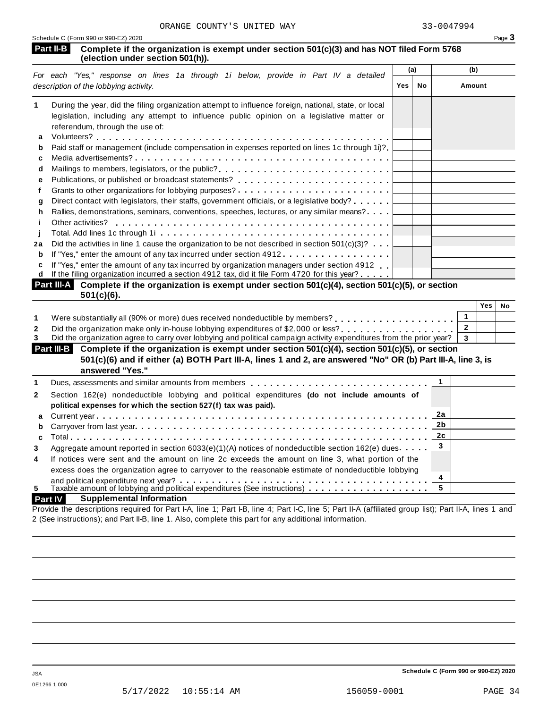| Schedule C (Form 990 or 990-EZ) 2020 | Page 3 |
|--------------------------------------|--------|
|                                      |        |

| <b>Part II-B</b> Complete if the organization is exempt under section $501(c)(3)$ and has NOT filed Form 5768 |  |
|---------------------------------------------------------------------------------------------------------------|--|
| (election under section 501(h)).                                                                              |  |

|    | For each "Yes," response on lines 1a through 1i below, provide in Part IV a detailed                                                                                                                                                                                                                                                           | (a)        |    | (b)    |
|----|------------------------------------------------------------------------------------------------------------------------------------------------------------------------------------------------------------------------------------------------------------------------------------------------------------------------------------------------|------------|----|--------|
|    | description of the lobbying activity.                                                                                                                                                                                                                                                                                                          | <b>Yes</b> | No | Amount |
| 1  | During the year, did the filing organization attempt to influence foreign, national, state, or local                                                                                                                                                                                                                                           |            |    |        |
|    | legislation, including any attempt to influence public opinion on a legislative matter or                                                                                                                                                                                                                                                      |            |    |        |
|    | referendum, through the use of:                                                                                                                                                                                                                                                                                                                |            |    |        |
| a  |                                                                                                                                                                                                                                                                                                                                                |            |    |        |
| b  | Paid staff or management (include compensation in expenses reported on lines 1c through 1i)?                                                                                                                                                                                                                                                   |            |    |        |
| c  |                                                                                                                                                                                                                                                                                                                                                |            |    |        |
| d  | Mailings to members, legislators, or the public?                                                                                                                                                                                                                                                                                               |            |    |        |
| е  |                                                                                                                                                                                                                                                                                                                                                |            |    |        |
|    |                                                                                                                                                                                                                                                                                                                                                |            |    |        |
| a  | Direct contact with legislators, their staffs, government officials, or a legislative body?                                                                                                                                                                                                                                                    |            |    |        |
| h. | Rallies, demonstrations, seminars, conventions, speeches, lectures, or any similar means?                                                                                                                                                                                                                                                      |            |    |        |
|    | Other activities?                                                                                                                                                                                                                                                                                                                              |            |    |        |
|    |                                                                                                                                                                                                                                                                                                                                                |            |    |        |
| 2a | Did the activities in line 1 cause the organization to be not described in section $501(c)(3)$ ?                                                                                                                                                                                                                                               |            |    |        |
| b  | If "Yes," enter the amount of any tax incurred under section 4912                                                                                                                                                                                                                                                                              |            |    |        |
| c  | If "Yes," enter the amount of any tax incurred by organization managers under section 4912                                                                                                                                                                                                                                                     |            |    |        |
| d  | If the filing organization incurred a section 4912 tax, did it file Form 4720 for this year?                                                                                                                                                                                                                                                   |            |    |        |
|    | $\mathbf{Part} \parallel \mathbf{A}$ $\mathbf{A}$ $\mathbf{A}$ $\mathbf{A}$ $\mathbf{A}$ $\mathbf{A}$ $\mathbf{A}$ $\mathbf{A}$ $\mathbf{A}$ $\mathbf{A}$ $\mathbf{A}$ $\mathbf{A}$ $\mathbf{A}$ $\mathbf{A}$ $\mathbf{A}$ $\mathbf{A}$ $\mathbf{A}$ $\mathbf{A}$ $\mathbf{A}$ $\mathbf{A}$ $\mathbf{A}$ $\mathbf{A}$ $\mathbf{A}$ $\mathbf{A$ |            |    |        |

| Part III-A Complete if the organization is exempt under section 501(c)(4), section 501(c)(5), or section |  |
|----------------------------------------------------------------------------------------------------------|--|
| $501(c)(6)$ .                                                                                            |  |

|                                                                                                                               | Yes | No |
|-------------------------------------------------------------------------------------------------------------------------------|-----|----|
| Were substantially all (90% or more) dues received nondeductible by members?                                                  |     |    |
| Did the organization make only in-house lobbying expenditures of \$2,000 or less?                                             |     |    |
| Did the organization agree to carry over lobbying and political campaign activity expenditures from the prior year? $\vert$ 3 |     |    |

| Part III-B Complete if the organization is exempt under section 501(c)(4), section 501(c)(5), or section<br>501(c)(6) and if either (a) BOTH Part III-A, lines 1 and 2, are answered "No" OR (b) Part III-A, line 3, is |  |  |
|-------------------------------------------------------------------------------------------------------------------------------------------------------------------------------------------------------------------------|--|--|
| answered "Yes."                                                                                                                                                                                                         |  |  |
| Dues, assessments and similar amounts from members $\ldots, \ldots, \ldots, \ldots, \ldots, \ldots, \ldots, \ldots, \ldots$                                                                                             |  |  |

|                | Dues, assessments and similar amounts from members entitled by entering the set of the Dues, assessments and similar |    |  |
|----------------|----------------------------------------------------------------------------------------------------------------------|----|--|
| $\mathbf{2}$   | Section 162(e) nondeductible lobbying and political expenditures (do not include amounts of                          |    |  |
|                | political expenses for which the section 527(f) tax was paid).                                                       |    |  |
|                |                                                                                                                      |    |  |
|                |                                                                                                                      |    |  |
|                |                                                                                                                      | 2c |  |
| 3              | Aggregate amount reported in section 6033(e)(1)(A) notices of nondeductible section 162(e) dues                      |    |  |
| $\overline{4}$ | If notices were sent and the amount on line 2c exceeds the amount on line 3, what portion of the                     |    |  |
|                | excess does the organization agree to carryover to the reasonable estimate of nondeductible lobbying                 |    |  |
|                |                                                                                                                      |    |  |
| 5              | Taxable amount of lobbying and political expenditures (See instructions) $\ldots \ldots \ldots \ldots$               |    |  |
|                |                                                                                                                      |    |  |

# **Part IV Supplemental Information**

Provide the descriptions required for Part I-A, line 1; Part I-B, line 4; Part I-C, line 5; Part II-A (affiliated group list); Part II-A, lines 1 and 2 (See instructions); and Part II-B, line 1. Also, complete this part for any additional information.

**Schedule C (Form 990 or 990-EZ) 2020**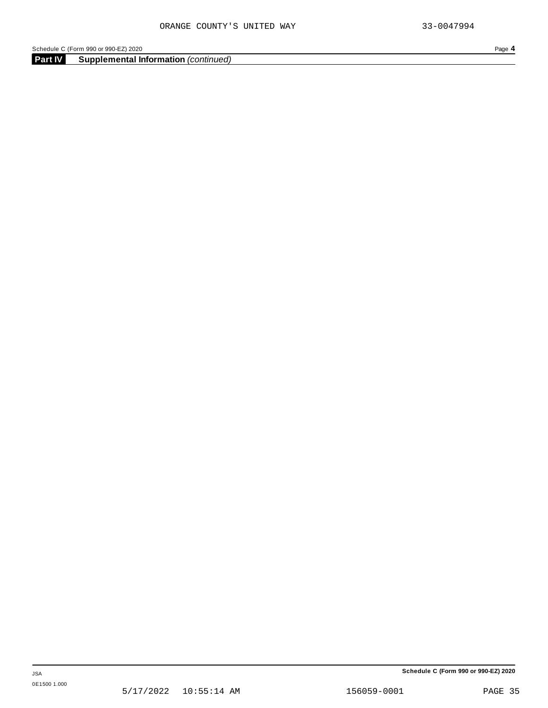**Part IV Supplemental Information** *(continued)*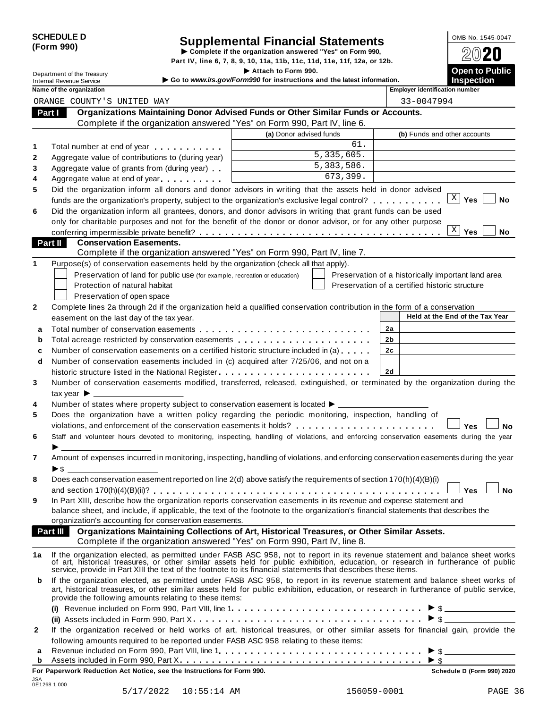| <b>SCHEDULE D</b> |  |
|-------------------|--|
| (Form 990)        |  |

# SCHEDULE D<br>
Supplemental Financial Statements<br>
Form 990)<br>
Part IV, line 6, 7, 8, 9, 10, 11a, 11b, 11c, 11d, 11e, 11f, 12a, or 12b.<br>
Part IV, line 6, 7, 8, 9, 10, 11a, 11b, 11c, 11d, 11e, 11f, 12a, or 12b.

Part IV, line 6, 7, 8, 9, 10, 11a, 11b, 11c, 11d, 11e, 11f, 12a, or 12b.<br> **Department of the Treasury** Increasury **Included** Section 1990.

Internal Revenue Service I **Go to** *www.irs.gov/Form990* **for instructions and the latest information. Inspection**

|              | <b>INTERNAL REVENUE SERVICE</b><br>Name of the organization                                                                                                                                                                       |                         | 1113PCC11011<br><b>Employer identification number</b> |
|--------------|-----------------------------------------------------------------------------------------------------------------------------------------------------------------------------------------------------------------------------------|-------------------------|-------------------------------------------------------|
|              | ORANGE COUNTY'S UNITED WAY                                                                                                                                                                                                        |                         | 33-0047994                                            |
|              | Organizations Maintaining Donor Advised Funds or Other Similar Funds or Accounts.<br>Part I                                                                                                                                       |                         |                                                       |
|              | Complete if the organization answered "Yes" on Form 990, Part IV, line 6.                                                                                                                                                         |                         |                                                       |
|              |                                                                                                                                                                                                                                   | (a) Donor advised funds | (b) Funds and other accounts                          |
| 1            | Total number at end of year<br>example and the state of year                                                                                                                                                                      | 61.                     |                                                       |
| $\mathbf{2}$ | Aggregate value of contributions to (during year)                                                                                                                                                                                 | 5,335,605.              |                                                       |
| 3            | Aggregate value of grants from (during year)                                                                                                                                                                                      | 5,383,586.              |                                                       |
| 4            | Aggregate value at end of year                                                                                                                                                                                                    | 673,399.                |                                                       |
| 5            | Did the organization inform all donors and donor advisors in writing that the assets held in donor advised                                                                                                                        |                         |                                                       |
|              | funds are the organization's property, subject to the organization's exclusive legal control?                                                                                                                                     |                         | $\mathbf{X}$<br>Yes<br>No                             |
| 6            | Did the organization inform all grantees, donors, and donor advisors in writing that grant funds can be used                                                                                                                      |                         |                                                       |
|              | only for charitable purposes and not for the benefit of the donor or donor advisor, or for any other purpose                                                                                                                      |                         |                                                       |
|              |                                                                                                                                                                                                                                   |                         | $\mathbf{X}$<br>Yes<br>No                             |
|              | Part II<br><b>Conservation Easements.</b>                                                                                                                                                                                         |                         |                                                       |
|              | Complete if the organization answered "Yes" on Form 990, Part IV, line 7.                                                                                                                                                         |                         |                                                       |
| 1            | Purpose(s) of conservation easements held by the organization (check all that apply).                                                                                                                                             |                         |                                                       |
|              | Preservation of land for public use (for example, recreation or education)                                                                                                                                                        |                         | Preservation of a historically important land area    |
|              | Protection of natural habitat                                                                                                                                                                                                     |                         | Preservation of a certified historic structure        |
|              | Preservation of open space                                                                                                                                                                                                        |                         |                                                       |
| $\mathbf{2}$ | Complete lines 2a through 2d if the organization held a qualified conservation contribution in the form of a conservation                                                                                                         |                         |                                                       |
|              | easement on the last day of the tax year.                                                                                                                                                                                         |                         | Held at the End of the Tax Year                       |
| a            |                                                                                                                                                                                                                                   |                         | 2a                                                    |
| b            | Total acreage restricted by conservation easements                                                                                                                                                                                |                         | 2b                                                    |
| c            | Number of conservation easements on a certified historic structure included in (a)                                                                                                                                                |                         | 2c                                                    |
| d            | Number of conservation easements included in (c) acquired after 7/25/06, and not on a                                                                                                                                             |                         |                                                       |
|              |                                                                                                                                                                                                                                   |                         | <b>2d</b>                                             |
| 3            | Number of conservation easements modified, transferred, released, extinguished, or terminated by the organization during the                                                                                                      |                         |                                                       |
|              |                                                                                                                                                                                                                                   |                         |                                                       |
| 4            | Number of states where property subject to conservation easement is located ▶ _____________________                                                                                                                               |                         |                                                       |
| 5            | Does the organization have a written policy regarding the periodic monitoring, inspection, handling of                                                                                                                            |                         |                                                       |
|              | violations, and enforcement of the conservation easements it holds?                                                                                                                                                               |                         | Yes<br><b>No</b>                                      |
| 6            | Staff and volunteer hours devoted to monitoring, inspecting, handling of violations, and enforcing conservation easements during the year                                                                                         |                         |                                                       |
|              |                                                                                                                                                                                                                                   |                         |                                                       |
| 7            | Amount of expenses incurred in monitoring, inspecting, handling of violations, and enforcing conservation easements during the year                                                                                               |                         |                                                       |
|              | $\blacktriangleright$ s                                                                                                                                                                                                           |                         |                                                       |
| 8            | Does each conservation easement reported on line 2(d) above satisfy the requirements of section 170(h)(4)(B)(i)                                                                                                                   |                         |                                                       |
|              |                                                                                                                                                                                                                                   |                         | <b>No</b><br>Yes                                      |
| 9            | In Part XIII, describe how the organization reports conservation easements in its revenue and expense statement and                                                                                                               |                         |                                                       |
|              | balance sheet, and include, if applicable, the text of the footnote to the organization's financial statements that describes the                                                                                                 |                         |                                                       |
|              | organization's accounting for conservation easements.                                                                                                                                                                             |                         |                                                       |
|              | Part III Organizations Maintaining Collections of Art, Historical Treasures, or Other Similar Assets.                                                                                                                             |                         |                                                       |
|              | Complete if the organization answered "Yes" on Form 990, Part IV, line 8.                                                                                                                                                         |                         |                                                       |
| 1a           | If the organization elected, as permitted under FASB ASC 958, not to report in its revenue statement and balance sheet works<br>of art, historical treasures, or other similar assets held for public exhibition, education, or r |                         |                                                       |
|              | service, provide in Part XIII the text of the footnote to its financial statements that describes these items.                                                                                                                    |                         |                                                       |
| b            | If the organization elected, as permitted under FASB ASC 958, to report in its revenue statement and balance sheet works of                                                                                                       |                         |                                                       |
|              | art, historical treasures, or other similar assets held for public exhibition, education, or research in furtherance of public service,                                                                                           |                         |                                                       |
|              | provide the following amounts relating to these items:                                                                                                                                                                            |                         |                                                       |
|              |                                                                                                                                                                                                                                   |                         |                                                       |
|              |                                                                                                                                                                                                                                   |                         |                                                       |
| $\mathbf{2}$ | If the organization received or held works of art, historical treasures, or other similar assets for financial gain, provide the                                                                                                  |                         |                                                       |
|              | following amounts required to be reported under FASB ASC 958 relating to these items:                                                                                                                                             |                         |                                                       |
| а            |                                                                                                                                                                                                                                   |                         |                                                       |
| b            |                                                                                                                                                                                                                                   |                         | $\triangleright$ \$                                   |
|              | For Paperwork Reduction Act Notice, see the Instructions for Form 990.                                                                                                                                                            |                         | Schedule D (Form 990) 2020                            |

JSA 0E1268 1.000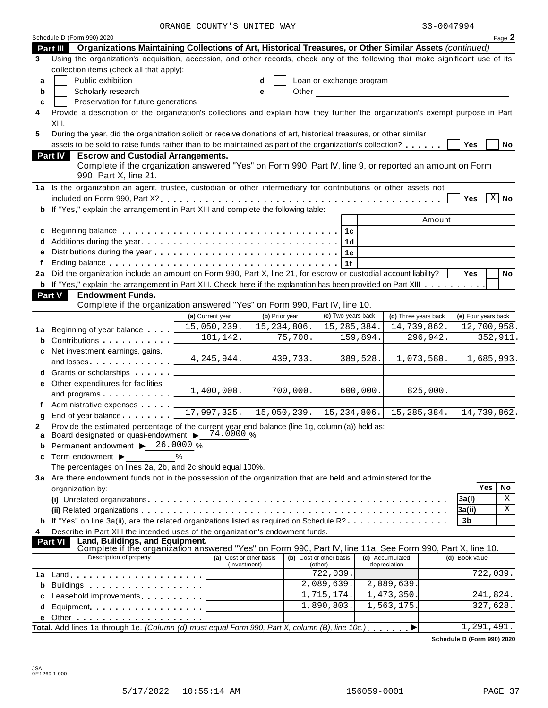|    |                                                                                                                                                                                                                                | ORANGE COUNTY'S UNITED WAY |                |                             |                      | 33-0047994          |            |                            |
|----|--------------------------------------------------------------------------------------------------------------------------------------------------------------------------------------------------------------------------------|----------------------------|----------------|-----------------------------|----------------------|---------------------|------------|----------------------------|
|    | Schedule D (Form 990) 2020                                                                                                                                                                                                     |                            |                |                             |                      |                     |            | Page 2                     |
|    | Part III Organizations Maintaining Collections of Art, Historical Treasures, or Other Similar Assets (continued)                                                                                                               |                            |                |                             |                      |                     |            |                            |
| 3  | Using the organization's acquisition, accession, and other records, check any of the following that make significant use of its                                                                                                |                            |                |                             |                      |                     |            |                            |
|    | collection items (check all that apply):                                                                                                                                                                                       |                            |                |                             |                      |                     |            |                            |
| a  | Public exhibition                                                                                                                                                                                                              |                            | d              | Loan or exchange program    |                      |                     |            |                            |
| b  | Scholarly research                                                                                                                                                                                                             |                            | Other<br>e     |                             |                      |                     |            |                            |
| c  | Preservation for future generations                                                                                                                                                                                            |                            |                |                             |                      |                     |            |                            |
| 4  | Provide a description of the organization's collections and explain how they further the organization's exempt purpose in Part                                                                                                 |                            |                |                             |                      |                     |            |                            |
|    | XIII.                                                                                                                                                                                                                          |                            |                |                             |                      |                     |            |                            |
| 5  | During the year, did the organization solicit or receive donations of art, historical treasures, or other similar                                                                                                              |                            |                |                             |                      |                     |            |                            |
|    | assets to be sold to raise funds rather than to be maintained as part of the organization's collection?                                                                                                                        |                            |                |                             |                      | <b>Yes</b>          |            | No                         |
|    | <b>Escrow and Custodial Arrangements.</b><br><b>Part IV</b>                                                                                                                                                                    |                            |                |                             |                      |                     |            |                            |
|    | Complete if the organization answered "Yes" on Form 990, Part IV, line 9, or reported an amount on Form<br>990, Part X, line 21.                                                                                               |                            |                |                             |                      |                     |            |                            |
|    | 1a Is the organization an agent, trustee, custodian or other intermediary for contributions or other assets not                                                                                                                |                            |                |                             |                      |                     |            |                            |
|    |                                                                                                                                                                                                                                |                            |                |                             |                      | <b>Yes</b>          |            | $\overline{\mathbb{X}}$ No |
|    | <b>b</b> If "Yes," explain the arrangement in Part XIII and complete the following table:                                                                                                                                      |                            |                |                             |                      |                     |            |                            |
|    |                                                                                                                                                                                                                                |                            |                |                             | Amount               |                     |            |                            |
| c  |                                                                                                                                                                                                                                |                            |                | 1c                          |                      |                     |            |                            |
|    | d Additions during the year                                                                                                                                                                                                    |                            |                | 1 <sub>d</sub>              |                      |                     |            |                            |
| е  |                                                                                                                                                                                                                                |                            |                | 1е                          |                      |                     |            |                            |
|    |                                                                                                                                                                                                                                |                            |                | 1f                          |                      |                     |            |                            |
|    | 2a Did the organization include an amount on Form 990, Part X, line 21, for escrow or custodial account liability?                                                                                                             |                            |                |                             |                      | <b>Yes</b>          |            | No                         |
|    | <b>b</b> If "Yes," explain the arrangement in Part XIII. Check here if the explanation has been provided on Part XIII                                                                                                          |                            |                |                             |                      |                     |            |                            |
|    | <b>Endowment Funds.</b><br><b>Part V</b>                                                                                                                                                                                       |                            |                |                             |                      |                     |            |                            |
|    | Complete if the organization answered "Yes" on Form 990, Part IV, line 10.                                                                                                                                                     |                            |                |                             |                      |                     |            |                            |
|    |                                                                                                                                                                                                                                | (a) Current year           | (b) Prior year | (c) Two years back          | (d) Three years back | (e) Four years back |            |                            |
|    |                                                                                                                                                                                                                                | 15,050,239.                | 15, 234, 806.  | 15, 285, 384.               | 14,739,862.          |                     |            | 12,700,958.                |
| 1a | Beginning of year balance                                                                                                                                                                                                      | 101,142.                   | 75,700.        | 159,894.                    | 296,942.             |                     |            | 352,911.                   |
| b  | Contributions                                                                                                                                                                                                                  |                            |                |                             |                      |                     |            |                            |
| c  | Net investment earnings, gains,                                                                                                                                                                                                | 4, 245, 944.               | 439,733.       | 389,528.                    | 1,073,580.           |                     |            | 1,685,993.                 |
|    | and losses                                                                                                                                                                                                                     |                            |                |                             |                      |                     |            |                            |
|    | d Grants or scholarships                                                                                                                                                                                                       |                            |                |                             |                      |                     |            |                            |
|    | e Other expenditures for facilities                                                                                                                                                                                            | 1,400,000.                 | 700,000.       | 600,000.                    | 825,000.             |                     |            |                            |
|    | and programs                                                                                                                                                                                                                   |                            |                |                             |                      |                     |            |                            |
|    | Administrative expenses                                                                                                                                                                                                        | 17,997,325.                | 15,050,239.    | $\overline{15}$ , 234, 806. | 15, 285, 384.        |                     |            | 14,739,862.                |
| q  | End of year balance                                                                                                                                                                                                            |                            |                |                             |                      |                     |            |                            |
| 2  | Provide the estimated percentage of the current year end balance (line 1g, column (a)) held as:<br>Board designated or quasi-endowment > 74.0000 %                                                                             |                            |                |                             |                      |                     |            |                            |
| a  | Permanent endowment ▶ 26.0000 %                                                                                                                                                                                                |                            |                |                             |                      |                     |            |                            |
| b  |                                                                                                                                                                                                                                | $\%$                       |                |                             |                      |                     |            |                            |
| c  | Term endowment ▶<br>The percentages on lines 2a, 2b, and 2c should equal 100%.                                                                                                                                                 |                            |                |                             |                      |                     |            |                            |
|    | 3a Are there endowment funds not in the possession of the organization that are held and administered for the                                                                                                                  |                            |                |                             |                      |                     |            |                            |
|    | organization by:                                                                                                                                                                                                               |                            |                |                             |                      |                     | <b>Yes</b> | No                         |
|    |                                                                                                                                                                                                                                |                            |                |                             |                      | 3a(i)               |            | Χ                          |
|    |                                                                                                                                                                                                                                |                            |                |                             |                      | 3a(ii)              |            | X                          |
|    | <b>b</b> If "Yes" on line 3a(ii), are the related organizations listed as required on Schedule R?                                                                                                                              |                            |                |                             |                      | 3b                  |            |                            |
|    | Describe in Part XIII the intended uses of the organization's endowment funds.                                                                                                                                                 |                            |                |                             |                      |                     |            |                            |
| 4  | Land, Buildings, and Equipment.<br><b>Part VI</b>                                                                                                                                                                              |                            |                |                             |                      |                     |            |                            |
|    | Complete if the organization answered "Yes" on Form 990, Part IV, line 11a. See Form 990, Part X, line 10.                                                                                                                     |                            |                |                             |                      |                     |            |                            |
|    | Description of property                                                                                                                                                                                                        | (a) Cost or other basis    |                | (b) Cost or other basis     | (c) Accumulated      | (d) Book value      |            |                            |
|    |                                                                                                                                                                                                                                | (investment)               |                | (other)<br>722,039.         | depreciation         |                     | 722,039.   |                            |
| 1а |                                                                                                                                                                                                                                |                            |                | 2,089,639.                  | 2,089,639.           |                     |            |                            |
| b  | Buildings                                                                                                                                                                                                                      |                            |                | 1,715,174.                  | 1,473,350.           |                     | 241,824.   |                            |
|    | Leasehold improvements expressions and the set of the set of the set of the set of the set of the set of the set of the set of the set of the set of the set of the set of the set of the set of the set of the set of the set |                            |                | 1,890,803.                  | 1,563,175            |                     | 327,628.   |                            |
| d  | Equipment                                                                                                                                                                                                                      |                            |                |                             |                      |                     |            |                            |
|    |                                                                                                                                                                                                                                |                            |                |                             |                      |                     |            |                            |
|    | Total. Add lines 1a through 1e. (Column (d) must equal Form 990, Part X, column (B), line 10c.)                                                                                                                                |                            |                |                             |                      |                     | 1,291,491. |                            |

**Schedule D (Form 990) 2020**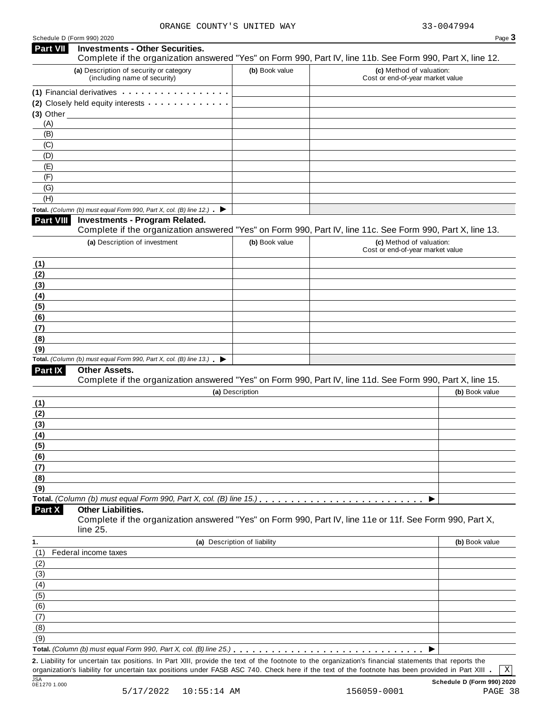| <b>Part VII</b>         | <b>Investments - Other Securities.</b>                                                   |                              | Complete if the organization answered "Yes" on Form 990, Part IV, line 11b. See Form 990, Part X, line 12.                                        |                |
|-------------------------|------------------------------------------------------------------------------------------|------------------------------|---------------------------------------------------------------------------------------------------------------------------------------------------|----------------|
|                         | (a) Description of security or category                                                  | (b) Book value               | (c) Method of valuation:                                                                                                                          |                |
|                         | (including name of security)                                                             |                              | Cost or end-of-year market value                                                                                                                  |                |
|                         | (1) Financial derivatives                                                                |                              |                                                                                                                                                   |                |
|                         | (2) Closely held equity interests                                                        |                              |                                                                                                                                                   |                |
| $(3)$ Other<br>(A)      |                                                                                          |                              |                                                                                                                                                   |                |
| (B)                     |                                                                                          |                              |                                                                                                                                                   |                |
| (C)                     |                                                                                          |                              |                                                                                                                                                   |                |
| (D)                     |                                                                                          |                              |                                                                                                                                                   |                |
| (E)                     |                                                                                          |                              |                                                                                                                                                   |                |
| (F)                     |                                                                                          |                              |                                                                                                                                                   |                |
| (G)                     |                                                                                          |                              |                                                                                                                                                   |                |
| (H)                     |                                                                                          |                              |                                                                                                                                                   |                |
|                         | Total. (Column (b) must equal Form 990, Part X, col. (B) line 12.) $\blacktriangleright$ |                              |                                                                                                                                                   |                |
| <b>Part VIII</b>        | <b>Investments - Program Related.</b>                                                    |                              | Complete if the organization answered "Yes" on Form 990, Part IV, line 11c. See Form 990, Part X, line 13.                                        |                |
|                         | (a) Description of investment                                                            | (b) Book value               | (c) Method of valuation:                                                                                                                          |                |
|                         |                                                                                          |                              | Cost or end-of-year market value                                                                                                                  |                |
| (1)                     |                                                                                          |                              |                                                                                                                                                   |                |
| (2)                     |                                                                                          |                              |                                                                                                                                                   |                |
| (3)                     |                                                                                          |                              |                                                                                                                                                   |                |
| (4)<br>(5)              |                                                                                          |                              |                                                                                                                                                   |                |
| (6)                     |                                                                                          |                              |                                                                                                                                                   |                |
| (7)                     |                                                                                          |                              |                                                                                                                                                   |                |
| (8)                     |                                                                                          |                              |                                                                                                                                                   |                |
| (9)                     |                                                                                          |                              |                                                                                                                                                   |                |
|                         | Total. (Column (b) must equal Form 990, Part X, col. (B) line $13$ .)                    |                              |                                                                                                                                                   |                |
| Part IX                 | Other Assets.                                                                            |                              | Complete if the organization answered "Yes" on Form 990, Part IV, line 11d. See Form 990, Part X, line 15.                                        |                |
|                         |                                                                                          | (a) Description              |                                                                                                                                                   | (b) Book value |
| (1)                     |                                                                                          |                              |                                                                                                                                                   |                |
| (2)                     |                                                                                          |                              |                                                                                                                                                   |                |
| (3)                     |                                                                                          |                              |                                                                                                                                                   |                |
| (4)                     |                                                                                          |                              |                                                                                                                                                   |                |
| (5)                     |                                                                                          |                              |                                                                                                                                                   |                |
| (6)                     |                                                                                          |                              |                                                                                                                                                   |                |
| (7)                     |                                                                                          |                              |                                                                                                                                                   |                |
| (8)                     |                                                                                          |                              |                                                                                                                                                   |                |
| (9)                     | Total. (Column (b) must equal Form 990, Part X, col. (B) line 15.).                      |                              |                                                                                                                                                   |                |
| Part X                  | <b>Other Liabilities.</b>                                                                |                              | Complete if the organization answered "Yes" on Form 990, Part IV, line 11e or 11f. See Form 990, Part X,                                          |                |
|                         | line 25.                                                                                 |                              |                                                                                                                                                   |                |
| 1.                      |                                                                                          | (a) Description of liability |                                                                                                                                                   | (b) Book value |
| (1)                     | Federal income taxes                                                                     |                              |                                                                                                                                                   |                |
| (2)                     |                                                                                          |                              |                                                                                                                                                   |                |
| (3)<br>$\left(4\right)$ |                                                                                          |                              |                                                                                                                                                   |                |
| (5)                     |                                                                                          |                              |                                                                                                                                                   |                |
| (6)                     |                                                                                          |                              |                                                                                                                                                   |                |
| (7)                     |                                                                                          |                              |                                                                                                                                                   |                |
| (8)                     |                                                                                          |                              |                                                                                                                                                   |                |
| (9)                     |                                                                                          |                              |                                                                                                                                                   |                |
|                         | Total. (Column (b) must equal Form 990, Part X, col. (B) line 25.)                       |                              |                                                                                                                                                   |                |
|                         |                                                                                          |                              | 2 Liability for uncertain tax positions In Part XIII provide the text of the footpote to the organization's financial statements that reports the |                |

**2.** Liability for uncertain tax positions. In Part XIII, provide the text of the footnote to the organization's financial statements that reports the 2. Liability for uncertain tax positions. In Part XIII, provide the text of the footnote to the organization's financial statements that reports the corganization's liability for uncertain tax positions under FASB ASC 740 JSA **Schedule D (Form 990) 2020** JSA<br>0E1270 1.000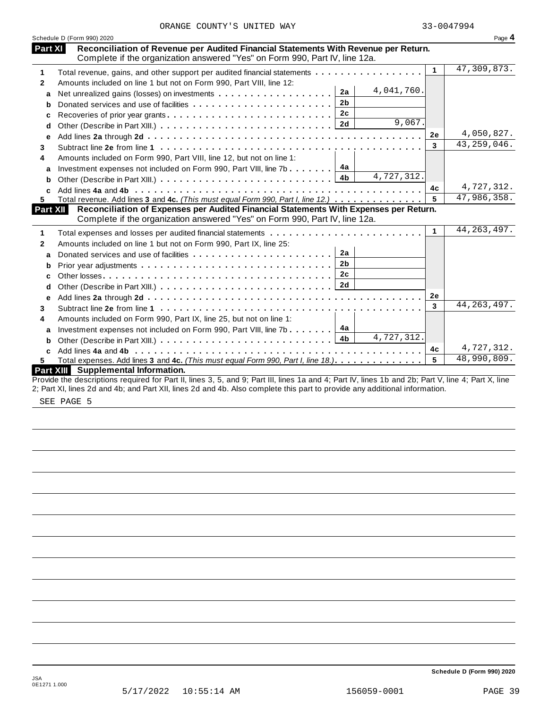|  | ORANGE COUNTY'S UNITED WAY |  |  |  |  |
|--|----------------------------|--|--|--|--|
|--|----------------------------|--|--|--|--|

|              | Schedule D (Form 990) 2020                                                                                                                                           |        |           | Page 4        |
|--------------|----------------------------------------------------------------------------------------------------------------------------------------------------------------------|--------|-----------|---------------|
| Part XI      | Reconciliation of Revenue per Audited Financial Statements With Revenue per Return.<br>Complete if the organization answered "Yes" on Form 990, Part IV, line 12a.   |        |           |               |
| 1            | Total revenue, gains, and other support per audited financial statements                                                                                             |        | 1         | 47,309,873.   |
| $\mathbf{2}$ | Amounts included on line 1 but not on Form 990, Part VIII, line 12:                                                                                                  |        |           |               |
| a            | 4,041,760.<br>2a                                                                                                                                                     |        |           |               |
| b            | 2 <sub>b</sub>                                                                                                                                                       |        |           |               |
| с            | 2c                                                                                                                                                                   |        |           |               |
| d            | 2d                                                                                                                                                                   | 9,067. |           |               |
| e            |                                                                                                                                                                      |        | 2е        | 4,050,827.    |
| 3            |                                                                                                                                                                      |        | 3         | 43, 259, 046. |
| 4            | Amounts included on Form 990, Part VIII, line 12, but not on line 1:                                                                                                 |        |           |               |
| a            | 4a<br>Investment expenses not included on Form 990, Part VIII, line 7b                                                                                               |        |           |               |
| b            | 4,727,312.<br>4b                                                                                                                                                     |        |           |               |
| C            |                                                                                                                                                                      |        | 4c        | 4,727,312.    |
| 5            | Total revenue. Add lines 3 and 4c. (This must equal Form 990, Part I, line 12.)                                                                                      |        | 5         | 47,986,358.   |
| Part XII     | Reconciliation of Expenses per Audited Financial Statements With Expenses per Return.<br>Complete if the organization answered "Yes" on Form 990, Part IV, line 12a. |        |           |               |
|              |                                                                                                                                                                      |        | 1         | 44, 263, 497. |
| 1            |                                                                                                                                                                      |        |           |               |
| 2            | Amounts included on line 1 but not on Form 990, Part IX, line 25:<br>2a                                                                                              |        |           |               |
| a            | 2 <sub>b</sub>                                                                                                                                                       |        |           |               |
| b            | 2c                                                                                                                                                                   |        |           |               |
| C            |                                                                                                                                                                      |        |           |               |
| d            |                                                                                                                                                                      |        |           |               |
| e            |                                                                                                                                                                      |        | <b>2e</b> | 44, 263, 497. |
| 3            |                                                                                                                                                                      |        | 3         |               |
| 4            | Amounts included on Form 990, Part IX, line 25, but not on line 1:                                                                                                   |        |           |               |
| a            | Investment expenses not included on Form 990, Part VIII, line 7b 4a<br>4,727,312.                                                                                    |        |           |               |
| b            |                                                                                                                                                                      |        |           |               |
|              |                                                                                                                                                                      |        | 4c        | 4,727,312.    |
| 5.           | Total expenses. Add lines 3 and 4c. (This must equal Form 990, Part I, line 18.).                                                                                    |        | 5         | 48,990,809.   |
|              | Part XIII Supplemental Information.                                                                                                                                  |        |           |               |
|              | Provide the descriptions required for Part II, lines 3, 5, and 9; Part III, lines 1a and 4; Part IV, lines 1b and 2b; Part V, line 4; Part X, line                   |        |           |               |

2; Part XI, lines 2d and 4b; and Part XII, lines 2d and 4b. Also complete this part to provide any additional information.

SEE PAGE 5

**Schedule D (Form 990) 2020**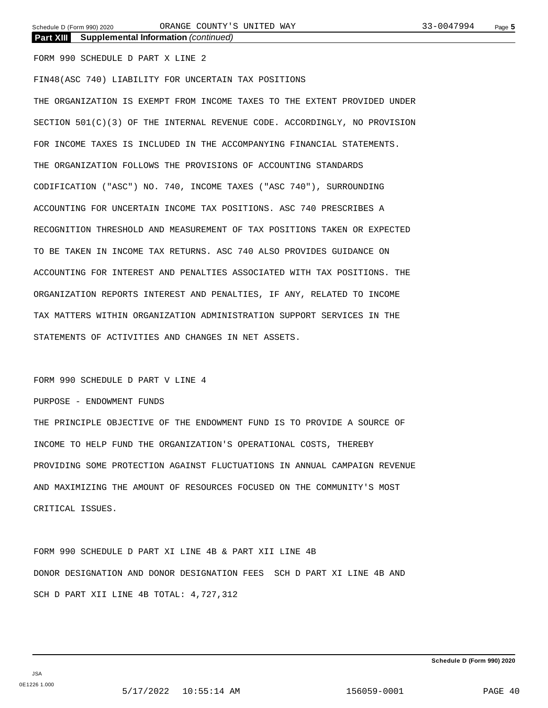FORM 990 SCHEDULE D PART X LINE 2

**Part XIII Supplemental Information** *(continued)*

FIN48(ASC 740) LIABILITY FOR UNCERTAIN TAX POSITIONS THE ORGANIZATION IS EXEMPT FROM INCOME TAXES TO THE EXTENT PROVIDED UNDER SECTION 501(C)(3) OF THE INTERNAL REVENUE CODE. ACCORDINGLY, NO PROVISION FOR INCOME TAXES IS INCLUDED IN THE ACCOMPANYING FINANCIAL STATEMENTS. THE ORGANIZATION FOLLOWS THE PROVISIONS OF ACCOUNTING STANDARDS CODIFICATION ("ASC") NO. 740, INCOME TAXES ("ASC 740"), SURROUNDING ACCOUNTING FOR UNCERTAIN INCOME TAX POSITIONS. ASC 740 PRESCRIBES A RECOGNITION THRESHOLD AND MEASUREMENT OF TAX POSITIONS TAKEN OR EXPECTED TO BE TAKEN IN INCOME TAX RETURNS. ASC 740 ALSO PROVIDES GUIDANCE ON ACCOUNTING FOR INTEREST AND PENALTIES ASSOCIATED WITH TAX POSITIONS. THE ORGANIZATION REPORTS INTEREST AND PENALTIES, IF ANY, RELATED TO INCOME TAX MATTERS WITHIN ORGANIZATION ADMINISTRATION SUPPORT SERVICES IN THE STATEMENTS OF ACTIVITIES AND CHANGES IN NET ASSETS.

FORM 990 SCHEDULE D PART V LINE 4

PURPOSE - ENDOWMENT FUNDS

THE PRINCIPLE OBJECTIVE OF THE ENDOWMENT FUND IS TO PROVIDE A SOURCE OF INCOME TO HELP FUND THE ORGANIZATION'S OPERATIONAL COSTS, THEREBY PROVIDING SOME PROTECTION AGAINST FLUCTUATIONS IN ANNUAL CAMPAIGN REVENUE AND MAXIMIZING THE AMOUNT OF RESOURCES FOCUSED ON THE COMMUNITY'S MOST CRITICAL ISSUES.

FORM 990 SCHEDULE D PART XI LINE 4B & PART XII LINE 4B DONOR DESIGNATION AND DONOR DESIGNATION FEES SCH D PART XI LINE 4B AND SCH D PART XII LINE 4B TOTAL: 4,727,312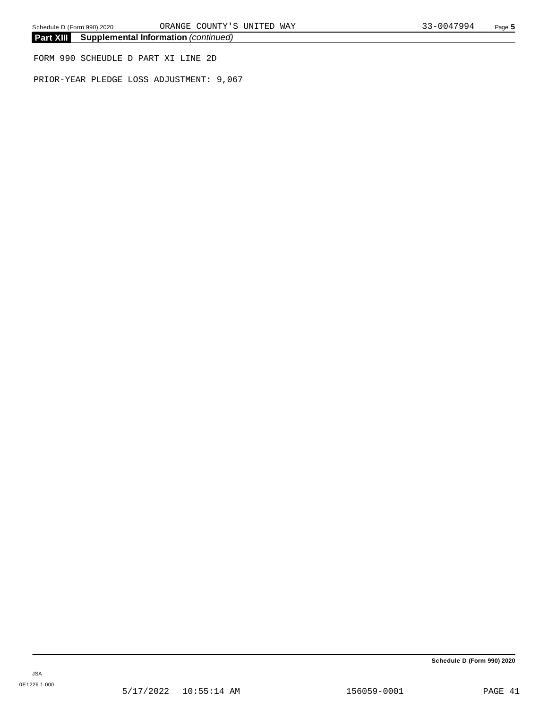**Part XIII Supplemental Information** *(continued)*

FORM 990 SCHEUDLE D PART XI LINE 2D

PRIOR-YEAR PLEDGE LOSS ADJUSTMENT: 9,067

**Schedule D (Form 990) 2020**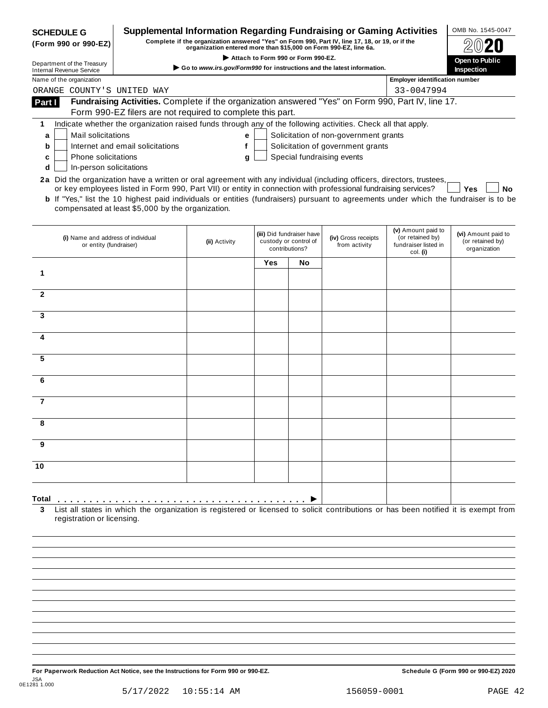| Complete if the organization answered "Yes" on Form 990, Part IV, line 17, 18, or 19, or if the<br>organization entered more than \$15,000 on Form 990-EZ, line 6a.<br>Attach to Form 990 or Form 990-EZ.<br>Open to Public<br>Go to www.irs.gov/Form990 for instructions and the latest information.<br><b>Inspection</b><br><b>Internal Revenue Service</b><br>Name of the organization<br><b>Employer identification number</b><br>ORANGE COUNTY'S UNITED WAY<br>33-0047994<br>Fundraising Activities. Complete if the organization answered "Yes" on Form 990, Part IV, line 17.<br>Form 990-EZ filers are not required to complete this part.<br>Indicate whether the organization raised funds through any of the following activities. Check all that apply.<br>Solicitation of non-government grants<br>Mail solicitations<br>е<br>a<br>Solicitation of government grants<br>Internet and email solicitations<br>f<br>b<br>Special fundraising events<br>Phone solicitations<br>c<br>g<br>d<br>In-person solicitations<br>2a Did the organization have a written or oral agreement with any individual (including officers, directors, trustees,<br>or key employees listed in Form 990, Part VII) or entity in connection with professional fundraising services?<br>Yes<br>No<br><b>b</b> If "Yes," list the 10 highest paid individuals or entities (fundraisers) pursuant to agreements under which the fundraiser is to be<br>compensated at least \$5,000 by the organization.<br>(v) Amount paid to<br>(vi) Amount paid to<br>(iii) Did fundraiser have<br>(i) Name and address of individual<br>(iv) Gross receipts<br>(or retained by)<br>custody or control of<br>(or retained by)<br>(ii) Activity<br>or entity (fundraiser)<br>from activity<br>fundraiser listed in<br>contributions?<br>organization<br>col. (i)<br><b>Yes</b><br>No<br>7<br>Total<br>List all states in which the organization is registered or licensed to solicit contributions or has been notified it is exempt from<br>registration or licensing. | <b>SCHEDULE G</b>          | Supplemental Information Regarding Fundraising or Gaming Activities |  |  | OMB No. 1545-0047 |
|-----------------------------------------------------------------------------------------------------------------------------------------------------------------------------------------------------------------------------------------------------------------------------------------------------------------------------------------------------------------------------------------------------------------------------------------------------------------------------------------------------------------------------------------------------------------------------------------------------------------------------------------------------------------------------------------------------------------------------------------------------------------------------------------------------------------------------------------------------------------------------------------------------------------------------------------------------------------------------------------------------------------------------------------------------------------------------------------------------------------------------------------------------------------------------------------------------------------------------------------------------------------------------------------------------------------------------------------------------------------------------------------------------------------------------------------------------------------------------------------------------------------------------------------------------------------------------------------------------------------------------------------------------------------------------------------------------------------------------------------------------------------------------------------------------------------------------------------------------------------------------------------------------------------------------------------------------------------------------------------------------------------------------------------------|----------------------------|---------------------------------------------------------------------|--|--|-------------------|
|                                                                                                                                                                                                                                                                                                                                                                                                                                                                                                                                                                                                                                                                                                                                                                                                                                                                                                                                                                                                                                                                                                                                                                                                                                                                                                                                                                                                                                                                                                                                                                                                                                                                                                                                                                                                                                                                                                                                                                                                                                               | (Form 990 or 990-EZ)       |                                                                     |  |  |                   |
|                                                                                                                                                                                                                                                                                                                                                                                                                                                                                                                                                                                                                                                                                                                                                                                                                                                                                                                                                                                                                                                                                                                                                                                                                                                                                                                                                                                                                                                                                                                                                                                                                                                                                                                                                                                                                                                                                                                                                                                                                                               | Department of the Treasury |                                                                     |  |  |                   |
|                                                                                                                                                                                                                                                                                                                                                                                                                                                                                                                                                                                                                                                                                                                                                                                                                                                                                                                                                                                                                                                                                                                                                                                                                                                                                                                                                                                                                                                                                                                                                                                                                                                                                                                                                                                                                                                                                                                                                                                                                                               |                            |                                                                     |  |  |                   |
|                                                                                                                                                                                                                                                                                                                                                                                                                                                                                                                                                                                                                                                                                                                                                                                                                                                                                                                                                                                                                                                                                                                                                                                                                                                                                                                                                                                                                                                                                                                                                                                                                                                                                                                                                                                                                                                                                                                                                                                                                                               |                            |                                                                     |  |  |                   |
|                                                                                                                                                                                                                                                                                                                                                                                                                                                                                                                                                                                                                                                                                                                                                                                                                                                                                                                                                                                                                                                                                                                                                                                                                                                                                                                                                                                                                                                                                                                                                                                                                                                                                                                                                                                                                                                                                                                                                                                                                                               | Part I                     |                                                                     |  |  |                   |
|                                                                                                                                                                                                                                                                                                                                                                                                                                                                                                                                                                                                                                                                                                                                                                                                                                                                                                                                                                                                                                                                                                                                                                                                                                                                                                                                                                                                                                                                                                                                                                                                                                                                                                                                                                                                                                                                                                                                                                                                                                               |                            |                                                                     |  |  |                   |
|                                                                                                                                                                                                                                                                                                                                                                                                                                                                                                                                                                                                                                                                                                                                                                                                                                                                                                                                                                                                                                                                                                                                                                                                                                                                                                                                                                                                                                                                                                                                                                                                                                                                                                                                                                                                                                                                                                                                                                                                                                               | 1                          |                                                                     |  |  |                   |
|                                                                                                                                                                                                                                                                                                                                                                                                                                                                                                                                                                                                                                                                                                                                                                                                                                                                                                                                                                                                                                                                                                                                                                                                                                                                                                                                                                                                                                                                                                                                                                                                                                                                                                                                                                                                                                                                                                                                                                                                                                               |                            |                                                                     |  |  |                   |
|                                                                                                                                                                                                                                                                                                                                                                                                                                                                                                                                                                                                                                                                                                                                                                                                                                                                                                                                                                                                                                                                                                                                                                                                                                                                                                                                                                                                                                                                                                                                                                                                                                                                                                                                                                                                                                                                                                                                                                                                                                               |                            |                                                                     |  |  |                   |
|                                                                                                                                                                                                                                                                                                                                                                                                                                                                                                                                                                                                                                                                                                                                                                                                                                                                                                                                                                                                                                                                                                                                                                                                                                                                                                                                                                                                                                                                                                                                                                                                                                                                                                                                                                                                                                                                                                                                                                                                                                               |                            |                                                                     |  |  |                   |
|                                                                                                                                                                                                                                                                                                                                                                                                                                                                                                                                                                                                                                                                                                                                                                                                                                                                                                                                                                                                                                                                                                                                                                                                                                                                                                                                                                                                                                                                                                                                                                                                                                                                                                                                                                                                                                                                                                                                                                                                                                               |                            |                                                                     |  |  |                   |
|                                                                                                                                                                                                                                                                                                                                                                                                                                                                                                                                                                                                                                                                                                                                                                                                                                                                                                                                                                                                                                                                                                                                                                                                                                                                                                                                                                                                                                                                                                                                                                                                                                                                                                                                                                                                                                                                                                                                                                                                                                               |                            |                                                                     |  |  |                   |
|                                                                                                                                                                                                                                                                                                                                                                                                                                                                                                                                                                                                                                                                                                                                                                                                                                                                                                                                                                                                                                                                                                                                                                                                                                                                                                                                                                                                                                                                                                                                                                                                                                                                                                                                                                                                                                                                                                                                                                                                                                               |                            |                                                                     |  |  |                   |
|                                                                                                                                                                                                                                                                                                                                                                                                                                                                                                                                                                                                                                                                                                                                                                                                                                                                                                                                                                                                                                                                                                                                                                                                                                                                                                                                                                                                                                                                                                                                                                                                                                                                                                                                                                                                                                                                                                                                                                                                                                               |                            |                                                                     |  |  |                   |
|                                                                                                                                                                                                                                                                                                                                                                                                                                                                                                                                                                                                                                                                                                                                                                                                                                                                                                                                                                                                                                                                                                                                                                                                                                                                                                                                                                                                                                                                                                                                                                                                                                                                                                                                                                                                                                                                                                                                                                                                                                               | 1                          |                                                                     |  |  |                   |
|                                                                                                                                                                                                                                                                                                                                                                                                                                                                                                                                                                                                                                                                                                                                                                                                                                                                                                                                                                                                                                                                                                                                                                                                                                                                                                                                                                                                                                                                                                                                                                                                                                                                                                                                                                                                                                                                                                                                                                                                                                               |                            |                                                                     |  |  |                   |
|                                                                                                                                                                                                                                                                                                                                                                                                                                                                                                                                                                                                                                                                                                                                                                                                                                                                                                                                                                                                                                                                                                                                                                                                                                                                                                                                                                                                                                                                                                                                                                                                                                                                                                                                                                                                                                                                                                                                                                                                                                               | $\mathbf{2}$               |                                                                     |  |  |                   |
|                                                                                                                                                                                                                                                                                                                                                                                                                                                                                                                                                                                                                                                                                                                                                                                                                                                                                                                                                                                                                                                                                                                                                                                                                                                                                                                                                                                                                                                                                                                                                                                                                                                                                                                                                                                                                                                                                                                                                                                                                                               | 3                          |                                                                     |  |  |                   |
|                                                                                                                                                                                                                                                                                                                                                                                                                                                                                                                                                                                                                                                                                                                                                                                                                                                                                                                                                                                                                                                                                                                                                                                                                                                                                                                                                                                                                                                                                                                                                                                                                                                                                                                                                                                                                                                                                                                                                                                                                                               |                            |                                                                     |  |  |                   |
|                                                                                                                                                                                                                                                                                                                                                                                                                                                                                                                                                                                                                                                                                                                                                                                                                                                                                                                                                                                                                                                                                                                                                                                                                                                                                                                                                                                                                                                                                                                                                                                                                                                                                                                                                                                                                                                                                                                                                                                                                                               | 4                          |                                                                     |  |  |                   |
|                                                                                                                                                                                                                                                                                                                                                                                                                                                                                                                                                                                                                                                                                                                                                                                                                                                                                                                                                                                                                                                                                                                                                                                                                                                                                                                                                                                                                                                                                                                                                                                                                                                                                                                                                                                                                                                                                                                                                                                                                                               |                            |                                                                     |  |  |                   |
|                                                                                                                                                                                                                                                                                                                                                                                                                                                                                                                                                                                                                                                                                                                                                                                                                                                                                                                                                                                                                                                                                                                                                                                                                                                                                                                                                                                                                                                                                                                                                                                                                                                                                                                                                                                                                                                                                                                                                                                                                                               | 5                          |                                                                     |  |  |                   |
|                                                                                                                                                                                                                                                                                                                                                                                                                                                                                                                                                                                                                                                                                                                                                                                                                                                                                                                                                                                                                                                                                                                                                                                                                                                                                                                                                                                                                                                                                                                                                                                                                                                                                                                                                                                                                                                                                                                                                                                                                                               |                            |                                                                     |  |  |                   |
|                                                                                                                                                                                                                                                                                                                                                                                                                                                                                                                                                                                                                                                                                                                                                                                                                                                                                                                                                                                                                                                                                                                                                                                                                                                                                                                                                                                                                                                                                                                                                                                                                                                                                                                                                                                                                                                                                                                                                                                                                                               | 6                          |                                                                     |  |  |                   |
|                                                                                                                                                                                                                                                                                                                                                                                                                                                                                                                                                                                                                                                                                                                                                                                                                                                                                                                                                                                                                                                                                                                                                                                                                                                                                                                                                                                                                                                                                                                                                                                                                                                                                                                                                                                                                                                                                                                                                                                                                                               |                            |                                                                     |  |  |                   |
|                                                                                                                                                                                                                                                                                                                                                                                                                                                                                                                                                                                                                                                                                                                                                                                                                                                                                                                                                                                                                                                                                                                                                                                                                                                                                                                                                                                                                                                                                                                                                                                                                                                                                                                                                                                                                                                                                                                                                                                                                                               |                            |                                                                     |  |  |                   |
|                                                                                                                                                                                                                                                                                                                                                                                                                                                                                                                                                                                                                                                                                                                                                                                                                                                                                                                                                                                                                                                                                                                                                                                                                                                                                                                                                                                                                                                                                                                                                                                                                                                                                                                                                                                                                                                                                                                                                                                                                                               |                            |                                                                     |  |  |                   |
|                                                                                                                                                                                                                                                                                                                                                                                                                                                                                                                                                                                                                                                                                                                                                                                                                                                                                                                                                                                                                                                                                                                                                                                                                                                                                                                                                                                                                                                                                                                                                                                                                                                                                                                                                                                                                                                                                                                                                                                                                                               |                            |                                                                     |  |  |                   |
|                                                                                                                                                                                                                                                                                                                                                                                                                                                                                                                                                                                                                                                                                                                                                                                                                                                                                                                                                                                                                                                                                                                                                                                                                                                                                                                                                                                                                                                                                                                                                                                                                                                                                                                                                                                                                                                                                                                                                                                                                                               | 9                          |                                                                     |  |  |                   |
|                                                                                                                                                                                                                                                                                                                                                                                                                                                                                                                                                                                                                                                                                                                                                                                                                                                                                                                                                                                                                                                                                                                                                                                                                                                                                                                                                                                                                                                                                                                                                                                                                                                                                                                                                                                                                                                                                                                                                                                                                                               |                            |                                                                     |  |  |                   |
|                                                                                                                                                                                                                                                                                                                                                                                                                                                                                                                                                                                                                                                                                                                                                                                                                                                                                                                                                                                                                                                                                                                                                                                                                                                                                                                                                                                                                                                                                                                                                                                                                                                                                                                                                                                                                                                                                                                                                                                                                                               | 10                         |                                                                     |  |  |                   |
|                                                                                                                                                                                                                                                                                                                                                                                                                                                                                                                                                                                                                                                                                                                                                                                                                                                                                                                                                                                                                                                                                                                                                                                                                                                                                                                                                                                                                                                                                                                                                                                                                                                                                                                                                                                                                                                                                                                                                                                                                                               |                            |                                                                     |  |  |                   |
|                                                                                                                                                                                                                                                                                                                                                                                                                                                                                                                                                                                                                                                                                                                                                                                                                                                                                                                                                                                                                                                                                                                                                                                                                                                                                                                                                                                                                                                                                                                                                                                                                                                                                                                                                                                                                                                                                                                                                                                                                                               |                            |                                                                     |  |  |                   |
|                                                                                                                                                                                                                                                                                                                                                                                                                                                                                                                                                                                                                                                                                                                                                                                                                                                                                                                                                                                                                                                                                                                                                                                                                                                                                                                                                                                                                                                                                                                                                                                                                                                                                                                                                                                                                                                                                                                                                                                                                                               | 3                          |                                                                     |  |  |                   |
|                                                                                                                                                                                                                                                                                                                                                                                                                                                                                                                                                                                                                                                                                                                                                                                                                                                                                                                                                                                                                                                                                                                                                                                                                                                                                                                                                                                                                                                                                                                                                                                                                                                                                                                                                                                                                                                                                                                                                                                                                                               |                            |                                                                     |  |  |                   |
|                                                                                                                                                                                                                                                                                                                                                                                                                                                                                                                                                                                                                                                                                                                                                                                                                                                                                                                                                                                                                                                                                                                                                                                                                                                                                                                                                                                                                                                                                                                                                                                                                                                                                                                                                                                                                                                                                                                                                                                                                                               |                            |                                                                     |  |  |                   |
|                                                                                                                                                                                                                                                                                                                                                                                                                                                                                                                                                                                                                                                                                                                                                                                                                                                                                                                                                                                                                                                                                                                                                                                                                                                                                                                                                                                                                                                                                                                                                                                                                                                                                                                                                                                                                                                                                                                                                                                                                                               |                            |                                                                     |  |  |                   |
|                                                                                                                                                                                                                                                                                                                                                                                                                                                                                                                                                                                                                                                                                                                                                                                                                                                                                                                                                                                                                                                                                                                                                                                                                                                                                                                                                                                                                                                                                                                                                                                                                                                                                                                                                                                                                                                                                                                                                                                                                                               |                            |                                                                     |  |  |                   |

For Paperwork Reduction Act Notice, see the Instructions for Form 990 or 990-EZ. Schedule G (Form 990 or 990-EZ) 2020 JSA 0E1281 1.000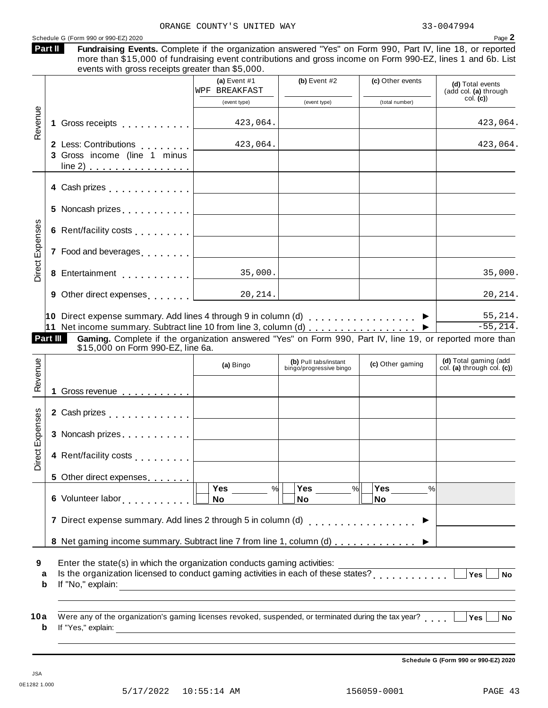|         | Schedule G (Form 990 or 990-EZ) 2020                                                                                                                                                                                      |                                         |                                                  |                  | Page 2                                              |
|---------|---------------------------------------------------------------------------------------------------------------------------------------------------------------------------------------------------------------------------|-----------------------------------------|--------------------------------------------------|------------------|-----------------------------------------------------|
| Part II | Fundraising Events. Complete if the organization answered "Yes" on Form 990, Part IV, line 18, or reported<br>more than \$15,000 of fundraising event contributions and gross income on Form 990-EZ, lines 1 and 6b. List |                                         |                                                  |                  |                                                     |
|         | events with gross receipts greater than \$5,000.                                                                                                                                                                          |                                         |                                                  |                  |                                                     |
|         |                                                                                                                                                                                                                           | (a) Event #1<br>WPF BREAKFAST           | (b) Event $#2$                                   | (c) Other events | (d) Total events<br>(add col. (a) through           |
| Revenue |                                                                                                                                                                                                                           | (event type)                            | (event type)                                     | (total number)   | col. (c)                                            |
|         | 1 Gross receipts                                                                                                                                                                                                          | 423,064.                                |                                                  |                  | 423,064.                                            |
|         | 2 Less: Contributions  <br>3 Gross income (line 1 minus<br>line 2)                                                                                                                                                        | 423,064.                                |                                                  |                  | 423,064.                                            |
|         | 4 Cash prizes [19]                                                                                                                                                                                                        |                                         |                                                  |                  |                                                     |
|         | 5 Noncash prizes <u>  _ _ _ _ _ _ _ _ _ _ _ _</u>                                                                                                                                                                         |                                         |                                                  |                  |                                                     |
|         | 6 Rent/facility costs                                                                                                                                                                                                     | <u> 1980 - Johann Barbara, martxa a</u> |                                                  |                  |                                                     |
|         | 7 Food and beverages                                                                                                                                                                                                      |                                         |                                                  |                  |                                                     |
|         | 8 Entertainment                                                                                                                                                                                                           | 35,000.                                 |                                                  |                  | 35,000.                                             |
|         | 9 Other direct expenses 20, 214.                                                                                                                                                                                          |                                         |                                                  |                  | 20,214.                                             |
|         | 10 Direct expense summary. Add lines 4 through 9 in column (d) $\ldots$                                                                                                                                                   |                                         |                                                  |                  | 55,214.                                             |
|         | 11 Net income summary. Subtract line 10 from line 3, column (d)                                                                                                                                                           |                                         |                                                  |                  | $-55, 214.$                                         |
|         | Part III<br>Gaming. Complete if the organization answered "Yes" on Form 990, Part IV, line 19, or reported more than                                                                                                      |                                         |                                                  |                  |                                                     |
| Revenue | \$15,000 on Form 990-EZ, line 6a.                                                                                                                                                                                         |                                         |                                                  |                  |                                                     |
|         |                                                                                                                                                                                                                           | (a) Bingo                               | (b) Pull tabs/instant<br>bingo/progressive bingo | (c) Other gaming | (d) Total gaming (add<br>col. (a) through col. (c)) |
|         |                                                                                                                                                                                                                           |                                         |                                                  |                  |                                                     |
|         |                                                                                                                                                                                                                           |                                         |                                                  |                  |                                                     |
|         | 2 Cash prizes                                                                                                                                                                                                             |                                         |                                                  |                  |                                                     |
|         | 3 Noncash prizes                                                                                                                                                                                                          |                                         |                                                  |                  |                                                     |
|         | 4 Rent/facility costs                                                                                                                                                                                                     |                                         |                                                  |                  |                                                     |
|         | 5 Other direct expenses                                                                                                                                                                                                   |                                         |                                                  |                  |                                                     |
|         |                                                                                                                                                                                                                           | $\frac{9}{6}$                           | $\frac{9}{6}$<br>Yes                             | %                |                                                     |
|         |                                                                                                                                                                                                                           | <b>No</b>                               | No                                               | No               |                                                     |
|         | 7 Direct expense summary. Add lines 2 through 5 in column (d)                                                                                                                                                             |                                         |                                                  |                  |                                                     |
|         | 8 Net gaming income summary. Subtract line 7 from line 1, column (d)  ▶                                                                                                                                                   |                                         |                                                  |                  |                                                     |
| a<br>b  | Enter the state(s) in which the organization conducts gaming activities:<br>Is the organization licensed to conduct gaming activities in each of these states?                                                            |                                         |                                                  |                  | Yes<br><b>No</b>                                    |
|         |                                                                                                                                                                                                                           |                                         |                                                  |                  |                                                     |
| 10a     | Were any of the organization's gaming licenses revoked, suspended, or terminated during the tax year?                                                                                                                     |                                         |                                                  |                  | Yes<br><b>No</b>                                    |
| b       |                                                                                                                                                                                                                           |                                         |                                                  |                  |                                                     |
|         |                                                                                                                                                                                                                           |                                         |                                                  |                  |                                                     |

**Schedule G (Form 990 or 990-EZ) 2020**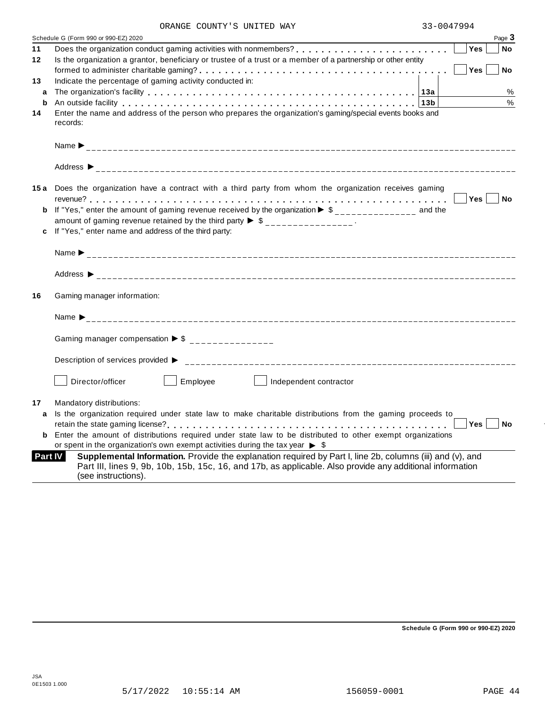| ORANGE COUNTY'S UNITED WAY |
|----------------------------|
|----------------------------|

|                | Schedule G (Form 990 or 990-EZ) 2020                                                                                                                                                                                           | Page 3           |
|----------------|--------------------------------------------------------------------------------------------------------------------------------------------------------------------------------------------------------------------------------|------------------|
| 11             |                                                                                                                                                                                                                                | Yes<br><b>No</b> |
| 12             | Is the organization a grantor, beneficiary or trustee of a trust or a member of a partnership or other entity                                                                                                                  |                  |
|                |                                                                                                                                                                                                                                | Yes<br><b>No</b> |
| 13             | Indicate the percentage of gaming activity conducted in:                                                                                                                                                                       |                  |
| a              |                                                                                                                                                                                                                                | %                |
| b              | An outside facility enterpreteration of the control of the control of the control of the control of the control of the control of the control of the control of the control of the control of the control of the control of th | $\%$             |
| 14             | Enter the name and address of the person who prepares the organization's gaming/special events books and                                                                                                                       |                  |
|                | records:                                                                                                                                                                                                                       |                  |
|                |                                                                                                                                                                                                                                |                  |
|                |                                                                                                                                                                                                                                |                  |
|                |                                                                                                                                                                                                                                |                  |
|                |                                                                                                                                                                                                                                |                  |
|                |                                                                                                                                                                                                                                |                  |
|                | 15a Does the organization have a contract with a third party from whom the organization receives gaming                                                                                                                        |                  |
|                |                                                                                                                                                                                                                                | Yes  <br>No      |
|                | <b>b</b> If "Yes," enter the amount of gaming revenue received by the organization $\triangleright$ \$ ______________ and the                                                                                                  |                  |
|                | amount of gaming revenue retained by the third party $\triangleright$ \$ _______________.                                                                                                                                      |                  |
|                | c If "Yes," enter name and address of the third party:                                                                                                                                                                         |                  |
|                |                                                                                                                                                                                                                                |                  |
|                |                                                                                                                                                                                                                                |                  |
| 16             | Gaming manager information:                                                                                                                                                                                                    |                  |
|                |                                                                                                                                                                                                                                |                  |
|                |                                                                                                                                                                                                                                |                  |
|                | Gaming manager compensation $\triangleright$ \$ _______________                                                                                                                                                                |                  |
|                |                                                                                                                                                                                                                                |                  |
|                | Description of services provided ▶                                                                                                                                                                                             |                  |
|                |                                                                                                                                                                                                                                |                  |
|                | Employee<br>Director/officer<br>Independent contractor                                                                                                                                                                         |                  |
|                |                                                                                                                                                                                                                                |                  |
| 17             | Mandatory distributions:                                                                                                                                                                                                       |                  |
| a              | Is the organization required under state law to make charitable distributions from the gaming proceeds to                                                                                                                      |                  |
|                |                                                                                                                                                                                                                                | Yes<br><b>No</b> |
| b              | Enter the amount of distributions required under state law to be distributed to other exempt organizations                                                                                                                     |                  |
|                | or spent in the organization's own exempt activities during the tax year $\triangleright$ \$                                                                                                                                   |                  |
| <b>Part IV</b> | Supplemental Information. Provide the explanation required by Part I, line 2b, columns (iii) and (v), and                                                                                                                      |                  |
|                | Part III, lines 9, 9b, 10b, 15b, 15c, 16, and 17b, as applicable. Also provide any additional information                                                                                                                      |                  |
|                | (see instructions).                                                                                                                                                                                                            |                  |
|                |                                                                                                                                                                                                                                |                  |

**Schedule G (Form 990 or 990-EZ) 2020**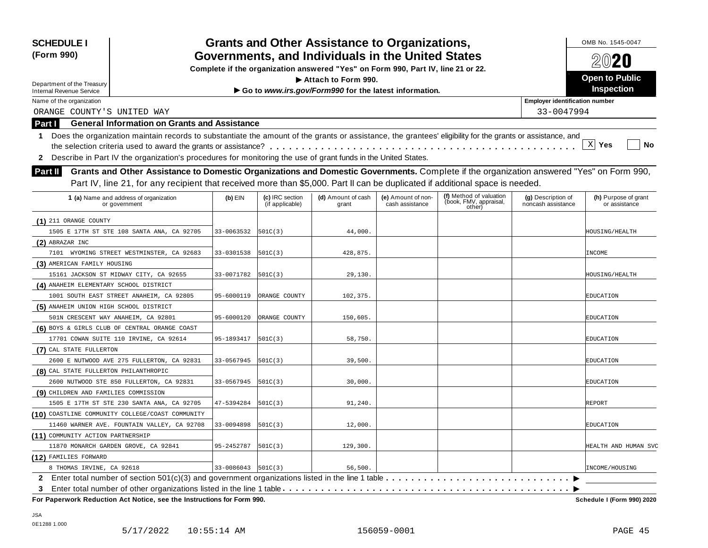| <b>SCHEDULE I</b><br>(Form 990)                                                                                                                                 |            |                                    | <b>Grants and Other Assistance to Organizations,</b><br>Governments, and Individuals in the United States |                                       |                                                             |                                          | OMB No. 1545-0047<br>2020             |
|-----------------------------------------------------------------------------------------------------------------------------------------------------------------|------------|------------------------------------|-----------------------------------------------------------------------------------------------------------|---------------------------------------|-------------------------------------------------------------|------------------------------------------|---------------------------------------|
|                                                                                                                                                                 |            |                                    | Complete if the organization answered "Yes" on Form 990, Part IV, line 21 or 22.                          |                                       |                                                             |                                          |                                       |
| Department of the Treasury                                                                                                                                      |            |                                    | Attach to Form 990.                                                                                       |                                       |                                                             |                                          | <b>Open to Public</b>                 |
| <b>Internal Revenue Service</b>                                                                                                                                 |            | Inspection                         |                                                                                                           |                                       |                                                             |                                          |                                       |
| Name of the organization                                                                                                                                        |            |                                    |                                                                                                           |                                       |                                                             | <b>Employer identification number</b>    |                                       |
| ORANGE COUNTY'S UNITED WAY                                                                                                                                      |            |                                    |                                                                                                           |                                       |                                                             | 33-0047994                               |                                       |
| <b>General Information on Grants and Assistance</b><br>Part I                                                                                                   |            |                                    |                                                                                                           |                                       |                                                             |                                          |                                       |
| Does the organization maintain records to substantiate the amount of the grants or assistance, the grantees' eligibility for the grants or assistance, and<br>1 |            |                                    |                                                                                                           |                                       |                                                             |                                          |                                       |
|                                                                                                                                                                 |            |                                    |                                                                                                           |                                       |                                                             |                                          | $X$ Yes<br><b>No</b>                  |
| Describe in Part IV the organization's procedures for monitoring the use of grant funds in the United States.<br>$\mathbf{2}$                                   |            |                                    |                                                                                                           |                                       |                                                             |                                          |                                       |
| Grants and Other Assistance to Domestic Organizations and Domestic Governments. Complete if the organization answered "Yes" on Form 990,<br><b>Part II</b>      |            |                                    |                                                                                                           |                                       |                                                             |                                          |                                       |
| Part IV, line 21, for any recipient that received more than \$5,000. Part II can be duplicated if additional space is needed.                                   |            |                                    |                                                                                                           |                                       |                                                             |                                          |                                       |
|                                                                                                                                                                 |            |                                    |                                                                                                           |                                       |                                                             |                                          |                                       |
| 1 (a) Name and address of organization<br>or government                                                                                                         | $(b)$ EIN  | (c) IRC section<br>(if applicable) | (d) Amount of cash<br>grant                                                                               | (e) Amount of non-<br>cash assistance | (f) Method of valuation<br>(book, FMV, appraisal,<br>other) | (g) Description of<br>noncash assistance | (h) Purpose of grant<br>or assistance |
| (1) 211 ORANGE COUNTY                                                                                                                                           |            |                                    |                                                                                                           |                                       |                                                             |                                          |                                       |
| 1505 E 17TH ST STE 108 SANTA ANA, CA 92705                                                                                                                      | 33-0063532 | 501C(3)                            | 44,000                                                                                                    |                                       |                                                             |                                          | HOUSING/HEALTH                        |
| (2) ABRAZAR INC                                                                                                                                                 |            |                                    |                                                                                                           |                                       |                                                             |                                          |                                       |
| 7101 WYOMING STREET WESTMINSTER, CA 92683                                                                                                                       | 33-0301538 | 501C(3)                            | 428,875.                                                                                                  |                                       |                                                             |                                          | INCOME                                |
| (3) AMERICAN FAMILY HOUSING                                                                                                                                     |            |                                    |                                                                                                           |                                       |                                                             |                                          |                                       |
| 15161 JACKSON ST MIDWAY CITY, CA 92655                                                                                                                          | 33-0071782 | 501C(3)                            | 29,130.                                                                                                   |                                       |                                                             |                                          | HOUSING/HEALTH                        |
| (4) ANAHEIM ELEMENTARY SCHOOL DISTRICT                                                                                                                          |            |                                    |                                                                                                           |                                       |                                                             |                                          |                                       |
| 1001 SOUTH EAST STREET ANAHEIM, CA 92805                                                                                                                        | 95-6000119 | ORANGE COUNTY                      | 102,375.                                                                                                  |                                       |                                                             |                                          | <b>EDUCATION</b>                      |
| (5) ANAHEIM UNION HIGH SCHOOL DISTRICT                                                                                                                          |            |                                    |                                                                                                           |                                       |                                                             |                                          |                                       |
| 501N CRESCENT WAY ANAHEIM, CA 92801                                                                                                                             | 95-6000120 | ORANGE COUNTY                      | 150,605                                                                                                   |                                       |                                                             |                                          | EDUCATION                             |
| (6) BOYS & GIRLS CLUB OF CENTRAL ORANGE COAST                                                                                                                   |            |                                    |                                                                                                           |                                       |                                                             |                                          |                                       |
| 17701 COWAN SUITE 110 IRVINE, CA 92614                                                                                                                          | 95-1893417 | 501C(3)                            | 58,750.                                                                                                   |                                       |                                                             |                                          | EDUCATION                             |
| (7) CAL STATE FULLERTON                                                                                                                                         |            |                                    |                                                                                                           |                                       |                                                             |                                          |                                       |
| 2600 E NUTWOOD AVE 275 FULLERTON, CA 92831                                                                                                                      | 33-0567945 | 501C(3)                            | 39,500.                                                                                                   |                                       |                                                             |                                          | EDUCATION                             |
| (8) CAL STATE FULLERTON PHILANTHROPIC                                                                                                                           |            |                                    |                                                                                                           |                                       |                                                             |                                          |                                       |
| 2600 NUTWOOD STE 850 FULLERTON, CA 92831                                                                                                                        | 33-0567945 | 501C(3)                            | 30,000.                                                                                                   |                                       |                                                             |                                          | EDUCATION                             |
| (9) CHILDREN AND FAMILIES COMMISSION                                                                                                                            |            |                                    |                                                                                                           |                                       |                                                             |                                          |                                       |
| 1505 E 17TH ST STE 230 SANTA ANA, CA 92705                                                                                                                      | 47-5394284 | 501C(3)                            | 91,240.                                                                                                   |                                       |                                                             |                                          | REPORT                                |
| (10) COASTLINE COMMUNITY COLLEGE/COAST COMMUNITY                                                                                                                |            |                                    |                                                                                                           |                                       |                                                             |                                          |                                       |
| 11460 WARNER AVE. FOUNTAIN VALLEY, CA 92708                                                                                                                     | 33-0094898 | 501C(3)                            | 12,000.                                                                                                   |                                       |                                                             |                                          | EDUCATION                             |
| (11) COMMUNITY ACTION PARTNERSHIP                                                                                                                               |            |                                    |                                                                                                           |                                       |                                                             |                                          |                                       |
| 11870 MONARCH GARDEN GROVE, CA 92841                                                                                                                            | 95-2452787 | 501C(3)                            | 129,300.                                                                                                  |                                       |                                                             |                                          | HEALTH AND HUMAN SVC                  |
| (12) FAMILIES FORWARD                                                                                                                                           |            |                                    |                                                                                                           |                                       |                                                             |                                          |                                       |
| 8 THOMAS IRVINE, CA 92618                                                                                                                                       | 33-0086043 | 501C(3)                            | 56,500                                                                                                    |                                       |                                                             |                                          | INCOME/HOUSING                        |
| $\mathbf{2}$                                                                                                                                                    |            |                                    |                                                                                                           |                                       |                                                             |                                          |                                       |
| 3                                                                                                                                                               |            |                                    |                                                                                                           |                                       |                                                             |                                          |                                       |

 $F$  **Paperwork Reduction Act Notice, see the Instructions for Form 990.** 

Schedule I (Form 990) 2020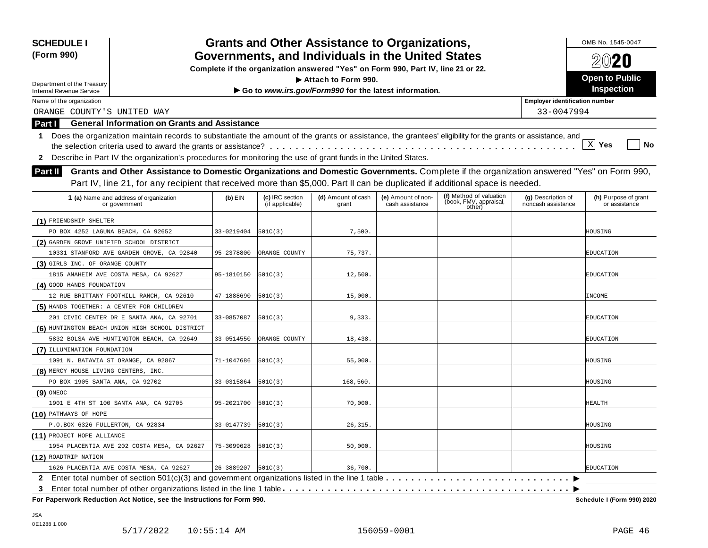| <b>SCHEDULE I</b><br>(Form 990)                                                                                                                                                                                                                                                     | Complete if the organization answered "Yes" on Form 990, Part IV, line 21 or 22. |                                    | <b>Grants and Other Assistance to Organizations,</b><br>Governments, and Individuals in the United States |                                       |                                                             |                                          | OMB No. 1545-0047<br>$20$ 20          |
|-------------------------------------------------------------------------------------------------------------------------------------------------------------------------------------------------------------------------------------------------------------------------------------|----------------------------------------------------------------------------------|------------------------------------|-----------------------------------------------------------------------------------------------------------|---------------------------------------|-------------------------------------------------------------|------------------------------------------|---------------------------------------|
|                                                                                                                                                                                                                                                                                     |                                                                                  |                                    |                                                                                                           |                                       |                                                             |                                          |                                       |
| Department of the Treasury                                                                                                                                                                                                                                                          |                                                                                  | <b>Open to Public</b>              |                                                                                                           |                                       |                                                             |                                          |                                       |
| <b>Internal Revenue Service</b>                                                                                                                                                                                                                                                     |                                                                                  | Inspection                         |                                                                                                           |                                       |                                                             |                                          |                                       |
| Name of the organization                                                                                                                                                                                                                                                            |                                                                                  |                                    |                                                                                                           |                                       |                                                             | <b>Employer identification number</b>    |                                       |
| ORANGE COUNTY'S UNITED WAY                                                                                                                                                                                                                                                          |                                                                                  |                                    |                                                                                                           |                                       |                                                             | 33-0047994                               |                                       |
| <b>General Information on Grants and Assistance</b><br><b>Part I</b>                                                                                                                                                                                                                |                                                                                  |                                    |                                                                                                           |                                       |                                                             |                                          |                                       |
| Does the organization maintain records to substantiate the amount of the grants or assistance, the grantees' eligibility for the grants or assistance, and<br>1.<br>2 Describe in Part IV the organization's procedures for monitoring the use of grant funds in the United States. |                                                                                  |                                    |                                                                                                           |                                       |                                                             |                                          | X <br>Yes<br>No                       |
| Grants and Other Assistance to Domestic Organizations and Domestic Governments. Complete if the organization answered "Yes" on Form 990,<br>Part II                                                                                                                                 |                                                                                  |                                    |                                                                                                           |                                       |                                                             |                                          |                                       |
| Part IV, line 21, for any recipient that received more than \$5,000. Part II can be duplicated if additional space is needed.                                                                                                                                                       |                                                                                  |                                    |                                                                                                           |                                       |                                                             |                                          |                                       |
| 1 (a) Name and address of organization<br>or government                                                                                                                                                                                                                             | $(b)$ EIN                                                                        | (c) IRC section<br>(if applicable) | (d) Amount of cash<br>grant                                                                               | (e) Amount of non-<br>cash assistance | (f) Method of valuation<br>(book, FMV, appraisal,<br>other) | (g) Description of<br>noncash assistance | (h) Purpose of grant<br>or assistance |
| (1) FRIENDSHIP SHELTER                                                                                                                                                                                                                                                              |                                                                                  |                                    |                                                                                                           |                                       |                                                             |                                          |                                       |
| PO BOX 4252 LAGUNA BEACH, CA 92652                                                                                                                                                                                                                                                  | 33-0219404                                                                       | 501C(3)                            | 7,500.                                                                                                    |                                       |                                                             |                                          | HOUSING                               |
| (2) GARDEN GROVE UNIFIED SCHOOL DISTRICT                                                                                                                                                                                                                                            |                                                                                  |                                    |                                                                                                           |                                       |                                                             |                                          |                                       |
| 10331 STANFORD AVE GARDEN GROVE, CA 92840                                                                                                                                                                                                                                           | 95-2378800                                                                       | ORANGE COUNTY                      | 75,737.                                                                                                   |                                       |                                                             |                                          | EDUCATION                             |
| (3) GIRLS INC. OF ORANGE COUNTY                                                                                                                                                                                                                                                     |                                                                                  |                                    |                                                                                                           |                                       |                                                             |                                          |                                       |
| 1815 ANAHEIM AVE COSTA MESA, CA 92627                                                                                                                                                                                                                                               | 95-1810150                                                                       | 501C(3)                            | 12,500.                                                                                                   |                                       |                                                             |                                          | <b>EDUCATION</b>                      |
| (4) GOOD HANDS FOUNDATION                                                                                                                                                                                                                                                           |                                                                                  |                                    |                                                                                                           |                                       |                                                             |                                          |                                       |
| 12 RUE BRITTANY FOOTHILL RANCH, CA 92610                                                                                                                                                                                                                                            | 47-1888690                                                                       | 501C(3)                            | 15,000.                                                                                                   |                                       |                                                             |                                          | INCOME                                |
| (5) HANDS TOGETHER: A CENTER FOR CHILDREN                                                                                                                                                                                                                                           |                                                                                  |                                    |                                                                                                           |                                       |                                                             |                                          |                                       |
| 201 CIVIC CENTER DR E SANTA ANA, CA 92701                                                                                                                                                                                                                                           | 33-0857087                                                                       | 501C(3)                            | 9,333.                                                                                                    |                                       |                                                             |                                          | EDUCATION                             |
| (6) HUNTINGTON BEACH UNION HIGH SCHOOL DISTRICT                                                                                                                                                                                                                                     |                                                                                  |                                    |                                                                                                           |                                       |                                                             |                                          |                                       |
| 5832 BOLSA AVE HUNTINGTON BEACH, CA 92649                                                                                                                                                                                                                                           | 33-0514550                                                                       | ORANGE COUNTY                      | 18,438.                                                                                                   |                                       |                                                             |                                          | EDUCATION                             |
| (7) ILLUMINATION FOUNDATION                                                                                                                                                                                                                                                         |                                                                                  |                                    |                                                                                                           |                                       |                                                             |                                          |                                       |
| 1091 N. BATAVIA ST ORANGE, CA 92867                                                                                                                                                                                                                                                 | 71-1047686                                                                       | 501C(3)                            | 55,000.                                                                                                   |                                       |                                                             |                                          | HOUSING                               |
| (8) MERCY HOUSE LIVING CENTERS, INC.                                                                                                                                                                                                                                                |                                                                                  |                                    |                                                                                                           |                                       |                                                             |                                          |                                       |
| PO BOX 1905 SANTA ANA, CA 92702                                                                                                                                                                                                                                                     | 33-0315864                                                                       | 501C(3)                            | 168,560.                                                                                                  |                                       |                                                             |                                          | HOUSING                               |
| $(9)$ oneoc                                                                                                                                                                                                                                                                         |                                                                                  |                                    |                                                                                                           |                                       |                                                             |                                          |                                       |
| 1901 E 4TH ST 100 SANTA ANA, CA 92705                                                                                                                                                                                                                                               | 95-2021700                                                                       | 501C(3)                            | 70,000.                                                                                                   |                                       |                                                             |                                          | HEALTH                                |
| (10) PATHWAYS OF HOPE                                                                                                                                                                                                                                                               |                                                                                  |                                    |                                                                                                           |                                       |                                                             |                                          |                                       |
| P.O.BOX 6326 FULLERTON, CA 92834                                                                                                                                                                                                                                                    | 33-0147739                                                                       | 501C(3)                            | 26, 315.                                                                                                  |                                       |                                                             |                                          | HOUSING                               |
| (11) PROJECT HOPE ALLIANCE                                                                                                                                                                                                                                                          |                                                                                  |                                    |                                                                                                           |                                       |                                                             |                                          |                                       |
| 1954 PLACENTIA AVE 202 COSTA MESA, CA 92627                                                                                                                                                                                                                                         | 75-3099628                                                                       | 501C(3)                            | 50,000.                                                                                                   |                                       |                                                             |                                          | HOUSING                               |
| (12) ROADTRIP NATION                                                                                                                                                                                                                                                                |                                                                                  |                                    |                                                                                                           |                                       |                                                             |                                          |                                       |
| 1626 PLACENTIA AVE COSTA MESA, CA 92627                                                                                                                                                                                                                                             | 26-3889207                                                                       | 501C(3)                            | 36,700                                                                                                    |                                       |                                                             |                                          | EDUCATION                             |
| Enter total number of section 501(c)(3) and government organizations listed in the line 1 table<br>$\mathbf{2}^-$                                                                                                                                                                   |                                                                                  |                                    |                                                                                                           |                                       |                                                             |                                          |                                       |
|                                                                                                                                                                                                                                                                                     |                                                                                  |                                    |                                                                                                           |                                       |                                                             |                                          |                                       |

 $F$  **Paperwork Reduction Act Notice, see the Instructions for Form 990.** 

Schedule I (Form 990) 2020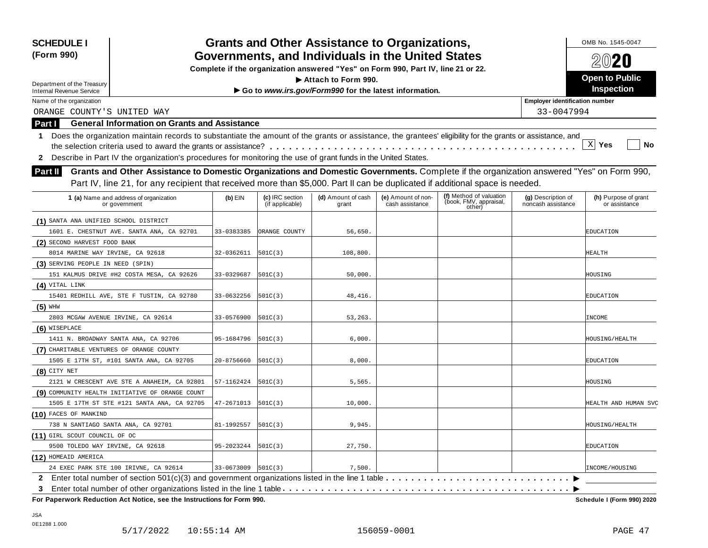| <b>Grants and Other Assistance to Organizations,</b><br><b>SCHEDULE I</b><br>(Form 990)<br>Governments, and Individuals in the United States                                                                                                                                                     |                                       | OMB No. 1545-0047<br>2020          |                                                                                  |                                       |                                                             |                                          |                                       |  |  |  |
|--------------------------------------------------------------------------------------------------------------------------------------------------------------------------------------------------------------------------------------------------------------------------------------------------|---------------------------------------|------------------------------------|----------------------------------------------------------------------------------|---------------------------------------|-------------------------------------------------------------|------------------------------------------|---------------------------------------|--|--|--|
|                                                                                                                                                                                                                                                                                                  |                                       |                                    | Complete if the organization answered "Yes" on Form 990, Part IV, line 21 or 22. |                                       |                                                             |                                          |                                       |  |  |  |
| Department of the Treasury                                                                                                                                                                                                                                                                       |                                       |                                    | Attach to Form 990.                                                              |                                       |                                                             |                                          | <b>Open to Public</b>                 |  |  |  |
| <b>Internal Revenue Service</b>                                                                                                                                                                                                                                                                  |                                       |                                    | Go to www.irs.gov/Form990 for the latest information.                            |                                       |                                                             |                                          | <b>Inspection</b>                     |  |  |  |
| Name of the organization                                                                                                                                                                                                                                                                         | <b>Employer identification number</b> |                                    |                                                                                  |                                       |                                                             |                                          |                                       |  |  |  |
| ORANGE COUNTY'S UNITED WAY<br>33-0047994                                                                                                                                                                                                                                                         |                                       |                                    |                                                                                  |                                       |                                                             |                                          |                                       |  |  |  |
| <b>General Information on Grants and Assistance</b><br>Part I                                                                                                                                                                                                                                    |                                       |                                    |                                                                                  |                                       |                                                             |                                          |                                       |  |  |  |
| Does the organization maintain records to substantiate the amount of the grants or assistance, the grantees' eligibility for the grants or assistance, and<br>1<br>Describe in Part IV the organization's procedures for monitoring the use of grant funds in the United States.<br>$\mathbf{2}$ |                                       |                                    |                                                                                  |                                       |                                                             |                                          | X <br>Yes<br>No                       |  |  |  |
| Grants and Other Assistance to Domestic Organizations and Domestic Governments. Complete if the organization answered "Yes" on Form 990,<br>Part II                                                                                                                                              |                                       |                                    |                                                                                  |                                       |                                                             |                                          |                                       |  |  |  |
| Part IV, line 21, for any recipient that received more than \$5,000. Part II can be duplicated if additional space is needed.                                                                                                                                                                    |                                       |                                    |                                                                                  |                                       |                                                             |                                          |                                       |  |  |  |
| 1 (a) Name and address of organization<br>or government                                                                                                                                                                                                                                          | $(b)$ EIN                             | (c) IRC section<br>(if applicable) | (d) Amount of cash<br>grant                                                      | (e) Amount of non-<br>cash assistance | (f) Method of valuation<br>(book, FMV, appraisal,<br>other) | (g) Description of<br>noncash assistance | (h) Purpose of grant<br>or assistance |  |  |  |
| (1) SANTA ANA UNIFIED SCHOOL DISTRICT                                                                                                                                                                                                                                                            |                                       |                                    |                                                                                  |                                       |                                                             |                                          |                                       |  |  |  |
| 1601 E. CHESTNUT AVE. SANTA ANA, CA 92701                                                                                                                                                                                                                                                        | 33-0383385                            | ORANGE COUNTY                      | 56,650                                                                           |                                       |                                                             |                                          | EDUCATION                             |  |  |  |
| (2) SECOND HARVEST FOOD BANK                                                                                                                                                                                                                                                                     |                                       |                                    |                                                                                  |                                       |                                                             |                                          |                                       |  |  |  |
| 8014 MARINE WAY IRVINE, CA 92618                                                                                                                                                                                                                                                                 | 32-0362611                            | 501C(3)                            | 108,800.                                                                         |                                       |                                                             |                                          | HEALTH                                |  |  |  |
| (3) SERVING PEOPLE IN NEED (SPIN)                                                                                                                                                                                                                                                                |                                       |                                    |                                                                                  |                                       |                                                             |                                          |                                       |  |  |  |
| 151 KALMUS DRIVE #H2 COSTA MESA, CA 92626                                                                                                                                                                                                                                                        | 33-0329687                            | 501C(3)                            | 50,000.                                                                          |                                       |                                                             |                                          | HOUSING                               |  |  |  |
| $(4)$ VITAL LINK                                                                                                                                                                                                                                                                                 |                                       |                                    |                                                                                  |                                       |                                                             |                                          |                                       |  |  |  |
| 15401 REDHILL AVE, STE F TUSTIN, CA 92780                                                                                                                                                                                                                                                        | 33-0632256                            | 501C(3)                            | 48, 416.                                                                         |                                       |                                                             |                                          | EDUCATION                             |  |  |  |
| $(5)$ WHW                                                                                                                                                                                                                                                                                        |                                       |                                    |                                                                                  |                                       |                                                             |                                          |                                       |  |  |  |
| 2803 MCGAW AVENUE IRVINE, CA 92614                                                                                                                                                                                                                                                               | 33-0576900                            | 501C(3)                            | 53,263                                                                           |                                       |                                                             |                                          | INCOME                                |  |  |  |
| (6) WISEPLACE                                                                                                                                                                                                                                                                                    |                                       |                                    |                                                                                  |                                       |                                                             |                                          |                                       |  |  |  |
| 1411 N. BROADWAY SANTA ANA, CA 92706                                                                                                                                                                                                                                                             | 95-1684796                            | 501C(3)                            | 6,000.                                                                           |                                       |                                                             |                                          | HOUSING/HEALTH                        |  |  |  |
| (7) CHARITABLE VENTURES OF ORANGE COUNTY                                                                                                                                                                                                                                                         |                                       |                                    |                                                                                  |                                       |                                                             |                                          |                                       |  |  |  |
| 1505 E 17TH ST, #101 SANTA ANA, CA 92705                                                                                                                                                                                                                                                         | 20-8756660                            | 501C(3)                            | 8,000.                                                                           |                                       |                                                             |                                          | EDUCATION                             |  |  |  |
| $(8)$ CITY NET                                                                                                                                                                                                                                                                                   |                                       |                                    |                                                                                  |                                       |                                                             |                                          |                                       |  |  |  |
| 2121 W CRESCENT AVE STE A ANAHEIM, CA 92801                                                                                                                                                                                                                                                      | 57-1162424                            | 501C(3)                            | 5,565.                                                                           |                                       |                                                             |                                          | HOUSING                               |  |  |  |
| (9) COMMUNITY HEALTH INITIATIVE OF ORANGE COUNT                                                                                                                                                                                                                                                  |                                       |                                    |                                                                                  |                                       |                                                             |                                          |                                       |  |  |  |
| 1505 E 17TH ST STE #121 SANTA ANA, CA 92705                                                                                                                                                                                                                                                      | 47-2671013                            | 501C(3)                            | 10,000.                                                                          |                                       |                                                             |                                          | HEALTH AND HUMAN SVC                  |  |  |  |
| (10) FACES OF MANKIND                                                                                                                                                                                                                                                                            |                                       |                                    |                                                                                  |                                       |                                                             |                                          |                                       |  |  |  |
| 738 N SANTIAGO SANTA ANA, CA 92701                                                                                                                                                                                                                                                               | 81-1992557                            | 501C(3)                            | 9,945.                                                                           |                                       |                                                             |                                          | <b>HOUSING/HEALTH</b>                 |  |  |  |
| (11) GIRL SCOUT COUNCIL OF OC                                                                                                                                                                                                                                                                    |                                       |                                    |                                                                                  |                                       |                                                             |                                          |                                       |  |  |  |
| 9500 TOLEDO WAY IRVINE, CA 92618                                                                                                                                                                                                                                                                 | 95-2023244                            | 501C(3)                            | 27,750.                                                                          |                                       |                                                             |                                          | <b>EDUCATION</b>                      |  |  |  |
| (12) HOMEAID AMERICA                                                                                                                                                                                                                                                                             |                                       |                                    |                                                                                  |                                       |                                                             |                                          |                                       |  |  |  |
| 24 EXEC PARK STE 100 IRIVNE, CA 92614                                                                                                                                                                                                                                                            | 33-0673009                            | 501C(3)                            | 7,500                                                                            |                                       |                                                             |                                          | INCOME/HOUSING                        |  |  |  |
| Enter total number of section 501(c)(3) and government organizations listed in the line 1 table $\dots \dots \dots$<br>$\mathbf{2}$                                                                                                                                                              |                                       |                                    |                                                                                  |                                       |                                                             |                                          |                                       |  |  |  |
| 3                                                                                                                                                                                                                                                                                                |                                       |                                    |                                                                                  |                                       |                                                             |                                          |                                       |  |  |  |

 $F$  **Paperwork Reduction Act Notice, see the Instructions for Form 990.** 

Schedule I (Form 990) 2020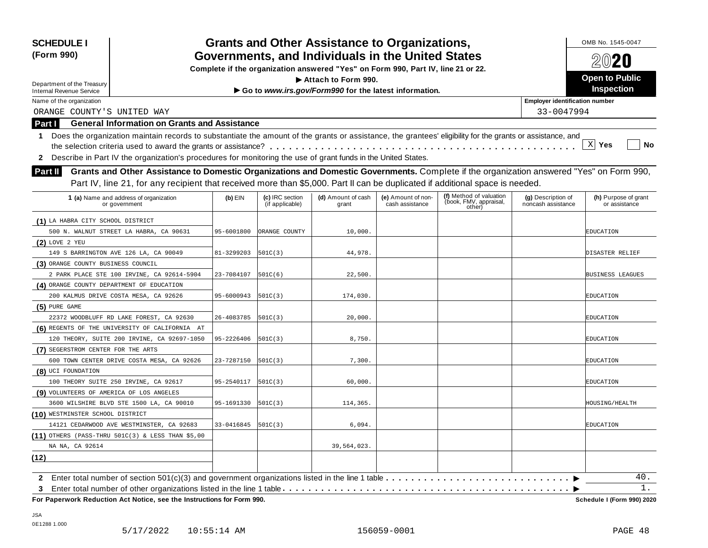| <b>SCHEDULE I</b><br>(Form 990)           |                                                                                                                                                            |            |                                    | <b>Grants and Other Assistance to Organizations,</b><br>Governments, and Individuals in the United States |                                       |                                  |                                          | OMB No. 1545-0047                     |
|-------------------------------------------|------------------------------------------------------------------------------------------------------------------------------------------------------------|------------|------------------------------------|-----------------------------------------------------------------------------------------------------------|---------------------------------------|----------------------------------|------------------------------------------|---------------------------------------|
|                                           |                                                                                                                                                            |            |                                    |                                                                                                           |                                       |                                  |                                          | $20$ 20                               |
|                                           |                                                                                                                                                            |            |                                    | Complete if the organization answered "Yes" on Form 990, Part IV, line 21 or 22.                          |                                       |                                  |                                          | <b>Open to Public</b>                 |
| Department of the Treasury                |                                                                                                                                                            |            |                                    | Attach to Form 990.                                                                                       |                                       |                                  |                                          | Inspection                            |
| <b>Internal Revenue Service</b>           |                                                                                                                                                            |            |                                    | Go to www.irs.gov/Form990 for the latest information.                                                     |                                       |                                  |                                          |                                       |
| Name of the organization                  |                                                                                                                                                            |            |                                    |                                                                                                           |                                       |                                  | <b>Employer identification number</b>    |                                       |
| ORANGE COUNTY'S UNITED WAY                |                                                                                                                                                            |            |                                    |                                                                                                           |                                       |                                  | 33-0047994                               |                                       |
| Part I                                    | <b>General Information on Grants and Assistance</b>                                                                                                        |            |                                    |                                                                                                           |                                       |                                  |                                          |                                       |
| 1                                         | Does the organization maintain records to substantiate the amount of the grants or assistance, the grantees' eligibility for the grants or assistance, and |            |                                    |                                                                                                           |                                       |                                  |                                          |                                       |
|                                           |                                                                                                                                                            |            |                                    |                                                                                                           |                                       |                                  |                                          | X <br>Yes<br>No                       |
| 2                                         | Describe in Part IV the organization's procedures for monitoring the use of grant funds in the United States.                                              |            |                                    |                                                                                                           |                                       |                                  |                                          |                                       |
| <b>Part II</b>                            | Grants and Other Assistance to Domestic Organizations and Domestic Governments. Complete if the organization answered "Yes" on Form 990,                   |            |                                    |                                                                                                           |                                       |                                  |                                          |                                       |
|                                           | Part IV, line 21, for any recipient that received more than \$5,000. Part II can be duplicated if additional space is needed.                              |            |                                    |                                                                                                           |                                       |                                  |                                          |                                       |
|                                           |                                                                                                                                                            |            |                                    |                                                                                                           |                                       | (f) Method of valuation          |                                          |                                       |
|                                           | 1 (a) Name and address of organization<br>or government                                                                                                    | $(b)$ EIN  | (c) IRC section<br>(if applicable) | (d) Amount of cash<br>grant                                                                               | (e) Amount of non-<br>cash assistance | (book, FMV, appraisal,<br>other) | (g) Description of<br>noncash assistance | (h) Purpose of grant<br>or assistance |
| (1) LA HABRA CITY SCHOOL DISTRICT         |                                                                                                                                                            |            |                                    |                                                                                                           |                                       |                                  |                                          |                                       |
|                                           | 500 N. WALNUT STREET LA HABRA, CA 90631                                                                                                                    | 95-6001800 | ORANGE COUNTY                      | 10,000.                                                                                                   |                                       |                                  |                                          | EDUCATION                             |
| $(2)$ LOVE 2 YEU                          |                                                                                                                                                            |            |                                    |                                                                                                           |                                       |                                  |                                          |                                       |
|                                           | 149 S BARRINGTON AVE 126 LA, CA 90049                                                                                                                      | 81-3299203 | 501C(3)                            | 44,978.                                                                                                   |                                       |                                  |                                          | DISASTER RELIEF                       |
| (3) ORANGE COUNTY BUSINESS COUNCIL        |                                                                                                                                                            |            |                                    |                                                                                                           |                                       |                                  |                                          |                                       |
|                                           | 2 PARK PLACE STE 100 IRVINE, CA 92614-5904                                                                                                                 | 23-7084107 | 501C(6)                            | 22,500.                                                                                                   |                                       |                                  |                                          | <b>BUSINESS LEAGUES</b>               |
| (4) ORANGE COUNTY DEPARTMENT OF EDUCATION |                                                                                                                                                            |            |                                    |                                                                                                           |                                       |                                  |                                          |                                       |
|                                           | 200 KALMUS DRIVE COSTA MESA, CA 92626                                                                                                                      | 95-6000943 | 501C(3)                            | 174,030.                                                                                                  |                                       |                                  |                                          | EDUCATION                             |
| $(5)$ PURE GAME                           |                                                                                                                                                            |            |                                    |                                                                                                           |                                       |                                  |                                          |                                       |
|                                           | 22372 WOODBLUFF RD LAKE FOREST, CA 92630                                                                                                                   | 26-4083785 | 501C(3)                            | 20,000.                                                                                                   |                                       |                                  |                                          | EDUCATION                             |
|                                           | (6) REGENTS OF THE UNIVERSITY OF CALIFORNIA AT                                                                                                             |            |                                    |                                                                                                           |                                       |                                  |                                          |                                       |
|                                           | 120 THEORY, SUITE 200 IRVINE, CA 92697-1050                                                                                                                | 95-2226406 | 501C(3)                            | 8,750.                                                                                                    |                                       |                                  |                                          | EDUCATION                             |
| (7) SEGERSTROM CENTER FOR THE ARTS        |                                                                                                                                                            |            |                                    |                                                                                                           |                                       |                                  |                                          |                                       |
|                                           | 600 TOWN CENTER DRIVE COSTA MESA, CA 92626                                                                                                                 | 23-7287150 | 501C(3)                            | 7,300.                                                                                                    |                                       |                                  |                                          | EDUCATION                             |
| (8) UCI FOUNDATION                        |                                                                                                                                                            |            |                                    |                                                                                                           |                                       |                                  |                                          |                                       |
|                                           | 100 THEORY SUITE 250 IRVINE, CA 92617                                                                                                                      | 95-2540117 | 501C(3)                            | 60,000.                                                                                                   |                                       |                                  |                                          | EDUCATION                             |
| (9) VOLUNTEERS OF AMERICA OF LOS ANGELES  |                                                                                                                                                            |            |                                    |                                                                                                           |                                       |                                  |                                          |                                       |
|                                           | 3600 WILSHIRE BLVD STE 1500 LA, CA 90010                                                                                                                   | 95-1691330 | 501C(3)                            | 114,365.                                                                                                  |                                       |                                  |                                          | HOUSING/HEALTH                        |
| (10) WESTMINSTER SCHOOL DISTRICT          |                                                                                                                                                            |            |                                    |                                                                                                           |                                       |                                  |                                          |                                       |
|                                           | 14121 CEDARWOOD AVE WESTMINSTER, CA 92683                                                                                                                  | 33-0416845 | 501C(3)                            | 6,094.                                                                                                    |                                       |                                  |                                          | EDUCATION                             |
|                                           | $(11)$ OTHERS (PASS-THRU 501C(3) & LESS THAN \$5,00                                                                                                        |            |                                    |                                                                                                           |                                       |                                  |                                          |                                       |
| NA NA, CA 92614                           |                                                                                                                                                            |            |                                    | 39,564,023.                                                                                               |                                       |                                  |                                          |                                       |
| (12)                                      |                                                                                                                                                            |            |                                    |                                                                                                           |                                       |                                  |                                          |                                       |
|                                           |                                                                                                                                                            |            |                                    |                                                                                                           |                                       |                                  |                                          |                                       |
|                                           | 2 Enter total number of section 501(c)(3) and government organizations listed in the line 1 table                                                          |            |                                    |                                                                                                           |                                       |                                  |                                          | 40.                                   |
| 3                                         |                                                                                                                                                            |            |                                    |                                                                                                           |                                       |                                  |                                          | 1.                                    |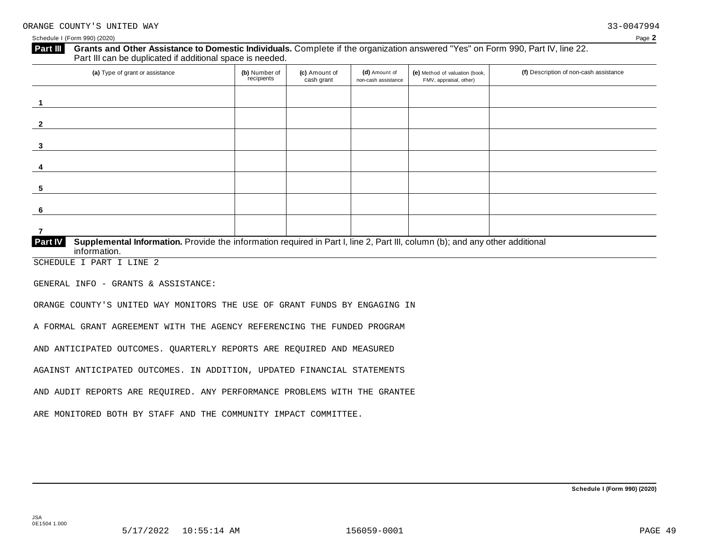Schedule I (Form 990) (2020) Page **2**

# **Grants and Other Assistance to Domestic Individuals.** Complete ifthe organization answered "Yes" on Form 990, Part IV, line 22. **Part III** Grants and Other Assistance to Domestic Individuals<br>Part III can be duplicated if additional space is needed.

| (a) Type of grant or assistance                                                                                                                         | (b) Number of<br>recipients | (c) Amount of<br>cash grant | (d) Amount of<br>non-cash assistance | (e) Method of valuation (book,<br>FMV, appraisal, other) | (f) Description of non-cash assistance |
|---------------------------------------------------------------------------------------------------------------------------------------------------------|-----------------------------|-----------------------------|--------------------------------------|----------------------------------------------------------|----------------------------------------|
|                                                                                                                                                         |                             |                             |                                      |                                                          |                                        |
| $\overline{2}$                                                                                                                                          |                             |                             |                                      |                                                          |                                        |
| 3                                                                                                                                                       |                             |                             |                                      |                                                          |                                        |
| 4                                                                                                                                                       |                             |                             |                                      |                                                          |                                        |
| 5                                                                                                                                                       |                             |                             |                                      |                                                          |                                        |
| -6                                                                                                                                                      |                             |                             |                                      |                                                          |                                        |
|                                                                                                                                                         |                             |                             |                                      |                                                          |                                        |
| Part IV<br>Supplemental Information. Provide the information required in Part I, line 2, Part III, column (b); and any other additional<br>information. |                             |                             |                                      |                                                          |                                        |

SCHEDULE I PART I LINE 2

GENERAL INFO - GRANTS & ASSISTANCE:

ORANGE COUNTY'S UNITED WAY MONITORS THE USE OF GRANT FUNDS BY ENGAGING IN

A FORMAL GRANT AGREEMENT WITH THE AGENCY REFERENCING THE FUNDED PROGRAM

AND ANTICIPATED OUTCOMES. QUARTERLY REPORTS ARE REQUIRED AND MEASURED

AGAINST ANTICIPATED OUTCOMES. IN ADDITION, UPDATED FINANCIAL STATEMENTS

AND AUDIT REPORTS ARE REQUIRED. ANY PERFORMANCE PROBLEMS WITH THE GRANTEE

ARE MONITORED BOTH BY STAFF AND THE COMMUNITY IMPACT COMMITTEE.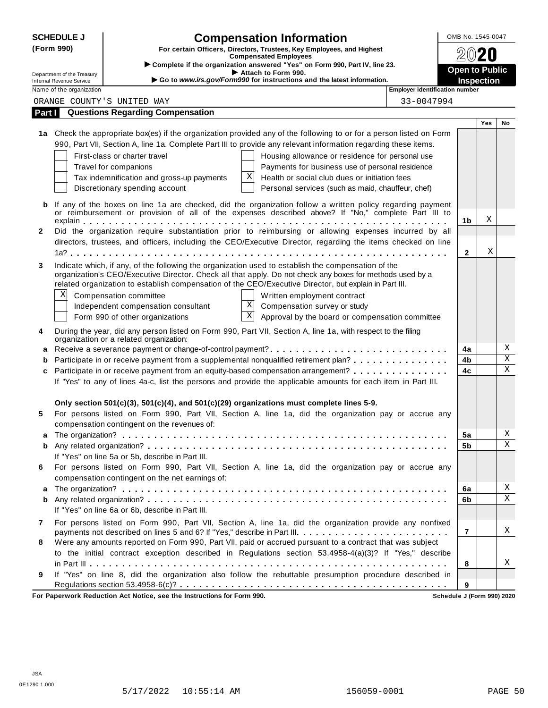|              | <b>SCHEDULE J</b>                                             | <b>Compensation Information</b>                                                                                                                                                      | OMB No. 1545-0047                   |     |                              |
|--------------|---------------------------------------------------------------|--------------------------------------------------------------------------------------------------------------------------------------------------------------------------------------|-------------------------------------|-----|------------------------------|
| (Form 990)   |                                                               | For certain Officers, Directors, Trustees, Key Employees, and Highest<br><b>Compensated Employees</b>                                                                                |                                     |     |                              |
|              |                                                               | Complete if the organization answered "Yes" on Form 990, Part IV, line 23.                                                                                                           |                                     |     |                              |
|              | Department of the Treasury<br><b>Internal Revenue Service</b> | Attach to Form 990.<br>Go to www.irs.gov/Form990 for instructions and the latest information.                                                                                        | <b>Open to Public</b><br>Inspection |     |                              |
|              | Name of the organization                                      | <b>Employer identification number</b>                                                                                                                                                |                                     |     |                              |
|              |                                                               | 33-0047994<br>ORANGE COUNTY'S UNITED WAY                                                                                                                                             |                                     |     |                              |
| Part I       |                                                               | <b>Questions Regarding Compensation</b>                                                                                                                                              |                                     |     |                              |
|              |                                                               |                                                                                                                                                                                      |                                     | Yes | No                           |
|              |                                                               | 1a Check the appropriate box(es) if the organization provided any of the following to or for a person listed on Form                                                                 |                                     |     |                              |
|              |                                                               | 990, Part VII, Section A, line 1a. Complete Part III to provide any relevant information regarding these items.                                                                      |                                     |     |                              |
|              |                                                               | First-class or charter travel<br>Housing allowance or residence for personal use                                                                                                     |                                     |     |                              |
|              |                                                               | Travel for companions<br>Payments for business use of personal residence                                                                                                             |                                     |     |                              |
|              |                                                               | Χ<br>Health or social club dues or initiation fees<br>Tax indemnification and gross-up payments                                                                                      |                                     |     |                              |
|              |                                                               | Discretionary spending account<br>Personal services (such as maid, chauffeur, chef)                                                                                                  |                                     |     |                              |
| b            |                                                               | If any of the boxes on line 1a are checked, did the organization follow a written policy regarding payment                                                                           |                                     |     |                              |
|              |                                                               | or reimbursement or provision of all of the expenses described above? If "No," complete Part III to                                                                                  |                                     |     |                              |
|              |                                                               |                                                                                                                                                                                      | 1b                                  | Χ   |                              |
| $\mathbf{2}$ |                                                               | Did the organization require substantiation prior to reimbursing or allowing expenses incurred by all                                                                                |                                     |     |                              |
|              |                                                               | directors, trustees, and officers, including the CEO/Executive Director, regarding the items checked on line                                                                         |                                     |     |                              |
|              |                                                               |                                                                                                                                                                                      | $\mathbf{2}$                        | Χ   |                              |
| 3            |                                                               | Indicate which, if any, of the following the organization used to establish the compensation of the                                                                                  |                                     |     |                              |
|              |                                                               | organization's CEO/Executive Director. Check all that apply. Do not check any boxes for methods used by a                                                                            |                                     |     |                              |
|              |                                                               | related organization to establish compensation of the CEO/Executive Director, but explain in Part III.                                                                               |                                     |     |                              |
|              | Χ                                                             | Compensation committee<br>Written employment contract                                                                                                                                |                                     |     |                              |
|              |                                                               | X<br>Independent compensation consultant<br>Compensation survey or study                                                                                                             |                                     |     |                              |
|              |                                                               | $\mathbf X$<br>Approval by the board or compensation committee<br>Form 990 of other organizations                                                                                    |                                     |     |                              |
| 4            |                                                               | During the year, did any person listed on Form 990, Part VII, Section A, line 1a, with respect to the filing                                                                         |                                     |     |                              |
|              |                                                               | organization or a related organization:                                                                                                                                              |                                     |     |                              |
| a            |                                                               |                                                                                                                                                                                      | 4a                                  |     | Χ<br>$\overline{\mathbf{x}}$ |
| b            |                                                               | Participate in or receive payment from a supplemental nonqualified retirement plan?                                                                                                  | 4b                                  |     | $\mathbf X$                  |
| c            |                                                               | Participate in or receive payment from an equity-based compensation arrangement?                                                                                                     | 4c                                  |     |                              |
|              |                                                               | If "Yes" to any of lines 4a-c, list the persons and provide the applicable amounts for each item in Part III.                                                                        |                                     |     |                              |
|              |                                                               |                                                                                                                                                                                      |                                     |     |                              |
|              |                                                               | Only section 501(c)(3), 501(c)(4), and 501(c)(29) organizations must complete lines 5-9.                                                                                             |                                     |     |                              |
| 5            |                                                               | For persons listed on Form 990, Part VII, Section A, line 1a, did the organization pay or accrue any                                                                                 |                                     |     |                              |
|              |                                                               | compensation contingent on the revenues of:                                                                                                                                          |                                     |     |                              |
|              |                                                               |                                                                                                                                                                                      | 5a                                  |     | Χ<br>X                       |
| b            |                                                               |                                                                                                                                                                                      | 5b                                  |     |                              |
|              |                                                               | If "Yes" on line 5a or 5b, describe in Part III.                                                                                                                                     |                                     |     |                              |
| 6            |                                                               | For persons listed on Form 990, Part VII, Section A, line 1a, did the organization pay or accrue any                                                                                 |                                     |     |                              |
|              |                                                               | compensation contingent on the net earnings of:                                                                                                                                      |                                     |     | Χ                            |
| a            |                                                               |                                                                                                                                                                                      | 6a<br>6b                            |     | $\mathbf X$                  |
| b            |                                                               | If "Yes" on line 6a or 6b, describe in Part III.                                                                                                                                     |                                     |     |                              |
|              |                                                               |                                                                                                                                                                                      |                                     |     |                              |
| 7            |                                                               | For persons listed on Form 990, Part VII, Section A, line 1a, did the organization provide any nonfixed                                                                              | $\overline{7}$                      |     | Χ                            |
| 8            |                                                               | payments not described on lines 5 and 6? If "Yes," describe in Part III.<br>Were any amounts reported on Form 990, Part VII, paid or accrued pursuant to a contract that was subject |                                     |     |                              |
|              |                                                               | to the initial contract exception described in Regulations section 53.4958-4(a)(3)? If "Yes," describe                                                                               |                                     |     |                              |
|              |                                                               |                                                                                                                                                                                      | 8                                   |     | Χ                            |
| 9            |                                                               | If "Yes" on line 8, did the organization also follow the rebuttable presumption procedure described in                                                                               |                                     |     |                              |
|              |                                                               |                                                                                                                                                                                      | 9                                   |     |                              |
|              |                                                               | For Paperwork Reduction Act Notice, see the Instructions for Form 990.<br>Schedule J (Form 990) 2020                                                                                 |                                     |     |                              |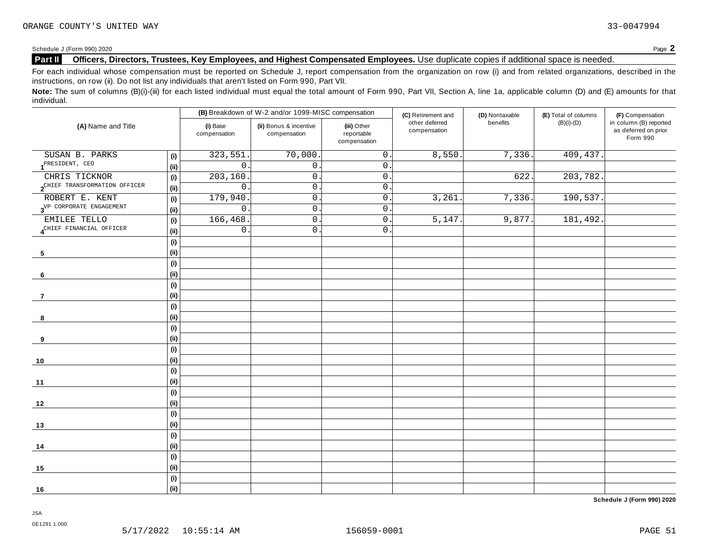Schedule <sup>J</sup> (Form 990) <sup>2020</sup> Page **2**

# **Part II Officers, Directors, Trustees, Key Employees, and Highest Compensated Employees.** Use duplicate copies ifadditional space is needed.

For each individual whose compensation must be reported on Schedule J, report compensation from the organization on row (i) and from related organizations, described in the instructions, on row (ii). Do not list any individuals that aren't listed on Form 990, Part VII.

Note: The sum of columns (B)(i)-(iii) for each listed individual must equal the total amount of Form 990, Part VII, Section A, line 1a, applicable column (D) and (E) amounts for that individual.

|                                           |                            |                          | (B) Breakdown of W-2 and/or 1099-MISC compensation |                                           | (C) Retirement and             | (D) Nontaxable | (E) Total of columns | (F) Compensation                                           |
|-------------------------------------------|----------------------------|--------------------------|----------------------------------------------------|-------------------------------------------|--------------------------------|----------------|----------------------|------------------------------------------------------------|
| (A) Name and Title                        |                            | (i) Base<br>compensation | (ii) Bonus & incentive<br>compensation             | (iii) Other<br>reportable<br>compensation | other deferred<br>compensation | benefits       | $(B)(i)-(D)$         | in column (B) reported<br>as deferred on prior<br>Form 990 |
| SUSAN B. PARKS                            | (i)                        | 323,551                  | 70,000                                             | $\overline{0}$ .                          | 8,550.                         | 7,336.         | 409,437.             |                                                            |
| PRESIDENT, CEO                            | (i)                        | $\mathbf 0$              | $0$ .                                              | $0$ .                                     |                                |                |                      |                                                            |
| CHRIS TICKNOR                             | (i)                        | 203, 160                 | $\mathsf 0$ .                                      | $\mathsf{0}$ .                            |                                | 622            | 203,782              |                                                            |
| 2 <sup>CHIEF</sup> TRANSFORMATION OFFICER | (ii)                       | $\mathsf{O}$             | $\mathsf 0$ .                                      | $\mathsf 0$ .                             |                                |                |                      |                                                            |
| ROBERT E. KENT                            | (i)                        | 179,940                  | $\mathsf 0$ .                                      | $\mathsf 0$ .                             | 3,261                          | 7,336.         | 190, 537.            |                                                            |
| 3 <sup>VP</sup> CORPORATE ENGAGEMENT      | (i)                        | $\mathsf{O}$             | $\mathsf{O}$ .                                     | $\overline{0}$ .                          |                                |                |                      |                                                            |
| EMILEE TELLO                              | (i)                        | 166, 468.                | $\mathsf{O}$ .                                     | $\overline{0}$ .                          | 5,147                          | 9,877.         | 181,492.             |                                                            |
| 4 <sup>CHIEF</sup> FINANCIAL OFFICER      | (ii)                       | $\mathsf{O}$             | $\overline{0}$ .                                   | $0$ .                                     |                                |                |                      |                                                            |
|                                           | (i)                        |                          |                                                    |                                           |                                |                |                      |                                                            |
| $\sqrt{5}$                                | (i)                        |                          |                                                    |                                           |                                |                |                      |                                                            |
|                                           | $\left( \mathsf{i}\right)$ |                          |                                                    |                                           |                                |                |                      |                                                            |
| 6                                         | (i)                        |                          |                                                    |                                           |                                |                |                      |                                                            |
|                                           | (i)                        |                          |                                                    |                                           |                                |                |                      |                                                            |
| $\overline{7}$                            | (i)                        |                          |                                                    |                                           |                                |                |                      |                                                            |
|                                           | (i)                        |                          |                                                    |                                           |                                |                |                      |                                                            |
| 8                                         | (i)                        |                          |                                                    |                                           |                                |                |                      |                                                            |
|                                           | (i)                        |                          |                                                    |                                           |                                |                |                      |                                                            |
| 9                                         | (i)                        |                          |                                                    |                                           |                                |                |                      |                                                            |
|                                           | (i)                        |                          |                                                    |                                           |                                |                |                      |                                                            |
| 10                                        | (i)                        |                          |                                                    |                                           |                                |                |                      |                                                            |
|                                           | $\left( \mathsf{i}\right)$ |                          |                                                    |                                           |                                |                |                      |                                                            |
| 11                                        | (i)                        |                          |                                                    |                                           |                                |                |                      |                                                            |
|                                           | (i)                        |                          |                                                    |                                           |                                |                |                      |                                                            |
| 12                                        | (ii)                       |                          |                                                    |                                           |                                |                |                      |                                                            |
|                                           | $\left( \mathsf{i}\right)$ |                          |                                                    |                                           |                                |                |                      |                                                            |
| 13                                        | (i)                        |                          |                                                    |                                           |                                |                |                      |                                                            |
|                                           | (i)                        |                          |                                                    |                                           |                                |                |                      |                                                            |
| 14                                        | (ii)                       |                          |                                                    |                                           |                                |                |                      |                                                            |
|                                           | (i)                        |                          |                                                    |                                           |                                |                |                      |                                                            |
| 15                                        | (i)                        |                          |                                                    |                                           |                                |                |                      |                                                            |
|                                           | (i)                        |                          |                                                    |                                           |                                |                |                      |                                                            |
| 16                                        | (ii)                       |                          |                                                    |                                           |                                |                |                      |                                                            |

**Schedule J (Form 990) 2020**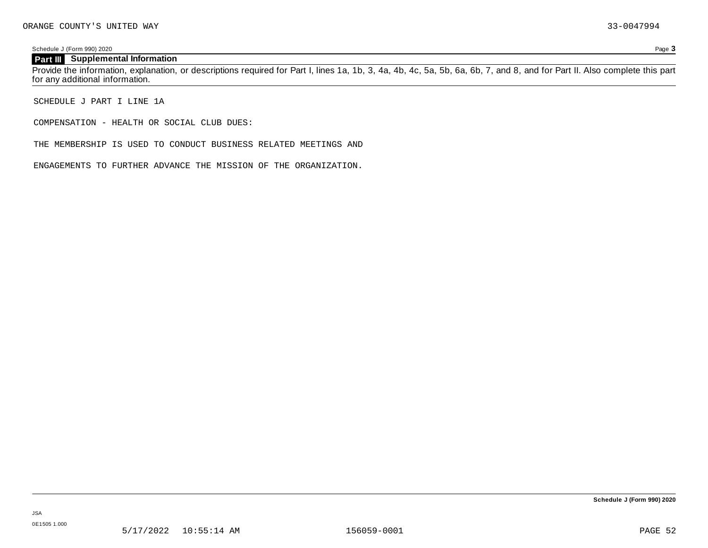Schedule J (Form 990) 2020 Page **3**

# **Part III Supplemental Information**

Provide the information, explanation, or descriptions required for Part I, lines 1a, 1b, 3, 4a, 4b, 4c, 5a, 5b, 6a, 6b, 7, and 8, and for Part II. Also complete this part for any additional information.

SCHEDULE J PART I LINE 1A

COMPENSATION - HEALTH OR SOCIAL CLUB DUES:

THE MEMBERSHIP IS USED TO CONDUCT BUSINESS RELATED MEETINGS AND

ENGAGEMENTS TO FURTHER ADVANCE THE MISSION OF THE ORGANIZATION.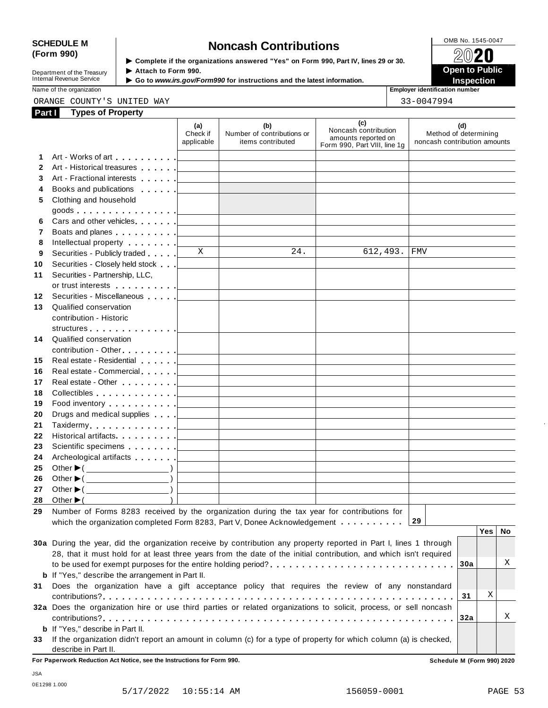# SCHEDULE M<br>
(Form 990) **SCHEDULE M SCHEDULE M Noncash Contributions**<br>  $\frac{\text{OMB No. 1545-0047}}{2020}$

Department of the Treasury<br>Internal Revenue Service

**Examplete** if the organizations answered "Yes" on Form 990, Part Ⅳ, lines 29 or 30. 
<br>
■ **Open to Public Department of the Treasury ▶ Attach to Form 990.**<br>Internal Revenue Service ▶ Go to *www.irs.gov/Form990* for instructions and the latest information.<br>Nome of the organization aumhor



Name of the organization **intervalse of the organization intervalse of the organization intervalse of the organization intervalse of the organization intervalse of the organization intervalse of the organization** 

ORANGE COUNTY'S UNITED WAY 33-0047994

| Part I       | <b>Types of Property</b>                                                                                           |                               |                                                        |                                                                                    |                                                              |
|--------------|--------------------------------------------------------------------------------------------------------------------|-------------------------------|--------------------------------------------------------|------------------------------------------------------------------------------------|--------------------------------------------------------------|
|              |                                                                                                                    | (a)<br>Check if<br>applicable | (b)<br>Number of contributions or<br>items contributed | (c)<br>Noncash contribution<br>amounts reported on<br>Form 990, Part VIII, line 1g | (d)<br>Method of determining<br>noncash contribution amounts |
| 1.           |                                                                                                                    |                               |                                                        |                                                                                    |                                                              |
| $\mathbf{2}$ | Art - Historical treasures                                                                                         |                               |                                                        |                                                                                    |                                                              |
| 3            |                                                                                                                    |                               |                                                        |                                                                                    |                                                              |
| 4            | Books and publications [1995]                                                                                      |                               |                                                        |                                                                                    |                                                              |
| 5            | Clothing and household                                                                                             |                               |                                                        |                                                                                    |                                                              |
|              |                                                                                                                    |                               |                                                        |                                                                                    |                                                              |
| 6            | Cars and other vehicles <b>Cars</b>                                                                                |                               |                                                        |                                                                                    |                                                              |
| 7            | Boats and planes <u>  _ _ _ _ _</u>                                                                                |                               |                                                        |                                                                                    |                                                              |
| 8            | Intellectual property [                                                                                            |                               |                                                        |                                                                                    |                                                              |
| 9            | Securities - Publicly traded                                                                                       | X                             | 24.                                                    | 612,493.                                                                           | FMV                                                          |
| 10           | Securities - Closely held stock                                                                                    |                               |                                                        |                                                                                    |                                                              |
| 11           | Securities - Partnership, LLC,                                                                                     |                               |                                                        |                                                                                    |                                                              |
|              | or trust interests [1]                                                                                             |                               |                                                        |                                                                                    |                                                              |
| 12           | Securities - Miscellaneous                                                                                         |                               |                                                        |                                                                                    |                                                              |
| 13           | Qualified conservation                                                                                             |                               |                                                        |                                                                                    |                                                              |
|              | contribution - Historic                                                                                            |                               |                                                        |                                                                                    |                                                              |
|              | structures                                                                                                         |                               |                                                        |                                                                                    |                                                              |
| 14           | Qualified conservation                                                                                             |                               |                                                        |                                                                                    |                                                              |
|              | contribution - Other <u>  _ _ _ _ _</u>                                                                            |                               |                                                        |                                                                                    |                                                              |
| 15           | Real estate - Residential [1999]                                                                                   |                               |                                                        |                                                                                    |                                                              |
| 16           |                                                                                                                    |                               |                                                        |                                                                                    |                                                              |
| 17           | Real estate - Other New York New York 1989                                                                         |                               |                                                        |                                                                                    |                                                              |
| 18           | Collectibles <u>  _ _ _ _ _</u>                                                                                    |                               |                                                        |                                                                                    |                                                              |
| 19           | Food inventory [1994]                                                                                              |                               |                                                        |                                                                                    |                                                              |
| 20           | Drugs and medical supplies [                                                                                       |                               |                                                        |                                                                                    |                                                              |
| 21           | Taxidermy                                                                                                          |                               |                                                        |                                                                                    |                                                              |
| 22           | Historical artifacts [1999] Historical artifacts                                                                   |                               |                                                        |                                                                                    |                                                              |
| 23           | Scientific specimens [1994]                                                                                        |                               |                                                        |                                                                                    |                                                              |
| 24           | Archeological artifacts [100]                                                                                      |                               |                                                        |                                                                                    |                                                              |
| 25           | Other $\blacktriangleright$ ( $\_\_\_\_\_\_\_\_\_$ )                                                               |                               |                                                        |                                                                                    |                                                              |
| 26           | Other $\blacktriangleright$ ( $\_\_\_\_\_\_\_\_$ )                                                                 |                               |                                                        |                                                                                    |                                                              |
| 27           | Other $\blacktriangleright$ ( $\qquad \qquad$                                                                      |                               |                                                        |                                                                                    |                                                              |
| 28           | $\lambda$<br>Other $\blacktriangleright$ (                                                                         |                               |                                                        |                                                                                    |                                                              |
| 29           | Number of Forms 8283 received by the organization during the tax year for contributions for                        |                               |                                                        |                                                                                    |                                                              |
|              | which the organization completed Form 8283, Part V, Donee Acknowledgement                                          |                               |                                                        |                                                                                    | 29                                                           |
|              |                                                                                                                    |                               |                                                        |                                                                                    | <b>Yes</b><br>No                                             |
|              | 30a During the year, did the organization receive by contribution any property reported in Part I, lines 1 through |                               |                                                        |                                                                                    |                                                              |
|              | 28, that it must hold for at least three years from the date of the initial contribution, and which isn't required |                               |                                                        |                                                                                    | Χ                                                            |
|              | <b>b</b> If "Yes," describe the arrangement in Part II.                                                            |                               |                                                        |                                                                                    | 30a                                                          |
|              |                                                                                                                    |                               |                                                        |                                                                                    |                                                              |
| 31           | Does the organization have a gift acceptance policy that requires the review of any nonstandard                    |                               |                                                        |                                                                                    | Χ<br>31                                                      |
|              | 32a Does the organization hire or use third parties or related organizations to solicit, process, or sell noncash  |                               |                                                        |                                                                                    |                                                              |
|              |                                                                                                                    |                               |                                                        |                                                                                    | Χ<br>32a                                                     |
|              | <b>b</b> If "Yes," describe in Part II.                                                                            |                               |                                                        |                                                                                    |                                                              |
|              |                                                                                                                    |                               |                                                        |                                                                                    |                                                              |

**33** If the organization didn't report an amount in column (c) for a type of property for which column (a) is checked, describe in Part II.

**For Paperwork Reduction Act Notice, see the Instructions for Form 990. Schedule M (Form 990) 2020**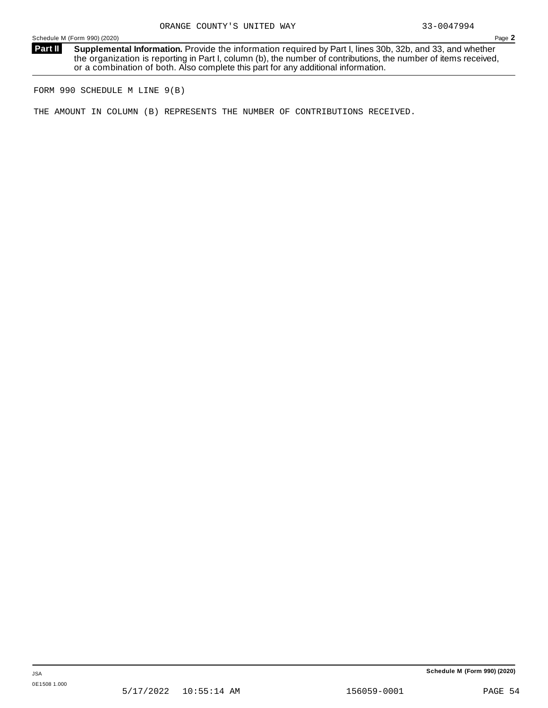**Supplemental Information.** Provide the information required by Part I, lines 30b, 32b, and 33, and whether the organization is reporting in Part I, column (b), the number of contributions, the number of items received, or a combination of both. Also complete this part for any additional information. **Part II**

FORM 990 SCHEDULE M LINE 9(B)

THE AMOUNT IN COLUMN (B) REPRESENTS THE NUMBER OF CONTRIBUTIONS RECEIVED.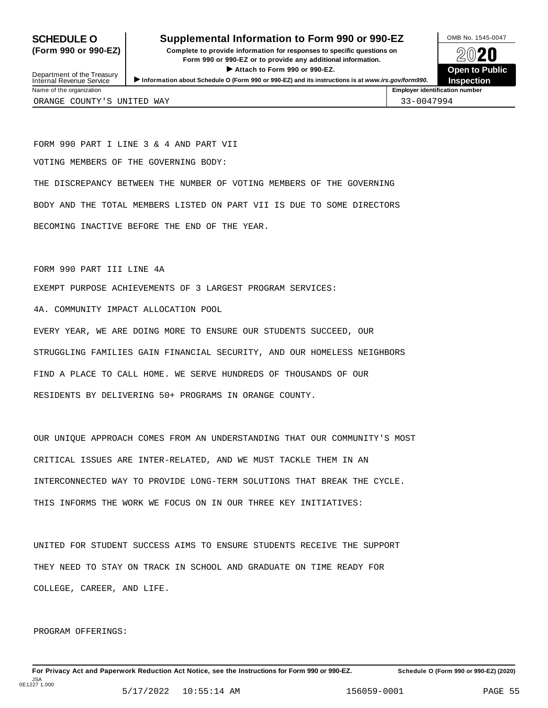# **SCHEDULE O** Supplemental Information to Form 990 or 990-EZ DMB No. 1545-0047

**(Form 990 or 990-EZ) Complete to provide information for responses to specific questions on** plete to provide information for responses to specific questions on  $\bigotimes_{\mathbb{Z}}\mathbb{Q}$  20 **EVEC**<br>
■ Attach to Form 990 or 990-EZ.<br>
■ Attach to Form 990 or 990-EZ. Department of the Treasury between to Public<br>
Internal Revenue Service between to Public<br>
Name of the organization<br>
Name of the organization

**Inspection**

Department of the Treasury<br>Internal Revenue Service

ORANGE COUNTY'S UNITED WAY 33-0047994

FORM 990 PART I LINE 3 & 4 AND PART VII VOTING MEMBERS OF THE GOVERNING BODY:

THE DISCREPANCY BETWEEN THE NUMBER OF VOTING MEMBERS OF THE GOVERNING BODY AND THE TOTAL MEMBERS LISTED ON PART VII IS DUE TO SOME DIRECTORS BECOMING INACTIVE BEFORE THE END OF THE YEAR.

FORM 990 PART III LINE 4A

EXEMPT PURPOSE ACHIEVEMENTS OF 3 LARGEST PROGRAM SERVICES:

4A. COMMUNITY IMPACT ALLOCATION POOL

EVERY YEAR, WE ARE DOING MORE TO ENSURE OUR STUDENTS SUCCEED, OUR STRUGGLING FAMILIES GAIN FINANCIAL SECURITY, AND OUR HOMELESS NEIGHBORS FIND A PLACE TO CALL HOME. WE SERVE HUNDREDS OF THOUSANDS OF OUR RESIDENTS BY DELIVERING 50+ PROGRAMS IN ORANGE COUNTY.

OUR UNIQUE APPROACH COMES FROM AN UNDERSTANDING THAT OUR COMMUNITY'S MOST CRITICAL ISSUES ARE INTER-RELATED, AND WE MUST TACKLE THEM IN AN INTERCONNECTED WAY TO PROVIDE LONG-TERM SOLUTIONS THAT BREAK THE CYCLE. THIS INFORMS THE WORK WE FOCUS ON IN OUR THREE KEY INITIATIVES:

UNITED FOR STUDENT SUCCESS AIMS TO ENSURE STUDENTS RECEIVE THE SUPPORT THEY NEED TO STAY ON TRACK IN SCHOOL AND GRADUATE ON TIME READY FOR COLLEGE, CAREER, AND LIFE.

PROGRAM OFFERINGS: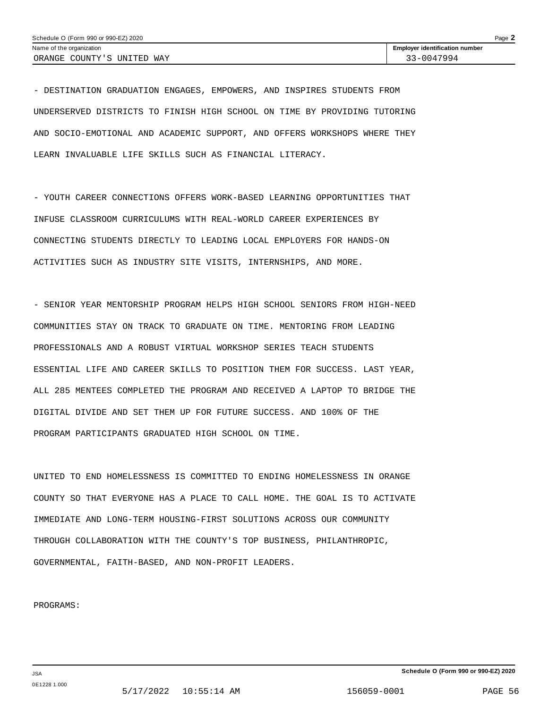- DESTINATION GRADUATION ENGAGES, EMPOWERS, AND INSPIRES STUDENTS FROM UNDERSERVED DISTRICTS TO FINISH HIGH SCHOOL ON TIME BY PROVIDING TUTORING AND SOCIO-EMOTIONAL AND ACADEMIC SUPPORT, AND OFFERS WORKSHOPS WHERE THEY LEARN INVALUABLE LIFE SKILLS SUCH AS FINANCIAL LITERACY.

- YOUTH CAREER CONNECTIONS OFFERS WORK-BASED LEARNING OPPORTUNITIES THAT INFUSE CLASSROOM CURRICULUMS WITH REAL-WORLD CAREER EXPERIENCES BY CONNECTING STUDENTS DIRECTLY TO LEADING LOCAL EMPLOYERS FOR HANDS-ON ACTIVITIES SUCH AS INDUSTRY SITE VISITS, INTERNSHIPS, AND MORE.

- SENIOR YEAR MENTORSHIP PROGRAM HELPS HIGH SCHOOL SENIORS FROM HIGH-NEED COMMUNITIES STAY ON TRACK TO GRADUATE ON TIME. MENTORING FROM LEADING PROFESSIONALS AND A ROBUST VIRTUAL WORKSHOP SERIES TEACH STUDENTS ESSENTIAL LIFE AND CAREER SKILLS TO POSITION THEM FOR SUCCESS. LAST YEAR, ALL 285 MENTEES COMPLETED THE PROGRAM AND RECEIVED A LAPTOP TO BRIDGE THE DIGITAL DIVIDE AND SET THEM UP FOR FUTURE SUCCESS. AND 100% OF THE PROGRAM PARTICIPANTS GRADUATED HIGH SCHOOL ON TIME.

UNITED TO END HOMELESSNESS IS COMMITTED TO ENDING HOMELESSNESS IN ORANGE COUNTY SO THAT EVERYONE HAS A PLACE TO CALL HOME. THE GOAL IS TO ACTIVATE IMMEDIATE AND LONG-TERM HOUSING-FIRST SOLUTIONS ACROSS OUR COMMUNITY THROUGH COLLABORATION WITH THE COUNTY'S TOP BUSINESS, PHILANTHROPIC, GOVERNMENTAL, FAITH-BASED, AND NON-PROFIT LEADERS.

PROGRAMS: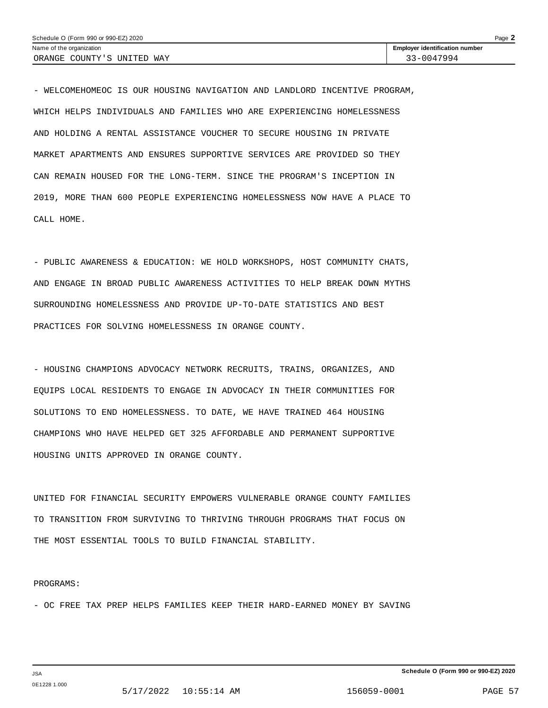| Schedule O (Form 990 or 990-EZ) 2020 | Page $\blacktriangle$                 |  |
|--------------------------------------|---------------------------------------|--|
| Name of the organization             | <b>Employer identification number</b> |  |
| ORANGE COUNTY'S UNITED WAY           | $33 - 0047994$                        |  |

- WELCOMEHOMEOC IS OUR HOUSING NAVIGATION AND LANDLORD INCENTIVE PROGRAM, WHICH HELPS INDIVIDUALS AND FAMILIES WHO ARE EXPERIENCING HOMELESSNESS AND HOLDING A RENTAL ASSISTANCE VOUCHER TO SECURE HOUSING IN PRIVATE MARKET APARTMENTS AND ENSURES SUPPORTIVE SERVICES ARE PROVIDED SO THEY CAN REMAIN HOUSED FOR THE LONG-TERM. SINCE THE PROGRAM'S INCEPTION IN 2019, MORE THAN 600 PEOPLE EXPERIENCING HOMELESSNESS NOW HAVE A PLACE TO CALL HOME.

- PUBLIC AWARENESS & EDUCATION: WE HOLD WORKSHOPS, HOST COMMUNITY CHATS, AND ENGAGE IN BROAD PUBLIC AWARENESS ACTIVITIES TO HELP BREAK DOWN MYTHS SURROUNDING HOMELESSNESS AND PROVIDE UP-TO-DATE STATISTICS AND BEST PRACTICES FOR SOLVING HOMELESSNESS IN ORANGE COUNTY.

- HOUSING CHAMPIONS ADVOCACY NETWORK RECRUITS, TRAINS, ORGANIZES, AND EQUIPS LOCAL RESIDENTS TO ENGAGE IN ADVOCACY IN THEIR COMMUNITIES FOR SOLUTIONS TO END HOMELESSNESS. TO DATE, WE HAVE TRAINED 464 HOUSING CHAMPIONS WHO HAVE HELPED GET 325 AFFORDABLE AND PERMANENT SUPPORTIVE HOUSING UNITS APPROVED IN ORANGE COUNTY.

UNITED FOR FINANCIAL SECURITY EMPOWERS VULNERABLE ORANGE COUNTY FAMILIES TO TRANSITION FROM SURVIVING TO THRIVING THROUGH PROGRAMS THAT FOCUS ON THE MOST ESSENTIAL TOOLS TO BUILD FINANCIAL STABILITY.

### PROGRAMS:

- OC FREE TAX PREP HELPS FAMILIES KEEP THEIR HARD-EARNED MONEY BY SAVING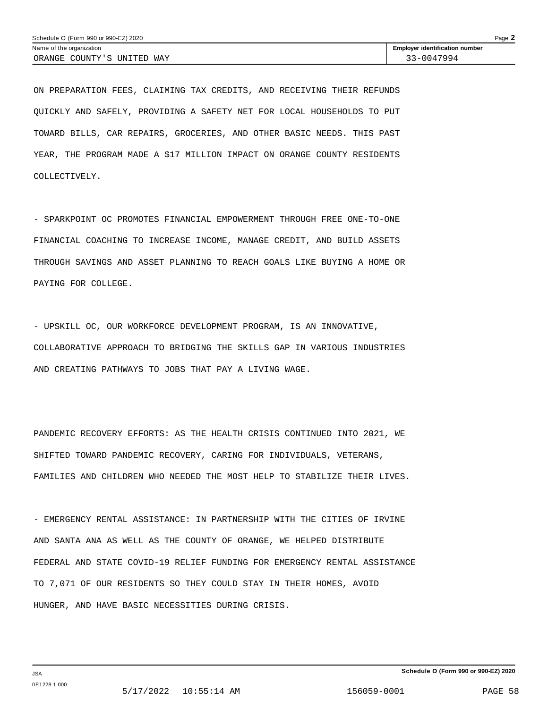ON PREPARATION FEES, CLAIMING TAX CREDITS, AND RECEIVING THEIR REFUNDS QUICKLY AND SAFELY, PROVIDING A SAFETY NET FOR LOCAL HOUSEHOLDS TO PUT TOWARD BILLS, CAR REPAIRS, GROCERIES, AND OTHER BASIC NEEDS. THIS PAST YEAR, THE PROGRAM MADE A \$17 MILLION IMPACT ON ORANGE COUNTY RESIDENTS COLLECTIVELY.

- SPARKPOINT OC PROMOTES FINANCIAL EMPOWERMENT THROUGH FREE ONE-TO-ONE FINANCIAL COACHING TO INCREASE INCOME, MANAGE CREDIT, AND BUILD ASSETS THROUGH SAVINGS AND ASSET PLANNING TO REACH GOALS LIKE BUYING A HOME OR PAYING FOR COLLEGE.

- UPSKILL OC, OUR WORKFORCE DEVELOPMENT PROGRAM, IS AN INNOVATIVE, COLLABORATIVE APPROACH TO BRIDGING THE SKILLS GAP IN VARIOUS INDUSTRIES AND CREATING PATHWAYS TO JOBS THAT PAY A LIVING WAGE.

PANDEMIC RECOVERY EFFORTS: AS THE HEALTH CRISIS CONTINUED INTO 2021, WE SHIFTED TOWARD PANDEMIC RECOVERY, CARING FOR INDIVIDUALS, VETERANS, FAMILIES AND CHILDREN WHO NEEDED THE MOST HELP TO STABILIZE THEIR LIVES.

- EMERGENCY RENTAL ASSISTANCE: IN PARTNERSHIP WITH THE CITIES OF IRVINE AND SANTA ANA AS WELL AS THE COUNTY OF ORANGE, WE HELPED DISTRIBUTE FEDERAL AND STATE COVID-19 RELIEF FUNDING FOR EMERGENCY RENTAL ASSISTANCE TO 7,071 OF OUR RESIDENTS SO THEY COULD STAY IN THEIR HOMES, AVOID HUNGER, AND HAVE BASIC NECESSITIES DURING CRISIS.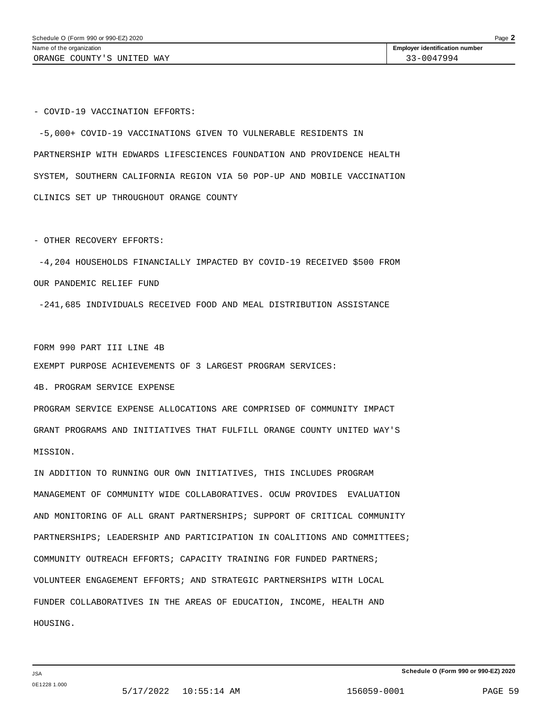- COVID-19 VACCINATION EFFORTS:

-5,000+ COVID-19 VACCINATIONS GIVEN TO VULNERABLE RESIDENTS IN PARTNERSHIP WITH EDWARDS LIFESCIENCES FOUNDATION AND PROVIDENCE HEALTH SYSTEM, SOUTHERN CALIFORNIA REGION VIA 50 POP-UP AND MOBILE VACCINATION CLINICS SET UP THROUGHOUT ORANGE COUNTY

- OTHER RECOVERY EFFORTS:

-4,204 HOUSEHOLDS FINANCIALLY IMPACTED BY COVID-19 RECEIVED \$500 FROM OUR PANDEMIC RELIEF FUND

-241,685 INDIVIDUALS RECEIVED FOOD AND MEAL DISTRIBUTION ASSISTANCE

FORM 990 PART III LINE 4B EXEMPT PURPOSE ACHIEVEMENTS OF 3 LARGEST PROGRAM SERVICES:

4B. PROGRAM SERVICE EXPENSE

PROGRAM SERVICE EXPENSE ALLOCATIONS ARE COMPRISED OF COMMUNITY IMPACT GRANT PROGRAMS AND INITIATIVES THAT FULFILL ORANGE COUNTY UNITED WAY'S MISSION.

IN ADDITION TO RUNNING OUR OWN INITIATIVES, THIS INCLUDES PROGRAM MANAGEMENT OF COMMUNITY WIDE COLLABORATIVES. OCUW PROVIDES EVALUATION AND MONITORING OF ALL GRANT PARTNERSHIPS; SUPPORT OF CRITICAL COMMUNITY PARTNERSHIPS; LEADERSHIP AND PARTICIPATION IN COALITIONS AND COMMITTEES; COMMUNITY OUTREACH EFFORTS; CAPACITY TRAINING FOR FUNDED PARTNERS; VOLUNTEER ENGAGEMENT EFFORTS; AND STRATEGIC PARTNERSHIPS WITH LOCAL FUNDER COLLABORATIVES IN THE AREAS OF EDUCATION, INCOME, HEALTH AND HOUSING.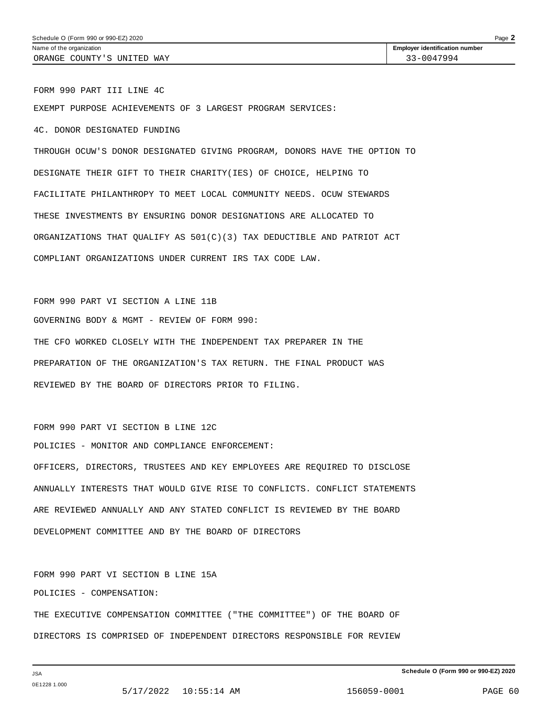FORM 990 PART III LINE 4C EXEMPT PURPOSE ACHIEVEMENTS OF 3 LARGEST PROGRAM SERVICES: 4C. DONOR DESIGNATED FUNDING THROUGH OCUW'S DONOR DESIGNATED GIVING PROGRAM, DONORS HAVE THE OPTION TO DESIGNATE THEIR GIFT TO THEIR CHARITY(IES) OF CHOICE, HELPING TO FACILITATE PHILANTHROPY TO MEET LOCAL COMMUNITY NEEDS. OCUW STEWARDS THESE INVESTMENTS BY ENSURING DONOR DESIGNATIONS ARE ALLOCATED TO ORGANIZATIONS THAT QUALIFY AS 501(C)(3) TAX DEDUCTIBLE AND PATRIOT ACT COMPLIANT ORGANIZATIONS UNDER CURRENT IRS TAX CODE LAW.

FORM 990 PART VI SECTION A LINE 11B GOVERNING BODY & MGMT - REVIEW OF FORM 990: THE CFO WORKED CLOSELY WITH THE INDEPENDENT TAX PREPARER IN THE PREPARATION OF THE ORGANIZATION'S TAX RETURN. THE FINAL PRODUCT WAS REVIEWED BY THE BOARD OF DIRECTORS PRIOR TO FILING.

FORM 990 PART VI SECTION B LINE 12C POLICIES - MONITOR AND COMPLIANCE ENFORCEMENT: OFFICERS, DIRECTORS, TRUSTEES AND KEY EMPLOYEES ARE REQUIRED TO DISCLOSE ANNUALLY INTERESTS THAT WOULD GIVE RISE TO CONFLICTS. CONFLICT STATEMENTS ARE REVIEWED ANNUALLY AND ANY STATED CONFLICT IS REVIEWED BY THE BOARD DEVELOPMENT COMMITTEE AND BY THE BOARD OF DIRECTORS

FORM 990 PART VI SECTION B LINE 15A POLICIES - COMPENSATION: THE EXECUTIVE COMPENSATION COMMITTEE ("THE COMMITTEE") OF THE BOARD OF DIRECTORS IS COMPRISED OF INDEPENDENT DIRECTORS RESPONSIBLE FOR REVIEW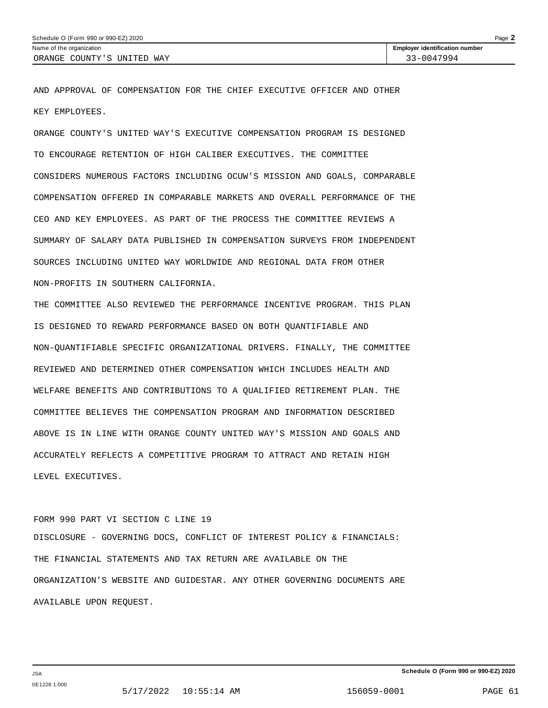AND APPROVAL OF COMPENSATION FOR THE CHIEF EXECUTIVE OFFICER AND OTHER KEY EMPLOYEES.

ORANGE COUNTY'S UNITED WAY'S EXECUTIVE COMPENSATION PROGRAM IS DESIGNED TO ENCOURAGE RETENTION OF HIGH CALIBER EXECUTIVES. THE COMMITTEE CONSIDERS NUMEROUS FACTORS INCLUDING OCUW'S MISSION AND GOALS, COMPARABLE COMPENSATION OFFERED IN COMPARABLE MARKETS AND OVERALL PERFORMANCE OF THE CEO AND KEY EMPLOYEES. AS PART OF THE PROCESS THE COMMITTEE REVIEWS A SUMMARY OF SALARY DATA PUBLISHED IN COMPENSATION SURVEYS FROM INDEPENDENT SOURCES INCLUDING UNITED WAY WORLDWIDE AND REGIONAL DATA FROM OTHER NON-PROFITS IN SOUTHERN CALIFORNIA.

THE COMMITTEE ALSO REVIEWED THE PERFORMANCE INCENTIVE PROGRAM. THIS PLAN IS DESIGNED TO REWARD PERFORMANCE BASED ON BOTH QUANTIFIABLE AND NON-QUANTIFIABLE SPECIFIC ORGANIZATIONAL DRIVERS. FINALLY, THE COMMITTEE REVIEWED AND DETERMINED OTHER COMPENSATION WHICH INCLUDES HEALTH AND WELFARE BENEFITS AND CONTRIBUTIONS TO A QUALIFIED RETIREMENT PLAN. THE COMMITTEE BELIEVES THE COMPENSATION PROGRAM AND INFORMATION DESCRIBED ABOVE IS IN LINE WITH ORANGE COUNTY UNITED WAY'S MISSION AND GOALS AND ACCURATELY REFLECTS A COMPETITIVE PROGRAM TO ATTRACT AND RETAIN HIGH LEVEL EXECUTIVES.

FORM 990 PART VI SECTION C LINE 19 DISCLOSURE - GOVERNING DOCS, CONFLICT OF INTEREST POLICY & FINANCIALS: THE FINANCIAL STATEMENTS AND TAX RETURN ARE AVAILABLE ON THE ORGANIZATION'S WEBSITE AND GUIDESTAR. ANY OTHER GOVERNING DOCUMENTS ARE AVAILABLE UPON REQUEST.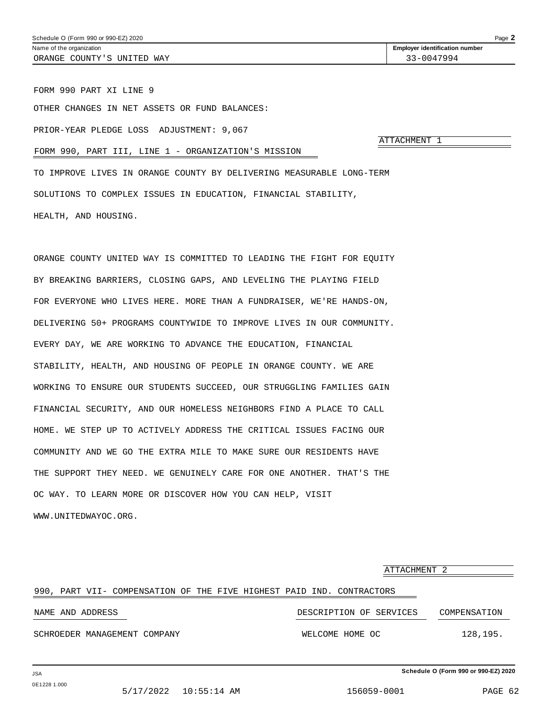FORM 990 PART XI LINE 9

OTHER CHANGES IN NET ASSETS OR FUND BALANCES:

PRIOR-YEAR PLEDGE LOSS ADJUSTMENT: 9,067

ATTACHMENT 1

FORM 990, PART III, LINE 1 - ORGANIZATION'S MISSION

TO IMPROVE LIVES IN ORANGE COUNTY BY DELIVERING MEASURABLE LONG-TERM SOLUTIONS TO COMPLEX ISSUES IN EDUCATION, FINANCIAL STABILITY, HEALTH, AND HOUSING.

ORANGE COUNTY UNITED WAY IS COMMITTED TO LEADING THE FIGHT FOR EQUITY BY BREAKING BARRIERS, CLOSING GAPS, AND LEVELING THE PLAYING FIELD FOR EVERYONE WHO LIVES HERE. MORE THAN A FUNDRAISER, WE'RE HANDS-ON, DELIVERING 50+ PROGRAMS COUNTYWIDE TO IMPROVE LIVES IN OUR COMMUNITY. EVERY DAY, WE ARE WORKING TO ADVANCE THE EDUCATION, FINANCIAL STABILITY, HEALTH, AND HOUSING OF PEOPLE IN ORANGE COUNTY. WE ARE WORKING TO ENSURE OUR STUDENTS SUCCEED, OUR STRUGGLING FAMILIES GAIN FINANCIAL SECURITY, AND OUR HOMELESS NEIGHBORS FIND A PLACE TO CALL HOME. WE STEP UP TO ACTIVELY ADDRESS THE CRITICAL ISSUES FACING OUR COMMUNITY AND WE GO THE EXTRA MILE TO MAKE SURE OUR RESIDENTS HAVE THE SUPPORT THEY NEED. WE GENUINELY CARE FOR ONE ANOTHER. THAT'S THE OC WAY. TO LEARN MORE OR DISCOVER HOW YOU CAN HELP, VISIT WWW.UNITEDWAYOC.ORG.

ATTACHMENT 2 990, PART VII- COMPENSATION OF THE FIVE HIGHEST PAID IND. CONTRACTORS NAME AND ADDRESS DESCRIPTION OF SERVICES COMPENSATION SCHROEDER MANAGEMENT COMPANY **WELCOME HOME OC** 128,195.

**Schedule O (Form 990 or 990-EZ) 2020**